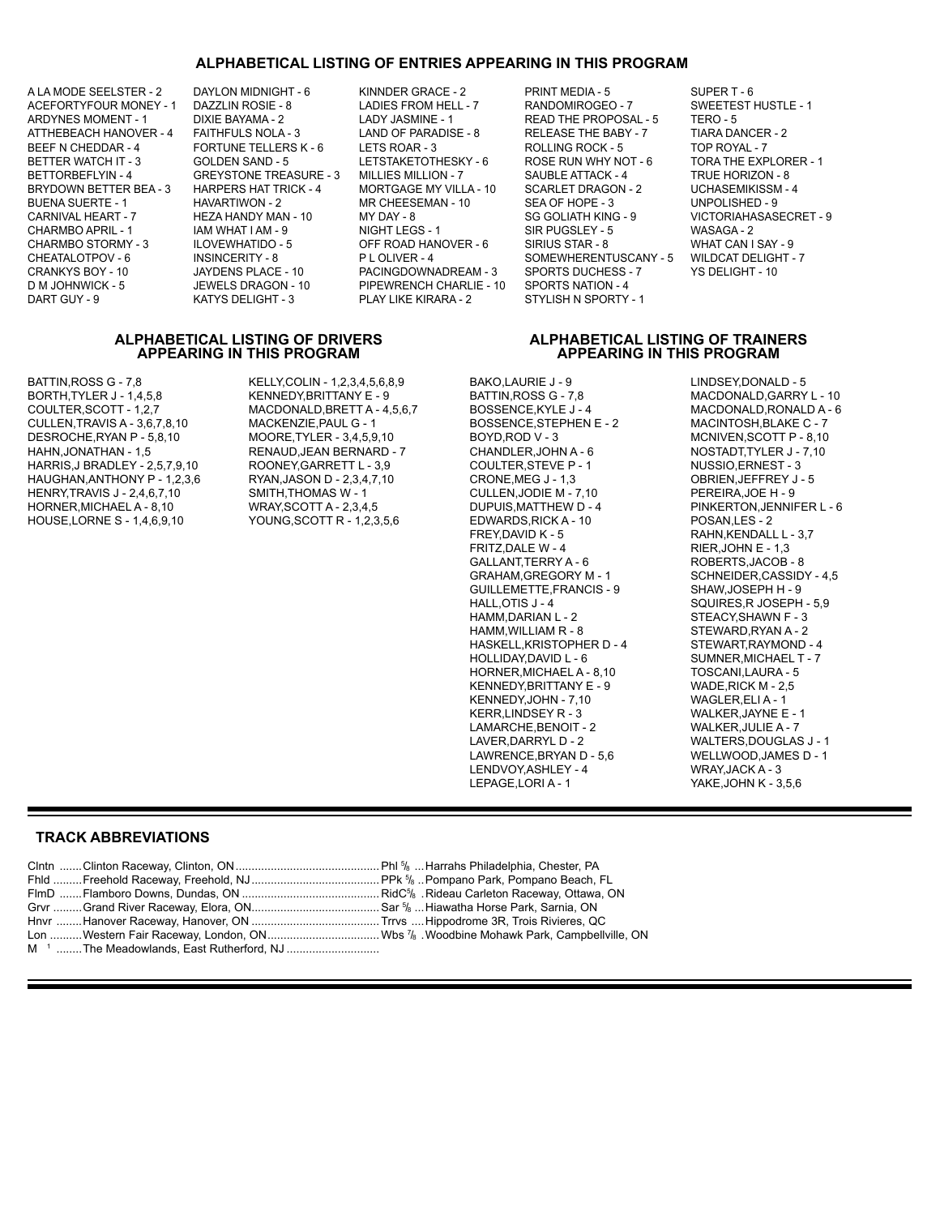### **ALPHABETICAL LISTING OF ENTRIES APPEARING IN THIS PROGRAM**

A LA MODE SEELSTER - 2 DAYLON MIDNIGHT - 6 KINNDER GRACE - 2 PRINT MEDIA - 5 SUPER T - 6

ACEFORTYFOUR MONEY - 1 DAZZLIN ROSIE - 8 LADIES FROM HELL - 7 RANDOMIROGEO - 7 SWEETEST HUSTLE - 1<br>ARDYNES MOMENT - 1 DIXIE BAYAMA - 2 LADY JASMINE - 1 READ THE PROPOSAL - 5 TERO - 5 ARDYNES MOMENT - 1 DIXIE BAYAMA - 2 LADY JASMINE - 1 READ THE PROPOSAL - 5 TERO - 5<br>ATTHEBEACH HANOVER - 4 FAITHFULS NOLA - 3 LAND OF PARADISE - 8 RELEASE THE BABY - 7 TIARA DANCER - 2 ATTHEBEACH HANOVER - 4 FAITHFULS NOLA - 3 LAND OF PARADISE - 8 RELEASE THE BABY - 7 TIARA DANCER<br>BEEF N CHEDDAR - 4 FORTUNE TELLERS K - 6 LETS ROAR - 3 ROLLING ROCK - 5 TOP ROYAL - 7 BEEF N CHEDDAR - 4 FORTUNE TELLERS K - 6 LETS ROAR - 3 ROLLING ROCK - 5 BETTER WATCH IT - 3 GOLDEN SAND - 5 LETSTAKETOTHESKY - 6 ROSE RUN WHY NOT - 6 TORA THE EXPLORER - 1<br>BETTORBEFLYIN - 4 GREYSTONE TREASURE - 3 MILLIES MILLION - 7 SAUBLE ATTACK - 4 TRUE HORIZON - 8 GREYSTONE TREASURE - 3 MILLIES MILLION - 7<br>HARPERS HAT TRICK - 4 MORTGAGE MY VILLA - 10 BRYDOWN BETTER BEA - 3 HARPERS HAT TRICK - 4 MORTGAGE MY VILLA - 10 SCARLET DRAGON - 2 UCHASEMIKISSM - 4<br>BUENA SUERTE - 1 HAVARTIWON - 2 MR CHEESEMAN - 10 SEA OF HOPE - 3 UNPOLISHED - 9 BUENA SUERTE - 1 HAVARTIWON - 2 MR CHEESEMAN - 10 SEA OF HOPE - 3 CARNIVAL HEART - 7 HEZA HANDY MAN - 10 MY DAY - 8 SG GOLIATH KING - 9 VICTORIAHASASECRET - 9 CHARMBO APRIL - 1 IAM WHAT I AM - 9 NIGHT LEGS - 1 SIR PUGSLEY - 5 WASAGA - 2 OFF ROAD HANOVER - 6 CHEATALOTPOV - 6 INSINCERITY - 8 PLOLIVER - 4 SOMEWHERENTUSCANY - 5 WILDCAT DELIGHT - 7<br>CRANKYS BOY - 10 JAYDENS PLACE - 10 PACINGDOWNADREAM - 3 SPORTS DUCHESS - 7 YS DELIGHT - 10 CRANKYS BOY - 10 CONTENT AND THACE - 10 CONTROL PACING DOWNADREAM - 3 CONTENTS DUCHESS - 7<br>D M JOHNWICK - 5 CONTENT - 10 CONTENT - 10 CONTENT - 10 CONTENT - 4 PIPEWRENCH CHARLIE - 10 DART GUY - 9 KATYS DELIGHT - 3 PLAY LIKE KIRARA - 2 STYLISH N SPORTY - 1

### **ALPHABETICAL LISTING OF DRIVERS ALPHABETICAL LISTING OF TRAINERS APPEARING IN THIS PROGRAM APPEARING IN THIS PROGRAM**

BATTIN,ROSS G - 7,8 KELLY,COLIN - 1,2,3,4,5,6,8,9 BAKO,LAURIE J - 9 LINDSEY,DONALD - 5 BORTH,TYLER J - 1,4,5,8 KENNEDY,BRITTANY E - 9 BATTIN,ROSS G - 7,8 MACDONALD,GARRY L - 10<br>COULTER,SCOTT - 1.2.7 MACDONALD,BRETT A - 4,5,6,7 BOSSENCE,KYLE J - 4 MACDONALD,RONALD A - 6 CULLEN,TRAVIS A - 3,6,7,8,10 MACKENZIE,PAUL G - 1 BOSSENCE,STEPHEN E - 2 MACINTOSH,BLAKE C - 7<br>DESROCHE,RYAN P - 5,8,10 MOORE,TYLER - 3,4,5,9,10 BOYD,ROD V - 3 MCNIVEN,SCOTT P - 8,10 DESROCHE,RYAN P - 5,8,10 MOORE,TYLER - 3,4,5,9,10 BOYD,ROD V - 3 MCNIVEN,SCOTT P - 8,10<br>HAHN,JONATHAN - 1,5 RENAUD,JEAN BERNARD - 7 CHANDLER,JOHN A - 6 MOSTADT,TYLER J - 7,10 HARRIS,J BRADLEY - 2,5,7,9,10 ROONEY,GARRETT L - 3,9 COULTER,STEVE P - 1 NUSSIO,ERNEST - 3 HAUGHAN,ANTHONY P - 1,2,3,6 HENRY,TRAVIS J - 2,4,6,7,10 SMITH,THOMAS W - 1 CULLEN,JODIE M - 7,10 PEREIRA,JOE H - 9<br>HORNER,MICHAEL A - 8,10 WRAY,SCOTT A - 2,3,4,5 DUPUIS,MATTHEW D - 4 PINKERTON,JENNIF

MACDONALD,BRETT A - 4,5,6,7 BOSSENCE,KYLE J - 4 MACDONALD,RONALD A -<br>MACKENZIE,PAUL G - 1 BOSSENCE,STEPHEN E - 2 MACINTOSH,BLAKE C - 7 RENAUD,JEAN BERNARD - 7 CHANDLER,JOHN A - 6 NOSTADT,TYLER J -<br>ROONEY,GARRETT L - 3,9 COULTER,STEVE P - 1 NUSSIO,ERNEST - 3 HORNER,MICHAEL A - 8,10 WRAY,SCOTT A - 2,3,4,5 DUPUIS,MATTHEW D - 4 PINKERTON,JENNIFER L - 6 HOUSE,LORNE S - 1,4,6,9,10 YOUNG,SCOTT R - 1,2,3,5,6 EDWARDS,RICK 4<br>FREY,DAVID K - 5

FREY,DAVID K - 5 RAHN,KENDALL L - 3,7<br>FRITZ,DALE W - 4 RIER,JOHN E - 1,3 FRITZ,DALE W - 4 RIER,JOHN E - 1,3<br>GALLANT,TERRY A - 6 ROBERTS,JACOB GALLANT,TERRY A - 6 ROBERTS,JACOB - 8<br>GRAHAM,GREGORY M - 1 SCHNEIDER,CASSID GUILLEMETTE,FRANCIS - 9<br>HALL,OTIS J - 4 HALL,OTIS J - 4 SQUIRES,R JOSEPH - 5,9<br>HAMM,DARIAN L - 2 STEACY,SHAWN F - 3 HAMM, DARIAN L-2<br>
HAMM, WILLIAM R-8 STEWARD, RYAN A-2 HASKELL, KRISTOPHER D - 4<br>HOLLIDAY, DAVID L - 6 HORNER,MICHAEL A - 8,10 TOSCANI,LAURA - 5<br>KENNEDY,BRITTANY E - 9 WADE,RICK M - 2,5 KENNEDY,BRITTANY E - 9 WADE,RICK M - 2,<br>KENNEDY,JOHN - 7,10 WAGLER,ELI A - 1 KENNEDY,JOHN - 7,10<br>KERR,LINDSEY R - 3 LAMARCHE,BENOIT - 2<br>LAVER,DARRYL D - 2 LAWRENCE,BRYAN D - 5,6 WELLWOOD,JAM<br>LENDVOY,ASHLEY - 4 WRAY,JACK A - 3 LENDVOY, ASHLEY - 4<br>LEPAGE, LORI A - 1

SCHNEIDER,CASSIDY - 4,5<br>SHAW,JOSEPH H - 9 STEWARD, RYAN A - 2<br>STEWART, RAYMOND - 4 SUMNER, MICHAEL T - 7<br>TOSCANI, LAURA - 5 WALKER, JAYNE E - 1<br>WALKER, JULIE A - 7 WALTERS,DOUGLAS J - 1<br>WELLWOOD,JAMES D - 1 YAKE,JOHN K - 3,5,6

### **TRACK ABBREVIATIONS**

- Clntn .......Clinton Raceway, Clinton, ON.............................................Phl 5 /8 ...Harrahs Philadelphia, Chester, PA Fhld .........Freehold Raceway, Freehold, NJ........................................PPk 5 /8 ..Pompano Park, Pompano Beach, FL Grvr .........Grand River Raceway, Elora, ON........................................Sar 5 /8 ...Hiawatha Horse Park, Sarnia, ON Hnvr ........Hanover Raceway, Hanover, ON ........................................Trrvs ....Hippodrome 3R, Trois Rivieres, QC
- FlmD .......Flamboro Downs, Dundas, ON ........................................... RidC5 /8 .Rideau Carleton Raceway, Ottawa, ON
	-
	-
- M<sup>1</sup> ........The Meadowlands, East Rutherford, NJ ..............................
- 
- 
- Lon ..........Western Fair Raceway, London, ON...................................Wbs 7 /8 .Woodbine Mohawk Park, Campbellville, ON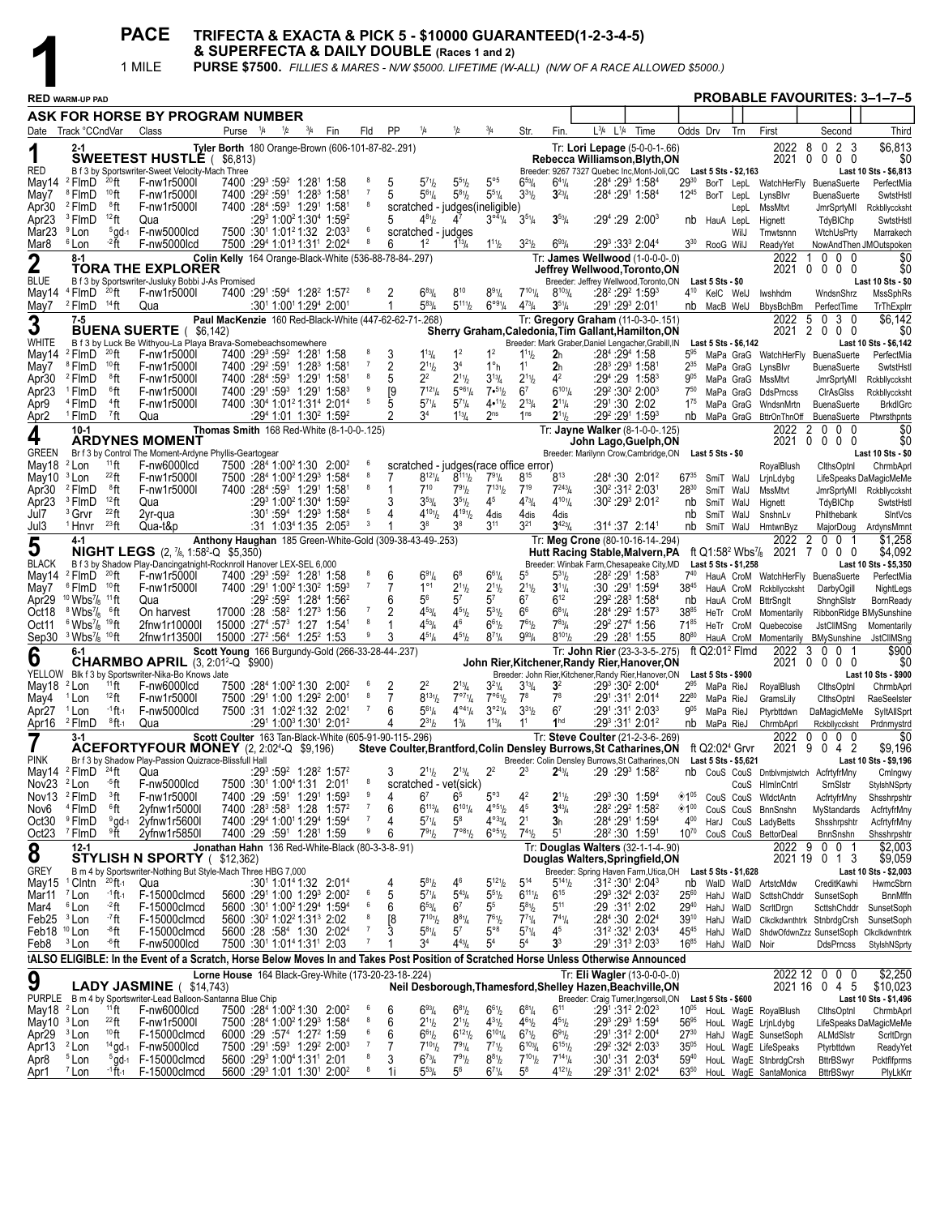|                                         |                                                                                                                                       |                            | <b>PACE</b>                                                                                                                     | & SUPERFECTA & DAILY DOUBLE (Races 1 and 2)              |                       |     |                                                                                                                                          |                     |                                        |                                                                 |                                                         |                                                                             |                                                    |                                                                  | TRIFECTA & EXACTA & PICK 5 - \$10000 GUARANTEED(1-2-3-4-5)                                                               |           |      |                        |                                                        |                                                                               |                                                |                                                                  |                                       |
|-----------------------------------------|---------------------------------------------------------------------------------------------------------------------------------------|----------------------------|---------------------------------------------------------------------------------------------------------------------------------|----------------------------------------------------------|-----------------------|-----|------------------------------------------------------------------------------------------------------------------------------------------|---------------------|----------------------------------------|-----------------------------------------------------------------|---------------------------------------------------------|-----------------------------------------------------------------------------|----------------------------------------------------|------------------------------------------------------------------|--------------------------------------------------------------------------------------------------------------------------|-----------|------|------------------------|--------------------------------------------------------|-------------------------------------------------------------------------------|------------------------------------------------|------------------------------------------------------------------|---------------------------------------|
|                                         |                                                                                                                                       | 1 MILE                     |                                                                                                                                 |                                                          |                       |     |                                                                                                                                          |                     |                                        |                                                                 |                                                         |                                                                             |                                                    |                                                                  | <b>PURSE \$7500.</b> FILLIES & MARES - N/W \$5000. LIFETIME (W-ALL) (N/W OF A RACE ALLOWED \$5000.)                      |           |      |                        |                                                        |                                                                               |                                                |                                                                  |                                       |
|                                         | <b>RED WARM-UP PAD</b>                                                                                                                |                            |                                                                                                                                 |                                                          |                       |     |                                                                                                                                          |                     |                                        |                                                                 |                                                         |                                                                             |                                                    |                                                                  |                                                                                                                          |           |      |                        |                                                        |                                                                               |                                                |                                                                  | <b>PROBABLE FAVOURITES: 3-1-7-5</b>   |
|                                         | ASK FOR HORSE BY PROGRAM NUMBER                                                                                                       |                            |                                                                                                                                 |                                                          |                       |     |                                                                                                                                          |                     |                                        |                                                                 |                                                         |                                                                             |                                                    |                                                                  |                                                                                                                          |           |      |                        |                                                        |                                                                               |                                                |                                                                  |                                       |
|                                         | Date Track °CCndVar                                                                                                                   |                            | Class                                                                                                                           |                                                          | Purse <sup>1</sup> /4 | 1/2 | Fin<br>$^{3}/_{4}$                                                                                                                       | Fld                 | PP                                     |                                                                 |                                                         |                                                                             | Str.                                               | Fin.                                                             | $L^{3/4}$                                                                                                                | $L^{1/4}$ | Time | Odds Drv               |                                                        | Trn                                                                           | First                                          | Second                                                           | Third                                 |
|                                         | $2 - 1$                                                                                                                               |                            | <b>SWEETEST HUSTLE (</b>                                                                                                        | Tyler Borth 180 Orange-Brown (606-101-87-82-.291)        | \$6,813)              |     |                                                                                                                                          |                     |                                        |                                                                 |                                                         |                                                                             |                                                    |                                                                  | Tr: Lori Lepage (5-0-0-1-.66)<br>Rebecca Williamson,Blyth,ON                                                             |           |      |                        |                                                        |                                                                               | 2022<br>2021                                   | 8<br>$\mathbf 0$<br>$\overline{2}$<br>-3<br>$0\quad0\quad0$<br>0 | \$6,813<br>\$0                        |
| red                                     | May14 <sup>2</sup> FlmD<br>$^{20}$ ft                                                                                                 |                            | B f 3 by Sportswriter-Sweet Velocity-Mach Three<br>F-nw1r5000l                                                                  |                                                          |                       |     | 7400 :293 :59 <sup>2</sup> 1:28 <sup>1</sup> 1:58                                                                                        |                     | 5                                      |                                                                 | $5^{51}h$                                               | $5^{\circ 5}$                                                               | $6^{53}$ /4                                        | $6^{41}/4$                                                       | Breeder: 9267 7327 Quebec Inc, Mont-Joli, QC Last 5 Sts - \$2,163<br>:28 <sup>4</sup> :29 <sup>3</sup> 1:58 <sup>4</sup> |           |      | $29^{30}$              |                                                        |                                                                               |                                                |                                                                  | Last 10 Sts - \$6,813                 |
| May7                                    | 10 <sub>ft</sub><br><sup>8</sup> FlmD                                                                                                 |                            | F-nw1r5000l                                                                                                                     |                                                          |                       |     | 7400 :29 2:59 1:28 1:58                                                                                                                  | $\overline{7}$      | 5                                      | 5 <sup>71</sup> h<br>$5^{61}/4$                                 | $5^{81}b$                                               | $5^{51}/4$                                                                  | $3^{31}/2$                                         | $3^{23}/4$                                                       | :284 :291 1:584                                                                                                          |           |      | $12^{45}$              | BorT LepL                                              |                                                                               | LynsBlvr                                       | BorT LepL WatchHerFly BuenaSuerte<br><b>BuenaSuerte</b>          | PerfectMia<br>SwtstHstl               |
| Apr30<br>Apr23                          | <sup>2</sup> FlmD<br><sup>8</sup> ft<br><sup>3</sup> FlmD<br>$12$ ft                                                                  |                            | F-nw1r5000l<br>Qua                                                                                                              |                                                          |                       |     | 7400 :284 :59 <sup>3</sup> 1:29 <sup>1</sup> 1:58 <sup>1</sup><br>:29 <sup>3</sup> 1:00 <sup>2</sup> 1:30 <sup>4</sup> 1:59 <sup>2</sup> | 8                   | 5                                      | $4^{81}$ / <sub>2</sub>                                         | 4 <sup>7</sup>                                          | scratched - judges(ineligible)<br>$3^{\circ 4}$ <sup>1</sup> / <sub>4</sub> | $3^{51}/4$                                         | $3^{53}/4$                                                       | :29 <sup>4</sup> :29 2:00 <sup>3</sup>                                                                                   |           |      | nb                     | HauA LepL                                              | LepL                                                                          | <b>MssMtvt</b><br>Hignett                      | JmrSprtyMl<br>TdyBIChp                                           | Rckbllyccksht<br>SwtstHstl            |
| Mar23                                   | <sup>9</sup> Lon                                                                                                                      | $5$ ad-1                   | F-nw5000lcd                                                                                                                     |                                                          |                       |     | 7500 :301 1:01 <sup>2</sup> 1:32 2:03 <sup>3</sup>                                                                                       | 6<br>8              |                                        | scratched - judges                                              |                                                         |                                                                             |                                                    |                                                                  |                                                                                                                          |           |      |                        |                                                        | WilJ                                                                          | Tmwtsnnn                                       | WtchUsPrty                                                       | Marrakech                             |
| Mar8                                    | -2 ft<br><sup>6</sup> Lon<br>$8-1$                                                                                                    |                            | F-nw5000lcd                                                                                                                     | Colin Kelly 164 Orange-Black-White (536-88-78-84-.297)   |                       |     | 7500 :294 1:01 <sup>3</sup> 1:31 <sup>1</sup> 2:024                                                                                      |                     | 6                                      | 1 <sup>2</sup>                                                  | $1^{13}$ /4                                             | $1^{11}$ / <sub>2</sub>                                                     | $3^{21}/2$                                         | $6^{93}/4$                                                       | :29 <sup>3</sup> :33 <sup>3</sup> 2:04 <sup>4</sup><br>Tr: James Wellwood (1-0-0-0-.0)                                   |           |      | $3^{30}$               | RooG WilJ                                              |                                                                               | ReadyYet<br>2022                               | $0\quad 0\quad 0$<br>1                                           | NowAndThen JMOutspoken<br>\$0         |
| $\boldsymbol{2}$<br><b>BLUE</b>         |                                                                                                                                       |                            | <b>TORA THE EXPLORER</b><br>B f 3 by Sportswriter-Jusluky Bobbi J-As Promised                                                   |                                                          |                       |     |                                                                                                                                          |                     |                                        |                                                                 |                                                         |                                                                             |                                                    |                                                                  | Jeffrey Wellwood,Toronto,ON<br>Breeder: Jeffrey Wellwood, Toronto, ON                                                    |           |      |                        | Last 5 Sts - \$0                                       |                                                                               | 2021                                           | $0\quad 0\quad 0\quad 0$                                         | \$0<br>Last 10 Sts - \$0              |
|                                         | May14 $4$ FlmD $20$ ft                                                                                                                |                            | F-nw1r5000l                                                                                                                     |                                                          |                       |     | 7400 :291 :594 1:28 <sup>2</sup> 1:57 <sup>2</sup>                                                                                       |                     |                                        | $6^{83}$ /4                                                     | 810                                                     | $8^{91}/4$                                                                  | $7^{101}$ / <sub>4</sub>                           | $8^{103}/4$                                                      | :28 <sup>2</sup> :29 <sup>2</sup> 1:59 <sup>3</sup>                                                                      |           |      |                        | 4 <sup>10</sup> KelC WelJ                              |                                                                               | lwshhdm                                        | WndsnShrz                                                        | MssSphRs                              |
| May7<br>3                               | $2$ FlmD $14$ ft<br>$7 - 5$                                                                                                           |                            | Qua                                                                                                                             | Paul MacKenzie 160 Red-Black-White (447-62-62-71-.268)   |                       |     | :301 1:001 1:294 2:001                                                                                                                   |                     |                                        | $5^{83}$ /4                                                     | $5^{111}h$                                              | $6^{\circ 9_{1/4}}$                                                         | $4^{73}$ /4                                        | $3^{51}/4$                                                       | :291 :293 2:011<br>Tr: Gregory Graham (11-0-3-0-.151)                                                                    |           |      |                        | nb MacB WelJ                                           |                                                                               | BbysBchBm<br>2022                              | PerfectTime<br>030<br>$\sqrt{5}$                                 | TrThExplrr<br>\$6,142                 |
| WHITE                                   |                                                                                                                                       |                            | <b>BUENA SUERTE</b> (\$6,142)<br>B f 3 by Luck Be Withyou-La Playa Brava-Somebeachsomewhere                                     |                                                          |                       |     |                                                                                                                                          |                     |                                        |                                                                 |                                                         |                                                                             |                                                    |                                                                  | Sherry Graham, Caledonia, Tim Gallant, Hamilton, ON<br>Breeder: Mark Graber, Daniel Lengacher, Grabill, IN               |           |      |                        |                                                        | Last 5 Sts - \$6,142                                                          | 2021                                           | 2<br>$0\,0\,0$                                                   | \$0<br>Last 10 Sts - \$6,142          |
| May14                                   | $2$ FlmD $20$ ft                                                                                                                      |                            | F-nw1r5000l                                                                                                                     |                                                          |                       |     | 7400 :293 :592 1:281 1:58                                                                                                                | $\overline{7}$      |                                        | $1^{13}$ / <sub>4</sub>                                         | 1 <sup>2</sup>                                          | 1 <sup>2</sup>                                                              | $11\frac{1}{2}$                                    | 2 <sub>h</sub>                                                   | :284 : 294 1:58                                                                                                          |           |      |                        |                                                        |                                                                               |                                                | 5 <sup>95</sup> MaPa GraG WatchHerFly BuenaSuerte                | PerfectMia                            |
| May7<br>Apr30                           | <sup>8</sup> FlmD<br>$10$ ft<br><sup>2</sup> FlmD<br>®ft                                                                              |                            | F-nw1r5000l<br>F-nw1r5000l                                                                                                      |                                                          |                       |     | 7400 :29 2:59 1:28 1:58<br>7400 :284 :593 1:291 1:58                                                                                     | 8                   | 2<br>5                                 | $2^{11}h$<br>$2^2$                                              | 3 <sup>4</sup><br>$2^{11}h$                             | $1^\circ h$<br>$3^{13}/4$                                                   | 1 <sup>1</sup><br>$2^{11}/2$                       | 2 <sub>h</sub><br>4 <sup>2</sup>                                 | :28 <sup>3</sup> :29 <sup>3</sup> 1:581<br>:29 <sup>4</sup> :29 1:58 <sup>3</sup>                                        |           |      | 235<br>$9^{05}$        |                                                        | MaPa GraG<br>MaPa GraG                                                        | LynsBlvr<br>MssMtvt                            | <b>BuenaSuerte</b><br>JmrSprtyMI                                 | SwtstHstl<br>Rckbllyccksht            |
| Apr23<br>Apr9                           | <sup>1</sup> FlmD<br>$^6$ ft<br><sup>4</sup> FlmD<br>$4$ ft                                                                           |                            | F-nw1r5000l<br>F-nw1r5000l                                                                                                      |                                                          |                       |     | 7400 :291 :593 1:291 1:583<br>7400 :30 <sup>4</sup> 1:01 <sup>2</sup> 1:31 <sup>4</sup> 2:01 <sup>4</sup>                                | 9<br>5              | [9<br>5                                | $7^{12}$ <sup>1</sup> / <sub>4</sub><br>$5^{71}/4$              | $5^{\circ 6}$ <sup>1</sup> / <sub>4</sub><br>$5^{71}/4$ | 7.51/2<br>4•11/2                                                            | 6 <sup>7</sup><br>$2^{13}/4$                       | $6^{101}$ / <sub>4</sub><br>$2^{11}/4$                           | $:29^2:30^2$ 2:00 <sup>3</sup><br>:291:30 2:02                                                                           |           |      | $7^{50}$<br>$1^{75}$   |                                                        |                                                                               | MaPa GraG DdsPrncss<br>MaPa GraG WndsnMrtn     | CIrAsGIss<br><b>BuenaSuerte</b>                                  | Rckbllyccksht<br><b>BrkdIGrc</b>      |
| Apr2                                    | <sup>1</sup> FlmD<br>$7$ ft                                                                                                           |                            | Qua                                                                                                                             |                                                          |                       |     | :294 1:01 1:30 <sup>2</sup> 1:59 <sup>2</sup>                                                                                            |                     | 2                                      | 3 <sup>4</sup>                                                  | $1^{13}$ / <sub>4</sub>                                 | 2 <sup>ns</sup>                                                             | 1 <sup>ns</sup>                                    | $2^{11}$                                                         | :29 <sup>2</sup> :29 <sup>1</sup> 1:59 <sup>3</sup>                                                                      |           |      |                        |                                                        |                                                                               | nb MaPa GraG BttrOnThnOff                      | BuenaSuerte                                                      | Ptwrsthpnts                           |
| 4                                       | $10-1$                                                                                                                                |                            | <b>ARDYNES MOMENT</b>                                                                                                           | Thomas Smith 168 Red-White (8-1-0-0-.125)                |                       |     |                                                                                                                                          |                     |                                        |                                                                 |                                                         |                                                                             |                                                    |                                                                  | Tr: Jayne Walker (8-1-0-0-.125)<br>John Lago,Guelph,ON                                                                   |           |      |                        |                                                        |                                                                               | 2022<br>2021                                   | $\overline{2}$<br>$0\quad0\quad0$<br>$\mathbf 0$<br>$0\,0\,0$    | \$0<br>\$0                            |
| <b>GREEN</b><br>May18                   | $11$ ft<br><sup>2</sup> Lon                                                                                                           |                            | Br f 3 by Control The Moment-Ardyne Phyllis-Geartogear<br>F-nw6000lcd                                                           |                                                          |                       |     | 7500 :284 1:00 <sup>2</sup> 1:30 2:00 <sup>2</sup>                                                                                       | 6                   |                                        |                                                                 |                                                         | scratched - judges (race office error)                                      |                                                    |                                                                  | Breeder: Marilynn Crow, Cambridge, ON                                                                                    |           |      |                        | Last 5 Sts - \$0                                       |                                                                               | RoyalBlush                                     | ClthsOptnl                                                       | Last 10 Sts - \$0<br>ChrmbAprl        |
| May10                                   | $^{22}$ ft<br><sup>3</sup> Lon                                                                                                        |                            | F-nw1r5000l                                                                                                                     |                                                          |                       |     | 7500 :284 1:00 <sup>2</sup> 1:29 <sup>3</sup> 1:584                                                                                      | -8                  | 7                                      | $8^{12}\%$                                                      | $8^{111}/2$                                             | $7^{91}/4$                                                                  | $8^{15}$                                           | $8^{13}$                                                         | :284:30 2:012                                                                                                            |           |      | $67^{35}$              |                                                        | SmiT WalJ                                                                     | LrjnLdybg                                      |                                                                  | LifeSpeaks DaMagicMeMe                |
| Apr30<br>Apr23                          | ®ft<br><sup>2</sup> FlmD<br>$12$ ft<br><sup>3</sup> FlmD                                                                              |                            | F-nw1r5000l<br>Qua                                                                                                              |                                                          |                       |     | 7400 :284 :593 1:291 1:581<br>$:2931:0021:3041:592$                                                                                      |                     | 3                                      | $7^{10}$<br>$3^{53}$ /4                                         | 791 <sub>b</sub><br>$3^{51}$ / <sub>2</sub>             | $7^{131}/2$<br>45                                                           | $7^{19}$<br>$4^{73}l_4$                            | $7^{243}$ / <sub>4</sub><br>$4^{10}$ <sup>1</sup> / <sub>4</sub> | :30² :31² 2:031<br>:30 <sup>2</sup> :29 <sup>3</sup> 2:01 <sup>2</sup>                                                   |           |      | 2830<br>nb             | SmiT WalJ                                              | SmiT WalJ                                                                     | MssMtvt<br>Hignett                             | TdyBIChp                                                         | JmrSprtyMI Rckbllyccksht<br>SwtstHstl |
| Jul7                                    | $^{22}$ ft<br><sup>3</sup> Grvr<br>$^{23}$ ft                                                                                         |                            | 2yr-gua                                                                                                                         |                                                          |                       |     | $:30^1:59^4$ 1:29 <sup>3</sup> 1:58 <sup>4</sup>                                                                                         | 5<br>3              | 4                                      | $4^{101}/_2$<br>3 <sup>8</sup>                                  | $4^{19}$ <sup>19</sup><br>3 <sup>8</sup>                | 4dis<br>3 <sup>11</sup>                                                     | 4 <sub>dis</sub><br>$3^{21}$                       | 4 <sub>dis</sub><br>$3^{423}$ /4                                 |                                                                                                                          |           |      | nb                     | SmiT WalJ                                              |                                                                               | SnshnLv                                        | Philthebank                                                      | SIntVcs                               |
| Jul3<br>5                               | <sup>1</sup> Hnvr<br>$4 - 1$                                                                                                          |                            | Qua-t&p                                                                                                                         | Anthony Haughan 185 Green-White-Gold (309-38-43-49-.253) |                       |     | $:31$ 1:03 <sup>4</sup> 1:35 2:05 <sup>3</sup>                                                                                           |                     |                                        |                                                                 |                                                         |                                                                             |                                                    |                                                                  | :31ª :37 2:141<br>Tr: Meg Crone (80-10-16-14-.294)                                                                       |           |      |                        | nb SmiT WalJ                                           |                                                                               | HmtwnByz<br>2022                               | MajorDoug<br>2<br>$0\quad0\quad1$                                | ArdynsMmnt<br>\$1,258                 |
| <b>BLACK</b>                            |                                                                                                                                       |                            | <b>NIGHT LEGS</b> $(2, \frac{7}{6}, 1.58^2 - Q, $5,350)$<br>B f 3 by Shadow Play-Dancingatnight-Rocknroll Hanover LEX-SEL 6,000 |                                                          |                       |     |                                                                                                                                          |                     |                                        |                                                                 |                                                         |                                                                             |                                                    |                                                                  | Hutt Racing Stable, Malvern, PA<br>Breeder: Winbak Farm, Chesapeake City, MD                                             |           |      |                        |                                                        | ft Q1:58 <sup>2</sup> Wbs <sup>7</sup> / <sub>8</sub><br>Last 5 Sts - \$1,258 | 2021                                           | $0\,0\,0$<br>7                                                   | \$4,092<br>Last 10 Sts - \$5,350      |
| May14                                   | $2$ FlmD $20$ ft                                                                                                                      |                            | F-nw1r5000l                                                                                                                     |                                                          |                       |     | 7400 :293 :592 1:281 1:58                                                                                                                | $\overline{7}$      | 6                                      | 691/4<br>1 <sup>01</sup>                                        | $6^8$                                                   | $6^{61}/4$                                                                  | 55                                                 | $5^{31}$ /2                                                      | $:28^2:29^1$ 1:58 <sup>3</sup>                                                                                           |           |      |                        |                                                        |                                                                               |                                                | 740 HauA CroM WatchHerFly BuenaSuerte                            | PerfectMia                            |
| May7<br>Apr29                           | <sup>6</sup> FlmD<br>$10$ ft<br>$11$ ft<br>$10 \text{ Wbs}$ <sup>7</sup> / <sub>8</sub>                                               |                            | F-nw1r5000l<br>Qua                                                                                                              |                                                          |                       |     | 7400 :291 1:00 <sup>2</sup> 1:30 <sup>2</sup> 1:59 <sup>3</sup><br>:29 <sup>2</sup> :59 <sup>2</sup> 1:28 <sup>4</sup> 1:56 <sup>2</sup> |                     | 6                                      | 5 <sup>6</sup>                                                  | $2^{11}h$<br>$5^7$                                      | $2^{11}/2$<br>$5^7$                                                         | $2^{11}/2$<br>6 <sup>7</sup>                       | $3^{11}/4$<br>$6^{12}$                                           | :30 :291 1:594<br>:29º :28ª 1:58ª                                                                                        |           |      | $38^{45}$<br>nb        |                                                        |                                                                               | HauA CroM Rckbllyccksht<br>HauA CroM BttrSnglt | DarbyOgill<br>ShnghSistr                                         | NightLegs<br>BornReady                |
| Oct18<br>Oct11                          | <sup>8</sup> Wbs <sup>7</sup> / <sub>8</sub><br>$^6$ ft<br>$6$ Wbs <sup>7</sup> / <sub>8</sub> 19ft                                   |                            | On harvest<br>2fnw1r10000l                                                                                                      |                                                          |                       |     | 17000 :28 :58 <sup>2</sup> 1:27 <sup>3</sup> 1:56<br>$15000$ :27 <sup>4</sup> :57 <sup>3</sup> 1:27 1:54                                 | 8                   | 2                                      | $4^{53}$ /4<br>$4^{53}$ /4                                      | $4^{51}b$<br>46                                         | $5^{31}/2$<br>$6^{61}/2$                                                    | 6 <sup>6</sup><br>$7^{61}/2$                       | $6^{81}/4$<br>$7^{83}$ /4                                        | :28 <sup>4</sup> :29 <sup>2</sup> 1:57 <sup>3</sup><br>:29º :27ª 1:56                                                    |           |      | 3885<br>7185           |                                                        |                                                                               | HeTr CroM Quebecoise                           | HeTr CroM Momentarily RibbonRidge BMySunshine<br>JstCllMSng      | Momentarily                           |
|                                         | Sep30 3 Wbs7/8 10 ft                                                                                                                  |                            | 2fnw1r13500I                                                                                                                    |                                                          |                       |     | 15000 :27 <sup>2</sup> :56 <sup>4</sup> 1:25 <sup>2</sup> 1:53                                                                           | 9                   | 3                                      | $4^{51}/4$                                                      | $4^{51}h$                                               | $8^{7}_{4}$                                                                 | $9^{93}/4$                                         | $8^{101}/2$                                                      | :29 :281 1:55                                                                                                            |           |      | 8080                   |                                                        |                                                                               | HauA CroM Momentarily                          | BMySunshine                                                      | JstCllMSng                            |
| 6                                       | $6-1$                                                                                                                                 |                            | <b>CHARMBO APRIL</b> (3, 2:01 <sup>2</sup> -Q \$900)                                                                            | Scott Young 166 Burgundy-Gold (266-33-28-44-.237)        |                       |     |                                                                                                                                          |                     |                                        |                                                                 |                                                         |                                                                             |                                                    |                                                                  | Tr: John Rier (23-3-3-5-.275)<br>John Rier, Kitchener, Randy Rier, Hanover, ON                                           |           |      |                        |                                                        | ft Q2:01 <sup>2</sup> Flmd                                                    | 2022<br>2021                                   | $\mathbf{3}$<br>$0\quad 0$<br>-1<br>0<br>$0\,0\,0$               | \$900<br>\$0                          |
| YELLOW<br>May18                         | $11$ ft<br><sup>2</sup> Lon                                                                                                           |                            | Blk f 3 by Sportswriter-Nika-Bo Knows Jate<br>F-nw6000lcd                                                                       |                                                          |                       |     | 7500 :284 1:00 <sup>2</sup> 1:30 2:00 <sup>2</sup>                                                                                       |                     |                                        | $2^2$                                                           | $2^{13}/4$                                              | $3^{21}/4$                                                                  | $3^{13}/4$                                         | 3 <sup>2</sup>                                                   | Breeder: John Rier, Kitchener, Randy Rier, Hanover, ON<br>:293 :302 2:004                                                |           |      |                        | <b>Last 5 Sts - \$900</b><br>2 <sup>95</sup> MaPa RieJ |                                                                               | RoyalBlush                                     | ClthsOptnl                                                       | Last 10 Sts - \$900<br>ChrmbAprl      |
| May4                                    | <sup>1</sup> Lon<br>$12$ ft                                                                                                           |                            | F-nw1r5000l                                                                                                                     |                                                          |                       |     | 7500 :291 1:00 1:292 2:001                                                                                                               | 8                   | 7                                      | $8^{131}/2$                                                     | $7^{971}/4$                                             | $7^{\circ 61}/2$                                                            | $7^8$                                              | 7 <sup>8</sup>                                                   | :291:311 2:014                                                                                                           |           |      | 2280                   | MaPa RieJ                                              |                                                                               | GramsLily                                      | ClthsOptnl                                                       | RaeSeelster                           |
| Apr27<br><u>Apr16</u>                   | <sup>1</sup> Lon<br><sup>2</sup> FlmD                                                                                                 | -1 ft -1<br>$^{8}$ ft-1    | F-nw5000lcd<br>Qua                                                                                                              |                                                          |                       |     | 7500 :31 1:02 <sup>2</sup> 1:32 2:02 <sup>1</sup><br>:291 1:003 1:301 2:012                                                              | $\overline{7}$      | 6<br>4                                 | $5^{61}/4$<br>$2^{31}/2$                                        | $4^{04}\%$<br>$1\frac{3}{4}$                            | $3^{\circ 2\frac{1}{4}}$<br>$1^{13}/4$                                      | $3^{31}/2$                                         | 6 <sup>7</sup>                                                   | :291 :311 2:03 <sup>3</sup><br>$:29^3:31^1$ 2:01 <sup>2</sup>                                                            |           |      | $9^{05}$               | MaPa RieJ<br>nb MaPa RieJ                              |                                                                               | Ptyrbttdwn<br>ChrmbAprl                        | Rckbllyccksht                                                    | DaMagicMeMe SyltAllSprt<br>Prdnmystrd |
| 7                                       | $3-1$                                                                                                                                 |                            | ACEFORTYFOUR MONEY (2, 2:024-Q \$9,196)                                                                                         | Scott Coulter 163 Tan-Black-White (605-91-90-115-.296)   |                       |     |                                                                                                                                          |                     |                                        |                                                                 |                                                         |                                                                             |                                                    |                                                                  | Tr: Steve Coulter (21-2-3-6-.269)<br>Steve Coulter, Brantford, Colin Densley Burrows, St Catharines, ON                  |           |      |                        |                                                        | ft Q2:02 <sup>4</sup> Grvr                                                    | 2022<br>2021                                   | 0<br>$0\,0\,0$<br>9<br>0 4 2                                     | \$0<br>\$9,196                        |
| <b>PINK</b>                             |                                                                                                                                       |                            | Br f 3 by Shadow Play-Passion Quizrace-Blissfull Hall                                                                           |                                                          |                       |     |                                                                                                                                          |                     |                                        |                                                                 |                                                         |                                                                             |                                                    |                                                                  | Breeder: Colin Densley Burrows, St Catharines, ON                                                                        |           |      |                        |                                                        | Last 5 Sts - \$5,621                                                          |                                                |                                                                  | Last 10 Sts - \$9,196                 |
| Nov <sub>23</sub>                       | May 14 $\degree$ FlmD $\degree$ <sup>24</sup> ft<br><sup>2</sup> Lon<br>∙5ft                                                          |                            | Qua<br>F-nw5000lcd                                                                                                              |                                                          |                       |     | $:29^3:59^2$ 1:28 <sup>2</sup> 1:57 <sup>2</sup><br>7500 :301 1:004 1:31 2:011                                                           | $^8$                | 3                                      | $2^{11}h$                                                       | $2^{13}$ /4<br>scratched - vet(sick)                    | 2 <sup>2</sup>                                                              | $2^3$                                              | $2^{43}/4$                                                       | $:29:29^3$ 1:58 <sup>2</sup>                                                                                             |           |      |                        |                                                        |                                                                               | CouS HImInCntrl                                | nb CouS CouS Dntblvmjstwtch AcfrtyfrMny<br>SrnSIstr              | Cmlngwy<br>StylshNSprty               |
|                                         | Nov13 $^2$ FlmD<br><sup>3</sup> ft                                                                                                    |                            | F-nw1r5000l                                                                                                                     |                                                          |                       |     | 7400 :29 :591 1:291 1:593<br>7400 :28 <sup>3</sup> :58 <sup>3</sup> 1:28 1:57 <sup>2</sup>                                               | 9<br>$\overline{7}$ | 4                                      | 6 <sup>7</sup><br>$6^{113}/4$                                   | 6 <sup>5</sup><br>$6^{101}/4$                           | $5^{\circ}3$<br>$4^{051}/2$                                                 | 4 <sup>2</sup><br>4 <sup>5</sup>                   | $2^{11}$ / <sub>2</sub><br>$3^{43}/4$                            | :29 <sup>3</sup> :30 1:59 <sup>4</sup>                                                                                   |           |      | ◈1"<br>◈1≌             |                                                        |                                                                               | CouS CouS WidctAntn                            | AcfrtyfrMny                                                      | Shsshrpshtr                           |
| Nov6<br>Oct30                           | <sup>4</sup> FlmD<br><sup>9</sup> FlmD                                                                                                | $^6$ ft<br>$9$ gd-1        | 2yfnw1r5000l<br>2yfnw1r5600l                                                                                                    |                                                          |                       |     | 7400 :294 1:001 1:294 1:594                                                                                                              | $\overline{7}$      | 6<br>4                                 | $5^{7}$ <sup>1</sup> / <sub>4</sub>                             | $5^8$                                                   | $4^{\circ 33}/4$                                                            | 2 <sup>1</sup>                                     | 3 <sub>h</sub>                                                   | :28 <sup>2</sup> :29 <sup>2</sup> 1:58 <sup>2</sup><br>:284 :291 1:594                                                   |           |      | $4^{00}$               |                                                        | CouS CouS<br>HarJ CouS                                                        | <b>BnnSnshn</b><br>LadyBetts                   | MyStandards<br>Shsshrpshtr                                       | AcfrtyfrMny<br>AcfrtyfrMny            |
| Oct23                                   | <sup>7</sup> FlmD<br>≗ft<br>$12 - 1$                                                                                                  |                            | 2yfnw1r5850l                                                                                                                    | Jonathan Hahn 136 Red-White-Black (80-3-3-8-.91)         |                       |     | 7400 :29 :591 1:281 1:59                                                                                                                 | 9                   | 6                                      | $7^{91}h$                                                       | $7^{\circ 81}/2$                                        | $6^{\circ 5}$ <sup>1</sup> / <sub>2</sub>                                   | 741 <sub>b</sub>                                   | 5 <sup>1</sup>                                                   | :28 <sup>2</sup> :30 1:591<br>Tr: Douglas Walters (32-1-1-4-.90)                                                         |           |      | $10^{70}$              |                                                        |                                                                               | CouS CouS BettorDeal<br>2022 9                 | <b>BnnSnshn</b><br>0 0 1                                         | Shsshrpshtr<br>\$2,003                |
| 8                                       |                                                                                                                                       |                            | <b>STYLISH N SPORTY</b> (\$12,362)                                                                                              |                                                          |                       |     |                                                                                                                                          |                     |                                        |                                                                 |                                                         |                                                                             |                                                    |                                                                  | Douglas Walters, Springfield, ON                                                                                         |           |      |                        |                                                        |                                                                               |                                                | 2021 19 0 1 3                                                    | \$9,059                               |
| <b>GREY</b>                             | May15 <sup>1</sup> Clntn                                                                                                              | $^{20}$ ft-1               | B m 4 by Sportswriter-Nothing But Style-Mach Three HBG 7,000<br>Qua                                                             |                                                          |                       |     | $:30^1$ 1:01 <sup>4</sup> 1:32 2:01 <sup>4</sup>                                                                                         |                     | 4                                      | $5^{81}h$                                                       | 46                                                      | $5^{121}/2$                                                                 | $5^{14}$                                           | $5^{141}h$                                                       | Breeder: Spring Haven Farm, Utica, OH<br>:31 <sup>2</sup> :30 <sup>1</sup> 2:04 <sup>3</sup>                             |           |      |                        |                                                        | Last 5 Sts - \$1,628                                                          | nb WalD WalD ArtstcMdw                         | CreditKawhi                                                      | Last 10 Sts - \$2,003<br>HwmcSbrn     |
| Mar11 <sup>7</sup> Lon<br>Mar4          | <sup>6</sup> Lon                                                                                                                      | <sup>-1</sup> ft-1<br>∙2ft | F-15000clmcd<br>F-15000clmcd                                                                                                    |                                                          |                       |     | 5600 :291 1:00 1:293 2:002<br>5600 :30 <sup>1</sup> 1:00 <sup>2</sup> 1:29 <sup>4</sup> 1:59 <sup>4</sup>                                | - 6<br>6            | 5<br>6                                 | $5^{7}$ <sup>1</sup> / <sub>4</sub><br>$6^{53}/4$               | $5^{43}$ / <sub>4</sub><br>6 <sup>7</sup>               | $5^{51}$ / <sub>2</sub><br>5 <sup>5</sup>                                   | $6^{11}$ <sup>1</sup> / <sub>2</sub><br>$5^{81}/2$ | $6^{15}$<br>$5^{11}$                                             | :293:324 2:032<br>:29 :311 2:02                                                                                          |           |      | $25^{60}$<br>$29^{40}$ |                                                        | HahJ WalD<br>HahJ WaID                                                        | ScttshChddr<br>ScritDrgn                       | SunsetSoph<br>ScttshChddr                                        | <b>BnnMffn</b><br>SunsetSoph          |
| Feb25                                   | -7 ft<br><sup>3</sup> Lon                                                                                                             |                            | F-15000clmcd                                                                                                                    |                                                          |                       |     | 5600 :30 <sup>2</sup> 1:02 <sup>2</sup> 1:31 <sup>3</sup> 2:02                                                                           | 8<br>$\overline{7}$ | $\begin{bmatrix} 8 \\ 3 \end{bmatrix}$ | $7^{101}/2$                                                     | $8^{81}/4$                                              | $7^{61}/2$                                                                  | $7^{71}/4$                                         | $7^{41}/4$                                                       |                                                                                                                          |           |      | $39^{10}$              |                                                        | HahJ WaID                                                                     |                                                | Clkclkdwnthtrk StnbrdgCrsh                                       | SunsetSoph                            |
| Feb18 <sup>10</sup> Lon<br>Feb8         | ⊸8ft<br>-6ft<br><sup>3</sup> Lon                                                                                                      |                            | F-15000clmcd<br>F-nw5000lcd                                                                                                     |                                                          |                       |     | 5600 :28 :584 1:30 2:024<br>7500 :301 1:014 1:311 2:03                                                                                   |                     |                                        | $5^{81}/4$<br>3 <sup>4</sup>                                    | $5^7$<br>$4^{43}$ / <sub>4</sub>                        | $5^{\circ 8}$<br>5 <sup>4</sup>                                             | $5^{7}$ <sup>1</sup> / <sub>4</sub><br>54          | 45<br>33                                                         | :31 <sup>2</sup> :32 <sup>1</sup> 2:03 <sup>4</sup><br>:291 :31 <sup>3</sup> 2:03 <sup>3</sup>                           |           |      | $45^{45}$<br>$16^{85}$ |                                                        | HahJ WaID<br>HahJ WalD Noir                                                   |                                                | ShdwOfdwnZzz SunsetSoph Clkclkdwnthtrk<br>DdsPrncss              | StylshNSprty                          |
|                                         | tALSO ELIGIBLE: In the Event of a Scratch, Horse Below Moves In and Takes Post Position of Scratched Horse Unless Otherwise Announced |                            |                                                                                                                                 |                                                          |                       |     |                                                                                                                                          |                     |                                        |                                                                 |                                                         |                                                                             |                                                    |                                                                  |                                                                                                                          |           |      |                        |                                                        |                                                                               |                                                |                                                                  |                                       |
| 9                                       |                                                                                                                                       |                            | <b>LADY JASMINE</b> $($ \$14,743)                                                                                               | Lorne House 164 Black-Grey-White (173-20-23-18-.224)     |                       |     |                                                                                                                                          |                     |                                        |                                                                 |                                                         |                                                                             |                                                    |                                                                  | Tr: Eli Wagler (13-0-0-0-.0)<br>Neil Desborough, Thamesford, Shelley Hazen, Beachville, ON                               |           |      |                        |                                                        |                                                                               | 2022 12                                        | $0\quad 0$<br>0<br>2021 16 0 4 5                                 | \$2,250<br>\$10,023                   |
| <b>PURPLE</b><br>May18 <sup>2</sup> Lon | B m 4 by Sportswriter-Lead Balloon-Santanna Blue Chip<br>$11$ ft                                                                      |                            | F-nw6000lcd                                                                                                                     |                                                          |                       |     | 7500 :284 1:00 <sup>2</sup> 1:30 2:00 <sup>2</sup>                                                                                       | - 6                 | 6                                      | $6^{93}/4$                                                      | $6^{81}$ / <sub>2</sub>                                 | $6^{61}/2$                                                                  | $6^{81}/4$                                         | $6^{11}$                                                         | Breeder: Craig Turner, Ingersoll, ON Last 5 Sts - \$600<br>:291:312 2:023                                                |           |      |                        |                                                        |                                                                               | 10 <sup>05</sup> HouL WagE RoyalBlush          | ClthsOptnl                                                       | Last 10 Sts - \$1,496<br>ChrmbAprl    |
| May10 3 Lon                             | $^{22}$ ft                                                                                                                            |                            | F-nw1r5000l                                                                                                                     |                                                          |                       |     | 7500 :284 1:00 <sup>2</sup> 1:29 <sup>3</sup> 1:584                                                                                      | 8                   | 6                                      | $2^{11}/2$                                                      | $2^{11}h$                                               | $4^{31}/2$                                                                  | $4^{61}/2$                                         | $4^{51}/2$                                                       | :293 :293 1:594                                                                                                          |           |      | $56^{95}$              |                                                        |                                                                               | HouL WagE LrjnLdybg                            |                                                                  | LifeSpeaks DaMagicMeMe                |
| Apr29 <sup>3</sup> Lon<br>Apr13         | $10$ ft<br><sup>2</sup> Lon                                                                                                           |                            | F-15000clmcd<br>$14$ gd- $1$ F-nw5000lcd                                                                                        |                                                          |                       |     | 6000 :29 :57 <sup>4</sup> 1:27 <sup>2</sup> 1:59<br>7500 :291 :593 1:292 2:003                                                           | 6<br>$\overline{7}$ | 6<br>7                                 | $6^{61}$ / <sub>2</sub><br>$7^{10}$ <sup>1</sup> / <sub>2</sub> | $6^{12}\frac{1}{2}$<br>791/4                            | $6^{101}/4$<br>$7^{71}h$                                                    | $6^{7}$ <sup>1</sup> / <sub>2</sub><br>$6^{103}/4$ | $6^{91}/2$<br>$6^{151}/2$                                        | :291 :31 <sup>2</sup> 2:00 <sup>4</sup><br>:29 <sup>2</sup> :32 <sup>4</sup> 2:03 <sup>3</sup>                           |           |      | $27^{30}$<br>$35^{05}$ |                                                        |                                                                               | HahJ WagE SunsetSoph<br>HouL WagE LifeSpeaks   | ALMdSIstr<br>Ptyrbttdwn                                          | ScritDrgn<br>ReadyYet                 |
| Apr8<br>Apr1                            | <sup>5</sup> Lon<br><sup>7</sup> Lon                                                                                                  | <sup>-1</sup> ft-1         | $5$ gd-1 F-15000clmcd<br>F-15000clmcd                                                                                           |                                                          |                       |     | 5600 :293 1:004 1:31 <sup>1</sup> 2:01<br>5600 :29 1:01 1:30 2:00 2:00                                                                   | 8<br>8              | 3<br>1i                                | $6^{73}/4$<br>$5^{53}$ /4                                       | 791/2<br>$5^6$                                          | $8^{81}/2$<br>$6^{71}/4$                                                    | $7^{101}h$<br>$5^8$                                | $7^{14}$ <sup>1</sup> / <sub>4</sub><br>$4^{121}h$               | :301:31 2:034<br>:29 <sup>2</sup> :31 <sup>1</sup> 2:02 <sup>4</sup>                                                     |           |      | $59^{40}$<br>$63^{50}$ |                                                        |                                                                               | HouL WagE StnbrdgCrsh<br>HouL WagE SantaMonica | <b>BttrBSwyr</b><br><b>BttrBSwyr</b>                             | Pcktflfprms<br>PlyLkKrr               |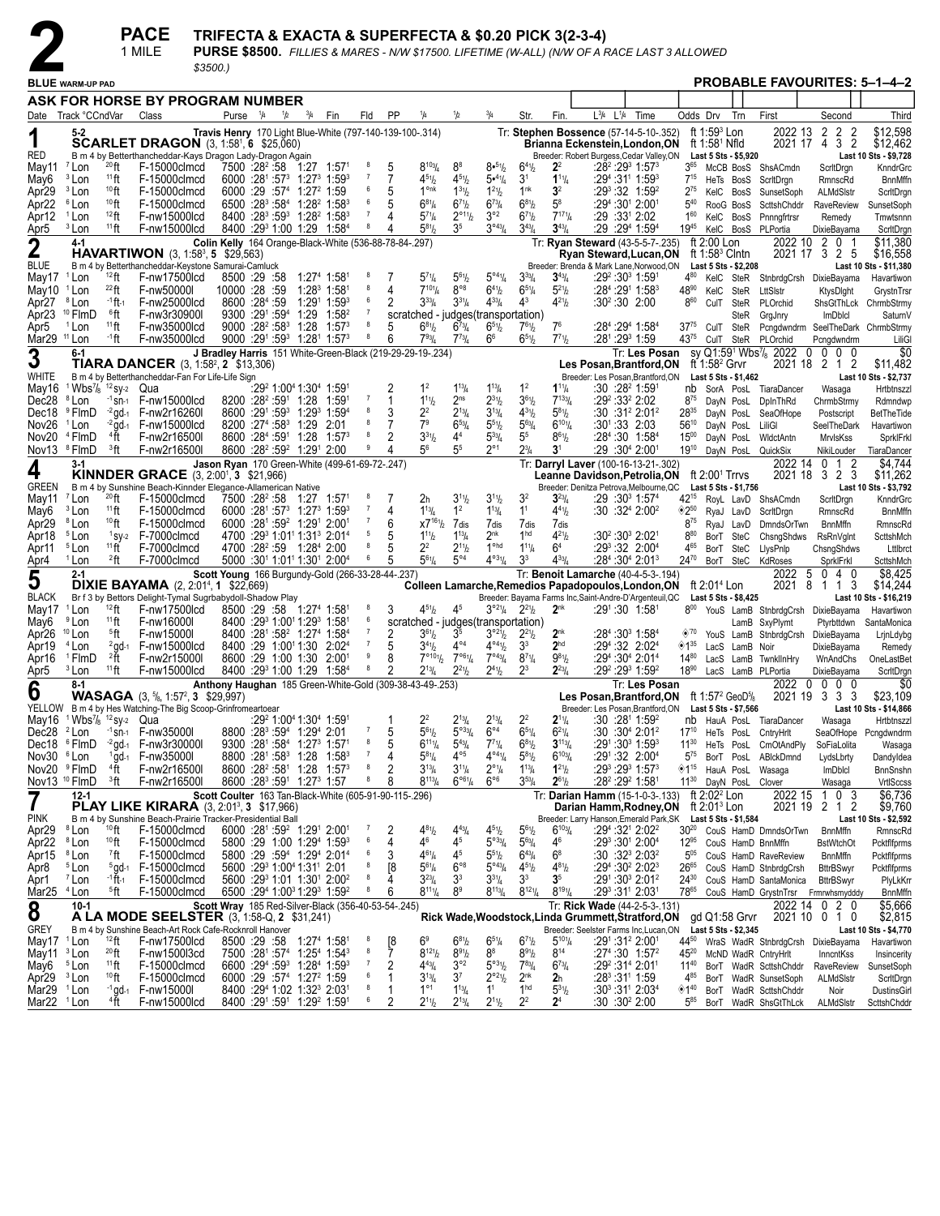|                                  |                                                                                |                                           | <b>PACE</b><br>1 MILE                                                                                                    | TRIFECTA & EXACTA & SUPERFECTA & \$0.20 PICK 3(2-3-4)<br>PURSE \$8500. FILLIES & MARES - N/W \$17500. LIFETIME (W-ALL) (N/W OF A RACE LAST 3 ALLOWED<br>$$3500.$ ) |                           |     |                                                                        |                                                                                                                                               |                     |         |                                                                             |                                               |                                                          |                                                    |                                                     |      |                 |                                                                                                                              |                                |                                             |                      |                                                                                   |                                       |                                    |
|----------------------------------|--------------------------------------------------------------------------------|-------------------------------------------|--------------------------------------------------------------------------------------------------------------------------|--------------------------------------------------------------------------------------------------------------------------------------------------------------------|---------------------------|-----|------------------------------------------------------------------------|-----------------------------------------------------------------------------------------------------------------------------------------------|---------------------|---------|-----------------------------------------------------------------------------|-----------------------------------------------|----------------------------------------------------------|----------------------------------------------------|-----------------------------------------------------|------|-----------------|------------------------------------------------------------------------------------------------------------------------------|--------------------------------|---------------------------------------------|----------------------|-----------------------------------------------------------------------------------|---------------------------------------|------------------------------------|
|                                  | <b>BLUE WARM-UP PAD</b>                                                        |                                           |                                                                                                                          |                                                                                                                                                                    |                           |     |                                                                        |                                                                                                                                               |                     |         |                                                                             |                                               |                                                          |                                                    |                                                     |      |                 |                                                                                                                              |                                |                                             |                      | <b>PROBABLE FAVOURITES: 5-1-4-2</b>                                               |                                       |                                    |
|                                  |                                                                                |                                           | ASK FOR HORSE BY PROGRAM NUMBER                                                                                          |                                                                                                                                                                    |                           |     |                                                                        |                                                                                                                                               |                     |         |                                                                             |                                               |                                                          |                                                    |                                                     |      |                 |                                                                                                                              |                                |                                             |                      |                                                                                   |                                       |                                    |
|                                  | Date Track °CCndVar                                                            |                                           | Class                                                                                                                    | Purse                                                                                                                                                              | $^{1}/_{4}$               | 1/2 | $^{3}/_{4}$                                                            | Fin                                                                                                                                           | Fld                 | PP      | 1/4                                                                         | 1/2                                           | $^{3}/_{4}$                                              | Str.                                               | Fin.                                                | L3/4 | $L^{1/4}$       | Time                                                                                                                         | Odds Drv                       |                                             | Trn                  | First                                                                             | Second                                | Third                              |
| 1                                |                                                                                |                                           | <b>SCARLET DRAGON</b> (3, 1:58 <sup>1</sup> , 6 \$25,060)                                                                | Travis Henry 170 Light Blue-White (797-140-139-100-.314)                                                                                                           |                           |     |                                                                        |                                                                                                                                               |                     |         |                                                                             |                                               |                                                          |                                                    |                                                     |      |                 | Tr: Stephen Bossence (57-14-5-10-.352)<br>Brianna Eckenstein, London, ON                                                     |                                | ft $1:593$ Lon<br>ft 1:58 <sup>1</sup> Nfld |                      | 2022 13                                                                           | 2 <sub>2</sub><br>-2<br>2021 17 4 3 2 | \$12,598<br>\$12,462               |
| RED<br>May11                     | <sup>7</sup> Lon                                                               | $^{20}$ ft                                | B m 4 by Betterthancheddar-Kays Dragon Lady-Dragon Again<br>F-15000clmcd                                                 |                                                                                                                                                                    | 7500 :28 <sup>2</sup> :58 |     |                                                                        | $1:27$ $1:57^{\circ}$                                                                                                                         | 8                   | 5       | $8^{103}/4$                                                                 | 8 <sup>8</sup>                                | 8.51/2                                                   | $6^{41}/2$                                         | 2 <sup>2</sup>                                      |      |                 | Breeder: Robert Burgess, Cedar Valley, ON<br>$:28^2:29^3$ 1:57 $^3$                                                          | $3^{65}$                       | McCB BosS                                   | Last 5 Sts - \$5,920 | ShsACmdn                                                                          | ScritDrgn                             | Last 10 Sts - \$9,728<br>KnndrGrc  |
| May6<br>Apr29                    | <sup>3</sup> Lon<br><sup>3</sup> Lon                                           | $11$ ft<br>$10$ ft                        | F-15000clmcd<br>F-15000clmcd                                                                                             |                                                                                                                                                                    |                           |     | 6000 :29 :57 <sup>4</sup> 1:27 <sup>2</sup> 1:59                       | 6000 :281 :573 1:273 1:593                                                                                                                    | $\overline{1}$<br>6 | 7<br>5  | $4^{51}$ / <sub>2</sub><br>$1^{\circ}$ nk                                   | $4^{51}h$<br>$1^{31}h$                        | 5•41/4<br>$1^{21}/2$                                     | 3 <sup>1</sup><br>1 <sup>nk</sup>                  | $1^{11}/4$<br>3 <sup>2</sup>                        |      |                 | :29 <sup>4</sup> :31' 1:59 <sup>3</sup><br>$:29^3:32$ 1:59 <sup>2</sup>                                                      | $7^{15}$<br>$2^{75}$           | HeTs BosS<br>KelC BosS                      |                      | ScritDrgn<br>SunsetSoph                                                           | RmnscRd<br>ALMdSIstr                  | <b>BnnMffn</b><br>ScritDrgn        |
| Apr22                            | <sup>6</sup> Lon                                                               | 10 <sub>ft</sub>                          | F-15000clmcd                                                                                                             |                                                                                                                                                                    | $6500 :28^3 :58^4$        |     |                                                                        | $1:28^2$ 1:58 <sup>3</sup>                                                                                                                    | 6<br>$\overline{7}$ | 5       | $6^{81}/4$                                                                  | $6^{7}$ <sup>1</sup> / <sub>2</sub>           | $6^{73}/4$                                               | $6^{81}/2$                                         | $5^8$                                               |      |                 | :29 <sup>4</sup> :30 <sup>1</sup> 2:00 <sup>1</sup>                                                                          | $5^{40}$                       | RooG BosS                                   |                      | ScttshChddr                                                                       | RaveReview                            | SunsetSoph                         |
| Apr12<br>Apr <sub>5</sub>        | <sup>1</sup> Lon<br><sup>3</sup> Lon                                           | $12$ ft<br>$11$ ft                        | F-nw15000lcd<br>F-nw15000lcd                                                                                             |                                                                                                                                                                    |                           |     |                                                                        | $8400$ :28 <sup>3</sup> :59 <sup>3</sup> 1:28 <sup>2</sup> 1:58 <sup>3</sup><br>8400 :29 <sup>3</sup> 1:00 1:29 1:58 <sup>4</sup>             | 8                   | 4       | $5^{7}$ <sup>1</sup> / <sub>4</sub><br>$5^{81}h$                            | $2^{\circ_{11}}\frac{1}{2}$<br>3 <sup>5</sup> | $3^{\circ 2}$<br>$3^{043}/4$                             | $6^{7}$ <sup>1</sup> / <sub>2</sub><br>$3^{43}$ /4 | $7^{17}$ <sup>1</sup> / <sub>4</sub><br>$3^{43}$ /4 |      |                 | :29 :331 2:02<br>:29 :29 <sup>4</sup> 1:59 <sup>4</sup>                                                                      | $1^{60}$<br>1945               | KelC BosS<br>KelC BosS                      |                      | Pnnngfrtrsr<br>PLPortia                                                           | Remedy<br>DixieBayama                 | Tmwtsnnn<br>ScritDrgn              |
| 2                                | $4-1$                                                                          |                                           |                                                                                                                          | Colin Kelly 164 Orange-Black-White (536-88-78-84-.297)                                                                                                             |                           |     |                                                                        |                                                                                                                                               |                     |         |                                                                             |                                               |                                                          |                                                    |                                                     |      |                 | Tr: Ryan Steward (43-5-5-7-.235)                                                                                             |                                | ft 2:00 Lon                                 |                      | 2022 10                                                                           | 2 0 1                                 | \$11,380                           |
| <b>BLUE</b>                      |                                                                                |                                           | <b>HAVARTIWON</b> $(3, 1:58^3, 5 \quad $29,563)$<br>B m 4 by Betterthancheddar-Keystone Samurai-Camluck                  |                                                                                                                                                                    |                           |     |                                                                        |                                                                                                                                               |                     |         |                                                                             |                                               |                                                          |                                                    |                                                     |      |                 | Ryan Steward, Lucan, ON<br>Breeder: Brenda & Mark Lane, Norwood, ON                                                          |                                | ft 1:58 $3$ Clntn                           | Last 5 Sts - \$2,208 |                                                                                   | 2021 17 3 2 5                         | \$16,558<br>Last 10 Sts - \$11,380 |
| May17                            | <sup>1</sup> Lon                                                               | 12 <sub>ft</sub>                          | F-nw17500lcd                                                                                                             |                                                                                                                                                                    | 8500 29 58                |     |                                                                        | $1:274$ 1:58 <sup>1</sup>                                                                                                                     | 8<br>8              | 7       | $5^{7}$ <sup>1</sup> / <sub>4</sub><br>$7^{10}$ <sup>1</sup> / <sub>4</sub> | $5^{61}h$<br>$8^{\circ 8}$                    | $5^{\circ 4}$ <sup>1</sup> / <sub>4</sub>                | $3^{33}$ /4                                        | $3^{43}/4$                                          |      |                 | :29 <sup>2</sup> :30 <sup>3</sup> 1:591                                                                                      | 480                            |                                             |                      | KelC SteR StnbrdgCrsh DixieBayama                                                 |                                       | Havartiwon                         |
| May10<br>Apr27                   | <sup>1</sup> Lon<br><sup>8</sup> Lon                                           | $^{22}$ ft<br>-1 ft. 1                    | F-nw50000l<br>F-nw25000lcd                                                                                               | 10000 :28 :59                                                                                                                                                      | 8600 :284 :59             |     |                                                                        | $1:28^3$ 1:581<br>1:29 <sup>1</sup> 1:59 <sup>3</sup>                                                                                         | 6                   | 4<br>2  | $3^{33}$ /4                                                                 | $3^{31}/4$                                    | $6^{41}/2$<br>$4^{33}$ /4                                | $6^{51}/4$<br>$4^3$                                | $5^{21}/2$<br>$4^{21}h$                             |      | $:30^2:30$ 2:00 | :28 <sup>4</sup> :29 <sup>1</sup> 1:58 <sup>3</sup>                                                                          | $48^{90}$<br>$8^{60}$          | KelC SteR<br>CulT SteR                      |                      | LttSIstr<br>PLOrchid                                                              | KtysDight<br>ShsGtThLck               | GrystnTrsn<br>ChrmbStrmy           |
| Apr23                            | <sup>10</sup> FlmD                                                             | $^6$ ft                                   | F-nw3r30900I                                                                                                             |                                                                                                                                                                    | 9300 :291 :594            |     |                                                                        | $1:29$ $1:58^2$                                                                                                                               | $\overline{7}$<br>8 |         |                                                                             |                                               | scratched - judges (transportation)                      |                                                    |                                                     |      |                 |                                                                                                                              |                                |                                             | SteR                 | GrgJnry                                                                           | <b>ImDblcl</b>                        | SaturnV                            |
| Apr5<br>Mar29 <sup>11</sup> Lon  | <sup>1</sup> Lon                                                               | $11$ ft<br>-1 ft                          | F-nw35000lcd<br>F-nw35000lcd                                                                                             |                                                                                                                                                                    |                           |     |                                                                        | $9000 : 28^2 : 58^3$ 1:28 1:57 <sup>3</sup><br>9000 :291 :593 1:281 1:573                                                                     | 8                   | 5<br>6  | $6^{81}/2$<br>$7^{93}$ / <sub>4</sub>                                       | $6^{73}/4$<br>$7^{73}$ /4                     | $6^{51}/2$<br>66                                         | $7^{61}/2$<br>$6^{51}/2$                           | 7 <sup>6</sup><br>$7^{71}h$                         |      |                 | :284 :294 1:584<br>:281:293 1:59                                                                                             | $37^{75}$<br>4375              | CulT SteR                                   |                      | Pcngdwndrm SeelTheDark ChrmbStrmy<br>CulT SteR PLOrchid                           | Pcngdwndrm                            | LiliG                              |
| 3                                | $6 - 1$                                                                        |                                           |                                                                                                                          | J Bradley Harris 151 White-Green-Black (219-29-29-19-.234)                                                                                                         |                           |     |                                                                        |                                                                                                                                               |                     |         |                                                                             |                                               |                                                          |                                                    |                                                     |      |                 | Tr: Les Posan                                                                                                                |                                |                                             |                      | sv Q1:59 <sup>1</sup> Wbs <sup>7</sup> / <sub>8</sub> 2022<br>$\mathbf 0$         | $0\quad0\quad0$                       | \$0                                |
| WHITE                            |                                                                                |                                           | <b>TIARA DANCER</b> $(3, 1:58^2, 2 \; $13,306)$<br>B m 4 by Betterthancheddar-Fan For Life-Life Sign                     |                                                                                                                                                                    |                           |     |                                                                        |                                                                                                                                               |                     |         |                                                                             |                                               |                                                          |                                                    |                                                     |      |                 | Les Posan,Brantford,ON<br>Breeder: Les Posan, Brantford, ON                                                                  |                                | ft 1:58 $2$ Grvr                            | Last 5 Sts - \$1,462 |                                                                                   | 2021 18 2 1 2                         | \$11,482<br>Last 10 Sts - \$2,737  |
| May16                            | <sup>1</sup> Wbs <sup>7</sup> / <sub>8</sub> <sup>12</sup> sy <sub>2</sub> Qua |                                           |                                                                                                                          |                                                                                                                                                                    |                           |     |                                                                        | :29 <sup>2</sup> 1:00 <sup>4</sup> 1:30 <sup>4</sup> 1:59 <sup>1</sup>                                                                        | -7                  | 2       | 1 <sup>2</sup>                                                              | $1^{13}/4$                                    | $1^{13}/4$                                               | 1 <sup>2</sup>                                     | $1^{11}/4$                                          |      |                 | :30 :28 <del>°</del> 1:591                                                                                                   |                                | nb SorA PosL                                |                      | TiaraDancer                                                                       | Wasaga                                | Hrtbtnszzl                         |
| Dec28<br>Dec18                   | <sup>8</sup> Lon<br><sup>9</sup> FlmD                                          | $-1$ Sn-1<br>$-2$ gd-1                    | F-nw15000lcd<br>F-nw2r16260l                                                                                             |                                                                                                                                                                    |                           |     | 8200 :28 <sup>2</sup> :59 <sup>1</sup> 1:28 1:591                      | 8600 :291 :593 1:293 1:594                                                                                                                    | 8                   | 1<br>3  | $1^{11}h$<br>22                                                             | 2 <sub>ns</sub><br>$2^{13}$ /4                | $2^{31}/2$<br>$3^{13}/4$                                 | $3^{61}/2$<br>$4^{31}$                             | $7^{133}/4$<br>$5^{81}$                             |      |                 | :29º :33º 2:02<br>$:30:31^2 2:01^2$                                                                                          | $8^{/5}$<br>2835               | DayN PosL<br>DayN PosL                      |                      | DplnThRd<br>SeaOfHope                                                             | ChrmbStrmy<br>Postscript              | Rdmndwp<br><b>BetTheTide</b>       |
| Nov <sub>26</sub>                | <sup>1</sup> Lon                                                               | $-2$ gd-1                                 | F-nw15000lcd                                                                                                             |                                                                                                                                                                    |                           |     | 8200 :27 <sup>4</sup> :58 <sup>3</sup> 1:29 2:01                       |                                                                                                                                               |                     | 7       | 7 <sup>9</sup>                                                              | $6^{53}$ /4                                   | $5^{51}/2$                                               | $5^{63}/4$                                         | $6^{101}/4$                                         |      |                 | :301:33 2:03                                                                                                                 | $56^{10}$                      | DayN PosL                                   |                      | LiliGI                                                                            | SeelTheDark                           | Havartiwon                         |
| Nov20<br>Nov13 <sup>8</sup> FlmD | <sup>4</sup> FlmD                                                              | $4\text{ }\check{f}$<br><sup>3</sup> ft   | F-nw2r16500l<br>F-nw2r16500l                                                                                             |                                                                                                                                                                    |                           |     | 8600 :28 <sup>2</sup> :59 <sup>2</sup> 1:29 <sup>1</sup> 2:00          | 8600 :284 :591 1:28 1:573                                                                                                                     | 8                   | 2<br>4  | $3^{31}/2$<br>5 <sup>6</sup>                                                | 4 <sup>4</sup><br>5 <sup>5</sup>              | $5^{33}$ /4<br>$2^{\circ}1$                              | 5 <sup>5</sup><br>$2^{3}/_{4}$                     | $8^{61}/2$<br>3 <sup>1</sup>                        |      |                 | :28 <sup>4</sup> :30 1:58 <sup>4</sup><br>:29 :30 <sup>4</sup> 2:00 <sup>1</sup>                                             | $15^{00}$<br>1910              | DayN PosL                                   |                      | WidctAntn<br>DayN PosL QuickSix                                                   | MrvlsKss<br>NikiLouder                | SprkIFrkI<br>TiaraDancer           |
| 4                                | 3-1                                                                            |                                           |                                                                                                                          | Jason Ryan 170 Green-White (499-61-69-72-.247)                                                                                                                     |                           |     |                                                                        |                                                                                                                                               |                     |         |                                                                             |                                               |                                                          |                                                    |                                                     |      |                 | Tr: Darryl Laver (100-16-13-21-.302)                                                                                         |                                |                                             |                      | 2022 14                                                                           | $0 \t1 \t2$                           | \$4,744                            |
| <b>GREEN</b>                     |                                                                                |                                           | <b>KINNDER GRACE</b> (3, 2:00 <sup>1</sup> , 3 \$21,966)<br>B m 4 by Sunshine Beach-Kinnder Elegance-Allamerican Native  |                                                                                                                                                                    |                           |     |                                                                        |                                                                                                                                               |                     |         |                                                                             |                                               |                                                          |                                                    |                                                     |      |                 | Leanne Davidson, Petrolia, ON<br>Breeder: Denitza Petrova, Melbourne, QC                                                     |                                | ft $2:001$ Trrvs                            | Last 5 Sts - \$1,756 | 2021 18                                                                           | 323                                   | \$11,262<br>Last 10 Sts - \$3,792  |
| May11                            | <sup>7</sup> Lon                                                               | $^{20}$ ft                                | F-15000clmcd                                                                                                             |                                                                                                                                                                    |                           |     |                                                                        | 7500 :28 <sup>2</sup> :58 1:27 1:57 <sup>1</sup>                                                                                              |                     | 7       | 2 <sub>h</sub>                                                              | $3^{11}h$                                     | $3^{11}/2$                                               | 3 <sup>2</sup>                                     | $3^{23}$ /4                                         |      |                 | :29 :30 <sup>3</sup> 1:57 <sup>4</sup>                                                                                       | 42 <sup>15</sup>               |                                             |                      | RoyL LavD ShsACmdn                                                                | ScritDrgn                             | KnndrGrc                           |
| May6<br>Apr29                    | <sup>3</sup> Lon<br><sup>8</sup> Lon                                           | $11$ ft<br>$10$ ft                        | F-15000clmcd<br>F-15000clmcd                                                                                             |                                                                                                                                                                    |                           |     | 6000 :281 :59 <sup>2</sup> 1:291 2:001                                 | $6000 : 28^1 : 57^3$ 1:27 <sup>3</sup> 1:59 <sup>3</sup>                                                                                      | - 7                 | 4<br>6  | $1^{13}$ / <sub>4</sub><br>$X7^{161}/2$                                     | 1 <sup>2</sup><br>7 <sub>dis</sub>            | $1^{13}/4$<br>7dis                                       | 1 <sup>1</sup><br>7dis                             | $4^{41}$ / <sub>2</sub><br>7dis                     |      |                 | :30:32 <sup>4</sup> 2:00 <sup>2</sup>                                                                                        | $^{\circ}2^{50}$<br>$8^{75}$   | RyaJ LavD<br>RyaJ LavD                      |                      | ScritDrgn<br><b>DmndsOrTwn</b>                                                    | RmnscRd<br><b>BnnMffn</b>             | <b>BnnMffn</b><br>RmnscRd          |
| Apr18                            | <sup>5</sup> Lon                                                               | $1$ SV-2                                  | F-7000clmcd                                                                                                              |                                                                                                                                                                    |                           |     |                                                                        | 4700 :293 1:01 <sup>1</sup> 1:31 <sup>3</sup> 2:01 <sup>4</sup>                                                                               | 5                   | 5       | $1^{11}h$                                                                   | $1^{13}/4$                                    | 2 <sup>nk</sup>                                          | 1 <sup>hd</sup>                                    | $4^{21}b$                                           |      |                 | :30 <sup>2</sup> :30 <sup>3</sup> 2:02 <sup>1</sup>                                                                          | 880                            | BorT SteC                                   |                      | ChsngShdws                                                                        | <b>RsRnVglnt</b>                      | ScttshMch                          |
| Apr11<br>Apr4                    | <sup>5</sup> Lon<br><sup>1</sup> Lon                                           | $11$ ft<br><sup>2</sup> ft                | F-7000clmcd<br>F-7000clmcd                                                                                               |                                                                                                                                                                    |                           |     |                                                                        | 5000 :30 <sup>1</sup> 1:01 <sup>1</sup> 1:30 <sup>1</sup> 2:00 <sup>4</sup>                                                                   | 8<br>6              | 5<br>5  | 2 <sup>2</sup><br>$5^{61}$ /4                                               | $2^{11}h$<br>$5^{\circ 4}$                    | 1 <sup>ohd</sup><br>$4^{031}/4$                          | $1^{11}/4$<br>3 <sup>3</sup>                       | 64<br>$4^{33}/4$                                    |      |                 | :293:32 2:004<br>:28 <sup>4</sup> :30 <sup>4</sup> 2:01 <sup>3</sup>                                                         | 465<br>$24^{70}$               | BorT SteC<br>BorT SteC                      |                      | LlysPnlp<br>KdRoses                                                               | ChsngShdws<br>SprkIFrkI               | Lttlbrct<br>ScttshMch              |
| 5                                | $2 - 1$                                                                        |                                           |                                                                                                                          | Scott Young 166 Burgundy-Gold (266-33-28-44-.237)                                                                                                                  |                           |     |                                                                        |                                                                                                                                               |                     |         |                                                                             |                                               |                                                          |                                                    |                                                     |      |                 | Tr: Benoit Lamarche (40-4-5-3-.194)                                                                                          |                                |                                             |                      | 2022<br>5                                                                         | 040                                   | \$8,425                            |
| <b>BLACK</b>                     |                                                                                |                                           | <b>DIXIE BAYAMA</b> $(2, 2:01^4, 1, $22,669)$<br>Br f 3 by Bettors Delight-Tymal Sugrbabydoll-Shadow Play                |                                                                                                                                                                    |                           |     |                                                                        |                                                                                                                                               |                     |         |                                                                             |                                               |                                                          |                                                    |                                                     |      |                 | Colleen Lamarche, Remedios Papadopoulos, London, ON<br>Breeder: Bayama Farms Inc, Saint-Andre-D'Argenteuil, QC               |                                | ft $2:014$ Lon                              | Last 5 Sts - \$8,425 | 2021<br>8                                                                         | 3<br>1 1                              | \$14,244<br>Last 10 Sts - \$16,219 |
| May17                            | <sup>1</sup> Lon                                                               | $12$ ft                                   | F-nw17500lcd                                                                                                             |                                                                                                                                                                    |                           |     |                                                                        | 8500 :29 :58 1:27 <sup>4</sup> 1:58 <sup>1</sup>                                                                                              |                     | 3       | $4^{51}$ / <sub>2</sub>                                                     | 4 <sup>5</sup>                                | $3^{\circ 2\frac{1}{4}}$                                 | $2^{21}$                                           | 2 <sup>nk</sup>                                     |      |                 | :291:30 1:581                                                                                                                | $8^{00}$                       |                                             |                      | YouS LamB StnbrdgCrsh DixieBayama                                                 |                                       | Havartiwon                         |
| May6<br>Apr26                    | <sup>9</sup> Lon<br>$10$ Lon                                                   | $11$ ft<br><sup>5</sup> ft                | F-nw16000l<br>F-nw15000l                                                                                                 |                                                                                                                                                                    |                           |     |                                                                        | 8400 :29 <sup>3</sup> 1:00 <sup>1</sup> 1:29 <sup>3</sup> 1:58 <sup>1</sup><br>8400 :281 :58 <sup>2</sup> 1:27 <sup>4</sup> 1:58 <sup>4</sup> | 6<br>$\overline{7}$ | 2       | $3^{61}\!/_{2}$                                                             | 3 <sup>5</sup>                                | scratched - judges (transportation)<br>$3^{921}/2$       | $2^{2^{1}}$                                        | 2 <sup>nk</sup>                                     |      |                 | $:284:3031:584$                                                                                                              | $\diamond$ '70                 |                                             |                      | LamB SxyPlymt<br>YouS LamB StnbrdgCrsh DixieBayama                                | Ptyrbttdwn                            | SantaMonica<br>LrjnLdybg           |
| Apr19                            | <sup>4</sup> Lon                                                               | $2$ gd-1                                  | F-nw15000lcd                                                                                                             |                                                                                                                                                                    | 8400 :29 1:00 1:30        |     |                                                                        | 2:02 <sup>4</sup>                                                                                                                             | $\overline{7}$      | 5       | $3^{41}h$                                                                   | $4^{\circ 4}$                                 | $4^{04}$ <sup>1</sup> / <sub>2</sub>                     | 3 <sup>3</sup>                                     | 2 <sup>hd</sup>                                     |      |                 | :294:32 2:024                                                                                                                | $\diamondsuit$ 1 <sup>35</sup> | LacS                                        | LamB Noir            |                                                                                   | DixieBayama                           | Remedy                             |
| Apr16<br>Apr5                    | <sup>1</sup> FlmD<br><sup>3</sup> Lon                                          | $2\text{ }^{\circ}\text{ }$<br>$11$ ft    | F-nw2r15000l<br>F-nw15000lcd                                                                                             |                                                                                                                                                                    |                           |     |                                                                        | 8600 :29 1:00 1:30 2:001<br>8400 :293 1:00 1:29 1:584                                                                                         | 9<br>8              | 8       | $7^{\circ_{10}}\frac{1}{2}$<br>$2^{13}$ /4                                  | 7°61/4<br>$2^{21}h$                           | $7^{\circ 43} / 4$<br>$2^{41}$ / <sub>2</sub>            | $8^{7}$ <sup>1</sup> / <sub>4</sub><br>$2^3$       | $9^{81}/2$<br>$2^{23}$ /4                           |      |                 | :294 :304 2:014<br>:292 :293 1:592                                                                                           | $14^{80}$<br>$18^{90}$         |                                             |                      | LacS LamB TwnkllnHry<br>LacS LamB PLPortia                                        | WnAndChs<br>DixieBayama               | OneLastBet<br>ScritDrgn            |
| 6                                | 8-1                                                                            |                                           |                                                                                                                          | Anthony Haughan 185 Green-White-Gold (309-38-43-49-.253)                                                                                                           |                           |     |                                                                        |                                                                                                                                               |                     |         |                                                                             |                                               |                                                          |                                                    |                                                     |      |                 | Tr: Les Posan                                                                                                                |                                |                                             |                      | $\mathbf 0$<br>2022                                                               | $0\quad0\quad0$                       | \$0                                |
|                                  |                                                                                |                                           | <b>WASAGA</b> $(3, 5/8, 1:57^2, 3, 1:29, 997)$<br>YELLOW B m 4 by Hes Watching-The Big Scoop-Grinfromeartoear            |                                                                                                                                                                    |                           |     |                                                                        |                                                                                                                                               |                     |         |                                                                             |                                               |                                                          |                                                    |                                                     |      |                 | Les Posan, Brantford, ON ft 1:57 <sup>2</sup> GeoD <sup>5</sup> /8<br>Breeder: Les Posan, Brantford, ON Last 5 Sts - \$7,566 |                                |                                             |                      |                                                                                   | 2021 19 3 3 3                         | \$23,109<br>Last 10 Sts - \$14,866 |
|                                  | May16 1Wbs <sup>7</sup> / <sub>8</sub> 12 sy-2 Qua                             |                                           |                                                                                                                          |                                                                                                                                                                    |                           |     | :29 <sup>2</sup> 1:00 <sup>4</sup> 1:30 <sup>4</sup> 1:59 <sup>1</sup> |                                                                                                                                               |                     |         | 22                                                                          | $2^{13}$ /4                                   | $2^{13}/4$                                               | 2 <sup>2</sup>                                     | $2^{11}/4$                                          |      |                 | :30:28 <sup>1</sup> 1:59 <sup>2</sup>                                                                                        |                                |                                             |                      | nb HauA PosL TiaraDancer                                                          | Wasaga                                | Hrtbtnszzl                         |
| Dec28 <sup>2</sup> Lon<br>Dec18  | <sup>6</sup> FlmD                                                              | $-1$ Sn-1<br>$-2$ gd-1                    | F-nw35000I<br>F-nw3r30000I                                                                                               |                                                                                                                                                                    |                           |     | 8800 :283 :594 1:294 2:01                                              | 9300 :281 :584 1:273 1:571                                                                                                                    | 8                   | 5<br>5  | $5^{61}$<br>$6^{111}/4$                                                     | $5^{\circ 33}/4$<br>$5^{43}$ /4               | $6^{\circ 4}$<br>$7^{71}/4$                              | $6^{51}/4$<br>$6^{81}/2$                           | $6^{21}/4$<br>$3^{113}/4$                           |      |                 | :30 :30ª 2:01ª<br>:291:303 1:593                                                                                             | $17^{10}$<br>$11^{30}$         |                                             | HeTs PosL            | HeTs PosL CntryHrlt<br>CmOtAndPly                                                 | SoFiaLolita                           | SeaOfHope Pcngdwndrm<br>Wasaga     |
| Nov30 <sup>6</sup> Lon           |                                                                                | $1\,\rm{g}$ d-1                           | F-nw35000l                                                                                                               |                                                                                                                                                                    |                           |     |                                                                        | 8800 :281 :583 1:28 1:583                                                                                                                     | $\overline{7}$      | 4       | $5^{81}/4$                                                                  | $4^{\circ 5}$                                 | $4^{04}$ <sup>1</sup> / <sub>4</sub>                     | $5^{81}/2$                                         | $6^{103}$ / <sub>4</sub>                            |      |                 | :291:32 2:004                                                                                                                | $5^{75}$                       | BorT PosL                                   |                      | ABIckDmnd                                                                         | LydsLbrty                             | Dandyldea                          |
| Nov20 <sup>9</sup> FlmD          | Nov13 <sup>10</sup> FlmD                                                       | $4\text{ }\check{f}$ t<br><sup>3</sup> ft | F-nw2r16500l<br>F-nw2r16500l                                                                                             |                                                                                                                                                                    |                           |     | 8600 :283 :591 1:273 1:57                                              | 8600 :28 <sup>2</sup> :58 <sup>1</sup> 1:28 1:57 <sup>3</sup>                                                                                 | 8<br>8              | 2<br>8  | $3^{13}$ /4<br>$8^{113}/4$                                                  | $3^{11}/4$<br>$6^{\circ 61}/4$                | $2^{\circ}$ <sup>1</sup> / <sub>4</sub><br>$6^{\circ 6}$ | $1^{13}/4$<br>$3^{53} / _4$                        | $1^{21}/2$<br>$2^{61}/2$                            |      |                 | $:29^3:29^3$ 1:57 $^3$<br>:28 <sup>2</sup> :29 <sup>2</sup> 1:58 <sup>1</sup>                                                | ◈1"<br>$11^{30}$               | HauA PosL                                   | DayN PosL Clover     | Wasaga                                                                            | <b>ImDblcl</b><br>Wasaga              | <b>BnnSnshn</b><br>VrtISccss       |
| 7                                | 12-1                                                                           |                                           |                                                                                                                          | Scott Coulter 163 Tan-Black-White (605-91-90-115-.296)                                                                                                             |                           |     |                                                                        |                                                                                                                                               |                     |         |                                                                             |                                               |                                                          |                                                    |                                                     |      |                 | Tr: Darian Hamm (15-1-0-3-.133)                                                                                              |                                | ft 2:02 <sup>2</sup> Lon                    |                      | 2022 15                                                                           | 10<br>-3                              | \$6,736                            |
| <b>PINK</b>                      |                                                                                |                                           | <b>PLAY LIKE KIRARA</b> (3, 2:01 <sup>3</sup> , 3 \$17,966)<br>B m 4 by Sunshine Beach-Prairie Tracker-Presidential Ball |                                                                                                                                                                    |                           |     |                                                                        |                                                                                                                                               |                     |         |                                                                             |                                               |                                                          |                                                    |                                                     |      |                 | Darian Hamm, Rodney, ON<br>Breeder: Larry Hanson, Emerald Park, SK Last 5 Sts - \$1,584                                      |                                | ft 2:01 <sup>3</sup> Lon                    |                      | 2021 19                                                                           | 2 1 2                                 | \$9,760<br>Last 10 Sts - \$2,592   |
| Apr29                            | <sup>8</sup> Lon                                                               | 10 <sub>ft</sub>                          | F-15000clmcd                                                                                                             |                                                                                                                                                                    |                           |     |                                                                        | 6000 :281 :59 <sup>2</sup> 1:291 2:001                                                                                                        |                     | 2       | $4^{81}/2$                                                                  | $4^{43}$ /4                                   | $4^{51}/2$                                               | $5^{61}/2$                                         | $6^{103}/4$                                         |      |                 | :294 :321 2:022                                                                                                              | $30^{20}$                      |                                             |                      | CouS HamD DmndsOrTwn                                                              | <b>BnnMffn</b>                        | RmnscRd                            |
| Apr22<br>Apr15                   | <sup>8</sup> Lon<br><sup>8</sup> Lon                                           | 10 <sub>ft</sub><br><sup>7</sup> ft       | F-15000clmcd<br>F-15000clmcd                                                                                             |                                                                                                                                                                    |                           |     |                                                                        | 5800 :29 1:00 1:29 1:59 3<br>5800 :29 :594 1:294 2:014                                                                                        | 6<br>6              | 4<br>3  | 46<br>$4^{61}/4$                                                            | 45<br>45                                      | $5^{033}/4$<br>$5^{51}$ / <sub>2</sub>                   | $5^{63}$ /4<br>$6^{43}/4$                          | 46<br>$6^8$                                         |      |                 | $:29^3:30^1$ 2:00 $^4$<br>:30 :32 <sup>3</sup> 2:03 <sup>2</sup>                                                             | $5^{05}$                       |                                             |                      | 12 <sup>95</sup> CouS HamD BnnMffn<br>CouS HamD RaveReview                        | <b>BstWtchOt</b><br><b>BnnMffn</b>    | Pcktflfprms<br>Pcktflfprms         |
| Apr8                             | <sup>5</sup> Lon                                                               | $5$ gd-1                                  | F-15000clmcd                                                                                                             |                                                                                                                                                                    |                           |     | 5600 :293 1:004 1:31 <sup>1</sup> 2:01                                 |                                                                                                                                               | 8                   | [8      | $5^{61}/4$                                                                  | $6^{\circ 8}$                                 | $5^{\circ 43} / 4$                                       | $4^{51}/2$                                         | $4^{81}/2$                                          |      |                 | :294 :30 <sup>2</sup> 2:02 <sup>3</sup>                                                                                      | $26^{65}$                      |                                             |                      | CouS HamD StnbrdgCrsh                                                             | <b>BttrBSwyr</b>                      | Pcktflfprms                        |
| Apr1<br>Mar25 <sup>4</sup> Lon   | $7$ Lon                                                                        | $-1 + 1$<br>§ft                           | F-15000clmcd<br>F-15000clmcd                                                                                             |                                                                                                                                                                    |                           |     |                                                                        | 5600 :29 1:01 1:30 2:00 2:00<br>6500 :294 1:003 1:293 1:592                                                                                   | 8<br>8              | 6       | $3^{23}$ /4<br>$8^{111}/4$                                                  | 3 <sup>3</sup><br>8 <sup>9</sup>              | $3^{31}/4$<br>$8^{113}/4$                                | 3 <sup>3</sup><br>$8^{121}/4$                      | $3^5$<br>$8^{191}/4$                                |      |                 | $:29^1:30^3$ 2:01 <sup>2</sup><br>:293 :311 2:031                                                                            |                                |                                             |                      | 24 <sup>30</sup> CouS HamD SantaMonica<br>7865 CouS HamD GrystnTrsr Frmrwhsmydddy | <b>BttrBSwyr</b>                      | PlyLkKrr<br><b>BnnMffn</b>         |
| 8                                | $10-1$                                                                         |                                           |                                                                                                                          | Scott Wray 185 Red-Silver-Black (356-40-53-54-.245)                                                                                                                |                           |     |                                                                        |                                                                                                                                               |                     |         |                                                                             |                                               |                                                          |                                                    |                                                     |      |                 | Tr: Rick Wade (44-2-5-3-.131)                                                                                                |                                |                                             |                      |                                                                                   | 2022 14 0 2 0                         | \$5,666                            |
| GREY                             |                                                                                |                                           | A LA MODE SEELSTER (3, 1:58-Q, 2 \$31,241)<br>B m 4 by Sunshine Beach-Art Rock Cafe-Rocknroll Hanover                    |                                                                                                                                                                    |                           |     |                                                                        |                                                                                                                                               |                     |         |                                                                             |                                               |                                                          |                                                    |                                                     |      |                 | Rick Wade, Woodstock, Linda Grummett, Stratford, ON<br>Breeder: Seelster Farms Inc, Lucan, ON Last 5 Sts - \$2,345           |                                |                                             |                      | gd Q1:58 Grvr 2021 10 0 1 0                                                       |                                       | \$2,815<br>Last 10 Sts - \$4,770   |
| May17                            | <sup>1</sup> Lon                                                               | $12$ ft                                   | F-nw17500lcd                                                                                                             |                                                                                                                                                                    | 8500 :29 :58              |     |                                                                        | 1:274 1:581                                                                                                                                   |                     | [8<br>7 | 6 <sup>9</sup>                                                              | $6^{81}h$                                     | $6^{51}/4$                                               | $6^{7}$ <sup>1</sup> / <sub>2</sub>                | $5^{101}/4$                                         |      |                 | $:29^1:31^2 2:00^1$                                                                                                          |                                |                                             |                      | 4450 WraS WadR StnbrdgCrsh DixieBayama                                            |                                       | Havartiwon                         |
| May11<br>May6                    | <sup>3</sup> Lon<br><sup>5</sup> Lon                                           | $^{20}$ ft<br>$11$ ft                     | F-nw1500l3cd<br>F-15000clmcd                                                                                             |                                                                                                                                                                    |                           |     |                                                                        | 7500 :281 :574 1:254 1:543<br>6600 :294 :593 1:284 1:593                                                                                      | 8<br>$\overline{7}$ | 2       | $8^{121}/2$<br>$4^{43}$ /4                                                  | $8^{91}$ / <sub>2</sub><br>$3^{\circ 2}$      | 88<br>$5^{\circ 31}/2$                                   | $8^{9}$ <sup>1</sup> / <sub>2</sub><br>$7^{83}$ /4 | $8^{14}$<br>$6^{73}/4$                              |      |                 | $:27^4:30$ 1:57 <sup>2</sup><br>:292 :314 2:011                                                                              | $45^{20}$<br>1140              |                                             |                      | McND WadR CntryHrlt<br>BorT WadR ScttshChddr                                      | InncntKss<br>RaveReview               | Insincerity<br>SunsetSoph          |
| Apr29                            | <sup>3</sup> Lon                                                               | $10$ ft                                   | F-15000clmcd                                                                                                             |                                                                                                                                                                    |                           |     | 6000 :29 :57 <sup>4</sup> 1:27 <sup>2</sup> 1:59                       |                                                                                                                                               | 6                   | 1       | $3^{13}/4$                                                                  | 3 <sup>7</sup>                                | $2^{o_2}\frac{1}{2}$                                     | $2^{nk}$                                           | 2 <sub>h</sub>                                      |      |                 | :283:311 1:59                                                                                                                | $4^{85}$                       |                                             |                      | BorT WadR SunsetSoph                                                              | ALMdSIstr                             | ScritDrgn                          |
| Mar29 <sup>1</sup> Lon           |                                                                                |                                           | $^{-1}$ gd-1 F-nw15000l                                                                                                  |                                                                                                                                                                    |                           |     |                                                                        | 8400 :294 1:02 1:32 <sup>3</sup> 2:031                                                                                                        | 8                   |         | $1^{\circ 1}$                                                               | $1^{13}/4$                                    | 1 <sup>1</sup>                                           | 1 <sup>hd</sup>                                    | $5^{31}/2$                                          |      |                 | $:30^3:31^1$ 2:03 <sup>4</sup>                                                                                               | ◈1 $40^{\circ}$                |                                             |                      | BorT WadR ScttshChddr                                                             | Noir                                  | DustinsGirl                        |

 $\frac{1}{4}$  2<sup>11</sup>

 $1^{\circ}$ <sup>1</sup>  $1^{\circ}$ <br>2<sup>11</sup>/<sub>2</sub> 2<sup>13</sup>/<sub>4</sub>

2<sup>2</sup> 2<sup>4</sup> :30 :30<sup>2</sup> 2:00 5<sup>85</sup> BorT WadR ShsGtThLck

<sup>§</sup>1<sup>40</sup> BorT WadR ScttshChddr Noir DustinsGirl<br>5<sup>85</sup> BorT WadR ShsGtThLck ALMdSIstr ScttshChddr

Mar22 1 Lon 4 ft F-nw15000lcd 8400 :291 :591 1:29<sup>2</sup> 1:591 <sup>6</sup> 2 2<sup>11</sup>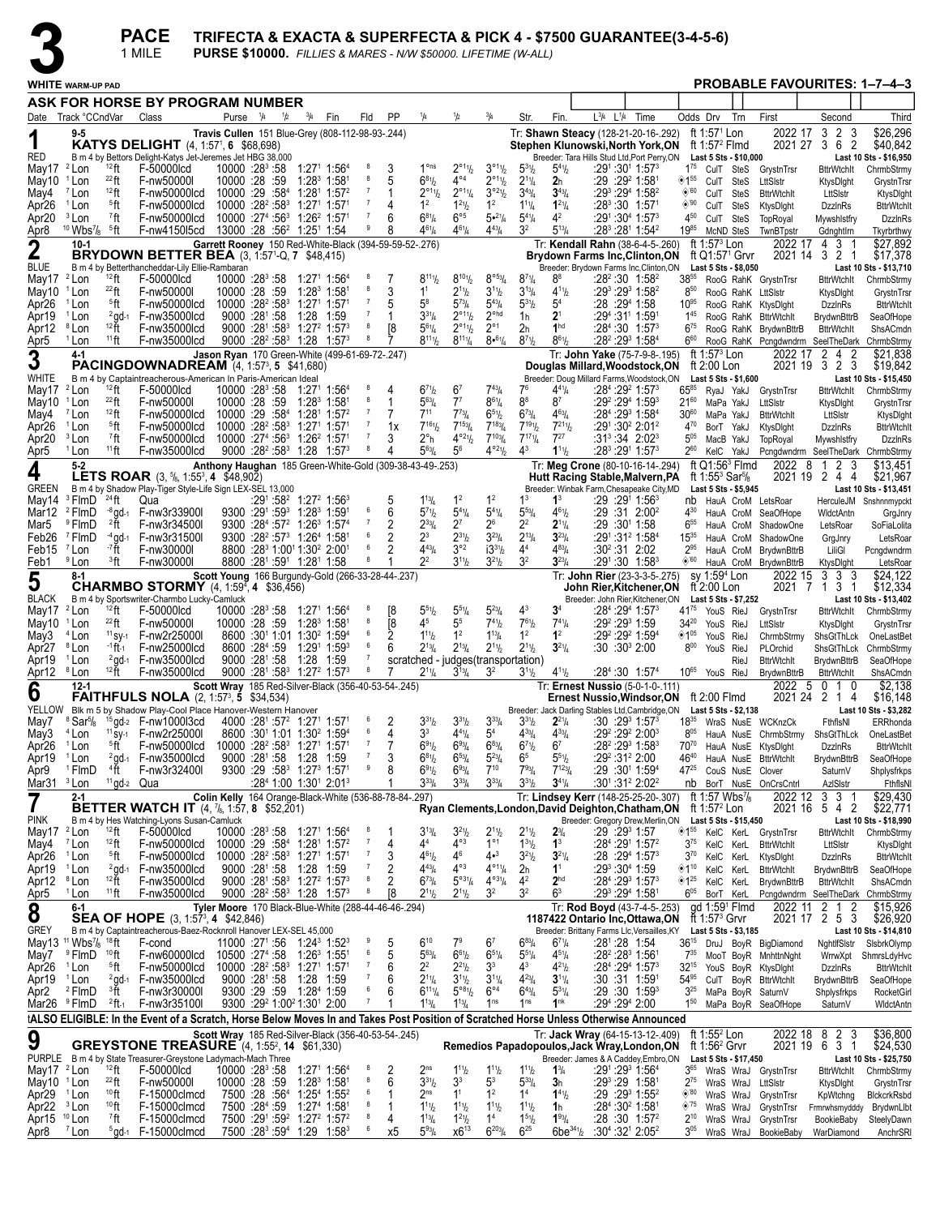**PACE** 

TRIFECTA & EXACTA & SUPERFECTA & PICK 4 - \$7500 GUARANTEE(3-4-5-6)

PURSE \$10000. FILLIES & MARES - N/W \$50000. LIFETIME (W-ALL) 1 MILE

|                                                                                     | <b>PROBABLE FAVOURITES: 1-7-4-3</b><br><b>WHITE WARM-UP PAD</b><br>ASK FOR HORSE BY PROGRAM NUMBER |                                     |                                                                                                                                       |                                                                                              |                                   |  |                                                                                           |                                                                |                     |                |                                            |                                                                      |                                                                 |                                                                |                                               |                                                                                                                         |                                |                                            |                                                                           |      |                                                              |                                                 |                                                     |
|-------------------------------------------------------------------------------------|----------------------------------------------------------------------------------------------------|-------------------------------------|---------------------------------------------------------------------------------------------------------------------------------------|----------------------------------------------------------------------------------------------|-----------------------------------|--|-------------------------------------------------------------------------------------------|----------------------------------------------------------------|---------------------|----------------|--------------------------------------------|----------------------------------------------------------------------|-----------------------------------------------------------------|----------------------------------------------------------------|-----------------------------------------------|-------------------------------------------------------------------------------------------------------------------------|--------------------------------|--------------------------------------------|---------------------------------------------------------------------------|------|--------------------------------------------------------------|-------------------------------------------------|-----------------------------------------------------|
|                                                                                     |                                                                                                    |                                     |                                                                                                                                       |                                                                                              |                                   |  |                                                                                           |                                                                |                     |                |                                            |                                                                      |                                                                 |                                                                |                                               |                                                                                                                         |                                |                                            |                                                                           |      |                                                              |                                                 |                                                     |
|                                                                                     | Date Track °CCndVar                                                                                |                                     | Class                                                                                                                                 |                                                                                              | Purse $\frac{1}{4}$ $\frac{1}{2}$ |  | $^{3}/_{4}$                                                                               | Fin                                                            | Fld                 | PP             | 1/4                                        | 1/2                                                                  | 3/4                                                             | Str.                                                           | Fin.                                          | $L^{3/4}$ $L^{1/4}$ Time                                                                                                |                                | Odds Drv                                   |                                                                           | Trn  | First                                                        | Second                                          | Third                                               |
| RED                                                                                 | $9 - 5$                                                                                            |                                     | <b>KATYS DELIGHT</b> (4, 1:57 <sup>1</sup> , 6 \$68,698)<br>B m 4 by Bettors Delight-Katys Jet-Jeremes Jet HBG 38,000                 | Travis Cullen 151 Blue-Grey (808-112-98-93-.244)                                             |                                   |  |                                                                                           |                                                                |                     |                |                                            |                                                                      |                                                                 |                                                                |                                               | Tr: Shawn Steacy (128-21-20-16-.292)<br>Stephen Klunowski,North York,ON<br>Breeder: Tara Hills Stud Ltd, Port Perry, ON |                                |                                            | ft 1:57 <sup>1</sup> Lon<br>ft 1:57 $2$ Flmd<br>Last 5 Sts - \$10,000     |      | 2022 17                                                      | 3 <sub>2</sub><br>-3<br>2021 27 3 6<br>2        | \$26,296<br>\$40,842<br>Last 10 Sts - \$16,950      |
| May17                                                                               | <sup>2</sup> Lon                                                                                   | $12$ ft                             | F-50000lcd                                                                                                                            | $10000:28^3:58$                                                                              |                                   |  | 1:271 1:564                                                                               |                                                                | -8<br>8             |                | $1o$ ns                                    | $2^{\circ_{11}}\frac{1}{2}$                                          | $3^{\circ 11}/2$                                                | $5^{31}/2$                                                     | $5^{41}$ / <sub>2</sub>                       | :291 :301 1:57 <sup>3</sup>                                                                                             |                                |                                            |                                                                           |      | 175 CulT SteS GrystnTrsr                                     | <b>BttrWtchlt</b>                               | ChrmbStrmy                                          |
| May10<br>May4                                                                       | <sup>1</sup> Lon<br>$7$ Lon                                                                        | $^{22}$ ft<br>$12$ ft               | F-nw50000I<br>F-nw50000lcd                                                                                                            | 10000 :28 :59<br>$10000:29:5841:2811:572$                                                    |                                   |  | 1:28 <sup>3</sup> 1:581                                                                   |                                                                |                     | 5              | $6^{81}$<br>$2^{\circ_{11}}h$              | $4^{\circ 4}$<br>$2^{\circ 1}$ <sup>1</sup> / <sub>4</sub>           | $2^{\circ 1}$ <sup>1</sup> / <sub>2</sub><br>$3°^{21}$          | $2^{11}/4$<br>$3^{43}$ /4                                      | 2 <sub>h</sub><br>$3^{43}$ /4                 | :29 :29 <del>?</del> 1:581<br>:293 :294 1:582                                                                           |                                | <sup>155</sup> CulT SteS<br>$\diamond$ '60 | CulT SteS                                                                 |      | LttSIstr<br><b>BttrWtchIt</b>                                | KtysDight<br>LttSIstr                           | GrystnTrsr<br>KtysDlght                             |
| Apr26                                                                               | <sup>1</sup> Lon                                                                                   | <sup>5</sup> ft                     | F-nw50000lcd                                                                                                                          | 10000 :28 <sup>2</sup> :58 <sup>3</sup> 1:27 <sup>1</sup> 1:57 <sup>1</sup>                  |                                   |  |                                                                                           |                                                                |                     | 4              | 1 <sup>2</sup>                             | $1^{21}h$                                                            | 1 <sup>2</sup>                                                  | $1^{11}$ /4                                                    | $1^{21}/4$                                    | $:28^3:30$ 1:571                                                                                                        |                                | ◈'90                                       | CulT SteS                                                                 |      | KtysDight                                                    | <b>DzzlnRs</b>                                  | <b>BttrWtchIt</b>                                   |
| Apr20<br>Apr8                                                                       | <sup>3</sup> Lon<br><sup>10</sup> Wbs <sup>7</sup> / <sub>8</sub> <sup>5</sup> ft                  | <sup>7</sup> ft                     | F-nw50000lcd<br>F-nw4150l5cd                                                                                                          | $10000:274:5631:2621:571$<br>13000 :28 :56 <sup>2</sup> 1:25 <sup>1</sup> 1:54               |                                   |  |                                                                                           |                                                                | 9                   | 6<br>8         | $6^{81}/4$<br>$4^{61}/4$                   | $6^{\circ 5}$<br>$4^{61}/4$                                          | $5 \cdot \frac{21}{4}$<br>$4^{43}l_4$                           | $5^{4}$ <sup>1</sup> / <sub>4</sub><br>32                      | 4 <sup>2</sup><br>$5^{13}/4$                  | :291 :30 <sup>4</sup> 1:57 <sup>3</sup>                                                                                 | $:28^3:28^1$ 1:54 <sup>2</sup> | 450<br>1985                                | CulT SteS<br>McND SteS                                                    |      | TopRoyal<br>TwnBTpstr                                        | Mywshlstfry<br>GdnghtIrn                        | <b>DzzinRs</b><br>Tkyrbrthwy                        |
| $\boldsymbol{2}$                                                                    | $10 - 1$                                                                                           |                                     | <b>BRYDOWN BETTER BEA</b> (3, 1:57 <sup>1</sup> -Q, 7 \$48,415)                                                                       | Garrett Rooney 150 Red-White-Black (394-59-59-52-.276)                                       |                                   |  |                                                                                           |                                                                |                     |                |                                            |                                                                      |                                                                 |                                                                |                                               | Tr: Kendall Rahn (38-6-4-5-.260)<br><b>Brydown Farms Inc, Clinton, ON</b>                                               |                                |                                            | ft 1:57 $3$ Lon<br>ft Q1:57 <sup>1</sup> Grvr                             |      | 2022 17                                                      | 31<br>4<br>2021 14 3 2 1                        | \$27,892<br>\$17,378                                |
| <b>BLUE</b><br>May17                                                                | <sup>2</sup> Lon                                                                                   | $12$ ft                             | B m 4 by Betterthancheddar-Lily Ellie-Rambaran<br>F-50000lcd                                                                          | 10000 :28 <sup>3</sup> :58                                                                   |                                   |  | 1:271 1:564                                                                               |                                                                |                     |                | $8^{111}/2$                                | $8^{101}/2$                                                          | $8^{\circ 53} / _4$                                             | $8^{71}/4$                                                     | 88                                            | Breeder: Brydown Farms Inc, Clinton, ON                                                                                 | $:28^2:30$ 1:58 <sup>2</sup>   |                                            | Last 5 Sts - \$8,050                                                      |      | 38 <sup>55</sup> RooG RahK GrystnTrsr                        | <b>BttrWtchlt</b>                               | Last 10 Sts - \$13,710<br>ChrmbStrmy                |
| May10                                                                               | <sup>1</sup> Lon                                                                                   | $^{22}$ ft                          | F-nw50000I                                                                                                                            | 10000 :28 :59                                                                                |                                   |  | 1:28 1:58                                                                                 |                                                                | 8                   | 3              | 1 <sup>1</sup>                             | $2^{11}h$                                                            | $3^{11}/2$                                                      | $3^{13}/4$                                                     | $4^{11}$ / <sub>2</sub>                       | :29 <sup>3</sup> :29 <sup>3</sup> 1:58 <sup>2</sup>                                                                     |                                | $8^{50}$                                   |                                                                           |      | RooG RahK LttSlstr                                           | KtysDight                                       | GrystnTrsr                                          |
| Apr26<br>Apr19                                                                      | <sup>1</sup> Lon<br><sup>1</sup> Lon                                                               | <sup>5</sup> ft                     | F-nw50000lcd<br>$2$ qd-1 F-nw35000lcd                                                                                                 | $10000 : 28^2 : 58^3$ 1:27 <sup>1</sup> 1:57 <sup>1</sup>                                    | 9000 :281 :58                     |  | 1:28 1:59                                                                                 |                                                                |                     | 5              | $5^8$<br>$3^{31}/4$                        | $5^{73}$ /4<br>$2^{\circ_{11}}\frac{1}{2}$                           | $5^{43}$ /4<br>$2^{\circ}$ hd                                   | $5^{31}$<br>1h                                                 | 5 <sup>4</sup><br>$2^{\scriptscriptstyle{1}}$ | :28 :294 1:58<br>:29 <sup>4</sup> :31' 1:59'                                                                            |                                | $10^{95}$<br>$1^{45}$                      |                                                                           |      | RooG RahK KtysDight<br>RooG RahK BttrWtchlt                  | <b>DzzlnRs</b><br><b>BrydwnBttrB</b>            | <b>BttrWtchIt</b><br>SeaOfHope                      |
| Apr12                                                                               | <sup>8</sup> Lon                                                                                   | 12 ft                               | F-nw35000lcd                                                                                                                          |                                                                                              |                                   |  | $9000 : 28^1 : 58^3$ 1:27 <sup>2</sup> 1:57 <sup>3</sup>                                  |                                                                |                     | T8             | $5^{61}/4$                                 | $2^{\circ 1}$ <sup>1</sup> / <sub>2</sub>                            | $2^{\circ}1$                                                    | 2h                                                             | 1 <sup>hd</sup>                               | :28 <sup>4</sup> :30 1:57 <sup>3</sup>                                                                                  |                                | $6^{75}$                                   |                                                                           |      | RooG RahK BrydwnBttrB                                        | <b>BttrWtchIt</b>                               | ShsACmdn                                            |
| Apr5<br>3                                                                           | <sup>1</sup> Lon<br>4-1                                                                            | $11$ ft                             | F-nw35000lcd                                                                                                                          | Jason Ryan 170 Green-White (499-61-69-72-.247)                                               |                                   |  |                                                                                           | $9000 : 28^2 : 58^3$ 1:28 1:57 <sup>3</sup>                    | -8                  |                | $8^{11}$ <sup>1</sup> / <sub>2</sub>       | $8^{11}$ <sup>1</sup> / <sub>4</sub>                                 | $8•^{61}/4$                                                     | $8^{7}$ <sup>1</sup> / <sub>2</sub>                            | $8^{61}/2$                                    | :28 <sup>2</sup> :29 <sup>3</sup> 1:58 <sup>4</sup><br>Tr: John Yake (75-7-9-8-.195)                                    |                                | $6^{60}$                                   | ft 1:57 $3$ Lon                                                           |      | RooG RahK Pcngdwndrm SeelTheDark<br>2022 17                  | $2\quad 4$<br>$\overline{c}$                    | ChrmbStrmy<br>\$21,838                              |
| WHITE                                                                               |                                                                                                    |                                     | <b>PACINGDOWNADREAM</b> (4, 1:57 <sup>3</sup> , 5 \$41,680)<br>B m 4 by Captaintreacherous-American In Paris-American Ideal           |                                                                                              |                                   |  |                                                                                           |                                                                |                     |                |                                            |                                                                      |                                                                 |                                                                |                                               | Douglas Millard, Woodstock, ON<br>Breeder: Doug Millard Farms, Woodstock, ON                                            |                                |                                            | ft 2:00 Lon<br>Last 5 Sts - \$1,600                                       |      |                                                              | 2021 19 3 2<br>-3                               | \$19,842<br>Last 10 Sts - \$15,450                  |
| May17                                                                               | <sup>2</sup> Lon                                                                                   | $12$ ft                             | F-50000lcd                                                                                                                            | 10000 :28 <sup>3</sup> :58 1:27 <sup>1</sup> 1:56 <sup>4</sup>                               |                                   |  |                                                                                           |                                                                |                     |                | $6^{71}h$                                  | 6 <sup>7</sup>                                                       | $7^{43}$ / <sub>4</sub>                                         | 7 <sup>6</sup>                                                 | 441/4                                         | :28 <sup>4</sup> :29 <sup>2</sup> 1:57 <sup>3</sup>                                                                     |                                | $65^{85}$                                  | RyaJ YakJ                                                                 |      | GrystnTrsr                                                   | BttrWtchlt                                      | ChrmbStrmy                                          |
| May10<br>May4                                                                       | <sup>1</sup> Lon<br><sup>7</sup> Lon                                                               | $^{22}$ ft<br>$12$ ft               | F-nw50000I<br>F-nw50000lcd                                                                                                            | 10000 :28 :59<br>$10000:29:5841:2811:572$                                                    |                                   |  | 1:283 1:581                                                                               |                                                                |                     |                | $5^{63}$ /4<br>$7^{11}$                    | $7^7$<br>$7^{73}$                                                    | $8^{61}/4$<br>$6^{51}/2$                                        | 8 <sup>8</sup><br>$6^{73}/4$                                   | 87<br>$4^{63}$ / <sub>4</sub>                 | :29 <sup>2</sup> :29 <sup>4</sup> 1:59 <sup>3</sup><br>:284 :293 1:584                                                  |                                | $21^{60}$<br>$30^{60}$                     | MaPa YakJ<br>MaPa YakJ                                                    |      | LttSistr<br><b>BttrWtchIt</b>                                | KtysDight<br>LttSIstr                           | GrystnTrsr<br>KtysDight                             |
| Apr26                                                                               | <sup>1</sup> Lon                                                                                   | <sup>5</sup> ft                     | F-nw50000lcd                                                                                                                          | 10000 :28 <sup>2</sup> :58 <sup>3</sup> 1:27 <sup>1</sup> 1:57 <sup>1</sup>                  |                                   |  |                                                                                           |                                                                | $\overline{7}$      | 1x             | $7^{161}$                                  | $7^{153}$ / <sub>4</sub>                                             | $7^{183}$ /4                                                    | $7^{191}h$                                                     | $7^{211}h$                                    | :291:30 <sup>2</sup> 2:01 <sup>2</sup>                                                                                  |                                | 470                                        | BorT YakJ                                                                 |      | KtysDight                                                    | <b>DzzlnRs</b>                                  | <b>BttrWtchIt</b>                                   |
| Apr20<br>Apr5                                                                       | <sup>3</sup> Lon<br><sup>1</sup> Lon                                                               | <sup>7</sup> ft<br>$11$ ft          | F-nw50000lcd<br>F-nw35000lcd                                                                                                          | 10000 :274 :56 <sup>3</sup> 1:26 <sup>2</sup> 1:571                                          |                                   |  |                                                                                           | $9000 : 28^2 : 58^3$ 1:28 1:57 <sup>3</sup>                    | $_{\rm 8}$          | 3<br>4         | $2^{\circ}$ h<br>$5^{63}$ /4               | $4^{\circ}2\frac{1}{2}$<br>$5^6$                                     | $7^{103}$ /4<br>$4^{\circ 2\psi}$                               | $7^{17}$ <sup>1</sup><br>$4^3$                                 | $7^{27}$<br>$1^{11}$                          | $:31^3:34$ 2:02 <sup>3</sup><br>:283 :291 1:573                                                                         |                                | $5^{05}$<br>$2^{60}$                       | MacB YakJ<br>KelC YakJ                                                    |      | TopRoyal                                                     | Mywshistfry                                     | <b>DzzinRs</b><br>Pcngdwndrm SeelTheDark ChrmbStrmy |
| 4                                                                                   | $5 - 2$                                                                                            |                                     | <b>LETS ROAR</b> (3, <sup>5</sup> <sub>8</sub> , 1:55 <sup>3</sup> , 4 \$48,902)                                                      | Anthony Haughan 185 Green-White-Gold (309-38-43-49-.253)                                     |                                   |  |                                                                                           |                                                                |                     |                |                                            |                                                                      |                                                                 |                                                                |                                               | Tr: Meg Crone (80-10-16-14-.294)<br>Hutt Racing Stable, Malvern, PA                                                     |                                |                                            | ft $Q1:56^3$ Flmd<br>ft 1:55 <sup>3</sup> Sar <sup>5</sup> / <sub>8</sub> |      | 2022<br>- 8                                                  | $\mathbf{1}$<br>2 3<br>2021 19 2 4 4            | \$13.451<br>\$21,967                                |
| <b>GREEN</b><br>May14                                                               | $3$ FlmD $24$ ft                                                                                   |                                     | B m 4 by Shadow Play-Tiger Style-Life Sign LEX-SEL 13,000<br>Qua                                                                      |                                                                                              |                                   |  | :291:58 <sup>2</sup> 1:27 <sup>2</sup> 1:56 <sup>3</sup>                                  |                                                                |                     |                | $1^{13}$ / <sub>4</sub>                    | 1 <sup>2</sup>                                                       | 1 <sup>2</sup>                                                  | 1 <sup>3</sup>                                                 | 1 <sup>3</sup>                                | Breeder: Winbak Farm, Chesapeake City, MD<br>:29 :29 <sup>1</sup> 1:56 <sup>3</sup>                                     |                                |                                            | Last 5 Sts - \$5,945                                                      |      | nb HauA CroM LetsRoar                                        |                                                 | Last 10 Sts - \$13,451<br>HerculeJM Snshnnmypckt    |
| Mar12                                                                               | <sup>2</sup> FlmD                                                                                  |                                     | $-8$ gd-1 F-nw3r339001                                                                                                                |                                                                                              |                                   |  | $9300 : 29^1 : 59^3$ 1:28 <sup>3</sup> 1:59 <sup>1</sup>                                  |                                                                | 6                   | 6              | $5^{7}$ <sup>1</sup> b                     | $5^{4}$ <sup>1</sup> / <sub>4</sub>                                  | $5^{41}/4$                                                      | $5^{53}$ /4                                                    | $4^{61}/2$                                    |                                                                                                                         | :29 :31 2:00 <sup>2</sup>      | 430                                        |                                                                           |      | HauA CroM SeaOfHope                                          | WidctAntn                                       | GrgJnry                                             |
| Mar5<br>Feb26                                                                       | <sup>9</sup> FlmD<br><sup>7</sup> FlmD                                                             | ?ft                                 | F-nw3r34500I<br>$-4$ gd $-1$ F-nw3r31500l                                                                                             |                                                                                              |                                   |  | $9300 : 284: 572 1:263 1:574$<br>$9300 : 28^2 : 57^3$ 1:26 <sup>4</sup> 1:58 <sup>1</sup> |                                                                |                     | 2<br>2         | $2^{33}/4$<br>$2^3$                        | $2^7$<br>$2^{31}h$                                                   | $2^6$<br>$3^{23}/4$                                             | 22<br>$2^{13}/4$                                               | $2^{11}/4$<br>$3^{23}/4$                      | :29 :301 1:58<br>:291:312 1:584                                                                                         |                                | $6^{55}$<br>$15^{35}$                      | HauA CroM                                                                 |      | ShadowOne<br>HauA CroM ShadowOne                             | LetsRoar<br>GrgJnry                             | SoFiaLolita<br>LetsRoar                             |
| Feb15                                                                               | $7$ Lon                                                                                            | - <sup>7</sup> ft                   | F-nw30000I                                                                                                                            |                                                                                              |                                   |  | 8800 :28 <sup>3</sup> 1:00 <sup>1</sup> 1:30 <sup>2</sup> 2:00 <sup>1</sup>               |                                                                | 6                   | $\overline{c}$ | $4^{43}$                                   | $3^{\circ 2}$                                                        | $i3^{31}h$                                                      | 4 <sup>4</sup>                                                 | $4^{83}$ /4                                   | :30 <sup>2</sup> :31 2:02                                                                                               |                                | $2^{95}$                                   |                                                                           |      | HauA CroM BrydwnBttrB                                        | LiliGl                                          | Pcngdwndrm                                          |
| Feb1                                                                                | <sup>9</sup> Lon<br>$8-1$                                                                          | <sup>3</sup> ft                     | F-nw30000l                                                                                                                            | Scott Young 166 Burgundy-Gold (266-33-28-44-.237)                                            |                                   |  | 8800 :281 :591 1:281 1:58                                                                 |                                                                | 8                   |                | $2^2$                                      | $3^{11}h$                                                            | $3^{21}/2$                                                      | 3 <sup>2</sup>                                                 | $3^{23}/4$                                    | :291:30 1:583<br>Tr: John Rier (23-3-3-5-.275)                                                                          |                                | $\circledast$ '60                          | sy 1:59 <sup>4</sup> Lon                                                  |      | HauA CroM BrydwnBttrB<br>2022 15                             | KtysDight<br>3 3 3                              | LetsRoar<br>\$24,122                                |
| 5                                                                                   |                                                                                                    |                                     | <b>CHARMBO STORMY</b> (4, 1:59 <sup>4</sup> , 4 \$36,456)                                                                             |                                                                                              |                                   |  |                                                                                           |                                                                |                     |                |                                            |                                                                      |                                                                 |                                                                |                                               | John Rier,Kitchener,ON                                                                                                  |                                |                                            | ft $2:00$ Lon                                                             |      | 2021 7                                                       | 1 3 1                                           | \$12,334                                            |
| <b>BLACK</b><br>May17                                                               | <sup>2</sup> Lon                                                                                   | $12$ ft                             | B m 4 by Sportswriter-Charmbo Lucky-Camluck<br>F-50000lcd                                                                             | $10000:28^3:58$                                                                              |                                   |  | 1:271 1:564                                                                               |                                                                |                     | [8             | $5^{51}h$                                  | $5^{51}/4$                                                           | $5^{23}$ /4                                                     | 4 <sup>3</sup>                                                 | $3^4$                                         | Breeder: John Rier, Kitchener, ON<br>:28 <sup>4</sup> :29 <sup>4</sup> 1:57 <sup>3</sup>                                |                                | 4175 YouS RieJ                             | Last 5 Sts - \$7,252                                                      |      | GrystnTrsr                                                   | <b>BttrWtchIt</b>                               | Last 10 Sts - \$13,402<br>ChrmbStrmy                |
| May10                                                                               | <sup>1</sup> Lon                                                                                   | $^{22}$ ft                          | F-nw50000I                                                                                                                            | 10000 :28 :59 1:28 1:58                                                                      |                                   |  |                                                                                           |                                                                | 8                   | Ī8             | 45                                         | 5 <sup>5</sup>                                                       | $7^{41}h$                                                       | $7^{61}/2$                                                     | $7^{41}/4$                                    | :29 <sup>2</sup> :29 <sup>3</sup> 1:59                                                                                  |                                | $34^{20}$                                  | YouS RieJ                                                                 |      | LttSistr                                                     | KtysDight                                       | GrystnTrsr                                          |
| May3<br>Apr27                                                                       | $4$ Lon<br><sup>8</sup> Lon                                                                        | $11$ SV-1<br>$-1$ ft-1              | F-nw2r25000l<br>F-nw25000lcd                                                                                                          |                                                                                              | 8600 :284 :59                     |  | 8600 :301 1:01 1:30 <sup>2</sup> 1:59 <sup>4</sup><br>1:291 1:593                         |                                                                | 6                   | 2<br>6         | $1^{11}h$<br>$2^{13}/4$                    | 1 <sup>2</sup><br>$2^{13}$ /4                                        | $1^{13}/4$<br>$2^{11}/2$                                        | 1 <sup>2</sup><br>$2^{11}/2$                                   | 1 <sup>2</sup><br>$3^{21}/4$                  | :29 <sup>2</sup> :29 <sup>2</sup> 1:59 <sup>4</sup><br>:30 :30 <sup>3</sup> 2:00                                        |                                | ◈1"<br>$8^{00}$                            | YouS RieJ<br>YouS RieJ                                                    |      | ChrmbStrmy<br>PLOrchid                                       | ShsGtThLck<br>ShsGtThLck                        | OneLastBet<br>ChrmbStrmy                            |
| Apr19                                                                               | <sup>1</sup> Lon                                                                                   |                                     | $2$ ad-1 F-nw35000lcd                                                                                                                 |                                                                                              | $9000 : 28^{\circ} : 58$          |  | 1:28 1:59                                                                                 |                                                                |                     |                |                                            |                                                                      |                                                                 | scratched - judges (transportation)                            |                                               |                                                                                                                         |                                |                                            |                                                                           | RieJ | <b>BttrWtchIt</b>                                            | <b>BrydwnBttrB</b>                              | SeaOfHope                                           |
| Apr <sub>12</sub>                                                                   | <sup>8</sup> Lon<br>$12 - 1$                                                                       | $12$ ft                             | F-nw35000lcd                                                                                                                          |                                                                                              |                                   |  |                                                                                           | 9000 :281 :583 1:272 1:573                                     | 8                   |                | $2^{11}/4$                                 | $3^{13}/4$                                                           | 3 <sup>2</sup>                                                  | $3^{11}/2$                                                     | $4^{11}$ / <sub>2</sub>                       | :28 <sup>4</sup> :30 1:57 <sup>4</sup><br>Tr: Ernest Nussio (5-0-1-0-111)                                               |                                |                                            | 10 <sup>65</sup> YouS RieJ                                                |      | BrydwnBttrB<br>2022 5                                        | <b>BttrWtchIt</b><br>$0 \quad 1 \quad 0$        | ShsACmdn<br>\$2,138                                 |
| 6                                                                                   |                                                                                                    |                                     | <b>FAITHFULS NOLA</b> (2, 1:57 <sup>3</sup> , 5 \$34,534)<br>YELLOW Blk m 5 by Shadow Play-Cool Place Hanover-Western Hanover         | Scott Wray 185 Red-Silver-Black (356-40-53-54-.245)                                          |                                   |  |                                                                                           |                                                                |                     |                |                                            |                                                                      |                                                                 |                                                                |                                               | Ernest Nussio, Windsor, ON<br>Breeder: Jack Darling Stables Ltd, Cambridge, ON                                          |                                |                                            | ft 2:00 Flmd<br>Last 5 Sts - \$2,138                                      |      |                                                              | 2021 24 2 1 4                                   | \$16,148<br>Last 10 Sts - \$3,282                   |
| May7                                                                                | <sup>8</sup> Sar <sup>5</sup> / <sub>8</sub>                                                       |                                     | $15$ gd- $2$ F-nw100013cd                                                                                                             |                                                                                              |                                   |  | 4000 :281 :57 <sup>2</sup> 1:271 1:571                                                    |                                                                |                     |                | $3^{31}h$                                  | $3^{31}h$                                                            | $3^{33}/4$                                                      | $3^{31}/2$                                                     | $2^{21}/4$                                    | :30 :29ª 1:57ª                                                                                                          |                                |                                            |                                                                           |      | 1835 WraS NusE WCKnzCk                                       | FthflsNI                                        | ERRhonda                                            |
| May3<br>Apr26                                                                       | <sup>4</sup> Lon<br><sup>1</sup> Lon                                                               | <sup>5</sup> ft                     | <sup>11</sup> sv-1 F-nw2r250001<br>F-nw50000lcd                                                                                       | $10000$ :28 <sup>2</sup> :58 <sup>3</sup> 1:27 <sup>1</sup> 1:57 <sup>1</sup>                |                                   |  | 8600 :301 1:01 1:30 <sup>2</sup> 1:59 <sup>4</sup>                                        |                                                                | 6<br>$\overline{7}$ | 4<br>7         | 3 <sup>3</sup><br>$6^{91}/2$               | $4^{41}$ /4<br>$6^{93}/4$                                            | 5 <sup>4</sup><br>$6^{83}/4$                                    | $4^{33}$ / <sub>4</sub><br>$6^{7}$ <sup>1</sup> / <sub>2</sub> | $4^{33}/4$<br>6 <sup>7</sup>                  | :29 <sup>2</sup> :29 <sup>2</sup> 2:00 <sup>3</sup><br>:28 <sup>2</sup> :29 <sup>3</sup> 1:58 <sup>3</sup>              |                                | $8^{05}$<br>70 <sup>70</sup>               |                                                                           |      | HauA NusE ChrmbStrmy<br>HauA NusE KtysDlght                  | ShsGtThLck<br><b>DzzlnRs</b>                    | OneLastBet<br><b>BttrWtchIt</b>                     |
| Apr19                                                                               | <sup>1</sup> Lon                                                                                   |                                     | $2$ ad- $1$ F-nw35000lcd                                                                                                              |                                                                                              |                                   |  | 9000 :281 :58 1:28 1:59                                                                   |                                                                | $\overline{7}$      | 3              | $6^{81}/2$                                 | $6^{53}$ /4                                                          | $5^{23}$ /4                                                     | 6 <sup>5</sup>                                                 | $5^{51}$                                      | :29 <sup>2</sup> :31 <sup>2</sup> 2:00                                                                                  |                                | 4640                                       |                                                                           |      | HauA NusE BttrWtchlt                                         |                                                 | BrydwnBttrB SeaOfHope                               |
| Apr9<br>Mar31                                                                       | <sup>1</sup> FlmD<br><sup>3</sup> Lon                                                              | $4\bar{f}t$<br>$11$ gd- $2$ Qua     | F-nw3r32400I                                                                                                                          |                                                                                              |                                   |  | 9300 :29 :58 <sup>3</sup> 1:27 <sup>3</sup> 1:57 <sup>1</sup>                             | $:284$ 1:00 1:30 <sup>1</sup> 2:01 <sup>3</sup>                |                     | 8              | $6^{91}/2$<br>$3^{33}/4$                   | $6^{93}/4$<br>$3^{33}/4$                                             | $7^{10}$<br>$3^{33}/4$                                          | $7^{93}$ /4<br>$3^{31}/2$                                      | $7^{123}$ / <sub>4</sub><br>$3^{41}/4$        | :29 :301 1:594<br>:301:312 2:022                                                                                        |                                | 4725                                       |                                                                           |      | CouS NusE Clover<br>nb BorT NusE OnCrsCntrl                  | SaturnV<br>AzlSIstr                             | Shplysfrkps<br>FthflsNI                             |
|                                                                                     | $2 - 1$                                                                                            |                                     | <b>BETTER WATCH IT</b> $(4, 7/6, 1:57, 8, 152, 201)$                                                                                  | Colin Kelly 164 Orange-Black-White (536-88-78-84-.297)                                       |                                   |  |                                                                                           |                                                                |                     |                |                                            |                                                                      |                                                                 |                                                                |                                               | Tr: Lindsey Kerr (148-25-25-20-.307)<br>Ryan Clements, London, David Deighton, Chatham, ON                              |                                |                                            | ft 1:57 Wbs $\frac{7}{8}$<br>ft 1:57 $2$ Lon                              |      | 2022 12                                                      | 3 <sub>3</sub><br>2021 16 5 4<br>$\overline{2}$ | \$29,430<br>\$22,771                                |
| <b>PINK</b>                                                                         |                                                                                                    |                                     | B m 4 by Hes Watching-Lyons Susan-Camluck                                                                                             |                                                                                              |                                   |  |                                                                                           |                                                                |                     |                |                                            |                                                                      |                                                                 |                                                                |                                               | Breeder: Gregory Drew, Merlin, ON                                                                                       |                                |                                            | Last 5 Sts - \$15,450                                                     |      |                                                              |                                                 | Last 10 Sts - \$18,990                              |
| May17<br>May4                                                                       | <sup>2</sup> Lon<br><sup>7</sup> Lon                                                               | $12$ ft<br>$12$ ft                  | F-50000lcd<br>F-nw50000lcd                                                                                                            | 10000 :283 :58 1:271 1:564<br>10000 :29 :58 <sup>4</sup> 1:28 <sup>1</sup> 1:57 <sup>2</sup> |                                   |  |                                                                                           |                                                                |                     | 4              | $3^{13}$ /4<br>44                          | $3^{21}h$<br>$4^{\circ 3}$                                           | $2^{11}/2$<br>$1^{\circ 1}$                                     | $2^{11}/2$<br>$1^{31}/2$                                       | $2^{3}/_{4}$<br>$1^3$                         | :29 :29 1:57<br>:284 :291 1:572                                                                                         |                                | $3^{75}$                                   | KelC KerL                                                                 |      | <sup>155</sup> KelC KerL GrystnTrsr<br><b>BttrWtchIt</b>     | BttrWtchlt<br>LttSIstr                          | ChrmbStrmy<br>KtysDight                             |
| Apr26                                                                               | <sup>1</sup> Lon                                                                                   | <sup>5</sup> ft                     | F-nw50000lcd                                                                                                                          | 10000 :28 <sup>2</sup> :58 <sup>3</sup> 1:27 <sup>1</sup> 1:57 <sup>1</sup>                  |                                   |  |                                                                                           |                                                                |                     | 3              | $4^{61}/2$                                 | $4^6$                                                                | 4•3                                                             | $3^{21}/2$                                                     | $3^{21}/4$                                    | :28:29 <sup>4</sup> 1:57 <sup>3</sup>                                                                                   |                                | $3^{70}$                                   | KelC KerL                                                                 |      | KtysDight                                                    | <b>DzzlnRs</b>                                  | <b>BttrWtchIt</b>                                   |
| Apr19<br>Apr12                                                                      | <sup>1</sup> Lon<br><sup>8</sup> Lon                                                               | $12$ $\text{ft}$                    | $^{2}$ gd-1 F-nw35000lcd<br>F-nw35000lcd                                                                                              |                                                                                              | $9000 : 28^{\circ} : 58$          |  | 1:28 1:59<br>$9000:281:583 1:272 1:573$                                                   |                                                                |                     | 2<br>2         | $4^{43}$ /4<br>$6^{73}$ /4                 | $4^{\circ 3}$<br>$5^{\circ 3}$ <sup>1</sup> / <sub>4</sub>           | $4^{\circ}11'_{4}$<br>$4^{\circ 3}$ <sup>1</sup> / <sub>4</sub> | 2 <sub>h</sub><br>4 <sup>2</sup>                               | 1 <sup>1</sup><br>2 <sup>hd</sup>             | :293 :304 1:59<br>:28 <sup>4</sup> :29 <sup>3</sup> 1:57 <sup>3</sup>                                                   |                                | ◈110<br>◈1 $^{25}$                         | KelC KerL<br>KelC KerL                                                    |      | <b>BttrWtchIt</b><br>BrydwnBttrB                             | <b>BrydwnBttrB</b><br><b>BttrWtchIt</b>         | SeaOfHope<br>ShsACmdn                               |
| Apr5                                                                                | <sup>1</sup> Lon                                                                                   | $11$ ft                             | F-nw35000lcd                                                                                                                          |                                                                                              |                                   |  |                                                                                           | 9000 :28 <sup>2</sup> :58 <sup>3</sup> 1:28 1:57 <sup>3</sup>  |                     | 81             | $2^{11}h$                                  | $2^{11}h$                                                            | 3 <sup>2</sup>                                                  | 3 <sup>2</sup>                                                 | 6 <sup>3</sup>                                | :293 :294 1:581                                                                                                         |                                | $6^{05}$                                   | BorT KerL                                                                 |      | Pcngdwndrm SeelTheDark                                       |                                                 | ChrmbStrmy                                          |
| 8                                                                                   | 6-1                                                                                                |                                     | <b>SEA OF HOPE</b> (3, 1:57 <sup>3</sup> , 4 \$42,846)                                                                                | Tyler Moore 170 Black-Blue-White (288-44-46-46-.294)                                         |                                   |  |                                                                                           |                                                                |                     |                |                                            |                                                                      |                                                                 |                                                                |                                               | Tr: Rod Boyd (43-7-4-5-.253)<br>1187422 Ontario Inc, Ottawa, ON                                                         |                                |                                            | gd 1:59 <sup>1</sup> Flmd<br>ft 1:57 $3$ Grvr                             |      | 2022 11                                                      | 212<br>2021 17 2 5 3                            | \$15,926<br>\$26,920                                |
| <b>GREY</b><br>May13 <sup>11</sup> Wbs <sup>7</sup> / <sub>8</sub> <sup>18</sup> ft |                                                                                                    |                                     | B m 4 by Captaintreacherous-Baez-Rocknroll Hanover LEX-SEL 45,000<br>F-cond                                                           | 11000 :271 :56                                                                               |                                   |  |                                                                                           | $1:24^3$ 1:52 $^3$                                             |                     | 5              | $6^{10}$                                   | 7 <sup>9</sup>                                                       | 6 <sup>7</sup>                                                  | $6^{83}$ /4                                                    | $6^{71}/4$                                    | Breeder: Brittany Farms Llc, Versailles, KY<br>:281:28 1:54                                                             |                                |                                            | Last 5 Sts - \$3,185                                                      |      | 36 <sup>15</sup> DruJ BoyR BigDiamond                        | NghtlfSlstr                                     | Last 10 Sts - \$14,810<br>SisbrkOlymp               |
| May7                                                                                | <sup>9</sup> FlmD<br><sup>1</sup> Lon                                                              | $10$ ft<br><sup>5</sup> ft          | F-nw60000lcd<br>F-nw50000lcd                                                                                                          | 10500 :27 <sup>4</sup> :58<br>$10000 : 28^2 : 58^3$                                          |                                   |  | $1:26^3$ 1:55<br>1:27 <sup>1</sup> 1:57 <sup>1</sup>                                      |                                                                | 6                   | 5<br>6         | $5^{63}/4$<br>$2^2$                        | $6^{61}h$<br>$2^{21}h$                                               | $6^{51}/4$<br>3 <sup>3</sup>                                    | $5^{51}/4$<br>$4^3$                                            | $4^{51}/4$<br>$4^{21}/2$                      | :28 <sup>2</sup> :28 <sup>3</sup> 1:56 <sup>1</sup><br>:284 :294 1:573                                                  |                                | $7^{35}$<br>$32^{15}$                      |                                                                           |      | MooT BoyR MnhttnNght                                         | WrrwXpt                                         | ShmrsLdyHvc                                         |
| Apr26<br>Apr19                                                                      | <sup>1</sup> Lon                                                                                   |                                     | $^{2}$ gd-1 F-nw35000lcd                                                                                                              |                                                                                              | $9000 : 28^1 : 58$                |  | 1:28 1:59                                                                                 |                                                                |                     | 6              | $2^{11}/4$                                 | $3^{11}h$                                                            | $3^{11}/4$                                                      | $4^{23} / 4$                                                   | $3^{11}/4$                                    | :30 :31 1:591                                                                                                           |                                |                                            |                                                                           |      | YouS BoyR KtysDlght<br>54 <sup>95</sup> CulT BoyR BttrWtchlt | <b>DzzlnRs</b><br><b>BrydwnBttrB</b>            | <b>BttrWtchIt</b><br>SeaOfHope                      |
| Apr2                                                                                | <sup>2</sup> FlmD<br>Mar26 <sup>9</sup> FlmD                                                       | <sup>3</sup> ft                     | F-nw3r300001<br>F-nw3r35100I                                                                                                          |                                                                                              | 9300 :29 :59                      |  | 1:284 1:59<br>9300 :29 <sup>2</sup> 1:00 <sup>2</sup> 1:30 <sup>1</sup> 2:00              |                                                                | 6                   | 6              | $6^{111}/4$<br>$1^{13}/4$                  | $5^{\circ 8}$ <sup>1</sup> / <sub>2</sub><br>$1^{13}$ / <sub>4</sub> | $6^{\circ 4}$<br>1 <sup>ns</sup>                                | $6^{43}$ / <sub>4</sub><br>1 <sub>ns</sub>                     | $5^{31}/4$<br>1 <sup>nk</sup>                 | :29 :30 1:59 <sup>3</sup><br>:294 :294 2:00                                                                             |                                | $3^{25}$<br>$1^{50}$                       |                                                                           |      | MaPa BoyR SaturnV                                            | Shplysfrkps                                     | RocketGirl                                          |
|                                                                                     |                                                                                                    | $2$ ft.1                            | tALSO ELIGIBLE: In the Event of a Scratch, Horse Below Moves In and Takes Post Position of Scratched Horse Unless Otherwise Announced |                                                                                              |                                   |  |                                                                                           |                                                                |                     |                |                                            |                                                                      |                                                                 |                                                                |                                               |                                                                                                                         |                                |                                            |                                                                           |      | MaPa BoyR SeaOfHope                                          | SaturnV                                         | WidctAntn                                           |
| 9                                                                                   |                                                                                                    |                                     | <b>GREYSTONE TREASURE</b> (4, 1:55 <sup>2</sup> , 14 \$61,330)                                                                        | Scott Wray 185 Red-Silver-Black (356-40-53-54-.245)                                          |                                   |  |                                                                                           |                                                                |                     |                |                                            |                                                                      |                                                                 |                                                                |                                               | Tr: Jack Wray (64-15-13-12-.409)<br>Remedios Papadopoulos, Jack Wray, London, ON                                        |                                |                                            | ft 1:55 <sup>2</sup> Lon<br>ft 1:56 $2$ Grvr                              |      | 2022 18<br>2021 19                                           | 8 2 3<br>6 3 1                                  | \$36,800<br>\$24,530                                |
|                                                                                     |                                                                                                    |                                     | PURPLE B m 4 by State Treasurer-Greystone Ladymach-Mach Three                                                                         |                                                                                              |                                   |  |                                                                                           |                                                                |                     |                |                                            |                                                                      |                                                                 |                                                                |                                               | Breeder: James & A Caddey, Embro, ON                                                                                    |                                |                                            | Last 5 Sts - \$17,450                                                     |      |                                                              |                                                 | Last 10 Sts - \$25,750                              |
| May17 <sup>2</sup> Lon<br>May10 <sup>1</sup> Lon                                    |                                                                                                    | $12$ ft<br>$^{22}$ ft               | F-50000lcd<br>F-nw50000I                                                                                                              | 10000 :28 :58<br>10000 :28 :59                                                               |                                   |  | $1:27^{\circ}$ 1:56 <sup>4</sup><br>1:28 <sup>3</sup> 1:581                               |                                                                |                     | 2<br>6         | 2 <sup>ns</sup><br>$3^{31}$ / <sub>2</sub> | $1^{11}h$<br>3 <sup>3</sup>                                          | $1^{11}$<br>$5^3$                                               | $1^{11}$<br>$5^{33}/4$                                         | $1\frac{3}{4}$<br>3 <sub>h</sub>              | :291 :29 <sup>3</sup> 1:56 <sup>4</sup><br>:29 <sup>3</sup> :29 1:58 <sup>1</sup>                                       |                                |                                            | 2 <sup>75</sup> WraS WraJ                                                 |      | 3 <sup>65</sup> WraS WraJ GrystnTrsr<br>LttSIstr             | BttrWtchlt<br>KtysDight                         | ChrmbStrmy<br>GrystnTrsr                            |
| Apr29                                                                               | <sup>1</sup> Lon                                                                                   | 10 <sub>ft</sub>                    | F-15000clmcd                                                                                                                          |                                                                                              |                                   |  | 7500 :28 :56 <sup>4</sup> 1:25 <sup>4</sup> 1:55 <sup>2</sup>                             |                                                                |                     | 1              | 2 <sup>ns</sup>                            | 1 <sup>1</sup>                                                       | 1 <sup>2</sup>                                                  | 1 <sup>4</sup>                                                 | $1^{41}$ / <sub>2</sub>                       | :29 :29 1:552                                                                                                           |                                | $\diamond$ 80                              | WraS WraJ                                                                 |      | GrystnTrsr                                                   | KpWtchng                                        | <b>BlckcrkRsbd</b>                                  |
| Apr22<br>Apr15 <sup>10</sup> Lon                                                    | <sup>3</sup> Lon                                                                                   | 10 <sub>ft</sub><br><sup>7</sup> ft | F-15000clmcd<br>F-15000clmcd                                                                                                          |                                                                                              | 7500 :284 :59                     |  | 1:274 1:581                                                                               | 7500 :291 :59 <sup>2</sup> 1:27 <sup>2</sup> 1:57 <sup>2</sup> | 8                   | 1<br>4         | $1^{11}h$<br>$1^{13}$ / <sub>4</sub>       | $1^{11}h$<br>$1^{21}h$                                               | $1^{11}$<br>1 <sup>4</sup>                                      | $1^{11}$<br>$1^{5}$ <sup>1</sup> / <sub>2</sub>                | 1 <sub>h</sub><br>$1^{93}/4$                  | :28 <sup>4</sup> :30 <sup>2</sup> 1:581                                                                                 | :28 :30 1:57 <sup>2</sup>      | $\diamond$ '75<br>$2^{10}$                 | WraS WraJ<br>WraS WraJ                                                    |      | GrystnTrsr<br>GrystnTrsr                                     | BookieBaby                                      | Frmrwhsmydddy BrydwnLlbt<br>SteelyDawn              |
| Apr8                                                                                | <sup>7</sup> Lon                                                                                   |                                     | $5$ gd- $1$ F-15000clmcd                                                                                                              |                                                                                              |                                   |  |                                                                                           | 7500 :283 :594 1:29 1:583                                      | 6                   | x5             | $5^{93}/4$                                 | $x6^{13}$                                                            | $6^{203}/4$                                                     | $6^{25}$                                                       | $6be^{34}\frac{1}{2}$                         | :304:321 2:052                                                                                                          |                                |                                            |                                                                           |      | 3 <sup>05</sup> WraS WraJ BookieBaby                         | WarDiamond                                      | AnchrSRI                                            |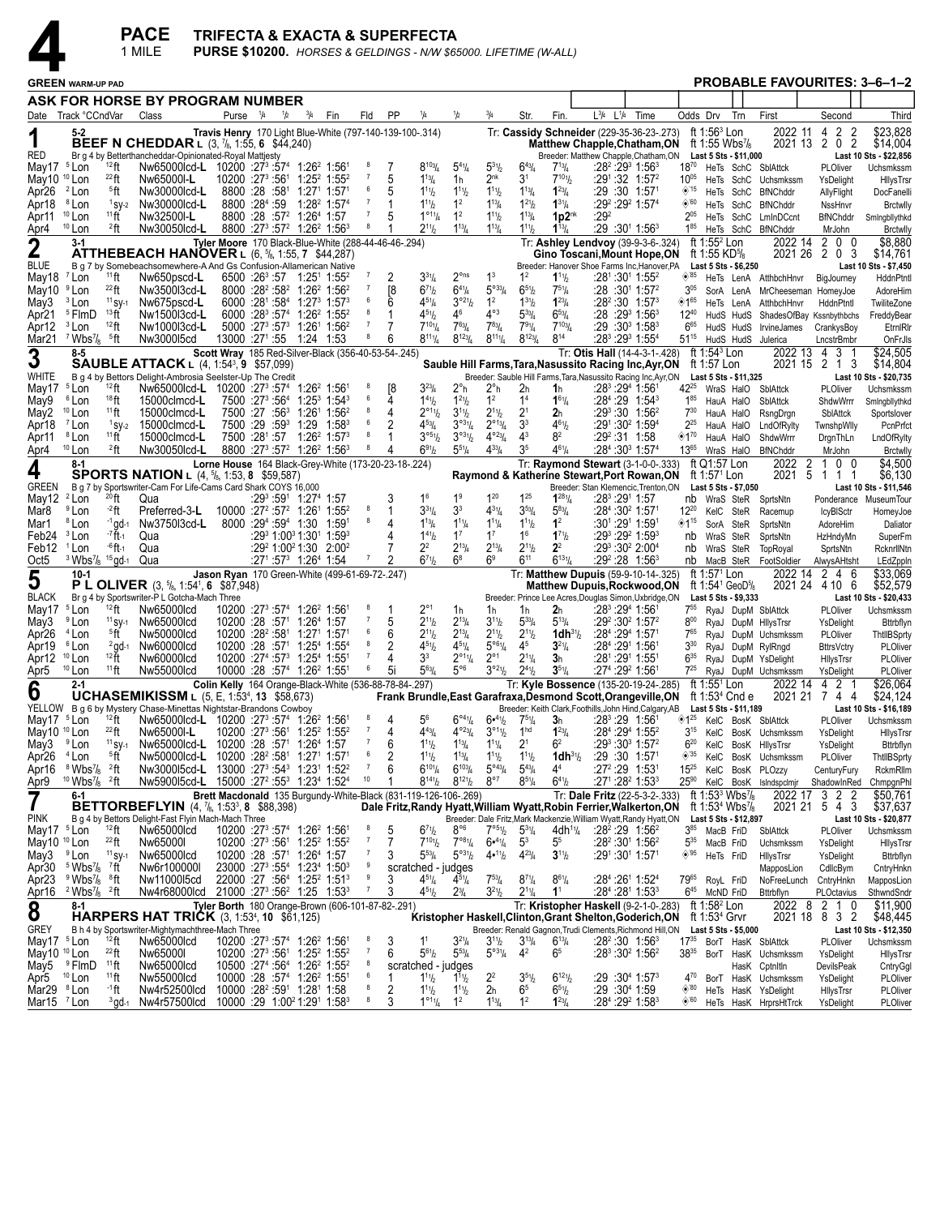

PACE TRIFECTA & EXACTA & SUPERFECTA<br>1 MILE PURSE \$10200. HORSES & GELDINGS - NW \$65000. LIFETIME (W-ALL)

| <b>GREEN WARM-UP PAD</b>              |                                                                 |                             |                                                                                                                                                     |                                        |                                   |                   |                                                                                                                                               |                     |        |                                           |                                                                 |                                                           |                                                   |                                       |                                                                                                        |      |                            |                                                                                                              |                        | PROBABLE FAVOURITES: 3–6–1–2                                    |                                |                                     |
|---------------------------------------|-----------------------------------------------------------------|-----------------------------|-----------------------------------------------------------------------------------------------------------------------------------------------------|----------------------------------------|-----------------------------------|-------------------|-----------------------------------------------------------------------------------------------------------------------------------------------|---------------------|--------|-------------------------------------------|-----------------------------------------------------------------|-----------------------------------------------------------|---------------------------------------------------|---------------------------------------|--------------------------------------------------------------------------------------------------------|------|----------------------------|--------------------------------------------------------------------------------------------------------------|------------------------|-----------------------------------------------------------------|--------------------------------|-------------------------------------|
|                                       |                                                                 |                             | ASK FOR HORSE BY PROGRAM NUMBER                                                                                                                     |                                        |                                   |                   |                                                                                                                                               |                     |        |                                           |                                                                 |                                                           |                                                   |                                       |                                                                                                        |      |                            |                                                                                                              |                        |                                                                 |                                |                                     |
|                                       | Date Track °CCndVar                                             |                             | Class                                                                                                                                               |                                        | Purse $\frac{1}{4}$ $\frac{1}{2}$ |                   | $^{3}/_{4}$<br>Fin                                                                                                                            | Fld                 | PP     | 1/4                                       | 1/2                                                             | $^{3}/_{4}$                                               | Str.                                              | Fin.                                  | $L^{3/4}$<br>$L^{1/4}$                                                                                 | Time |                            | Odds Drv                                                                                                     | Trn                    | First                                                           | Second                         | Third                               |
|                                       | 5-2                                                             |                             |                                                                                                                                                     |                                        |                                   |                   | Travis Henry 170 Light Blue-White (797-140-139-100-.314)                                                                                      |                     |        |                                           |                                                                 |                                                           |                                                   |                                       | Tr: Cassidy Schneider (229-35-36-23-.273)                                                              |      |                            | ft 1:56 <sup>3</sup> Lon                                                                                     |                        | 2022 11                                                         | 2<br>2<br>4                    | \$23,828                            |
| RED                                   |                                                                 |                             | <b>BEEF N CHEDDAR L (3, 7/8, 1:55, 6 \$44,240)</b>                                                                                                  |                                        |                                   |                   |                                                                                                                                               |                     |        |                                           |                                                                 |                                                           |                                                   |                                       | <b>Matthew Chapple, Chatham, ON</b>                                                                    |      |                            | ft 1:55 Wbs $\frac{7}{8}$<br>Last 5 Sts - \$11,000                                                           |                        | 2021 13 2                                                       | 02                             | \$14,004                            |
| May17                                 | <sup>5</sup> Lon                                                | 12 ft                       | Br g 4 by Betterthancheddar-Opinionated-Royal Mattjesty<br>Nw65000lcd-L 10200 :27 <sup>3</sup> :57 <sup>4</sup> 1:26 <sup>2</sup> 1:56 <sup>1</sup> |                                        |                                   |                   |                                                                                                                                               | 8                   |        | $8^{103}$ /4                              | $5^{4}$ <sup>1</sup> / <sub>4</sub>                             | $5^{31}$ / <sub>2</sub>                                   | $6^{43}$ /4                                       | $7^{13}$ / <sub>4</sub>               | Breeder: Matthew Chapple, Chatham, ON<br>:28 <sup>2</sup> :29 <sup>3</sup> 1:56 <sup>3</sup>           |      | $18^{70}$                  |                                                                                                              |                        | HeTs SchC SblAttck                                              | PLOliver                       | Last 10 Sts - \$22,856<br>Uchsmkssm |
| May10 <sup>10</sup> Lon               |                                                                 | $^{22}$ ft                  | Nw65000I-L                                                                                                                                          | 10200 :27 <sup>3</sup> :561            |                                   |                   | $1:25^2$ 1:55 <sup>2</sup>                                                                                                                    |                     | 5      | $1^{13}$ / <sub>4</sub>                   | 1h                                                              | 2 <sup>nk</sup>                                           | 3 <sup>1</sup>                                    | $7^{101}h$                            | $:29^1:32$ 1:57 <sup>2</sup>                                                                           |      | $10^{05}$                  |                                                                                                              |                        | HeTs SchC Uchsmkssm                                             | YsDelight                      | HllysTrsr                           |
| Apr26                                 | <sup>2</sup> Lon                                                | <sup>5</sup> ft             | Nw30000lcd-L                                                                                                                                        | 8800 :28 :581                          |                                   |                   | $1:271$ 1:57 <sup>1</sup>                                                                                                                     | 6                   | 5      | $1^{11}h$                                 | $1^{11}b$                                                       | $1^{11}$ / <sub>2</sub>                                   | $1^{13}/4$                                        | $1^{23}$ /4                           | :29 :30 1:571                                                                                          |      | ◈'15                       |                                                                                                              |                        | HeTs SchC BfNChddr                                              | AllyFlight                     | DocFanelli                          |
| Apr18                                 | <sup>8</sup> Lon                                                | $1$ SV-2<br>11ff            | Nw30000lcd-L                                                                                                                                        | 8800 :284 :59                          |                                   |                   | $1:28^2$ 1:57 <sup>4</sup>                                                                                                                    | -7                  |        | $1^{11}h$<br>$1^{\circ 11}/4$             | 1 <sup>2</sup><br>1 <sup>2</sup>                                | $1^{13}/4$                                                | $1^{21}/2$                                        | $1^{31}/4$                            | :29 <sup>2</sup> :29 <sup>2</sup> 1:57 <sup>4</sup><br>:29 <sup>2</sup>                                |      | $\diamond$ 60<br>$2^{05}$  |                                                                                                              |                        | HeTs SchC BfNChddr                                              | NssHnvr                        | <b>Brctwlly</b>                     |
| Apr11<br>Apr4                         | <sup>10</sup> Lon<br>$10$ Lon                                   | <sup>2</sup> ft             | Nw32500I-L<br>Nw30050lcd-L                                                                                                                          |                                        |                                   |                   | 8800 :28 :57 <sup>2</sup> 1:26 <sup>4</sup> 1:57<br>8800 :273 :572 1:262 1:563                                                                | 8                   |        | $2^{11}h$                                 | $1^{13}/4$                                                      | $1^{11}/2$<br>$1^{13}/4$                                  | $1^{13}/4$<br>$1^{11}$ / <sub>2</sub>             | 1p2nk<br>$1^{13}/4$                   | :29 :301 1:563                                                                                         |      | $1^{85}$                   |                                                                                                              |                        | HeTs SchC LmInDCcnt<br>HeTs SchC BfNChddr                       | <b>BfNChddr</b><br>MrJohn      | Smingbllythkd<br><b>Brctwlly</b>    |
|                                       | $3-1$                                                           |                             |                                                                                                                                                     |                                        |                                   |                   | Tyler Moore 170 Black-Blue-White (288-44-46-46-.294)                                                                                          |                     |        |                                           |                                                                 |                                                           |                                                   |                                       | Tr: Ashley Lendvoy (39-9-3-6-.324)                                                                     |      |                            | ft 1:55 <sup>2</sup> Lon                                                                                     |                        |                                                                 | 2022 14 2 0 0                  | \$8,880                             |
| $\mathbf 2$                           |                                                                 |                             | <b>ATTHEBEACH HANOVER L (6, 5/8, 1:55, 7 \$44,287)</b>                                                                                              |                                        |                                   |                   |                                                                                                                                               |                     |        |                                           |                                                                 |                                                           |                                                   |                                       | Gino Toscani, Mount Hope, ON                                                                           |      |                            | ft 1:55 KD\%                                                                                                 |                        |                                                                 | 2021 26 2 0 3                  | \$14,761                            |
| <b>BLUE</b>                           | <sup>7</sup> Lon                                                | $11$ ft                     | B g 7 by Somebeachsomewhere-A And Gs Confusion-Allamerican Native                                                                                   |                                        |                                   |                   |                                                                                                                                               |                     |        |                                           | $2^{\circ}$ ns                                                  | 1 <sup>3</sup>                                            |                                                   |                                       | Breeder: Hanover Shoe Farms Inc, Hanover, PA                                                           |      | ◈85                        | Last 5 Sts - \$6,250                                                                                         |                        |                                                                 |                                | Last 10 Sts - \$7,450               |
| May18<br>May10                        | <sup>9</sup> Lon                                                | $^{22}$ ft                  | Nw650pscd-L<br>Nw3500l3cd-L                                                                                                                         |                                        |                                   |                   | $6500$ :26 <sup>3</sup> :57 1:25 <sup>1</sup> 1:55 <sup>2</sup><br>8000 :28 <sup>2</sup> :58 <sup>2</sup> 1:26 <sup>2</sup> 1:56 <sup>2</sup> |                     | [8     | $3^{31}/4$<br>$6^{71}h$                   | $6^{41}/4$                                                      | $5^{033}/4$                                               | $1^2$<br>$6^{51}/2$                               | $1^{11}h$<br>$7^{51}/4$               | :281:301 1:552<br>$:28:30^{1}$ 1:57 <sup>2</sup>                                                       |      | $3^{05}$                   |                                                                                                              |                        | HeTs LenA AtthbchHnvr<br>SorA LenA MrCheeseman HomeyJoe         | BigJourney                     | HddnPtntl<br>AdoreHim               |
| May3                                  | <sup>3</sup> Lon                                                | $11$ SY-1                   | Nw675pscd-L                                                                                                                                         |                                        |                                   |                   | 6000 :281 :584 1:273 1:573                                                                                                                    | 6                   | 6      | $4^{51}/4$                                | $3^{\circ 21}/2$                                                | 1 <sup>2</sup>                                            | $1^{31}$ / <sub>2</sub>                           | $1^{23}$ /4                           | $:28^2:30$ 1:57 <sup>3</sup>                                                                           |      | ◈1 <sup>65</sup>           |                                                                                                              |                        | HeTs LenA AtthbchHnvr                                           | HddnPtntl                      | TwiliteZone                         |
| Apr21                                 | <sup>5</sup> FlmD                                               | 13 <sub>ft</sub>            | Nw1500l3cd-L                                                                                                                                        |                                        |                                   |                   | $6000 : 28^3 : 57^4$ 1:26 <sup>2</sup> 1:55 <sup>2</sup>                                                                                      | 8                   |        | $4^{51}$ / <sub>2</sub>                   | 46                                                              | $4^{\circ 3}$                                             | $5^{33}$ /4                                       | $6^{53}/4$                            | :28 :29 <sup>3</sup> 1:56 <sup>3</sup>                                                                 |      | $12^{40}$                  |                                                                                                              |                        | HudS HudS ShadesOfBay Kssnbythbchs                              |                                | FreddyBear                          |
| Apr12                                 | <sup>3</sup> Lon                                                | $12$ ft                     | Nw1000l3cd-L                                                                                                                                        |                                        |                                   |                   | 5000 :27 <sup>3</sup> :57 <sup>3</sup> 1:26 <sup>1</sup> 1:56 <sup>2</sup>                                                                    | $\overline{7}$<br>8 |        | $7^{10}$ <sup>1</sup> / <sub>4</sub>      | $7^{63}$ /4                                                     | $7^{83}$ / <sub>4</sub>                                   | $7^{9}$ <sup>1</sup> / <sub>4</sub>               | $7^{103}/4$                           | $:29:30^{3}$ 1:58 <sup>3</sup>                                                                         |      | $6^{65}$                   |                                                                                                              |                        | HudS HudS IrvineJames                                           | CrankysBoy                     | EtrnIRIr                            |
| Mar21                                 | $7$ Wbs <sup>7</sup> / <sub>8</sub> $5$ ft<br>$8 - 5$           |                             | Nw300015cd                                                                                                                                          |                                        |                                   |                   | 13000 :271 :55 1:24 1:53                                                                                                                      |                     | 6      | $8^{111}/4$                               | $8^{123}/4$                                                     | $8^{111}/4$                                               | $8^{123}$ /4                                      | $8^{14}$                              | :283 :293 1:554                                                                                        |      | $51^{15}$                  | ft $1:543$ Lon                                                                                               |                        | HudS HudS Julerica                                              | LncstrBmbr<br>2022 13 4 3 1    | OnFrJls<br>\$24,505                 |
| 3                                     |                                                                 |                             | <b>SAUBLE ATTACK</b> L (4, 1:54 <sup>3</sup> , 9 \$57,099)                                                                                          |                                        |                                   |                   | Scott Wray 185 Red-Silver-Black (356-40-53-54-.245)                                                                                           |                     |        |                                           |                                                                 |                                                           |                                                   |                                       | Tr: Otis Hall (14-4-3-1-.428)<br>Sauble Hill Farms, Tara, Nasussito Racing Inc, Ayr, ON                |      |                            | ft 1:57 Lon                                                                                                  |                        |                                                                 | 2021 15 2 1 3                  | \$14,804                            |
| WHITE                                 |                                                                 |                             | B g 4 by Bettors Delight-Ambrosia Seelster-Up The Credit                                                                                            |                                        |                                   |                   |                                                                                                                                               |                     |        |                                           |                                                                 |                                                           |                                                   |                                       | Breeder: Sauble Hill Farms, Tara, Nasussito Racing Inc, Ayr, ON                                        |      |                            | Last 5 Sts - \$11,325                                                                                        |                        |                                                                 |                                | Last 10 Sts - \$20,735              |
| May17                                 | <sup>5</sup> Lon                                                | 12 ft                       | Nw65000lcd-L 10200 :27 <sup>3</sup> :57 <sup>4</sup> 1:26 <sup>2</sup> 1:56 <sup>1</sup>                                                            |                                        |                                   |                   |                                                                                                                                               | 6                   | 4      | $3^{23}$ /4                               | 2°h                                                             | $2^{\circ}$ h                                             | 2 <sub>h</sub>                                    | 1h                                    | :28 <sup>3</sup> :29 <sup>4</sup> 1:561                                                                |      |                            |                                                                                                              |                        | 42 <sup>25</sup> WraS HalO SblAttck                             | PLOliver                       | Uchsmkssm                           |
| May9<br>May2                          | <sup>6</sup> Lon<br><sup>10</sup> Lon                           | 18 <sub>ft</sub><br>$11$ ft | 15000clmcd-L<br>15000clmcd-L                                                                                                                        | 7500 :27 <sup>3</sup> :56 <sup>4</sup> |                                   |                   | $1:25^3$ 1:54 <sup>3</sup><br>7500 :27 :56 <sup>3</sup> 1:26 <sup>1</sup> 1:56 <sup>2</sup>                                                   | 8                   | 4      | $1^{41}h$<br>$2^{\circ_{11}}h$            | $1^{21}h$<br>$3^{11}h$                                          | 1 <sup>2</sup><br>$2^{11}/2$                              | 1 <sup>4</sup><br>$2^{1}$                         | $1^{61}/4$<br>2 <sub>h</sub>          | $:28^4:29$ 1:54 <sup>3</sup><br>$:29^3:30$ 1:56 <sup>2</sup>                                           |      | $1^{85}$<br>$7^{30}$       |                                                                                                              | HauA HalO<br>HauA HalO | SblAttck<br>RsngDrgn                                            | ShdwWrrr<br>SblAttck           | Smingbllythkd<br>Sportslover        |
| Apr18                                 | <sup>7</sup> Lon                                                | $1$ SV-2                    | 15000clmcd-L                                                                                                                                        |                                        |                                   | 7500 :29 :59 1:29 | $1:58^{3}$                                                                                                                                    | 6                   | 2      | $4^{53}$ /4                               | $3^{\circ 3}$ <sup>1</sup> / <sub>4</sub>                       | $2^{\circ_{13}}/4$                                        | 3 <sup>3</sup>                                    | $4^{61}/_{2}$                         | :291 :30 <sup>2</sup> 1:59 <sup>4</sup>                                                                |      | $2^{25}$                   |                                                                                                              | HauA HalO              | LndOfRylty                                                      | TwnshpWlly                     | PcnPrfct                            |
| Apr11                                 | <sup>8</sup> Lon                                                | 11ff                        | 15000clmcd-L                                                                                                                                        |                                        |                                   |                   | 7500 :281 :57 1:26 <sup>2</sup> 1:57 <sup>3</sup>                                                                                             | 8                   |        | 3°5%                                      | $3^{\circ_3}$ 1/2                                               | $4^{\circ 23} / 4$                                        | 4 <sup>3</sup>                                    | 8 <sup>2</sup>                        | $:29^2:31$ 1:58                                                                                        |      | ◈1"                        |                                                                                                              | HauA HalO              | ShdwWrrr                                                        | DrgnThLn                       | LndOfRylty                          |
| Apr4                                  | $10$ Lon                                                        | 2ft                         | Nw30050lcd-L                                                                                                                                        |                                        |                                   |                   | 8800 :273 :57 <sup>2</sup> 1:26 <sup>2</sup> 1:563                                                                                            | 8                   | 4      | $6^{91}$                                  | $5^{51}/4$                                                      | $4^{33}$ / <sub>4</sub>                                   | 3 <sup>5</sup>                                    | $4^{61}/4$                            | :284:303 1:574                                                                                         |      | $13^{65}$                  |                                                                                                              |                        | WraS HalO BfNChddr                                              | MrJohn                         | <b>Brctwlly</b>                     |
| 4                                     | 8-1                                                             |                             | <b>SPORTS NATION L (4, 5/8, 1:53, 8 \$59,587)</b>                                                                                                   |                                        |                                   |                   | Lorne House 164 Black-Grey-White (173-20-23-18-.224)                                                                                          |                     |        |                                           |                                                                 |                                                           |                                                   |                                       | Tr: Raymond Stewart (3-1-0-0-.333)                                                                     |      |                            | ft Q1:57 Lon                                                                                                 |                        | $\overline{2}$<br>2022                                          | 0 <sub>0</sub><br>-1           | \$4,500                             |
| <b>GREEN</b>                          |                                                                 |                             | B g 7 by Sportswriter-Cam For Life-Cams Card Shark COYS 16,000                                                                                      |                                        |                                   |                   |                                                                                                                                               |                     |        |                                           |                                                                 |                                                           |                                                   |                                       | Raymond & Katherine Stewart, Port Rowan, ON<br>Breeder: Stan Klemencic, Trenton, ON                    |      |                            | ft 1:57 <sup>1</sup> Lon<br>Last 5 Sts - \$7,050                                                             |                        | 5<br>2021                                                       | 111                            | \$6,130<br>Last 10 Sts - \$11,546   |
| May12                                 | <sup>2</sup> Lon                                                | $^{20}$ ft                  | Qua                                                                                                                                                 |                                        |                                   |                   | :29 <sup>3</sup> :591 1:27 <sup>4</sup> 1:57                                                                                                  |                     |        | 1 <sup>6</sup>                            | 1 <sup>9</sup>                                                  | $1^{20}$                                                  | $1^{25}$                                          | $1^{281}/4$                           | :28ª :291 1:57                                                                                         |      |                            | nb WraS SteR                                                                                                 |                        | SprtsNtn                                                        |                                | Ponderance MuseumTour               |
| Mar8                                  | <sup>9</sup> Lon                                                | $-2$ ft                     | Preferred-3-L                                                                                                                                       |                                        |                                   |                   | $10000:27^2:57^2$ 1:26 <sup>1</sup> 1:55 <sup>2</sup>                                                                                         | 8                   |        | $3^{31}/4$                                | 3 <sup>3</sup>                                                  | $4^{31}/4$                                                | $3^{53}/4$                                        | $5^{83}/4$                            | :284 :30 <sup>2</sup> 1:571                                                                            |      | $12^{20}$                  |                                                                                                              | KelC SteR              | Racemup                                                         | <b>IcyBISctr</b>               | HomeyJoe                            |
| Mar1                                  | <sup>8</sup> Lon                                                | $-1$ gd $-1$<br>$-7$ H $-1$ | Nw3750l3cd-L                                                                                                                                        |                                        |                                   |                   | 8000 :294 :594 1:30 1:591                                                                                                                     | 8                   | 4      | $1^{13}$ /4                               | $1^{11}$ / <sub>4</sub>                                         | $1^{11}$ / <sub>4</sub>                                   | $1^{11}$ / <sub>2</sub>                           | 1 <sup>2</sup>                        | :301:291 1:591                                                                                         |      | $*15$                      |                                                                                                              | SorA SteR              | SprtsNtn                                                        | AdoreHim                       | Daliator                            |
| Feb24<br>Feb12                        | <sup>3</sup> Lon<br><sup>1</sup> Lon                            | <sup>-6</sup> ft-1          | Qua<br>Qua                                                                                                                                          |                                        |                                   |                   | :29 <sup>3</sup> 1:00 <sup>3</sup> 1:30 <sup>1</sup> 1:59 <sup>3</sup><br>$:29^2$ 1:00 <sup>2</sup> 1:30 2:00 <sup>2</sup>                    |                     |        | $1^{41}$ / <sub>2</sub><br>$2^2$          | $1^7$<br>$2^{13}$ /4                                            | $1^7$<br>$2^{13}/4$                                       | 1 <sup>6</sup><br>$2^{11}/2$                      | $1^{71}h$<br>2 <sup>2</sup>           | :293 :292 1:593<br>:293 :302 2:004                                                                     |      | nb<br>nb                   |                                                                                                              | WraS SteR<br>WraS SteR | SprtsNtn<br>TopRoyal                                            | HzHndyMn<br>SprtsNtn           | SuperFm<br>RcknrllNtn               |
| Oct5                                  | $3$ Wbs <sup>7</sup> / <sub>8</sub> $15$ qd-1                   |                             | Qua                                                                                                                                                 |                                        |                                   |                   | $:27^1:57^3$ 1:26 <sup>4</sup> 1:54                                                                                                           | 7                   | 2      | $6^{71}h$                                 | $6^8$                                                           | 6 <sup>9</sup>                                            | $6^{11}$                                          | $6^{131}/$                            | $:29^2:28$ 1:56 <sup>3</sup>                                                                           |      |                            |                                                                                                              |                        | nb MacB SteR FootSoldier                                        | AlwysAHtsht                    | LEdZppln                            |
| 5                                     | $10-1$                                                          |                             |                                                                                                                                                     |                                        |                                   |                   | Jason Ryan 170 Green-White (499-61-69-72-.247)                                                                                                |                     |        |                                           |                                                                 |                                                           |                                                   |                                       | Tr: Matthew Dupuis (59-9-10-14-.325)                                                                   |      |                            | ft 1:57 <sup>1</sup> Lon                                                                                     |                        |                                                                 | 2022 14 2 4 6                  | \$33,069                            |
|                                       |                                                                 |                             | <b>P L OLIVER</b> $(3, \frac{5}{6}, 1:54^1, 6 \cdot $87,948)$                                                                                       |                                        |                                   |                   |                                                                                                                                               |                     |        |                                           |                                                                 |                                                           |                                                   |                                       | Matthew Dupuis,Rockwood,ON                                                                             |      |                            | ft 1:54 <sup>1</sup> GeoD <sup>5</sup> / <sub>8</sub>                                                        |                        |                                                                 | 2021 24 4 10 6                 | \$52,579                            |
| <b>BLACK</b><br>May17                 | <sup>5</sup> Lon                                                | 12 ft                       | Br g 4 by Sportswriter-P L Gotcha-Mach Three<br>Nw65000lcd                                                                                          |                                        |                                   |                   | 10200 :27 <sup>3</sup> :57 <sup>4</sup> 1:26 <sup>2</sup> 1:56 <sup>1</sup>                                                                   |                     |        | $2^{\circ_1}$                             | 1h                                                              | 1h                                                        | 1h                                                | 2 <sub>h</sub>                        | Breeder: Prince Lee Acres, Douglas Simon, Uxbridge, ON<br>:28 <sup>3</sup> :29 <sup>4</sup> 1:561      |      | $7^{55}$                   | Last 5 Sts - \$9,333                                                                                         |                        | RyaJ DupM SblAttck                                              | PLOliver                       | Last 10 Sts - \$20,433<br>Uchsmkssm |
| May3                                  | <sup>9</sup> Lon                                                | $11$ SY-1                   | Nw65000lcd                                                                                                                                          |                                        |                                   |                   | 10200 :28 :571 1:264 1:57                                                                                                                     |                     | 5      | $2^{11}h$                                 | $2^{13}/4$                                                      | $3^{11}/2$                                                | $5^{33}$ /4                                       | $5^{13}/4$                            | $:29^2:30^2$ 1:57 <sup>2</sup>                                                                         |      | $8^{00}$                   |                                                                                                              |                        | RyaJ DupM HllysTrsr                                             | YsDelight                      | Bttrbflyn                           |
| Apr26                                 | <sup>4</sup> Lon                                                | <sup>5</sup> ft             | Nw50000lcd                                                                                                                                          |                                        |                                   |                   | 10200 :28 <sup>2</sup> :58 <sup>1</sup> 1:27 <sup>1</sup> 1:57 <sup>1</sup>                                                                   | 6                   | 6      | $2^{11}h$                                 | $2^{13}$ /4                                                     | $2^{11}/2$                                                | $2^{11}/2$                                        | $1dh^{3}$ <sup>1</sup> / <sub>2</sub> | :284 :294 1:571                                                                                        |      | $7^{65}$                   |                                                                                                              |                        | RyaJ DupM Uchsmkssm                                             | PLOliver                       | ThtllBSprty                         |
| Apr19                                 | <sup>6</sup> Lon                                                | $^{2}$ gd-1<br>$12 +$       | Nw60000lcd                                                                                                                                          |                                        |                                   |                   | $10200$ :28 :57 <sup>1</sup> 1:25 <sup>4</sup> 1:55 <sup>4</sup>                                                                              | 8                   | 2<br>4 | $4^{51}$ / <sub>2</sub><br>3 <sup>3</sup> | $4^{51}/4$                                                      | $5^{\circ 6}$ <sup>1</sup> / <sub>4</sub><br>$2^{\circ}1$ | 4 <sup>5</sup>                                    | $3^{21}/4$                            | :28 <sup>4</sup> :291 1:561                                                                            |      | $3^{30}$<br>$6^{35}$       |                                                                                                              |                        | RyaJ DupM RylRngd                                               | <b>BttrsVctry</b>              | PLOliver                            |
| Apr12<br>Apr5                         | $10$ Lon<br>$10$ Lon                                            | $11$ ft                     | Nw60000lcd<br>Nw55000lcd                                                                                                                            |                                        |                                   |                   | 10200 :274 :573 1:254 1:551<br>$10000:28:574$ 1:26 <sup>2</sup> 1:55 <sup>1</sup>                                                             | 6                   | 5i     | $5^{63}$ /4                               | $2^{\circ_{11}}\mathstrut_{4}$<br>$5^{\circ 6}$                 | $3^{o_{21}}$                                              | $2^{11}/4$<br>$2^{41}$                            | 3 <sub>h</sub><br>$3^{51}/4$          | :281 :291 1:551<br>:27 <sup>4</sup> :29 <sup>2</sup> 1:561                                             |      | $7^{25}$                   |                                                                                                              |                        | RyaJ DupM YsDelight<br>RyaJ DupM Uchsmkssm                      | HllysTrsr<br>YsDelight         | PLOliver<br>PLOliver                |
|                                       | $2 - 1$                                                         |                             |                                                                                                                                                     |                                        |                                   |                   | Colin Kelly 164 Orange-Black-White (536-88-78-84-.297)                                                                                        |                     |        |                                           |                                                                 |                                                           |                                                   |                                       | Tr: Kyle Bossence (135-20-19-24-.285)                                                                  |      |                            | ft 1:55 <sup>1</sup> Lon                                                                                     |                        | 2022 14                                                         | 2 <sub>1</sub><br>4            | \$26,064                            |
| 6                                     |                                                                 |                             | UCHASEMIKISSM L (5, E, 1:53 <sup>4</sup> , 13 \$58,673)                                                                                             |                                        |                                   |                   |                                                                                                                                               |                     |        |                                           |                                                                 |                                                           |                                                   |                                       | Frank Brundle, East Garafraxa, Desmond Scott, Orangeville, ON                                          |      |                            | ft 1:53 $4$ Cnd e                                                                                            |                        | 2021 21                                                         | 744                            | \$24,124                            |
|                                       |                                                                 |                             | YELLOW B g 6 by Mystery Chase-Minettas Nightstar-Brandons Cowboy                                                                                    |                                        |                                   |                   |                                                                                                                                               | 8                   |        |                                           |                                                                 |                                                           |                                                   |                                       | Breeder: Keith Clark, Foothills, John Hind, Calgary, AB                                                |      |                            | Last 5 Sts - \$11,189                                                                                        |                        |                                                                 |                                | Last 10 Sts - \$16,189              |
| May17<br>May10 <sup>10</sup> Lon      | <sup>5</sup> Lon                                                | 12 ft<br>$^{22}$ ft         | Nw65000lcd-L 10200 :27 <sup>3</sup> :57 <sup>4</sup> 1:26 <sup>2</sup> 1:56 <sup>1</sup><br>Nw65000I-L                                              |                                        |                                   |                   | $10200$ :27 <sup>3</sup> :56 <sup>1</sup> 1:25 <sup>2</sup> 1:55 <sup>2</sup>                                                                 | $\overline{7}$      | 4      | 56<br>$4^{43}$ /4                         | $6^{\circ 4}$ <sup>1</sup> / <sub>4</sub><br>$4^{\circ 23} / 4$ | $6•^{41}/2$<br>$3^{\circ 1}$ <sup>1</sup> / <sub>2</sub>  | $75\frac{1}{4}$<br>1 <sup>hd</sup>                | 3 <sub>h</sub><br>$1^{23}/4$          | :283 :29 1:561<br>:284 :294 1:552                                                                      |      | $3^{15}$                   |                                                                                                              |                        | <sup>125</sup> KelC BosK SblAttck<br>KelC BosK Uchsmkssm        | PLOliver                       | Uchsmkssm                           |
| May3                                  | <sup>9</sup> Lon                                                | $11$ SY-1                   | Nw65000lcd-L 10200 :28 :57 <sup>1</sup> 1:26 <sup>4</sup> 1:57                                                                                      |                                        |                                   |                   |                                                                                                                                               | $\bf 7$             | 6      | $1^{11}h$                                 | $1^{13}$ / <sub>4</sub>                                         | $1^{11}$ / <sub>4</sub>                                   | 2 <sup>1</sup>                                    | 6 <sup>2</sup>                        | $:29^3:30^3$ 1:57 <sup>2</sup>                                                                         |      | $6^{20}$                   |                                                                                                              |                        | KelC BosK HilysTrsr                                             | YsDelight<br>YsDelight         | HllysTrsr<br>Bttrbflyn              |
| Apr <sub>26</sub>                     | <sup>4</sup> Lon                                                | <sup>5</sup> ft             | Nw50000lcd-L 10200 :28 <sup>2</sup> :58 <sup>1</sup> 1:27 <sup>1</sup> 1:57 <sup>1</sup>                                                            |                                        |                                   |                   |                                                                                                                                               | 6                   | 2      | $1^{11}h$                                 | $1^{13}$ / <sub>4</sub>                                         | $1^{11}/2$                                                | $1^{11}$                                          | $1dh^{31}/2$                          | $:29:30$ 1:57 <sup>1</sup>                                                                             |      | $\diamond$ 35              |                                                                                                              |                        | KelC BosK Uchsmkssm                                             | PLOliver                       | ThtllBSprty                         |
| Apr16                                 | $8$ Wbs <sup>7</sup> / <sub>8</sub> $2$ ft                      |                             | Nw300015cd-L 13000 :27 <sup>3</sup> :54 <sup>3</sup> 1:23 <sup>1</sup> 1:52 <sup>2</sup>                                                            |                                        |                                   |                   |                                                                                                                                               |                     |        | $6^{10}$ <sup>1</sup> / <sub>4</sub>      | $6^{103}/4$                                                     | $5^{\circ 43} / 4$                                        | $5^{43}$ /4                                       | 4 <sup>4</sup>                        | $:27^2:29$ 1:53                                                                                        |      | $15^{25}$                  |                                                                                                              |                        | KelC BosK PLOzzy                                                | CenturyFury                    | RckmRllm                            |
| Apr9                                  | $10$ Wbs <sup>7</sup> / <sub>8</sub> $2$ ft                     |                             | Nw590015cd-L 15000 :27 <sup>2</sup> :55 <sup>3</sup> 1:23 <sup>4</sup> 1:52 <sup>4</sup>                                                            |                                        |                                   |                   |                                                                                                                                               | 10                  |        | $8^{141}/2$                               | $8^{121}/2$                                                     | $8^{\circ 7}$                                             | $8^{51}/4$                                        | $6^{41}/2$                            | $:27^1:28^2$ 1:53 $^3$                                                                                 |      | $25^{90}$                  |                                                                                                              |                        | KelC BosK IsIndspcImjr                                          |                                | ShadowInRed ChmpgnPhl               |
|                                       | 6-1                                                             |                             | <b>BETTORBEFLYIN</b> (4, 7/ <sub>8</sub> , 1:53 <sup>3</sup> , 8 \$88,398)                                                                          |                                        |                                   |                   | Brett Macdonald 135 Burgundy-White-Black (831-119-126-106-.269)                                                                               |                     |        |                                           |                                                                 |                                                           |                                                   |                                       | Tr: Dale Fritz (22-5-3-2-.333)<br>Dale Fritz, Randy Hyatt, William Wyatt, Robin Ferrier, Walkerton, ON |      |                            | ft 1:53 <sup>3</sup> Wbs <sup>7</sup> / <sub>8</sub><br>ft 1:53 <sup>4</sup> Wbs <sup>7</sup> / <sub>8</sub> |                        |                                                                 | 2022 17 3 2 2<br>2021 21 5 4 3 | \$50.761<br>\$37,637                |
| pink                                  |                                                                 |                             | B g 4 by Bettors Delight-Fast Flyin Mach-Mach Three                                                                                                 |                                        |                                   |                   |                                                                                                                                               |                     |        |                                           |                                                                 |                                                           |                                                   |                                       | Breeder: Dale Fritz, Mark Mackenzie, William Wyatt, Randy Hyatt, ON                                    |      |                            | Last 5 Sts - \$12,897                                                                                        |                        |                                                                 |                                | Last 10 Sts - \$20,877              |
| May17 <sup>5</sup> Lon                |                                                                 | $12$ ft                     | Nw65000lcd                                                                                                                                          |                                        |                                   |                   | 10200 :27 <sup>3</sup> :57 <sup>4</sup> 1:26 <sup>2</sup> 1:561                                                                               |                     |        | $6^{71}h$                                 | $8^{\circ 6}$                                                   |                                                           | $7^{\circ 5\frac{1}{2}}$ $5^{\circ 3\frac{1}{4}}$ | $4dh^{11}/4$                          | $:28^2:29$ 1:56 <sup>2</sup>                                                                           |      |                            | 385 MacB FriD                                                                                                |                        | <b>SblAttck</b>                                                 | PLOliver                       | Uchsmkssm                           |
| May10 <sup>10</sup> Lon               |                                                                 | $^{22}$ ft                  | Nw65000I                                                                                                                                            |                                        |                                   |                   | $10200$ :27 <sup>3</sup> :56 <sup>1</sup> 1:25 <sup>2</sup> 1:55 <sup>2</sup>                                                                 | 7                   |        | $7^{10}$ <sup>1</sup> / <sub>2</sub>      | $7^{\circ 8}$ <sup>1</sup> / <sub>4</sub>                       | $6•^{41}/_{4}$                                            | $5^3$                                             | 55                                    | $:28^2:30^1$ 1:56 <sup>2</sup>                                                                         |      | $5^{35}$                   | MacB FriD                                                                                                    |                        | Uchsmkssm                                                       | YsDelight                      | HilysTrsr                           |
| May3<br>Apr30                         | <sup>9</sup> Lon<br>$5$ Wbs <sup>7</sup> / <sub>8</sub> $^7$ ft | $11$ Sy-1                   | Nw65000lcd<br>Nw6r100000I                                                                                                                           |                                        |                                   |                   | 10200 :28 :57 <sup>1</sup> 1:26 <sup>4</sup> 1:57<br>23000 :273 :554 1:234 1:503                                                              | 9                   | 3      | $5^{53}$ /4<br>scratched - judges         | $5^{\circ 31}\!/_{\scriptscriptstyle{\rm 2}}$                   | 4•11 <sub>2</sub>                                         | $4^{23}$ / <sub>4</sub>                           | $3^{11}/2$                            | :291:301 1:571                                                                                         |      | $\diamond$ 95              | HeTs FriD                                                                                                    |                        | HllysTrsr<br>MapposLion                                         | YsDelight<br>CdllcBym          | Bttrbflyn<br>CntryHnkn              |
| Apr23                                 | $9$ Wbs $\frac{7}{8}$ $8$ ft                                    |                             | Nw1100015cd                                                                                                                                         |                                        |                                   |                   | 22000 :27 :564 1:25 <sup>2</sup> 1:51 <sup>3</sup>                                                                                            | 9                   | 3      | $4^{51}/4$                                | $4^{51}/4$                                                      | $7^{53}$ / <sub>4</sub>                                   | $8^{71}/4$                                        | $8^{61}/4$                            | :28 <sup>4</sup> :26 <sup>1</sup> 1:52 <sup>4</sup>                                                    |      | 7965                       | RoyL FriD                                                                                                    |                        | NoFreeLunch                                                     | CntryHnkn                      | MapposLion                          |
|                                       | Apr16 $2 \text{ Wbs}$ <sup>2</sup> ft                           |                             | Nw4r68000lcd                                                                                                                                        |                                        |                                   |                   | 21000 :273 :56 <sup>2</sup> 1:25 1:533                                                                                                        |                     | 3      | $4^{51}$ /2                               | $2^{3}/_{4}$                                                    | $3^{21}/2$                                                | $2^{11}/4$                                        | 1 <sup>1</sup>                        | :284 :281 1:533                                                                                        |      |                            | 645 McND FriD                                                                                                |                        | Bttrbflyn                                                       | PLOctavius                     | SthwndSndr                          |
| 8                                     | 8-1                                                             |                             |                                                                                                                                                     |                                        |                                   |                   | Tyler Borth 180 Orange-Brown (606-101-87-82-.291)                                                                                             |                     |        |                                           |                                                                 |                                                           |                                                   |                                       | Tr: Kristopher Haskell (9-2-1-0-.283)                                                                  |      |                            | ft 1:58 $2$ Lon                                                                                              |                        |                                                                 | 2022 8 2 1 0                   | \$11,900                            |
|                                       |                                                                 |                             | <b>HARPERS HAT TRICK (3, 1:53<sup>4</sup>, 10 \$61,125)</b>                                                                                         |                                        |                                   |                   |                                                                                                                                               |                     |        |                                           |                                                                 |                                                           |                                                   |                                       | Kristopher Haskell,Clinton,Grant Shelton,Goderich,ON                                                   |      |                            | ft 1:53 $4$ Grvr                                                                                             |                        |                                                                 | 2021 18 8 3 2                  | \$48,445                            |
| <b>GREY</b><br>May17 <sup>5</sup> Lon |                                                                 | $12$ ft                     | B h 4 by Sportswriter-Mightymachthree-Mach Three<br>Nw65000lcd                                                                                      |                                        |                                   |                   | 10200 :27 <sup>3</sup> :57 <sup>4</sup> 1:26 <sup>2</sup> 1:56 <sup>1</sup>                                                                   |                     | 3      | 1 <sup>1</sup>                            | $3^{21}/4$                                                      | $3^{11}/2$                                                | $3^{13}/4$                                        | $6^{13}/4$                            | Breeder: Renald Gagnon, Trudi Clements, Richmond Hill, ON<br>$:28^2:30$ 1:56 <sup>3</sup>              |      |                            | Last 5 Sts - \$5,000                                                                                         |                        | 1735 BorT HasK SblAttck                                         | PLOliver                       | Last 10 Sts - \$12,350<br>Uchsmkssm |
| May10 <sup>10</sup> Lon               |                                                                 | $^{22}$ ft                  | Nw65000I                                                                                                                                            |                                        |                                   |                   | $10200$ :27 <sup>3</sup> :56 <sup>1</sup> 1:25 <sup>2</sup> 1:55 <sup>2</sup>                                                                 | $\overline{7}$      | 6      | $5^{61}$ / <sub>2</sub>                   | $5^{53}/4$                                                      | $5^{\circ 3}\%$                                           | 4 <sup>2</sup>                                    | 6 <sup>5</sup>                        | $:28^3:30^2$ 1:56 <sup>2</sup>                                                                         |      | $38^{35}$                  |                                                                                                              |                        | BorT HasK Uchsmkssm                                             | YsDelight                      | HllysTrsr                           |
| May5                                  | <sup>9</sup> FlmD                                               | $11$ ft                     | Nw65000lcd                                                                                                                                          |                                        |                                   |                   | $10500$ :27 <sup>4</sup> :56 <sup>4</sup> 1:26 <sup>2</sup> 1:55 <sup>2</sup>                                                                 | 8                   |        | scratched - judges                        |                                                                 |                                                           |                                                   |                                       |                                                                                                        |      |                            |                                                                                                              |                        | HasK Cptnltln                                                   | DevilsPeak                     | CntryGgl                            |
| Apr5<br>Mar29 8 Lon                   | $10$ Lon                                                        | $11$ ft<br>-1 ft            | Nw55000lcd                                                                                                                                          |                                        |                                   |                   | 10000 :28 :57 <sup>4</sup> 1:26 <sup>2</sup> 1:55 <sup>1</sup><br>10000 :28 <sup>2</sup> :59 <sup>1</sup> 1:28 <sup>1</sup> 1:58              | 6                   | 2      | $1^{11}h$                                 | $1^{11}h$                                                       | $2^2$                                                     | $3^{51}/2$<br>6 <sup>5</sup>                      | $6^{121}h$<br>$6^{51}/2$              | :29 :30 <sup>4</sup> 1:57 <sup>3</sup>                                                                 |      | $4^{70}$<br>$\diamond$ '80 |                                                                                                              |                        | BorT HasK Uchsmkssm                                             | YsDelight                      | PLOliver                            |
| $M$ ar15 $71$ on                      |                                                                 | $3$ nd $_1$                 | Nw4r52500lcd<br>Nw4r57500lcd 10000 20 1:0021:201 1:583                                                                                              |                                        |                                   |                   |                                                                                                                                               | 8                   | ર      | $1^{11}h$<br>$1^{\circ}11$ , 12           | $1^{11}h$                                                       | 2 <sub>h</sub><br>1131.                                   | 1 <sup>2</sup>                                    | 1231.                                 | :29 :30 <sup>4</sup> 1:59<br>$-284 - 202$ 1 $-583$                                                     |      |                            |                                                                                                              |                        | HeTs HasK YsDelight<br>$\binom{160}{90}$ He Te Hoek HmreHt Trok | HllysTrsr<br>VeDaliaht         | PLOliver<br>DI Oliver               |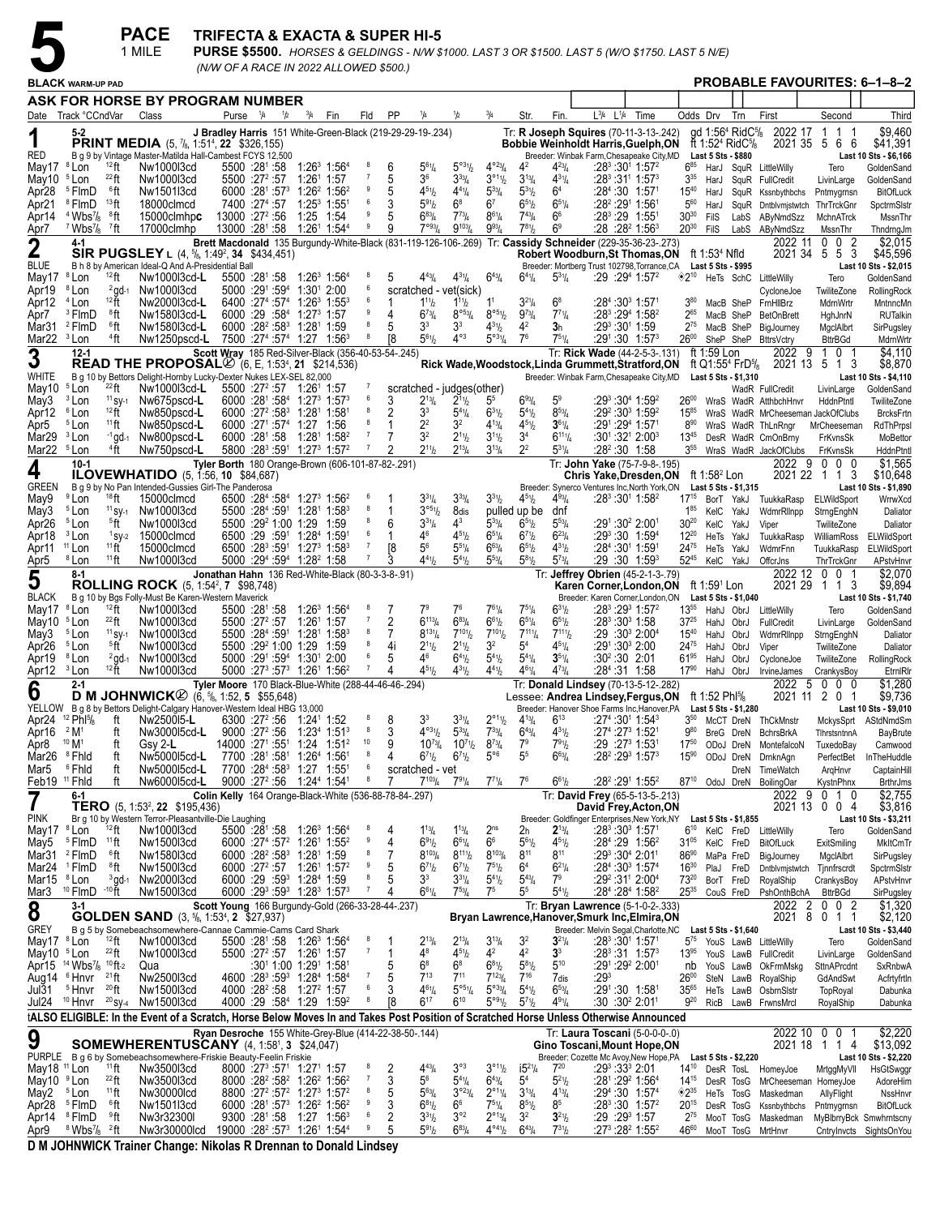**PACE** TRIFECTA & EXACTA & SUPER HI-5<br> **1 MILE** PURSE \$5500. *HORSES & GELDINGS - N/W \$1000. LAST 3 OR \$1500. LAST 5 (W/O \$1750. LAST 5 N/E)*<br>
BLACK WARM-UP PAD *(N/W OF A RACE IN 2022 ALLOWED \$500.)*

|                                                     |                                                          |                              | 1 MILE                                                                                                                                |                                                              |     |                                                                                              |                                                                            |                                     |                |                                                       |                                                   |                                           |                                                   |                              |                                                                                       | $\sf{PURSE}$ \$5500. HORSES & GELDINGS - N/W \$1000. LAST 3 OR \$1500. LAST 5 (W/O \$1750. LAST 5 N/E)    |                                        |                                 |                                                                                                    |                                                                                        |                                        |                                              |
|-----------------------------------------------------|----------------------------------------------------------|------------------------------|---------------------------------------------------------------------------------------------------------------------------------------|--------------------------------------------------------------|-----|----------------------------------------------------------------------------------------------|----------------------------------------------------------------------------|-------------------------------------|----------------|-------------------------------------------------------|---------------------------------------------------|-------------------------------------------|---------------------------------------------------|------------------------------|---------------------------------------------------------------------------------------|-----------------------------------------------------------------------------------------------------------|----------------------------------------|---------------------------------|----------------------------------------------------------------------------------------------------|----------------------------------------------------------------------------------------|----------------------------------------|----------------------------------------------|
|                                                     | <b>BLACK WARM-UP PAD</b>                                 |                              |                                                                                                                                       |                                                              |     |                                                                                              | (N/W OF A RACE IN 2022 ALLOWED \$500.)                                     |                                     |                |                                                       |                                                   |                                           |                                                   |                              |                                                                                       |                                                                                                           |                                        |                                 |                                                                                                    | <b>PROBABLE FAVOURITES: 6-1-8-2</b>                                                    |                                        |                                              |
|                                                     |                                                          |                              | ASK FOR HORSE BY PROGRAM NUMBER                                                                                                       |                                                              |     |                                                                                              |                                                                            |                                     |                |                                                       |                                                   |                                           |                                                   |                              |                                                                                       |                                                                                                           |                                        |                                 |                                                                                                    |                                                                                        |                                        |                                              |
|                                                     | Date Track °CCndVar                                      |                              | Class                                                                                                                                 | Purse <sup>1</sup> /4                                        | 1/2 | $^{3}/_{4}$                                                                                  | Fin                                                                        | Fld                                 | <b>PP</b>      | 1/4                                                   | 1/2                                               | $^{3}/_{4}$                               | Str.                                              | Fin.                         | $L^{3}/4$ $L^{1}/4$                                                                   | Time                                                                                                      | Odds Drv                               |                                 | Trn                                                                                                | First                                                                                  | Second                                 | Third                                        |
|                                                     | 5-2                                                      |                              | <b>PRINT MEDIA</b> (5, 7/8, 1:51 <sup>4</sup> , 22 \$326,155)                                                                         |                                                              |     |                                                                                              | J Bradley Harris 151 White-Green-Black (219-29-29-19-.234)                 |                                     |                |                                                       |                                                   |                                           |                                                   |                              |                                                                                       | Tr: R Joseph Squires (70-11-3-13-.242)<br><b>Bobbie Weinholdt Harris, Guelph, ON</b>                      |                                        |                                 | qd 1:56 <sup>4</sup> RidC <sup>5</sup> /8<br>ft 1:52 <sup>4</sup> RidC <sup>5</sup> / <sub>8</sub> | 2022 17<br>2021 35                                                                     | 1<br>1<br>-1<br>56<br>- 6              | \$9.460<br>\$41,391                          |
| RED<br>May17                                        | <sup>8</sup> Lon                                         | $12$ ft                      | B g 9 by Vintage Master-Matilda Hall-Cambest FCYS 12,500<br>Nw1000l3cd                                                                | $5500 :28^{\circ} :58$                                       |     | $1:26^3$ 1:56 <sup>4</sup>                                                                   |                                                                            | 8                                   | 6              | $5^{61}/4$                                            | $5^{\circ 3}$ <sup>1</sup> / <sub>2</sub>         | $4^{\circ}23/4$                           | 4 <sup>2</sup>                                    | $4^{23}$ /4                  | $:28^3:30^1$ 1:57 <sup>2</sup>                                                        | Breeder: Winbak Farm, Chesapeake City, MD                                                                 | $6^{85}$                               | <b>Last 5 Sts \$880</b><br>HarJ |                                                                                                    | SquR LittleWilly                                                                       | Tero                                   | Last 10 Sts - \$6,166<br>GoldenSand          |
| May10                                               | <sup>5</sup> Lon                                         | $^{22}$ ft                   | Nw1000l3cd                                                                                                                            | $5500 : 27^2 : 57$                                           |     | $1:26^1$ 1:57                                                                                |                                                                            |                                     | 5              | 36                                                    | $3^{33}/4$                                        | $3^{011}/2$                               | $3^{13}/4$                                        | $4^{31}/4$                   | :28 <sup>3</sup> :31 <sup>1</sup> 1:57 <sup>3</sup>                                   |                                                                                                           | $3^{35}$                               | HarJ                            |                                                                                                    | SquR FullCredit                                                                        | LivinLarge                             | GoldenSand                                   |
| Apr28<br>Apr21                                      | <sup>5</sup> FlmD<br><sup>8</sup> FlmD                   | 6ft<br>13 <sub>ft</sub>      | Nw1501l3cd<br>18000clmcd                                                                                                              | 6000 :281 :573<br>7400 :27 <sup>4</sup> :57                  |     | $1:26^2$ 1:56 <sup>2</sup><br>$1:25^3$ 1:55                                                  |                                                                            | 9<br>6                              | 5<br>3         | $4^{51}$ / <sub>2</sub><br>$5^{91}h$                  | $4^{41}$ /4<br>$6^8$                              | $5^{33}/4$<br>6 <sup>7</sup>              | $5^{31}$ / <sub>2</sub><br>$65\frac{1}{2}$        | 6 <sup>4</sup><br>$6^{51}/4$ | :28 <sup>4</sup> :30 1:571<br>:28 <sup>2</sup> :29 <sup>1</sup> 1:561                 |                                                                                                           | $15^{40}$<br>$5^{60}$                  | HarJ<br>HarJ                    |                                                                                                    | SquR Kssnbythbchs<br>SquR Dntblvmjstwtch                                               | Pntmygrnsn<br>ThrTrckGnr               | <b>BitOfLuck</b><br>SpctrmSlstr              |
| Apr14                                               | $4$ Wbs $\frac{7}{8}$ $8$ ft                             |                              | 15000clmhpc                                                                                                                           | 13000 :27 <sup>2</sup> :56                                   |     | 1:25 1:54                                                                                    |                                                                            | 9<br>9                              | 5<br>9         | $6^{83}/4$<br>$7^{\circ 93}$                          | $7^{73}$ /4                                       | $8^{61}/4$                                | $7^{43}$ /4                                       | 6 <sup>6</sup>               | :28 <sup>3</sup> :29 1:551                                                            |                                                                                                           | $30^{30}$                              | FilS                            |                                                                                                    | LabS AByNmdSzz                                                                         | MchnATrck                              | MssnThr                                      |
| Apr7                                                | $7$ Wbs $\frac{7}{8}$ $7$ ft<br>4-1                      |                              | 17000clmhp                                                                                                                            |                                                              |     | 13000 :281 :58 1:261 1:544                                                                   |                                                                            |                                     |                |                                                       | $9^{103}$ / <sub>4</sub>                          | $9^{93}$ /4                               | $7^{81}$                                          | 6 <sup>9</sup>               | :28 :28 <del>°</del> 1:56 <sup>3</sup>                                                | Brett Macdonald 135 Burgundy-White-Black (831-119-126-106-.269) Tr: Cassidy Schneider (229-35-36-23-.273) | $20^{30}$                              | <b>FilS</b>                     |                                                                                                    | LabS AByNmdSzz<br>2022 11                                                              | MssnThr<br>0<br>0<br>2                 | ThndrngJm<br>\$2,015                         |
| $\overline{2}$<br><b>BLUE</b>                       |                                                          |                              | SIR PUGSLEY L (4, 5/8, 1:49 <sup>2</sup> , 34 \$434,451)<br>B h 8 by American Ideal-Q And A-Presidential Ball                         |                                                              |     |                                                                                              |                                                                            |                                     |                |                                                       |                                                   |                                           |                                                   |                              |                                                                                       | Robert Woodburn, St Thomas, ON ft 1:534 Nfld<br>Breeder: Mortberg Trust 102798, Torrance, CA              |                                        | Last 5 Sts - \$995              |                                                                                                    | 2021 34                                                                                | 55<br>3                                | \$45,596<br>Last 10 Sts - \$2,015            |
| May17                                               | <sup>8</sup> Lon                                         | $12$ ft                      | Nw1000l3cd-L                                                                                                                          |                                                              |     | 5500 :281 :58 1:263 1:564                                                                    |                                                                            | -8<br>6                             | 5              | $4^{43}$ /4                                           | $4^{31}/4$                                        | $6^{43}/4$                                | $6^{41}/4$                                        | $5^{31}/4$                   | :29:29 <sup>4</sup> 1:57 <sup>2</sup>                                                 |                                                                                                           | $*2^{10}$                              |                                 | HeTs SchC                                                                                          | LittleWilly                                                                            | Tero                                   | GoldenSand                                   |
| Apr19<br>Apr12                                      | <sup>8</sup> Lon<br><sup>4</sup> Lon                     | $^{2}$ gd-1<br>$12$ ft       | Nw1000l3cd<br>Nw2000l3cd-L                                                                                                            | 5000 :291 :594<br>6400 :274 :574                             |     | 1:301 2:00<br>$1:26^3$ 1:55 $^3$                                                             |                                                                            | 6                                   | 1              | $1^{11}h$                                             | scratched - vet(sick)<br>$1^{11}h$                | 1 <sup>1</sup>                            | $3^{21}/4$                                        | $6^8$                        | :28 <sup>4</sup> :30 <sup>3</sup> 1:571                                               |                                                                                                           |                                        | MacB SheP                       |                                                                                                    | CycloneJoe<br>FrnHllBrz                                                                | TwiliteZone<br>MdrnWrtr                | RollingRock<br>MntnncMn                      |
| Apr7<br>Mar31                                       | <sup>3</sup> FlmD<br><sup>2</sup> FlmD                   | 8ft<br>$^6$ ft               | Nw1580l3cd-L<br>Nw1580l3cd-L                                                                                                          | 6000 :29 :584                                                |     | $1:27^3$ 1:57<br>6000 :28 <sup>2</sup> :58 <sup>3</sup> 1:28 <sup>1</sup> 1:59               |                                                                            | 8                                   | 4<br>5         | $6^{73}$ /4<br>3 <sup>3</sup>                         | $8^{\circ 53}/4$<br>3 <sup>3</sup>                | $8^{\circ 5} \%$<br>$4^{31}/2$            | $9^{73}/4$<br>4 <sup>2</sup>                      | $7^{71}/4$<br>3h             | :283 :294 1:582<br>:29ి :301 1:59                                                     |                                                                                                           | $2^{65}$<br>$2^{75}$                   | MacB SheP                       |                                                                                                    | <b>BetOnBrett</b>                                                                      | HghJnrN                                | <b>RUTalkin</b>                              |
| Mar22 <sup>3</sup> Lon                              |                                                          | <sup>4</sup> ft              | Nw1250pscd-L                                                                                                                          |                                                              |     | 7500 :274 :574 1:27 1:563                                                                    |                                                                            | 8                                   | 18             | $5^{61}$ / <sub>2</sub>                               | $4^{\circ 3}$                                     | $5^{\circ 3^{1}/4}$                       | 7 <sup>6</sup>                                    | $7^{51}/4$                   | :291:30 1:57 <sup>3</sup>                                                             |                                                                                                           | $26^{00}$                              | MacB SheP                       |                                                                                                    | BigJourney<br>SheP SheP BttrsVctry                                                     | MgclAlbrt<br><b>BttrBGd</b>            | SirPugsley<br>MdrnWrtr                       |
| 3                                                   | $12 - 1$                                                 |                              | <b>READ THE PROPOSAL</b> $\varnothing$ (6, E, 1:53 <sup>4</sup> , 21 \$214,536)                                                       |                                                              |     |                                                                                              | Scott Wray 185 Red-Silver-Black (356-40-53-54-.245)                        |                                     |                |                                                       |                                                   |                                           |                                                   |                              |                                                                                       | Tr: Rick Wade (44-2-5-3-.131)<br>Rick Wade, Woodstock, Linda Grummett, Stratford, ON                      |                                        | ft 1:59 Lon                     | ft Q1:55 <sup>4</sup> FrD <sup>5</sup> / <sub>8</sub>                                              | 2022 9                                                                                 | 0 <sub>1</sub><br>1<br>2021 13 5 1 3   | \$4.110<br>\$8,870                           |
| WHITE                                               | <sup>5</sup> Lon                                         | $^{22}$ ft                   | B g 10 by Bettors Delight-Hornby Lucky-Dexter Nukes LEX-SEL 82,000<br>Nw1000l3cd-L                                                    |                                                              |     | $5500 : 27^2 : 57 \quad 1:26^1 \quad 1:57$                                                   |                                                                            |                                     |                |                                                       |                                                   |                                           |                                                   |                              |                                                                                       | Breeder: Winbak Farm, Chesapeake City, MD                                                                 |                                        |                                 | Last 5 Sts - \$1,310                                                                               |                                                                                        |                                        | Last 10 Sts - \$4,110                        |
| May10<br>May3                                       | <sup>3</sup> Lon                                         | $11$ SV-1                    | Nw675pscd-L                                                                                                                           |                                                              |     | $6000 : 28^1 : 58^4 : 1:27^3 : 1:57^3$                                                       |                                                                            | 6                                   | 3              | $2^{13}/4$                                            | scratched - judges(other)<br>$2^{11}h$            | 5 <sup>5</sup>                            | $6^{93}/4$                                        | 5 <sup>9</sup>               | :29 <sup>3</sup> :30 <sup>4</sup> 1:59 <sup>2</sup>                                   |                                                                                                           | $26^{00}$                              |                                 |                                                                                                    | WadR FullCredit<br>WraS WadR AtthbchHnvr                                               | LivinLarge<br>HddnPtntl                | GoldenSand<br>TwiliteZone                    |
| Apr12<br>Apr5                                       | <sup>6</sup> Lon<br><sup>5</sup> Lon                     | $12$ ft<br>$11$ ft           | Nw850pscd-L<br>Nw850pscd-L                                                                                                            | 6000 :27 <sup>2</sup> :58 <sup>3</sup><br>$6000 :27^1 :57^4$ |     | 1:281 1:581<br>1:27 1:56                                                                     |                                                                            |                                     | 2<br>1         | 3 <sup>3</sup><br>2 <sup>2</sup>                      | $5^{41}$ /4<br>3 <sup>2</sup>                     | $6^{31}/2$<br>$4^{13}/4$                  | $5^{41}$ / <sub>2</sub><br>$4^{51}/2$             | $8^{53}/4$<br>$3^{61}/4$     | :29 <sup>2</sup> :30 <sup>3</sup> 1:59 <sup>2</sup><br>:291:294 1:571                 |                                                                                                           | $15^{85}$<br>$8^{90}$                  |                                 |                                                                                                    | WraS WadR MrCheeseman JackOfClubs<br>WraS WadR ThLnRngr                                | MrCheeseman                            | <b>BrcksFrtn</b><br>RdThPrps                 |
| Mar29                                               | <sup>3</sup> Lon                                         | $-1$ gd-1                    | Nw800pscd-L                                                                                                                           |                                                              |     | $6000 : 28^1 : 58$ 1:28 <sup>1</sup> 1:58 <sup>2</sup>                                       |                                                                            | $\overline{7}$                      | 7              | 3 <sup>2</sup>                                        | $2^{11}h$                                         | $3^{11}/2$                                | 3 <sup>4</sup>                                    | $6^{11}$ <sup>1</sup>        | $:30^{\scriptscriptstyle +}.32^{\scriptscriptstyle +}$ 2:00 $^{\scriptscriptstyle 3}$ |                                                                                                           | $13^{45}$                              |                                 |                                                                                                    | DesR WadR CmOnBrny                                                                     | FrKvnsSk                               | MoBettor                                     |
| Mar22 <sup>5</sup> Lon                              | $10-1$                                                   | <sup>4</sup> ft              | Nw750pscd-L                                                                                                                           |                                                              |     | 5800 :283 :591 1:273 1:572                                                                   | Tyler Borth 180 Orange-Brown (606-101-87-82-.291)                          | $\overline{7}$                      | 2              | $2^{11}h$                                             | $2^{13}$ /4                                       | $3^{13}/4$                                | 2 <sup>2</sup>                                    | $5^{31}/4$                   | :28º:30 1:58                                                                          | Tr: John Yake (75-7-9-8-.195)                                                                             | $3^{55}$                               |                                 |                                                                                                    | WraS WadR JackOfClubs<br>2022 9                                                        | FrKvnsSk<br>$0\quad 0$<br>- 0          | HddnPtnt<br>\$1,565                          |
| 4<br><b>GREEN</b>                                   |                                                          |                              | <b>ILOVEWHATIDO</b> (5, 1:56, 10 \$84,687)<br>B q 9 by No Pan Intended-Gussies Girl-The Panderosa                                     |                                                              |     |                                                                                              |                                                                            |                                     |                |                                                       |                                                   |                                           |                                                   |                              |                                                                                       | <b>Chris Yake, Dresden, ON</b><br>Breeder: Synerco Ventures Inc, North York, ON                           |                                        | ft 1:58 $2$ Lon                 | Last 5 Sts - \$1,315                                                                               |                                                                                        | 2021 22 1 1 3                          | \$10,648<br>Last 10 Sts - \$1,890            |
| May9                                                | <sup>9</sup> Lon                                         | $18$ ft                      | 15000clmcd                                                                                                                            |                                                              |     | 6500 :284 :584 1:273 1:56 <sup>2</sup>                                                       |                                                                            | - 6                                 |                | $3^{31}/4$                                            | $3^{33}$ /4                                       | $3^{31}/2$                                | $4^{51}/2$                                        | $4^{93}/4$                   | :283:301 1:582                                                                        |                                                                                                           | $17^{15}$                              | BorT YakJ                       |                                                                                                    | TuukkaRasp                                                                             | ELWildSport                            | WrrwXcd                                      |
| May3<br>Apr26                                       | <sup>5</sup> Lon<br><sup>5</sup> Lon                     | $11$ SY-1<br><sup>5</sup> ft | Nw1000l3cd<br>Nw1000l3cd                                                                                                              | 5500 :29 <sup>2</sup> 1:00 1:29                              |     | $5500$ : $28^4$ : $59^1$ 1:28 <sup>1</sup> 1:58 <sup>3</sup>                                 | 1:59                                                                       | 8<br>8                              | 6              | 3°51/2<br>$3^{31}/4$                                  | 8dis<br>$4^3$                                     | $5^{33}$ /4                               | pulled up be<br>$6^{51}/2$                        | dnf<br>$5^{53}$ /4           | :291 :30 <sup>2</sup> 2:001                                                           |                                                                                                           | 185<br>$30^{20}$                       | KelC YakJ<br>KelC YakJ          |                                                                                                    | WdmrRllnpp<br>Viper                                                                    | StrngEnghN<br>TwiliteZone              | Daliator<br>Daliator                         |
| Apr18                                               | <sup>3</sup> Lon                                         | $1$ SY-2<br>$11$ ft          | 15000clmcd                                                                                                                            |                                                              |     | 6500 :29 :591 1:284 1:591<br>6500 :283 :591 1:273 1:583                                      |                                                                            | 6<br>$\overline{7}$                 | 1<br>[8        | 46<br>$5^6$                                           | $4^{51}h$<br>$5^{51}/4$                           | $6^{51}/4$<br>$6^{63}/4$                  | $6^{7}$ <sup>1</sup> / <sub>2</sub><br>$6^{51}/2$ | $6^{23}/4$<br>$4^{31}/2$     | :293:30 1:594<br>:28 <sup>4</sup> :30 <sup>1</sup> 1:59 <sup>1</sup>                  |                                                                                                           | $12^{20}$<br>$24^{75}$                 | HeTs YakJ                       |                                                                                                    | TuukkaRasp                                                                             | WilliamRoss                            | ELWildSport                                  |
| Apr11<br>Apr5                                       | <sup>11</sup> Lon<br><sup>8</sup> Lon                    | $11$ ft                      | 15000clmcd<br>Nw1000l3cd                                                                                                              |                                                              |     | 5000 :294 :594 1:28 <sup>2</sup> 1:58                                                        |                                                                            | 7                                   |                | $4^{41}h$                                             | $5^{41}h$                                         | $5^{53}$ /4                               | $5^{81}$ / <sub>2</sub>                           | $5^{73}$ /4                  | $:29:30$ 1:59 <sup>3</sup>                                                            |                                                                                                           | $52^{45}$                              | HeTs YakJ<br>KelC YakJ          |                                                                                                    | WdmrFnn<br>OffcrJns                                                                    | TuukkaRasp<br>ThrTrckGnr               | ELWildSport<br>APstvHnvr                     |
| 5                                                   | $8-1$                                                    |                              | <b>ROLLING ROCK</b> (5, 1:54 <sup>2</sup> , 7 \$98,748)                                                                               |                                                              |     |                                                                                              | Jonathan Hahn 136 Red-White-Black (80-3-3-8-.91)                           |                                     |                |                                                       |                                                   |                                           |                                                   |                              |                                                                                       | Tr: Jeffrey Obrien (45-2-1-3-.79)<br>Karen Corner, London, ON                                             |                                        | ft 1:59 <sup>1</sup> Lon        |                                                                                                    | 2022 12                                                                                | 0 0 1<br>202129 1 1 3                  | \$2.070<br>\$9,894                           |
| <b>BLACK</b>                                        |                                                          |                              | B g 10 by Bgs Folly-Must Be Karen-Western Maverick                                                                                    |                                                              |     |                                                                                              |                                                                            | 8                                   |                |                                                       |                                                   |                                           |                                                   |                              |                                                                                       | Breeder: Karen Corner, London, ON                                                                         |                                        |                                 | Last 5 Sts - \$1,040                                                                               |                                                                                        |                                        | Last 10 Sts - \$1,740                        |
| May17<br>May10                                      | <sup>8</sup> Lon<br><sup>5</sup> Lon                     | $12$ ft<br>$^{22}$ ft        | Nw1000l3cd<br>Nw1000l3cd                                                                                                              | $5500 \t .28^{\circ} .58$<br>$5500 : 27^2 : 57$              |     | 1:26 <sup>3</sup> 1:56 <sup>4</sup><br>1:26 <sup>1</sup> 1:57                                |                                                                            |                                     | 2              | 7 <sup>9</sup><br>$6^{113}/4$                         | 7 <sup>6</sup><br>$6^{83}/4$                      | $7^{61}/4$<br>$6^{61}/2$                  | $7^{51}/4$<br>$6^{51}/4$                          | $6^{31}/2$<br>$6^{51}/2$     | :28 <sup>3</sup> :30 <sup>3</sup> 1:58                                                | :28 <sup>3</sup> :29 <sup>3</sup> 1:57 <sup>2</sup>                                                       | $13^{55}$<br>$37^{25}$                 | HahJ ObrJ                       |                                                                                                    | HahJ ObrJ LittleWilly<br>FullCredit                                                    | Tero<br>LivinLarge                     | GoldenSand<br>GoldenSand                     |
| May3<br>Apr26                                       | <sup>5</sup> Lon<br><sup>5</sup> Lon                     | $11$ SV-1<br>5 <sup>6</sup>  | Nw1000l3cd<br>Nw1000l3cd                                                                                                              | 5500 :29 <sup>2</sup> 1:00 1:29                              |     | 5500 :284 :591 1:281 1:583                                                                   | 1:59                                                                       | 8<br>8                              | 7<br>4i        | $8^{131}/4$<br>$2^{11}h$                              | $7^{101}$<br>$2^{11}h$                            | $7^{101}/2$<br>3 <sup>2</sup>             | $7^{111}$ /4<br>5 <sup>4</sup>                    | $7^{111}$<br>$4^{51}/4$      | :29 :30ª 2:00 <del>ª</del>                                                            |                                                                                                           | $15^{40}$<br>2475                      | HahJ ObrJ<br>HahJ ObrJ          |                                                                                                    | WdmrRllnpp<br>Viper                                                                    | StrngEnghN<br>TwiliteZone              | Daliator<br>Daliator                         |
| Apr19                                               | <sup>8</sup> Lon                                         | $^{2}$ gd-1                  | Nw1000l3cd                                                                                                                            |                                                              |     | 5000 :291 :594 1:301 2:00                                                                    |                                                                            | 6                                   | 5              | 46                                                    | $6^{4}$ <sup>1</sup> / <sub>2</sub>               | $5^{41}$                                  | $5^{4}$ <sup>1</sup> / <sub>4</sub>               | $35\frac{1}{4}$              | :30°:30 2:01                                                                          |                                                                                                           | $61^{95}$                              | HahJ ObrJ                       |                                                                                                    | CycloneJoe                                                                             | TwiliteZone                            | RollingRock                                  |
| Apr12 <sup>3</sup> Lon                              | $2 - 1$                                                  | $12$ ft                      | Nw1000l3cd                                                                                                                            |                                                              |     | 5000 :273 :573 1:261 1:562                                                                   | Tyler Moore 170 Black-Blue-White (288-44-46-46-.294)                       | $\overline{7}$                      | 4              | $4^{51}h$                                             | $4^{31}b$                                         | $4^{41}$                                  | $4^{61}$ / <sub>4</sub>                           | $4^{73}$ /4                  | :28 <sup>4</sup> :31 1:58                                                             | Tr: Donald Lindsey (70-13-5-12-.282)                                                                      | $17^{90}$                              |                                 |                                                                                                    | HahJ ObrJ IrvineJames<br>2022<br>- 5                                                   | CrankysBoy<br>$^{\circ}$<br>$0\quad 0$ | EtrnIRI<br>\$1,280                           |
| 6                                                   |                                                          |                              | <b>D M JOHNWICK</b> $\oslash$ (6, $\frac{5}{6}$ , 1:52, 5 \$55,648)                                                                   |                                                              |     |                                                                                              |                                                                            |                                     |                |                                                       |                                                   |                                           |                                                   |                              |                                                                                       | Lessee: Andrea Lindsey, Fergus, ON                                                                        |                                        | ft 1:52 Phl $\frac{5}{8}$       |                                                                                                    |                                                                                        | 2021 11 2 0 1                          | \$9,736                                      |
| Apr24 <sup>12</sup> Phl <sup>5</sup> / <sub>8</sub> |                                                          | ft                           | YELLOW B g 8 by Bettors Delight-Calgary Hanover-Western Ideal HBG 13,000<br>Nw250015-L                                                |                                                              |     | 6300 :27 <sup>2</sup> :56 1:24 <sup>1</sup> 1:52                                             |                                                                            | 8                                   | 8              | 3 <sup>3</sup>                                        | $3^{31}/4$                                        | $2^{\circ 1}$ <sup>1</sup> / <sub>2</sub> | $4^{13}/4$                                        | $6^{13}$                     | $:27^4:30^1$ 1:54 $^3$                                                                | Breeder: Hanover Shoe Farms Inc, Hanover, PA                                                              |                                        |                                 | Last 5 Sts - \$1,280                                                                               | 3 <sup>50</sup> McCT DreN ThCkMnstr                                                    |                                        | Last 10 Sts - \$9,010<br>MckysSprt AStdNmdSm |
| Apr16<br>Apr8                                       | 2 M <sup>1</sup><br>10 M <sup>1</sup>                    | ft<br>ft                     | Nw300015cd-L<br>Gsy 2-L                                                                                                               | 9000 :27 <sup>2</sup> :56                                    |     | 1:23 <sup>4</sup> 1:51 <sup>3</sup>                                                          | $14000$ :27 <sup>1</sup> :55 <sup>1</sup> 1:24 1:51 <sup>2</sup>           | 10                                  | 3<br>9         | $4^{\circ 31}/2$<br>$10^{73}$ /4                      | $5^{33}/4$<br>$10^{71}$ / <sub>2</sub>            | $7^{33}$ / <sub>4</sub><br>$8^{73}/4$     | $6^{43}/4$<br>7 <sup>9</sup>                      | $4^{31}/2$<br>$7^{91}/2$     | :27ª :27ª 1:52ª<br>:29 :27ª 1:53ª                                                     |                                                                                                           | $9^{80}$<br>$17^{50}$                  |                                 |                                                                                                    | BreG DreN BchrsBrkA<br>ODoJ DreN MontefalcoN                                           | TihrstsntnnA<br>TuxedoBay              | <b>BayBrute</b><br>Camwood                   |
| Mar26                                               | <sup>8</sup> Fhid                                        | ft                           | Nw500015cd-L                                                                                                                          | 7700 :281 :581                                               |     | 1:264 1:561                                                                                  |                                                                            | 8                                   | 4              | $6^{7}$ <sup>1</sup> / <sub>2</sub>                   | $6^{7}$ <sup>1</sup> / <sub>2</sub>               | $5^{\circ 6}$                             | 5 <sup>5</sup>                                    | $6^{63}/4$                   |                                                                                       | :28 <sup>2</sup> :29 <sup>3</sup> 1:57 <sup>3</sup>                                                       | $15^{90}$                              |                                 |                                                                                                    | ODoJ DreN DrnknAqn                                                                     | PerfectBet                             | InTheHuddle                                  |
| Mar5<br>Feb19 <sup>11</sup> Fhid                    | <sup>6</sup> Fhid                                        | ft<br>ft                     | Nw500015cd-L<br>Nw600015cd-L                                                                                                          |                                                              |     | 7700 :284 :583 1:27 1:551<br>9000 :27 <sup>2</sup> :56 1:24 <sup>4</sup> 1:54 <sup>1</sup>   |                                                                            | $6\overline{6}$<br>$\boldsymbol{8}$ | 7              | scratched - vet<br>$7^{103}$ / <sub>4</sub>           | $7^{91}/_{4}$                                     | $7^{71}$ /4                               | 7 <sup>6</sup>                                    | $6^{61}/_{2}$                | :28 <sup>2</sup> :29 <sup>1</sup> 1:55 <sup>2</sup>                                   |                                                                                                           | $87^{10}$                              |                                 |                                                                                                    | DreN TimeWatch<br>OdoJ DreN BoilingOar                                                 | ArgHnvr<br>KystnPhnx                   | CaptainHill<br><b>BrthrJms</b>               |
| 7                                                   | 6-1                                                      |                              | TERO (5, 1:53 <sup>2</sup> , 22 \$195,436)                                                                                            |                                                              |     |                                                                                              | Colin Kelly 164 Orange-Black-White (536-88-78-84-.297)                     |                                     |                |                                                       |                                                   |                                           |                                                   |                              |                                                                                       | Tr: David Frey (65-5-13-5-.213)<br>David Frey, Acton, ON                                                  |                                        |                                 |                                                                                                    | 2022 9                                                                                 | $0 \t10$<br>2021 13 0 0 4              | \$2,755<br>\$3,816                           |
| <b>PINK</b>                                         |                                                          |                              | Br g 10 by Western Terror-Pleasantville-Die Laughing                                                                                  |                                                              |     |                                                                                              |                                                                            |                                     |                |                                                       |                                                   |                                           |                                                   |                              |                                                                                       | Breeder: Goldfinger Enterprises, New York, NY Last 5 Sts - \$1,855                                        |                                        |                                 |                                                                                                    |                                                                                        |                                        | Last 10 Sts - \$3,211                        |
| May17 <sup>8</sup> Lon<br>May5                      | <sup>5</sup> FlmD                                        | $12$ ft<br>$11\,\text{ft}$   | Nw1000l3cd<br>Nw1500l3cd                                                                                                              | $5500 : 28^{\circ} : 58$                                     |     | $1:26^3$ 1:56 <sup>4</sup><br>6000 :274 :57 <sup>2</sup> 1:26 <sup>1</sup> 1:55 <sup>2</sup> |                                                                            | 8<br>9                              | 4<br>4         | $1^{13}$ / <sub>4</sub><br>691/2                      | $1^{13}$ / <sub>4</sub><br>$6^{61}/4$             | 2 <sup>ns</sup><br>6 <sup>6</sup>         | 2h<br>$5^{6}$ <sup>1</sup> / <sub>2</sub>         | $2^{13}/4$<br>$4^{51}/2$     | $:28^3:30^3$ 1:571<br>:28 <sup>4</sup> :29 1:56 <sup>2</sup>                          |                                                                                                           | $6^{10}$<br>31 <sup>05</sup> KelC FreD |                                 |                                                                                                    | KelC FreD LittleWilly<br>BitOfLuck                                                     | Tero<br>ExitSmiling                    | GoldenSand<br>MkltCmTr                       |
| Mar31                                               | <sup>2</sup> FlmD                                        | $^6$ ft                      | Nw1580l3cd                                                                                                                            |                                                              |     | 6000 :28 <sup>2</sup> :58 <sup>3</sup> 1:28 <sup>1</sup> 1:59                                |                                                                            | 9                                   | 7              | $8^{103} / 4$                                         | $8^{111}/2$                                       | $8^{103} / 4$                             | $8^{11}$                                          | $8^{11}$<br>$6^{21}/4$       | :29 <sup>3</sup> :30 <sup>4</sup> 2:01 <sup>1</sup>                                   |                                                                                                           | 8690                                   | MaPa FreD                       |                                                                                                    | BigJourney                                                                             | MgclAlbrt                              | SirPugsley                                   |
| Mar <sub>24</sub><br>Mar15 <sup>8</sup> Lon         | <sup>1</sup> FlmD                                        | <sup>8</sup> ft<br>$3$ gd-1  | Nw1500l3cd<br>Nw2000l3cd                                                                                                              | $6000:27^2:57$                                               |     | $1:26^1$ 1:57 <sup>2</sup><br>6000 :29 :59 1:28 1:59                                         |                                                                            | 8                                   | 5<br>5         | $6^{7}$ <sup>1</sup> / <sub>2</sub><br>3 <sup>3</sup> | $6^{7}$ <sup>1</sup> / <sub>2</sub><br>$3^{31}/4$ | $7^{51}$ / <sub>2</sub><br>$5^{41}$       | 6 <sup>4</sup><br>$5^{43}$ /4                     | 7 <sup>9</sup>               | :284 :303 1:574                                                                       |                                                                                                           | $16^{30}$<br>$73^{20}$                 | PlaJ FreD<br>BorT FreD          |                                                                                                    | Dntblvmjstwtch<br>RoyalShip                                                            | Tjnnfrscrdt<br>CrankysBoy              | SpctrmSlstr<br>APstvHnvr                     |
| Mar3                                                | <sup>10</sup> FlmD<br>$3-1$                              | - <sup>10</sup> ft           | Nw1500l3cd                                                                                                                            |                                                              |     | 6000 :293 :593 1:283 1:573                                                                   | Scott Young 166 Burgundy-Gold (266-33-28-44-.237)                          |                                     | 4              | $6^{61}/4$                                            | $7^{53}$ /4                                       | 7 <sup>5</sup>                            | 55                                                | $5^{41}$ / <sub>2</sub>      | :284 :284 1:582                                                                       | Tr: Bryan Lawrence (5-1-0-2-.333)                                                                         | $25^{35}$                              |                                 |                                                                                                    | CouS FreD PshOnthBchA<br>2022<br>2                                                     | <b>BttrBGd</b><br>$0\quad0\quad2$      | SirPugsley<br>\$1,320                        |
| 8                                                   |                                                          |                              | <b>GOLDEN SAND</b> $(3, \frac{5}{6}, 1:53^4, 2, \frac{2}{3}27,937)$                                                                   |                                                              |     |                                                                                              |                                                                            |                                     |                |                                                       |                                                   |                                           |                                                   |                              |                                                                                       | Bryan Lawrence, Hanover, Smurk Inc, Elmira, ON                                                            |                                        |                                 |                                                                                                    | 8<br>2021                                                                              | 0 1 1                                  | \$2,120                                      |
| GREY<br>May17 <sup>8</sup> Lon                      |                                                          | $12$ ft                      | B g 5 by Somebeachsomewhere-Cannae Cammie-Cams Card Shark<br>Nw1000l3cd                                                               |                                                              |     | $5500$ :28 <sup>1</sup> :58 1:26 <sup>3</sup> 1:56 <sup>4</sup>                              |                                                                            | 8                                   |                | $2^{13}$ /4                                           | $2^{13}/4$                                        | $3^{13}/4$                                | 3 <sup>2</sup>                                    | $3^{21}/4$                   | :283 :301 1:571                                                                       | Breeder: Melvin Segal, Charlotte, NC                                                                      | $5^{75}$                               |                                 | Last 5 Sts - \$1,640                                                                               | YouS LawB LittleWilly                                                                  | Tero                                   | Last 10 Sts - \$3,440<br>GoldenSand          |
| May10 <sup>5</sup> Lon                              | Apr15 $14 \text{ Wbs} \frac{7}{8} 10 \text{ ft} \cdot 2$ | $^{22}$ ft                   | Nw1000l3cd<br>Qua                                                                                                                     |                                                              |     | 5500 :27 <sup>2</sup> :57 1:26 <sup>1</sup> 1:57<br>:301 1:00 1:291 1:581                    |                                                                            |                                     | 5              | 48<br>6 <sup>8</sup>                                  | $4^{51}h$<br>$6^8$                                | 4 <sup>2</sup><br>$6^{81}/2$              | 4 <sup>2</sup><br>$5^{81}/2$                      | 3 <sup>3</sup><br>$5^{10}$   | $:28^3:31$ 1:57 <sup>3</sup><br>:291:292 2:001                                        |                                                                                                           | $13^{95}$<br>nb                        |                                 |                                                                                                    | YouS LawB FullCredit<br>YouS LawB OkFrmMskg                                            | LivinLarge<br>SttnAPrcdnt              | GoldenSand<br>SxRnbwA                        |
| Aug14                                               | ®Hnvr                                                    | $^{21}$ ft                   | Nw2500l3cd                                                                                                                            |                                                              |     | 4600 :28 <sup>3</sup> :59 <sup>3</sup> 1:28 <sup>4</sup> 1:58 <sup>4</sup>                   |                                                                            | -7                                  | 5              | $7^{13}$                                              | $7^{11}$                                          | $7^{123}$ /4                              | $7^{16}$                                          | 7dis                         | :293                                                                                  |                                                                                                           | $26^{00}$                              |                                 |                                                                                                    | SteN LawB RoyalShip                                                                    | GdAndSwt                               | Acfrtyfrtln                                  |
| Jul31                                               | <sup>5</sup> Hnvr                                        | $^{20}$ ft                   | Nw1500l3cd<br>Jul24 <sup>10</sup> Hnvr <sup>20</sup> sy <sub>4</sub> Nw1500l3cd                                                       |                                                              |     | 4000 :28 <sup>2</sup> :58 1:27 <sup>2</sup> 1:57                                             | 4000 :29 :58 <sup>4</sup> 1:29 1:59 <sup>2</sup>                           | 6<br>8                              | 3<br>[8        | $4^{61}/4$<br>$6^{17}$                                | $5^{\circ 5} \%$<br>$6^{10}$                      | $5^{\circ 33}/4$<br>$5^{\circ 91}/2$      | $5^{4}$ <sup>1</sup> / <sub>2</sub><br>$5^{71}$   | $6^{53}/4$<br>$4^{91}/4$     | :291:30 1:581<br>:30:30 <sup>2</sup> 2:01 <sup>1</sup>                                |                                                                                                           | $35^{65}$<br>$9^{20}$                  |                                 |                                                                                                    | HeTs LawB OsbrnSlstr<br>RicB LawB FrwnsMrcl                                            | TopRoyal<br>RoyalShip                  | Dabunka<br>Dabunka                           |
|                                                     |                                                          |                              | tALSO ELIGIBLE: In the Event of a Scratch, Horse Below Moves In and Takes Post Position of Scratched Horse Unless Otherwise Announced |                                                              |     |                                                                                              |                                                                            |                                     |                |                                                       |                                                   |                                           |                                                   |                              |                                                                                       |                                                                                                           |                                        |                                 |                                                                                                    |                                                                                        |                                        |                                              |
| 9                                                   |                                                          |                              | SOMEWHERENTUSCANY (4, 1:58 <sup>1</sup> , 3 \$24,047)                                                                                 |                                                              |     |                                                                                              | Ryan Desroche 155 White-Grey-Blue (414-22-38-50-.144)                      |                                     |                |                                                       |                                                   |                                           |                                                   |                              |                                                                                       | Tr: Laura Toscani (5-0-0-0-.0)<br>Gino Toscani, Mount Hope, ON                                            |                                        |                                 |                                                                                                    | 2022 10                                                                                | $0\quad 0$<br>2021 18 1 1 4            | \$2,220<br>\$13,092                          |
| Purple<br>May18 <sup>11</sup> Lon                   |                                                          | $11$ ft                      | B g 6 by Somebeachsomewhere-Friskie Beauty-Feelin Friskie<br>Nw3500l3cd                                                               |                                                              |     | 8000 :27 <sup>3</sup> :57 <sup>1</sup> 1:27 <sup>1</sup> 1:57                                |                                                                            |                                     | 2              | $4^{43}$ /4                                           | $3^{\circ}3$                                      | 3°11/2                                    | $15^{21}/4$                                       | $7^{20}$                     | $:29^3:33^3$ 2:01                                                                     | Breeder: Cozette Mc Avoy, New Hope, PA  Last 5 Sts - \$2,220                                              |                                        |                                 |                                                                                                    |                                                                                        |                                        | Last 10 Sts - \$2,220                        |
| May10 <sup>9</sup> Lon                              |                                                          | $^{22}$ ft                   | Nw3500l3cd                                                                                                                            |                                                              |     | 8000 :28 <sup>2</sup> :58 <sup>2</sup> 1:26 <sup>2</sup> 1:56 <sup>2</sup>                   |                                                                            |                                     | 3              | 56                                                    | $5^{41}/4$                                        | $6^{43}/4$                                | 5 <sup>4</sup>                                    | $5^{21}/2$                   | :281:292 1:564                                                                        |                                                                                                           |                                        |                                 |                                                                                                    | 14 <sup>10</sup> DesR TosL HomeyJoe<br>14 <sup>15</sup> DesR TosG MrCheeseman HomeyJoe | MrtggMyVII                             | HsGtSwggr<br>AdoreHim                        |
| May2<br>Apr28                                       | <sup>5</sup> Lon<br><sup>5</sup> FlmD                    | $11$ ft<br>$^6$ ft           | Nw30000lcd<br>Nw1501l3cd                                                                                                              |                                                              |     | $6000 : 28^1 : 57^3$ 1:26 <sup>2</sup> 1:56 <sup>2</sup>                                     | 8800 :27 <sup>2</sup> :57 <sup>2</sup> 1:27 <sup>3</sup> 1:57 <sup>2</sup> | - 8                                 | 5<br>3         | $5^{63}$ /4<br>$6^{81}/2$                             | $3^{o_{23}}/4$<br>6 <sup>6</sup>                  | $2^{\circ_{11}}\frac{1}{4}$<br>$7^{51}/4$ | $3^{13}/4$<br>$8^{51}/2$                          | $4^{13}/4$<br>8 <sup>5</sup> | :294:30 1:574                                                                         | :28 <sup>3</sup> :30 1:57 <sup>2</sup>                                                                    | $^{\circ}2^{35}$<br>$20^{15}$          | HeTs TosG<br>DesR TosG          |                                                                                                    | Maskedman<br>Kssnbythbchs                                                              | AllyFlight<br>Pntmygrnsn               | NssHnvr<br><b>BitOfLuck</b>                  |
| Apr14 <sup>8</sup> FlmD                             |                                                          | ∘ft                          | Nw3r32300I                                                                                                                            | 9300 :281 :58                                                |     | $1:27$ $1:56^3$                                                                              |                                                                            |                                     | $\overline{c}$ | $3^{31}h$                                             | $3^{\circ 2}$                                     | $2^{\circ_{13}}/4$                        | 3 <sup>2</sup>                                    | $3^{21}/2$                   | :29 :29 1:57                                                                          |                                                                                                           | $2^{75}$                               | MooT TosG                       |                                                                                                    | Maskedman                                                                              |                                        | MyBlbrryBck Smwhrntscny                      |
| Apr9                                                | $8$ Wbs <sup>7</sup> / <sub>8</sub> $2$ ft               |                              | Nw3r30000lcd                                                                                                                          |                                                              |     | 19000 :28 <sup>2</sup> :57 <sup>3</sup> 1:26 <sup>1</sup> 1:54 <sup>4</sup>                  |                                                                            | 9                                   | 5              | $5^{91}$                                              | $6^{83}$ /4                                       | $4^{\circ_4}$ <sup>1</sup> / <sub>2</sub> | $6^{43}/4$                                        | $7^{31}h$                    | $:27^3:28^2$ 1:55 <sup>2</sup>                                                        |                                                                                                           | 4660                                   |                                 |                                                                                                    | MooT TosG MrtHnvr                                                                      |                                        | Cntrylnvcts SightsOnYou                      |

**D M JOHNWICK Trainer Change: Nikolas R Drennan to Donald Lindsey**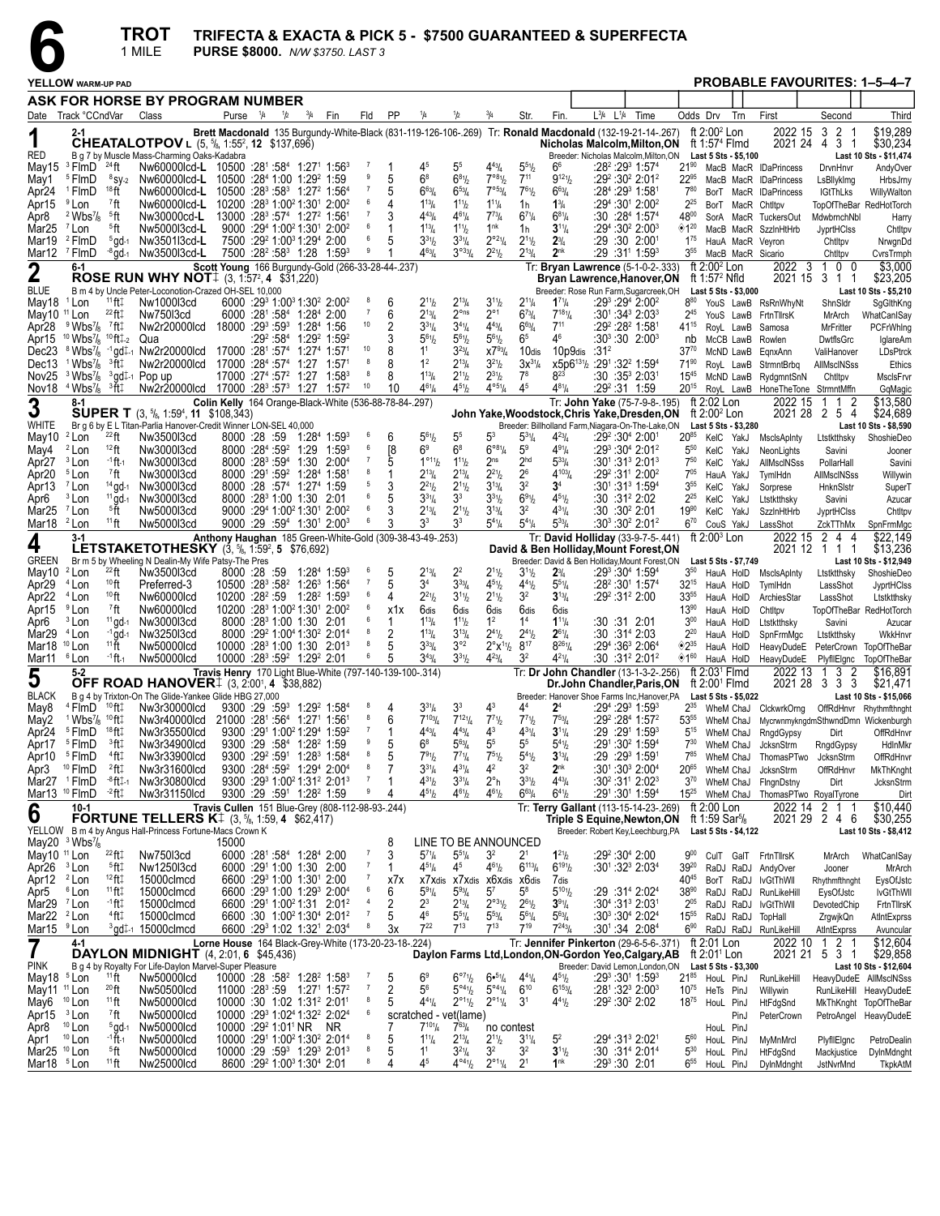

# **TROT** TRIFECTA & EXACTA & PICK 5 - \$7500 GUARANTEED & SUPERFECTA 1 MILE PURSE \$8000.  $NWS3750.$  LAST 3

|                                                   | YELLOW WARM-UP PAD                                                    |                                             |                                                                                                                                      |                                              |                                   |                                               |                                                                                                                                  |                         |                             |                         |                                                               |                                           |                                                    |                                           |                                                    |                                                                                                        |                                |                                                   | <b>PROBABLE FAVOURITES: 1-5-4-7</b>          |                                   |                                              |
|---------------------------------------------------|-----------------------------------------------------------------------|---------------------------------------------|--------------------------------------------------------------------------------------------------------------------------------------|----------------------------------------------|-----------------------------------|-----------------------------------------------|----------------------------------------------------------------------------------------------------------------------------------|-------------------------|-----------------------------|-------------------------|---------------------------------------------------------------|-------------------------------------------|----------------------------------------------------|-------------------------------------------|----------------------------------------------------|--------------------------------------------------------------------------------------------------------|--------------------------------|---------------------------------------------------|----------------------------------------------|-----------------------------------|----------------------------------------------|
|                                                   |                                                                       |                                             | ASK FOR HORSE BY PROGRAM NUMBER                                                                                                      |                                              |                                   |                                               |                                                                                                                                  |                         |                             |                         |                                                               |                                           |                                                    |                                           |                                                    |                                                                                                        |                                |                                                   |                                              |                                   |                                              |
|                                                   | Date Track °CCndVar                                                   |                                             | Class                                                                                                                                |                                              | Purse $\frac{1}{4}$ $\frac{1}{2}$ |                                               | $\frac{3}{4}$ Fin                                                                                                                |                         | Fld                         | <b>PP</b>               | 1/4                                                           | 1/2                                       | $^{3}/_{4}$                                        | Str.                                      | Fin.                                               | L <sup>3</sup> /4 L <sup>1</sup> /4 Time                                                               | Odds Drv                       | Trn                                               | First                                        | Second                            | Third                                        |
|                                                   | $2 - 1$                                                               |                                             |                                                                                                                                      |                                              |                                   |                                               |                                                                                                                                  |                         |                             |                         |                                                               |                                           |                                                    |                                           |                                                    | Brett Macdonald 135 Burgundy-White-Black (831-119-126-106-269) Tr: Ronald Macdonald (132-19-21-14-267) |                                | ft $2:002$ Lon                                    | 2022 15                                      | $\overline{2}$<br>-3<br>-1        | \$19,289                                     |
| RED                                               |                                                                       |                                             | CHEATALOTPOV L (5, 5/8, 1:55 <sup>2</sup> , 12 \$137,696)<br>B q 7 by Muscle Mass-Charming Oaks-Kadabra                              |                                              |                                   |                                               |                                                                                                                                  |                         |                             |                         |                                                               |                                           |                                                    |                                           |                                                    | Nicholas Malcolm, Milton, ON<br>Breeder: Nicholas Malcolm.Milton.ON                                    |                                | ft 1:57 <sup>4</sup> Flmd<br>Last 5 Sts - \$5,100 | 2021 24 4                                    | 3 <sub>1</sub>                    | \$30,234<br>Last 10 Sts - \$11,474           |
| May15                                             | <sup>3</sup> FlmD                                                     | $^{24}$ ft                                  | Nw60000lcd-L 10500 :281 :584 1:271 1:563                                                                                             |                                              |                                   |                                               |                                                                                                                                  |                         | - 7                         |                         |                                                               | 5 <sup>5</sup>                            | $4^{43}$ / <sub>4</sub>                            | $5^{51}$                                  | 66                                                 | :28² :29 <sup>3</sup> 1:57 <del>'</del>                                                                | $21^{90}$                      |                                                   | MacB MacR IDaPrincess                        | DrvnHnvr                          | AndyOver                                     |
| May1                                              | <sup>5</sup> FlmD                                                     | $8$ SV-2                                    | Nw60000lcd-L                                                                                                                         |                                              |                                   |                                               | 10500 :284 1:00 1:29 <sup>2</sup> 1:59                                                                                           |                         | 9                           | 5                       | 6 <sup>8</sup>                                                | $6^{81}$                                  | 7°8%                                               | $7^{11}$                                  | $9^{121}$                                          | :29 <sup>2</sup> :30 <sup>2</sup> 2:01 <sup>2</sup>                                                    | 22%                            |                                                   | MacB MacR IDaPrincess                        | LsBllvklma                        | HrbsJrny                                     |
| Apr24<br>Apr15                                    | <sup>1</sup> FlmD<br><sup>9</sup> Lon                                 | 18 <sub>ft</sub><br>7ft                     | Nw60000lcd-L<br>Nw60000lcd-L                                                                                                         |                                              |                                   |                                               | 10500 :283 :583 1:272 1:564<br>10200 :28 <sup>3</sup> 1:00 <sup>2</sup> 1:30 <sup>1</sup> 2:00 <sup>2</sup>                      |                         | $\overline{7}$<br>6         | 5<br>4                  | $6^{63}$ /4<br>$1^{13}/4$                                     | $6^{53}$<br>$1^{11}h$                     | 7°53/4<br>$1^{11}/4$                               | $7^{61}/2$                                | $6^{63}/4$<br>$1\frac{3}{4}$                       | :284 :293 1:581<br>$:29^4:30^1$ 2:00 <sup>2</sup>                                                      | 780<br>$2^{25}$                |                                                   | BorT MacR IDaPrincess                        | <b>IGtThLks</b>                   | WillyWalton                                  |
| Apr8                                              | $2$ Wbs <sup>7</sup> / <sub>8</sub>                                   | <sup>5</sup> ft                             | Nw30000cd-L                                                                                                                          |                                              |                                   |                                               | 13000 :28 <sup>3</sup> :57 <sup>4</sup> 1:27 <sup>2</sup> 1:561                                                                  |                         | -7                          | 3                       | $4^{43}$ / <sub>4</sub>                                       | $4^{6}$ <sup>1</sup> / <sub>4</sub>       | $7^{73}$                                           | 1h<br>$6^{7}$ <sup>1</sup> / <sub>4</sub> | $6^{81}/4$                                         | :30:28 <sup>4</sup> 1:57 <sup>4</sup>                                                                  | 4800                           | BorT MacR Chtltpv                                 | SorA MacR TuckersOut                         | MdwbrnchNbl                       | TopOfTheBar RedHotTorch<br>Harry             |
| Mar <sub>25</sub>                                 | <sup>7</sup> Lon                                                      | <sup>5</sup> ft                             | Nw5000l3cd-L                                                                                                                         |                                              |                                   |                                               | 9000 :294 1:00 <sup>2</sup> 1:30 <sup>1</sup> 2:00 <sup>2</sup>                                                                  |                         | 6                           |                         | $1^{13}/4$                                                    | $1^{11}b$                                 | 1 <sup>nk</sup>                                    | 1h                                        | $3^{11}/4$                                         | :29 <sup>4</sup> :30 <sup>2</sup> 2:00 <sup>3</sup>                                                    | $\diamondsuit$ 1 <sup>20</sup> |                                                   | MacB MacR SzzinHtHrb                         | JyprtHClss                        | Chtltpv                                      |
| Mar19                                             | <sup>2</sup> FlmD                                                     | $5$ gd-1                                    | Nw3501l3cd-L                                                                                                                         |                                              |                                   |                                               | 7500 :29 <sup>2</sup> 1:00 <sup>3</sup> 1:29 <sup>4</sup> 2:00                                                                   |                         | 6<br>9                      | 5                       | $3^{31}$ / <sub>2</sub>                                       | $3^{31}/4$                                | $2^{\circ 2\frac{1}{4}}$                           | $2^{11}/2$                                | $2\frac{3}{4}$                                     | :29 :30 2:001                                                                                          | $1^{75}$                       | HauA MacR Veyron                                  |                                              | Chtltpv                           | NrwgnDd                                      |
| Mar12                                             | <sup>7</sup> FlmD<br>$6 - 1$                                          |                                             | $-8$ ad-1 Nw350013cd-L                                                                                                               |                                              |                                   |                                               | 7500 :28 <sup>2</sup> :58 <sup>3</sup> 1:28 1:59 <sup>3</sup><br>Scott Young 166 Burgundy-Gold (266-33-28-44-.237)               |                         |                             |                         | $4^{63}$ /4                                                   | $3^{033}/4$                               | $2^{21}/2$                                         | $2^{13}$ /4                               | 2 <sup>nk</sup>                                    | :29 :31' 1:59ª<br>Tr: Bryan Lawrence (5-1-0-2-.333)                                                    | $3^{55}$                       | MacB MacR Sicario<br>ft $2:002$ Lon               | 2022 3                                       | Chtltpv<br>0 <sub>0</sub><br>-1   | CvrsTrmph<br>\$3,000                         |
| 2                                                 |                                                                       |                                             | <b>ROSE RUN WHY NOT</b> $(3, 1.57^2, 4, $31,220)$                                                                                    |                                              |                                   |                                               |                                                                                                                                  |                         |                             |                         |                                                               |                                           |                                                    |                                           |                                                    | <b>Bryan Lawrence, Hanover, ON</b>                                                                     |                                | ft 1:57 <sup>2</sup> Nfld                         |                                              | 2021 15 3 1<br>$\overline{1}$     | \$23,205                                     |
| <b>BLUE</b>                                       |                                                                       |                                             | B m 4 by Uncle Peter-Loconotion-Crazed OH-SEL 10,000                                                                                 |                                              |                                   |                                               |                                                                                                                                  |                         |                             |                         |                                                               |                                           |                                                    |                                           |                                                    | Breeder: Rose Run Farm, Sugarcreek, OH                                                                 |                                | Last 5 Sts - \$3,000                              |                                              |                                   | Last 10 Sts - \$5,210                        |
| May18 <sup>1</sup> Lon<br>May10                   | $11$ Lon                                                              | $11$ ft $\ddagger$<br>$^{22}$ ft $\ddagger$ | Nw1000l3cd<br>Nw75013cd                                                                                                              |                                              |                                   |                                               | 6000 :293 1:003 1:302 2:002<br>6000 :281 :584 1:284 2:00                                                                         |                         | 8<br>$\overline{7}$         | 6<br>6                  | $2^{11}h$<br>$2^{13}/4$                                       | $2^{13}$ /4<br>$2^{\circ}$ ns             | $3^{11}/2$<br>$2^{\circ}1$                         | $2^{11}/4$<br>$6^{73}/4$                  | $1^{71}/4$<br>$7^{18}$ <sup>1</sup> / <sub>4</sub> | $:29^3:29^4$ 2:00 <sup>2</sup><br>$:30^{1}.34^{3}.2:03^{3}$                                            | $8^{80}$<br>245                |                                                   | YouS LawB RsRnWhyNt<br>YouS LawB FrtnTllrsK  | ShnSIdr<br>MrArch                 | SgGlthKng<br>WhatCanISay                     |
| Apr28                                             | $9$ Wbs <sup>7</sup> / <sub>8</sub>                                   | 7ft‡                                        | Nw2r20000lcd                                                                                                                         |                                              |                                   |                                               | 18000 :293 :593 1:284 1:56                                                                                                       |                         | 10                          | 2                       | $3^{31}/4$                                                    | $3^{4}$ <sup>1</sup> / <sub>4</sub>       | $4^{43}$ / <sub>4</sub>                            | $6^{63}/4$                                | $7^{11}$                                           | :29 <sup>2</sup> :28 <sup>2</sup> 1:581                                                                | 41 <sup>15</sup>               | RoyL LawB                                         | Samosa                                       | MrFritter                         | PCFrWhing                                    |
| Apr15                                             | $10$ Wbs $\frac{7}{8}$                                                | <sup>10</sup> ft‡-2                         | Qua                                                                                                                                  |                                              |                                   |                                               | :29 <sup>2</sup> :58 <sup>4</sup> 1:29 <sup>2</sup> 1:59 <sup>2</sup>                                                            |                         |                             | 3                       | $5^{61}$                                                      | $5^{61}h$                                 | $5^{61}/2$                                         | 6 <sup>5</sup>                            | 46                                                 | $:30^3:30$ 2:00 $^3$                                                                                   | nb                             | McCB LawB Rowlen                                  |                                              | DwtflsGrc                         | IglareAm                                     |
| Dec23<br>Dec13                                    | <sup>8</sup> Wbs <sup>7</sup> / <sub>8</sub><br>$1$ Wbs $\frac{7}{8}$ | $-1$ ad $\pm$ -1<br><sup>3</sup> ft‡        | Nw2r20000lcd<br>Nw2r20000lcd                                                                                                         | 17000 :281 :574<br>17000 :284 :574           |                                   |                                               | 1:27 <sup>4</sup><br>1:57'<br>1:27                                                                                               | 10<br>$1:57^{1}$        | 8                           | 8<br>8                  | 1 <sup>1</sup><br>1 <sup>2</sup>                              | $3^{23}$ /4<br>$2^{13}$ /4                | $X7^{93}/4$<br>$3^{21}/2$                          | 10dis<br>$3x^{31/4}$                      | 10p9dis<br>$x5p6^{13}$ <sup>1</sup> / <sub>2</sub> | :31 <sup>2</sup><br>$:29^1:32^2$ 1:59 <sup>4</sup>                                                     | $37^{70}$<br>$71^{90}$         | McND LawB                                         | EqnxAnn<br>RoyL LawB StrmntBrbg              | ValiHanover<br><b>AllMscINSss</b> | LDsPtrck<br>Ethics                           |
| Nov <sub>25</sub>                                 | $3$ Wbs $\frac{7}{8}$                                                 |                                             | 3gd1-1 Pop up                                                                                                                        | 17000 :27 <sup>4</sup> :57 <sup>2</sup> 1:27 |                                   |                                               |                                                                                                                                  | $1:58^3$                | 8                           | 8                       | $1^{13}/4$                                                    | $2^{11}h$                                 | $2^{31}/2$                                         | $7^8$                                     | $8^{23}$                                           | :30 :35ª 2:03ª                                                                                         | $15^{45}$                      |                                                   | McND LawB RydgmntSnN                         | Chtltpv                           | MsclsFrvr                                    |
| Nov18                                             | $4$ Wbs $\frac{7}{8}$                                                 | <sup>3</sup> ft‡                            | Nw2r20000lcd 17000 :28 <sup>3</sup> :57 <sup>3</sup> 1:27                                                                            |                                              |                                   |                                               |                                                                                                                                  | 10<br>1:57 <sup>2</sup> |                             | 10                      | $4^{61}/4$                                                    | $4^{51}h$                                 | $4^{\circ 5}$ <sup>1</sup> / <sub>4</sub>          | 45                                        | $4^{81}/4$                                         | :29 <sup>2</sup> :31 1:59                                                                              | 2015                           |                                                   | RoyL LawB HoneTheTone StrmntMffn             |                                   | GqMagic                                      |
| $\boldsymbol{3}$                                  | $8-1$                                                                 |                                             |                                                                                                                                      |                                              |                                   |                                               | Colin Kelly 164 Orange-Black-White (536-88-78-84-.297)                                                                           |                         |                             |                         |                                                               |                                           |                                                    |                                           |                                                    | Tr: John Yake (75-7-9-8-.195)                                                                          | ft 2:02 Lon                    |                                                   | 2022 15                                      | 2<br>-1                           | \$13,580                                     |
| WHITE                                             |                                                                       |                                             | <b>SUPER T</b> $(3, \frac{5}{6}, 1:59^4, 11, \frac{1}{6}108,343)$<br>Br g 6 by E L Titan-Parlia Hanover-Credit Winner LON-SEL 40,000 |                                              |                                   |                                               |                                                                                                                                  |                         |                             |                         |                                                               |                                           |                                                    |                                           |                                                    | John Yake, Woodstock, Chris Yake, Dresden, ON<br>Breeder: Billholland Farm, Niagara-On-The-Lake, ON    |                                | ft $2:002$ Lon<br>Last 5 Sts - \$3,280            |                                              | 2021 28 2 5 4                     | \$24,689<br>Last 10 Sts - \$8,590            |
| May10                                             | <sup>2</sup> Lon                                                      | $^{22}$ ft                                  | Nw3500l3cd                                                                                                                           | 8000 28 59                                   |                                   |                                               | 1:284 1:593                                                                                                                      |                         | -6                          | 6                       | $5^{61}h$                                                     | 5 <sup>5</sup>                            | 53                                                 | $5^{3}$ <sup>1</sup> / <sub>4</sub>       | $4^{23}l_4$                                        | :29 <sup>2</sup> :30 <sup>4</sup> 2:001                                                                | $20^{85}$                      | KelC YakJ                                         | <b>MsclsApInty</b>                           | Ltstktthsky                       | ShoshieDeo                                   |
| May4                                              | <sup>2</sup> Lon                                                      | $12$ ft                                     | Nw3000l3cd                                                                                                                           | $8000 : 284 : 59^2$                          |                                   |                                               | 1:29                                                                                                                             | $1:59^3$                | 6                           | [8                      | 6 <sup>9</sup>                                                | 6 <sup>8</sup>                            | $6^{981}/4$                                        | 5 <sup>9</sup>                            | $4^{91}/4$                                         | :29 <sup>3</sup> :30 <sup>4</sup> 2:01 <sup>2</sup>                                                    | $5^{50}$                       | KelC YakJ                                         | NeonLights                                   | Savini                            | Jooner                                       |
| Apr <sub>27</sub><br>Apr <sub>20</sub>            | <sup>3</sup> Lon<br><sup>5</sup> Lon                                  | $-1$ ft $-1$<br><sup>7</sup> ft             | Nw3000l3cd<br>Nw3000l3cd                                                                                                             | $8000 \cdot 283 \cdot 594$                   |                                   |                                               | 1:30 2:00 <sup>4</sup><br>8000 :291 :592 1:284 1:581                                                                             |                         | $\overline{7}$<br>8         | 5<br>1                  | $1^{\circ 11}h$<br>$2^{13}/4$                                 | $1^{11}h$<br>$2^{13}$ /4                  | 2 <sup>ns</sup><br>$2^{2^{1}}$                     | 2 <sup>hd</sup><br>2 <sup>6</sup>         | $5^{33}/4$<br>$4^{103}$                            | $:30^1:31^3$ 2:01 <sup>3</sup><br>:29 <sup>2</sup> :31 <sup>1</sup> 2:00 <sup>2</sup>                  | $7^{50}$<br>$7^{05}$           | KelC YakJ<br>HauA YakJ                            | <b>AllMscINSss</b><br>TymlHdn                | PollarHall<br>AllMscINSss         | Savini<br>Willywin                           |
| Apr13                                             | $7$ Lon                                                               | $14$ gd-1                                   | Nw3000l3cd                                                                                                                           |                                              |                                   |                                               | 8000 :28 :574 1:274 1:59                                                                                                         |                         | 5                           | 3                       | $2^{21}h$                                                     | $2^{11}h$                                 | $3^{13}/4$                                         | 3 <sup>2</sup>                            | 3 <sup>4</sup>                                     | :301:31 <sup>3</sup> 1:59 <sup>4</sup>                                                                 | 3 <sup>55</sup>                | KelC YakJ                                         | Sorprese                                     | HnknSlstr                         | SuperT                                       |
| Apr6                                              | <sup>3</sup> Lon                                                      | $11$ gd-1                                   | Nw3000l3cd                                                                                                                           |                                              |                                   |                                               | 8000 :28 <sup>3</sup> 1:00 1:30 2:01                                                                                             |                         | 6                           | 5                       | $3^{31}/4$                                                    | 3 <sup>3</sup>                            | $3^{31}$ / <sub>2</sub>                            | 691/2                                     | $4^{51}/2$                                         | $:30:31^22:02$                                                                                         | $2^{25}$                       | KelC<br>YakJ                                      | Ltstktthsky                                  | Savini                            | Azucar                                       |
| Mar <sub>25</sub>                                 | <sup>7</sup> Lon                                                      | §Ťt                                         | Nw5000l3cd                                                                                                                           |                                              |                                   |                                               | 9000 :294 1:00 <sup>2</sup> 1:30 <sup>1</sup> 2:00 <sup>2</sup>                                                                  |                         | 6<br>6                      | 3                       | $2^{13}$ /4                                                   | $2^{11}h$                                 | $3^{13}/4$                                         | 3 <sup>2</sup>                            | $4^{31}/4$                                         | :30:30 <sup>2</sup> 2:01                                                                               | 1990                           | KelC YakJ                                         | SzzinHtHrb                                   | JyprtHClss                        | Chtltpv                                      |
| Mar18 <sup>2</sup> Lon                            | $3-1$                                                                 | $1111$ ft                                   | Nw5000l3cd                                                                                                                           |                                              |                                   |                                               | $9000 : 29 : 594 1 : 301 2 : 003$<br>Anthony Haughan 185 Green-White-Gold (309-38-43-49-.253)                                    |                         |                             | 3                       | 3 <sup>3</sup>                                                | 33                                        | $5^{41}$ /4                                        | $5^{41}$ /4                               | $5^{33}$ /4                                        | $:30^3:30^2$ 2:01 <sup>2</sup><br>Tr: David Holliday (33-9-7-5-.441)                                   | $6^{70}$                       | CouS YakJ<br>ft 2:00 <sup>3</sup> Lon             | LassShot<br>2022 15 2                        | ZckTThMx<br>44                    | SpnFrmMgc<br>\$22,149                        |
| 4                                                 |                                                                       |                                             | <b>LETSTAKETOTHESKY</b> $(3, 5/8, 1:59^2, 5, 576, 692)$                                                                              |                                              |                                   |                                               |                                                                                                                                  |                         |                             |                         |                                                               |                                           |                                                    |                                           |                                                    | David & Ben Holliday, Mount Forest, ON                                                                 |                                |                                                   |                                              | 2021 12 1 1 1                     | \$13,236                                     |
| GREEN                                             |                                                                       |                                             | Br m 5 by Wheeling N Dealin-My Wife Patsy-The Pres                                                                                   |                                              |                                   |                                               |                                                                                                                                  |                         |                             |                         |                                                               |                                           |                                                    |                                           |                                                    | Breeder: David & Ben Holliday, Mount Forest, ON                                                        |                                | Last 5 Sts \$7,749                                |                                              |                                   | Last 10 Sts - \$12,949                       |
| May10<br>Apr <sub>29</sub>                        | <sup>2</sup> Lon<br><sup>4</sup> Lon                                  | $^{22}$ ft<br>10 <sub>ft</sub>              | Nw3500l3cd<br>Preferred-3                                                                                                            | 8000 28 59                                   |                                   |                                               | 1:284 1:593<br>10500 :28 <sup>3</sup> :58 <sup>2</sup> 1:26 <sup>3</sup> 1:56 <sup>4</sup>                                       |                         | -6<br>$\overline{7}$        | 5<br>5                  | $2^{13}/4$<br>3 <sup>4</sup>                                  | 2 <sup>2</sup><br>$3^{33}/4$              | $2^{11}/2$<br>$4^{51}/2$                           | $3^{11}/2$<br>$4^{41}$                    | $2^{3}/4$<br>$5^{51}/4$                            | :293 :304 1:594<br>:28 <sup>2</sup> :30 <sup>1</sup> 1:57 <sup>4</sup>                                 | $3^{50}$<br>$32^{15}$          | HauA HolD<br>HauA HolD                            | MsclsApInty<br>TymlHdn                       | Ltstktthsky<br>LassShot           | ShoshieDeo<br>JyprtHClss                     |
| Apr <sub>22</sub>                                 | <sup>4</sup> Lon                                                      | 10 <sub>ft</sub>                            | Nw60000lcd                                                                                                                           |                                              |                                   |                                               | 10200 :28 <sup>2</sup> :59 1:28 <sup>2</sup> 1:59 <sup>3</sup>                                                                   |                         | 6                           | 4                       | $2^{21}h$                                                     | $3^{11}h$                                 | $2^{11}h$                                          | 3 <sup>2</sup>                            | $3^{13}/4$                                         | :29 <sup>2</sup> :31 <sup>2</sup> 2:00                                                                 | 3355                           | HauA HolD                                         | ArchiesStar                                  | LassShot                          | Ltstktthsky                                  |
| Apr15                                             | <sup>9</sup> Lon                                                      | $7$ ft                                      | Nw60000lcd                                                                                                                           |                                              |                                   |                                               | 10200 :28 <sup>3</sup> 1:00 <sup>2</sup> 1:30 <sup>1</sup> 2:00 <sup>2</sup>                                                     |                         | 6                           | x1x                     | 6dis                                                          | 6dis                                      | 6dis                                               | 6dis                                      | 6dis                                               |                                                                                                        | $13^{90}$                      | HauA HolD                                         | Chtltpv                                      |                                   | TopOfTheBar RedHotTorch                      |
| Apr6                                              | <sup>3</sup> Lon<br>$4$ Lon                                           | $11$ gd-1<br>$-1$ gd $-1$                   | Nw3000l3cd                                                                                                                           |                                              |                                   |                                               | 8000 :28 <sup>3</sup> 1:00 1:30 2:01<br>8000 :29 <sup>2</sup> 1:00 <sup>4</sup> 1:30 <sup>2</sup> 2:01 <sup>4</sup>              |                         | 6<br>8                      | 1<br>2                  | $1^{13}$ / <sub>4</sub><br>$1^{13}/4$                         | $1^{11}h$<br>$3^{13}/4$                   | 1 <sup>2</sup><br>$2^{41}/2$                       | 1 <sup>4</sup><br>$2^{41}/2$              | $1^{11}/4$<br>$2^{61}/4$                           | :30 :31 2:01<br>:30 :31 <sup>4</sup> 2:03                                                              | 3 <sub>00</sub><br>$2^{20}$    | HauA HolD                                         | Ltstktthsky                                  | Savini                            | Azucar                                       |
| Mar <sub>29</sub><br>Mar18                        | $10$ Lon                                                              | $11\text{ }\H{}$                            | Nw3250l3cd<br>Nw50000lcd                                                                                                             |                                              |                                   |                                               | 10000 :28 <sup>3</sup> 1:00 1:30 2:01 <sup>3</sup>                                                                               |                         | 8                           | 5                       | $3^{33}/4$                                                    | $3^{\circ 2}$                             | $2^{\circ}x^{1}$ <sup>1</sup> / <sub>2</sub>       | $8^{17}$                                  | $8^{261}/4$                                        | :29 <sup>4</sup> :36 <sup>3</sup> 2:06 <sup>4</sup>                                                    | $^{\circ}2^{35}$               | HauA HolD<br>HauA HolD                            | SpnFrmMgc                                    | Ltstktthsky                       | WkkHnvr<br>HeavyDudeE PeterCrown TopOfTheBar |
| Mar11                                             | <sup>6</sup> Lon                                                      | -1 <b>ft</b> -1                             | Nw50000lcd                                                                                                                           |                                              |                                   |                                               | 10000 :28 <sup>3</sup> :59 <sup>2</sup> 1:29 <sup>2</sup> 2:01                                                                   |                         | 6                           | 5                       | $3^{43}$ /4                                                   | $3^{31}h$                                 | $4^{23}l_4$                                        | 32                                        | $4^{21}/4$                                         | :30 :31º 2:01º                                                                                         | ◈1"                            | HauA HolD                                         | HeavyDudeE                                   | PlyfllElgnc                       | TopOfTheBar                                  |
| 5                                                 | $5 - 2$                                                               |                                             |                                                                                                                                      |                                              |                                   |                                               | Travis Henry 170 Light Blue-White (797-140-139-100-.314)                                                                         |                         |                             |                         |                                                               |                                           |                                                    |                                           |                                                    | Tr: Dr John Chandler (13-1-3-2-.256)                                                                   |                                | ft $2:031$ Fimd                                   | 2022 13                                      | 3<br>-2<br>-1                     | \$16.891                                     |
| <b>BLACK</b>                                      |                                                                       |                                             | <b>OFF ROAD HANOVER</b> 4 (3, 2:00 <sup>1</sup> , 4 (\$38,882)<br>B g 4 by Trixton-On The Glide-Yankee Glide HBG 27,000              |                                              |                                   |                                               |                                                                                                                                  |                         |                             |                         |                                                               |                                           |                                                    |                                           |                                                    | Dr.John Chandler, Paris, ON<br>Breeder: Hanover Shoe Farms Inc, Hanover, PA                            |                                | ft $2:001$ Flmd<br>Last 5 Sts - \$5,022           |                                              | 2021 28 3 3 3                     | \$21,471<br>Last 10 Sts - \$15,066           |
| May8                                              | <sup>4</sup> FlmD                                                     | <sup>10</sup> ft‡                           | Nw3r30000lcd                                                                                                                         |                                              |                                   |                                               | 9300 :29 :59 1:29 1:58 4                                                                                                         |                         | 8                           | 4                       | $3^{31}/4$                                                    | 3 <sup>3</sup>                            | 4 <sup>3</sup>                                     | 44                                        | 2 <sup>4</sup>                                     | :29 <sup>4</sup> :29 <sup>3</sup> 1:59 <sup>3</sup>                                                    | $2^{35}$                       | WheM ChaJ                                         | ClckwrkOrng                                  |                                   | OffRdHnvr Rhythmfthnght                      |
| May2                                              | $1$ Wbs $\frac{7}{8}$                                                 | $10$ ft $\ddagger$                          | Nw3r40000lcd                                                                                                                         |                                              |                                   |                                               | 21000 :281 :564 1:271 1:561                                                                                                      |                         | 8<br>$\overline{7}$         | 6                       | $7^{103}$ /4                                                  | $7^{12}$ <sup>1</sup> / <sub>4</sub>      | $7^{71}h$                                          | $7^{7}$ <sup>1</sup> / <sub>2</sub>       | $7^{53}/4$                                         | :29 <sup>2</sup> :28 <sup>4</sup> 1:57 <sup>2</sup>                                                    | 5355                           | WheM ChaJ                                         |                                              |                                   | MycrwnmykngdmSthwndDmn Wickenburgh           |
| Apr <sub>24</sub><br>Apr17                        | <sup>5</sup> FlmD<br><sup>5</sup> FlmD                                | 18 ft:<br>∃°ft                              | Nw3r35500lcd<br>Nw3r34900lcd                                                                                                         |                                              |                                   | 9300 :291 1:00 <sup>2</sup> 1:29 <sup>4</sup> | 9300 :29 :584 1:28 <sup>2</sup> 1:59                                                                                             | 1:59 <sup>2</sup>       | 9                           | 1<br>5                  | $4^{43}$ /4<br>$6^8$                                          | $4^{43}/4$<br>$5^{63}$ /4                 | 4 <sup>3</sup><br>5 <sup>5</sup>                   | $4^{31}/4$<br>55                          | $3^{11}/4$<br>$5^{41}$ / <sub>2</sub>              | :29 :291 1:593<br>:291:30 <sup>2</sup> 1:59 <sup>4</sup>                                               | $5^{15}$<br>$7^{30}$           | WheM ChaJ<br>WheM ChaJ                            | RngdGypsy<br><b>JcksnStrm</b>                | Dirt                              | OffRdHnvr<br>HdlnMkr                         |
| Apr10                                             | <sup>5</sup> FlmD                                                     | 4ft‡                                        | Nw3r33900lcd                                                                                                                         |                                              |                                   |                                               | $9300 :29^2 :59^1$ 1:28 <sup>3</sup> 1:58 <sup>4</sup>                                                                           |                         | 8                           | 5                       | 791 <sub>b</sub>                                              | $7^{71}$ /4                               | $7^{51}$                                           | $5^{4}$ <sup>1</sup> / <sub>2</sub>       | $3^{13}/4$                                         | :29 :29 <sup>3</sup> 1:591                                                                             | 785                            |                                                   | WheM ChaJ ThomasPTwo                         | RngdGypsy<br>JcksnStrm            | OffRdHnvr                                    |
| Apr3                                              | <sup>10</sup> FlmD                                                    | 2ft‡                                        | Nw3r31600lcd                                                                                                                         |                                              |                                   |                                               | 9300 :284 :59 <sup>2</sup> 1:294 2:004                                                                                           |                         | 8                           |                         | $3^{31}/4$                                                    | $4^{31}/4$                                | 4 <sup>2</sup>                                     | 3 <sup>2</sup>                            | 2 <sup>nk</sup>                                    | :30 <sup>1</sup> :30 <sup>3</sup> 2:00 <sup>4</sup>                                                    | 2065                           |                                                   | WheM ChaJ JcksnStrm                          | OffRdHnvr                         | MkThKnght                                    |
| Mar27 <sup>1</sup> FlmD                           |                                                                       | <sup>-8</sup> ft‡-1                         | Nw3r30800lcd                                                                                                                         |                                              |                                   |                                               | 9300 :293 1:00 <sup>2</sup> 1:31 <sup>2</sup> 2:01 <sup>3</sup>                                                                  |                         | $\overline{7}$<br>9         | 1<br>4                  | $4^{31} / 2$                                                  | $3^{31}/4$                                | $2^{\circ}$ h                                      | $3^{31} / 2$<br>$6^{63}/4$                | $4^{43}/4$                                         | :30 <sup>2</sup> :31 <sup>1</sup> 2:02 <sup>3</sup>                                                    | $3^{70}$                       |                                                   | WheM ChaJ FingnDstny                         | Dirt                              | <b>JcksnStrm</b>                             |
| Mar13 <sup>10</sup> FlmD                          | $10-1$                                                                | $^{-2}$ ft $\ddagger$                       | Nw3r31150lcd                                                                                                                         |                                              |                                   |                                               | 9300 :29 :591 1:28 <sup>2</sup> 1:59<br>Travis Cullen 151 Blue-Grey (808-112-98-93-.244)                                         |                         |                             |                         | $4^{51}$ /2                                                   | $4^{61}h$                                 | $4^{61}/2$                                         |                                           | $6^{41}/2$                                         | :291:301 1:594<br>Tr: Terry Gallant (113-15-14-23-.269)                                                | $15^{25}$<br>ft 2:00 Lon       |                                                   | WheM ChaJ ThomasPTwo RoyalTyrone             | 2022 14 2 1<br>-1                 | Dirt<br>\$10,440                             |
| 6                                                 |                                                                       |                                             | <b>FORTUNE TELLERS K</b> <sup><math>\uparrow</math></sup> (3, $\frac{6}{6}$ , 1:59, 4 \$62,417)                                      |                                              |                                   |                                               |                                                                                                                                  |                         |                             |                         |                                                               |                                           |                                                    |                                           |                                                    | Triple S Equine, Newton, ON                                                                            |                                | ft 1:59 $\text{Sar}^{5}/_{8}$                     |                                              | 2021 29 2 4 6                     | \$30,255                                     |
|                                                   |                                                                       |                                             | YELLOW B m 4 by Angus Hall-Princess Fortune-Macs Crown K                                                                             |                                              |                                   |                                               |                                                                                                                                  |                         |                             |                         |                                                               |                                           |                                                    |                                           |                                                    | Breeder: Robert Key, Leechburg, PA                                                                     |                                | Last 5 Sts - \$4,122                              |                                              |                                   | Last 10 Sts - \$8,412                        |
| May10 <sup>11</sup> Lon                           | May20 $3$ Wbs <sup>7</sup> / <sub>8</sub>                             | $^{22}$ ft $\ddagger$                       | Nw750l3cd                                                                                                                            | 15000                                        |                                   |                                               | 6000 :281 :584 1:284 2:00                                                                                                        |                         | $\overline{7}$              | 8<br>3                  | LINE TO BE ANNOUNCED<br>$5^{71}/4$                            | $5^{51}/4$                                | 3 <sup>2</sup>                                     | $2^1$                                     | $1^{21}/2$                                         | :29 <sup>2</sup> :30 <sup>4</sup> 2:00                                                                 | 9 <sup>00</sup>                |                                                   | CulT GalT FrtnTllrsK                         | MrArch                            | WhatCanISay                                  |
| Apr26 <sup>3</sup> Lon                            |                                                                       | $5$ ft‡                                     | Nw1250l3cd                                                                                                                           |                                              |                                   |                                               | 6000 :291 1:00 1:30 2:00                                                                                                         |                         | 7                           | 1                       | $4^{51}/4$                                                    | 45                                        | $4^{61}/2$                                         | $6^{113}/4$                               | $6^{191}/2$                                        | $:30^1:32^3 2:03^4$                                                                                    | $39^{20}$                      |                                                   | RaDJ RaDJ AndyOver                           | Jooner                            | MrArch                                       |
| Apr12 <sup>2</sup> Lon                            |                                                                       | <sup>12</sup> ft‡                           | 15000clmcd                                                                                                                           |                                              |                                   |                                               | 6600 :293 1:00 1:301 2:00                                                                                                        |                         | $\overline{7}$              | x7x                     |                                                               | X7Xdis X7Xdis X6Xdis X6dis                |                                                    |                                           | 7dis                                               |                                                                                                        | $40^{45}$                      |                                                   | BorT RaDJ lvGtThWll                          | Rhythmfthnght                     | EysOfJstc                                    |
| Apr5<br>Mar29 <sup>7</sup> Lon                    | <sup>6</sup> Lon                                                      | 11 ft‡<br>-1ft‡                             | 15000clmcd<br>15000clmcd                                                                                                             |                                              |                                   |                                               | 6600 :293 1:00 1:293 2:004<br>6600 :291 1:00 <sup>2</sup> 1:31 2:01 <sup>2</sup>                                                 |                         | $\,6\,$<br>$\overline{4}$   | 6<br>$\overline{c}$     | $5^{91}/4$<br>$2^3$                                           | $5^{93}$ /4<br>$2^{13}/4$                 | $5^7$<br>$2^{\circ 3}$ <sup>1</sup> / <sub>2</sub> | $5^8$<br>$2^{61}/2$                       | $5^{101}h$<br>$3^{91}/4$                           | :29:31 <sup>4</sup> 2:02 <sup>4</sup><br>$:30^4:31^3$ 2:031                                            | $38^{90}$<br>$2^{05}$          |                                                   | RaDJ RaDJ RunLikeHill<br>RaDJ RaDJ IvGtThWll | EysOfJstc                         | IvGtThWll                                    |
| Mar22 <sup>2</sup> Lon                            |                                                                       | $4$ ft‡                                     | 15000clmcd                                                                                                                           |                                              |                                   |                                               | 6600 :30 1:00 <sup>2</sup> 1:30 <sup>4</sup> 2:01 <sup>2</sup>                                                                   |                         |                             | 5                       | 46                                                            | $5^{51}/4$                                | $5^{53}$ /4                                        | $5^{6}$ <sup>1</sup> / <sub>4</sub>       | $5^{63}/4$                                         | $:30^3:30^4$ 2:02 <sup>4</sup>                                                                         | $15^{55}$                      | RaDJ RaDJ TopHall                                 |                                              | DevotedChip<br>ZrgwjkQn           | FrtnTllrsK<br>AtIntExprss                    |
| Mar15 <sup>9</sup> Lon                            |                                                                       |                                             | $3$ gd $\ddagger$ -1 15000clmcd                                                                                                      |                                              |                                   |                                               | 6600 :293 1:02 1:321 2:034                                                                                                       |                         | 8                           | Зx                      | $7^{22}$                                                      | $7^{13}$                                  | $7^{13}$                                           | $7^{19}$                                  | $7^{243}$ /4                                       | :30 <sup>1</sup> :34 2:08 <sup>4</sup>                                                                 | $6^{90}$                       |                                                   | RaDJ RaDJ RunLikeHill                        | AtIntExprss                       | Avuncular                                    |
| 7                                                 | 4-1                                                                   |                                             |                                                                                                                                      |                                              |                                   |                                               | Lorne House 164 Black-Grey-White (173-20-23-18-.224)                                                                             |                         |                             |                         |                                                               |                                           |                                                    |                                           |                                                    | Tr: Jennifer Pinkerton (29-6-5-6-.371)                                                                 | ft 2:01 Lon                    |                                                   | 2022 10 1                                    | 2 1                               | \$12,604                                     |
| <b>PINK</b>                                       |                                                                       |                                             | <b>DAYLON MIDNIGHT</b> (4, 2:01, 6 \$45,436)<br>B g 4 by Royalty For Life-Daylon Marvel-Super Pleasure                               |                                              |                                   |                                               |                                                                                                                                  |                         |                             |                         |                                                               |                                           |                                                    |                                           |                                                    | Daylon Farms Ltd, London, ON-Gordon Yeo, Calgary, AB<br>Breeder: David Lemon, London, ON               |                                | ft 2:01 <sup>1</sup> Lon<br>Last 5 Sts - \$3,300  | 2021 21                                      | 5 3 1                             | \$29,858<br>Last 10 Sts - \$12,604           |
| May18 <sup>5</sup> Lon                            |                                                                       | $11$ ft                                     | Nw50000lcd                                                                                                                           |                                              |                                   |                                               | $10000:28:5821:2821:583$                                                                                                         |                         |                             | 5                       | 69                                                            | $6^{\circ 7}$ 1/2                         | $6•^{51}/4$                                        | $4^{41}/4$                                | $4^{51}/2$                                         | :293 :301 1:593                                                                                        | 21 <sup>85</sup> HouL PinJ     |                                                   | RunLikeHill                                  |                                   | HeavyDudeE AllMsclNSss                       |
| May11 <sup>11</sup> Lon                           |                                                                       | 20 <sub>ft</sub>                            | Nw50500lcd                                                                                                                           |                                              |                                   |                                               | $11000$ :28 <sup>3</sup> :59 $1:27^1$ 1:57 <sup>2</sup>                                                                          |                         | $\overline{7}$              | $\overline{\mathbf{c}}$ | 56                                                            | $5^{\circ 4}$ <sup>1</sup> / <sub>2</sub> | $5^{\circ 4}$ <sup>1</sup> / <sub>4</sub>          | $6^{10}$                                  | $6^{153}/4$                                        | $:28^1:32^3$ 2:00 <sup>3</sup>                                                                         | 1075 HeTs PinJ                 |                                                   | Willywin                                     |                                   | RunLikeHill HeavyDudeE                       |
| May6                                              | <sup>10</sup> Lon                                                     | $11$ ft<br><sup>7</sup> ft                  | Nw50000lcd                                                                                                                           |                                              |                                   |                                               | 10000 :30 1:02 1:31 <sup>2</sup> 2:01 <sup>1</sup>                                                                               |                         | $\boldsymbol{8}$<br>$\,6\,$ | 5                       | $4^{41}/4$                                                    | $2^{\circ_{11}}\frac{1}{2}$               | $2^{\circ 11}/4$                                   | 3 <sup>1</sup>                            | $4^{41}$ / <sub>2</sub>                            | :29 <sup>2</sup> :30 <sup>2</sup> 2:02                                                                 | $18^{75}$                      | HouL PinJ                                         | HtFdgSnd                                     |                                   | MkThKnght TopOfTheBar                        |
| Apr15<br>Apr8                                     | <sup>3</sup> Lon<br>$10$ Lon                                          | $5$ gd-1                                    | Nw50000lcd<br>Nw50000lcd                                                                                                             |                                              |                                   |                                               | 10000 :29 <sup>3</sup> 1:02 <sup>4</sup> 1:32 <sup>2</sup> 2:02 <sup>4</sup><br>10000 :29 <sup>2</sup> 1:01 <sup>1</sup> NR NR   |                         |                             | 7                       | scratched - vet(lame)<br>$7^{10}$ <sup>1</sup> / <sub>4</sub> | $7^{63}$ /4                               | no contest                                         |                                           |                                                    |                                                                                                        |                                | PinJ<br>HouL PinJ                                 | PeterCrown                                   |                                   | PetroAngel HeavyDudeE                        |
| Apr1                                              | <sup>10</sup> Lon                                                     | $-1 + 1$                                    | Nw50000lcd                                                                                                                           |                                              |                                   |                                               | 10000 :291 1:00 <sup>2</sup> 1:30 <sup>2</sup> 2:01 <sup>4</sup>                                                                 |                         | 8                           | 5                       | $1^{11}/4$                                                    | $2^{13}/4$                                | $2^{11}/2$                                         | $3^{11}/4$                                | 5 <sup>2</sup>                                     | :294 :313 2:021                                                                                        | $5^{60}$                       | HouL PinJ                                         | MyMnMrcl                                     | PlyfllElgnc                       | PetroDealin                                  |
| Mar25 <sup>10</sup> Lon<br>Mar18 <sup>5</sup> Lon |                                                                       | <sup>5</sup> ft<br>$11$ ft                  | Nw50000lcd<br>Nw25000lcd                                                                                                             |                                              |                                   |                                               | 10000 :29 :59 <sup>3</sup> 1:29 <sup>3</sup> 2:01 <sup>3</sup><br>8600 :29 <sup>2</sup> 1:00 <sup>3</sup> 1:30 <sup>4</sup> 2:01 |                         | 8<br>8                      | 5<br>4                  | 1 <sup>1</sup><br>45                                          | $3^{21}/4$<br>$4^{\circ_4}\%$             | 3 <sup>2</sup><br>$2^{\circ_{11}}\frac{1}{4}$      | 3 <sup>2</sup><br>2 <sup>1</sup>          | 3 <sup>11</sup> / <sub>2</sub><br>1 <sup>nk</sup>  | :30:31 <sup>4</sup> 2:01 <sup>4</sup><br>:293:30 2:01                                                  | $5^{30}$<br>$6^{55}$           | HouL PinJ<br>HouL PinJ                            | HtFdgSnd                                     | Mackjustice                       | DylnMdnght                                   |
|                                                   |                                                                       |                                             |                                                                                                                                      |                                              |                                   |                                               |                                                                                                                                  |                         |                             |                         |                                                               |                                           |                                                    |                                           |                                                    |                                                                                                        |                                |                                                   | DylnMdnght                                   | JstNvrMnd                         | TkpkAtM                                      |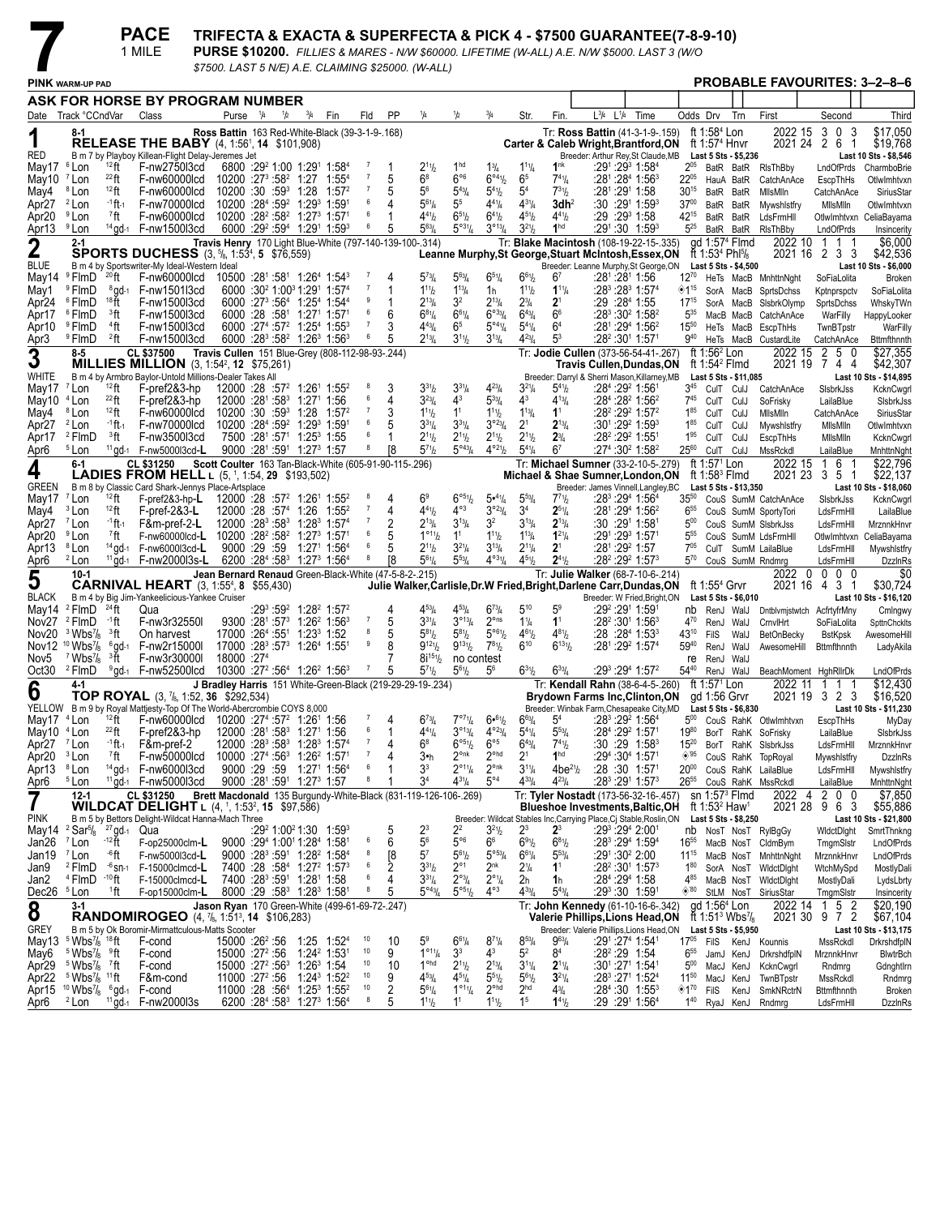**PACE** 1 MILE

# TRIFECTA & EXACTA & SUPERFECTA & PICK 4 - \$7500 GUARANTEE(7-8-9-10)<br>PURSE \$10200. FILLIES & MARES - N/W \$60000. LIFETIME (W-ALL) A.E. N/W \$5000. LAST 3 (W/O

\$7500. LAST 5 N/E) A.E. CLAIMING \$25000. (W-ALL)

|                        | PINK warm-up pad                                                               |                                       |                                                                                       |                                                                  |             |     |                                                                                                        |          |                  |         |                                           |                                         |                                               |                                       |                                  |           |           |                                                                                                 |                             |                                                                                  |                       | <b>PROBABLE FAVOURITES: 3-2-8-6</b>        |                                   |                                      |
|------------------------|--------------------------------------------------------------------------------|---------------------------------------|---------------------------------------------------------------------------------------|------------------------------------------------------------------|-------------|-----|--------------------------------------------------------------------------------------------------------|----------|------------------|---------|-------------------------------------------|-----------------------------------------|-----------------------------------------------|---------------------------------------|----------------------------------|-----------|-----------|-------------------------------------------------------------------------------------------------|-----------------------------|----------------------------------------------------------------------------------|-----------------------|--------------------------------------------|-----------------------------------|--------------------------------------|
|                        |                                                                                |                                       | ASK FOR HORSE BY PROGRAM NUMBER                                                       |                                                                  |             |     |                                                                                                        |          |                  |         |                                           |                                         |                                               |                                       |                                  |           |           |                                                                                                 |                             |                                                                                  |                       |                                            |                                   |                                      |
|                        | Date Track °CCndVar                                                            |                                       | Class                                                                                 | Purse                                                            | $^{1}/_{4}$ | 1/2 | $^{3}/_{4}$<br>Fin                                                                                     |          | Fld              | PP      | 1/4                                       | 1/2                                     | $^{3}/_{4}$                                   | Str.                                  | Fin.                             | $L^{3/4}$ | $L^{1/4}$ | Time                                                                                            | Odds Drv                    |                                                                                  | Trn                   | First                                      | Second                            | Third                                |
|                        |                                                                                |                                       |                                                                                       |                                                                  |             |     | Ross Battin 163 Red-White-Black (39-3-1-9-168)                                                         |          |                  |         |                                           |                                         |                                               |                                       |                                  |           |           | Tr: Ross Battin (41-3-1-9-.159)                                                                 |                             | ft 1:58 <sup>4</sup> Lon                                                         |                       | 2022 15                                    | 3 0<br>3                          | \$17,050                             |
| 1                      |                                                                                |                                       | <b>RELEASE THE BABY</b> (4, 1:56 <sup>1</sup> , <b>14</b> \$101,908)                  |                                                                  |             |     |                                                                                                        |          |                  |         |                                           |                                         |                                               |                                       |                                  |           |           | Carter & Caleb Wright, Brantford, ON                                                            |                             | ft 1:57 <sup>4</sup> Hnvr                                                        |                       | 2021 24 2 6                                | -1                                | \$19,768                             |
| RED<br>May17           | <sup>6</sup> Lon                                                               | $12$ ft                               | B m 7 by Playboy Killean-Flight Delay-Jeremes Jet<br>F-nw2750l3cd                     |                                                                  |             |     | 6800 :29 1:00 1:29 1:58 4                                                                              |          |                  | 1       | $2^{11}h$                                 | 1 <sup>hd</sup>                         | $1\frac{3}{4}$                                | $1^{11}/4$                            | 1 <sup>nk</sup>                  |           |           | Breeder: Arthur Rey, St Claude, MB<br>:291 :29 <sup>3</sup> 1:58 <sup>4</sup>                   | $2^{05}$                    | BatR BatR                                                                        | Last 5 Sts - \$5,236  | RIsThBby                                   | LndOfPrds                         | Last 10 Sts - \$8,546<br>CharmboBrie |
| May10                  | <sup>7</sup> Lon                                                               | $^{22}$ ft                            | F-nw60000lcd                                                                          | $10200$ :27 <sup>3</sup> :58 <sup>2</sup> 1:27                   |             |     |                                                                                                        | $1:55^4$ | $\overline{7}$   | 5       | $6^8$                                     | $6^{\circ 6}$                           | $6^{\circ 4}$ <sup>1</sup> / <sub>2</sub>     | 6 <sup>5</sup>                        | $7^{41}/4$                       |           |           | :28 <sup>1</sup> :28 <sup>4</sup> 1:56 <sup>3</sup>                                             | $22^{05}$                   | HauA BatR                                                                        |                       | CatchAnAce                                 | EscpThHs                          | OtlwImhtvxn                          |
| May4                   | <sup>8</sup> Lon                                                               | $12$ ft                               | F-nw60000lcd                                                                          | 10200:30:59 <sup>3</sup>                                         |             |     | $1:28$ $1:572$                                                                                         |          | -7               | 5       | 56                                        | $5^{43}$ /4                             | $5^{41}$ / <sub>2</sub>                       | 5 <sup>4</sup>                        | $7^{31}h$                        |           |           | :281 :291 1:58                                                                                  | $30^{15}$                   | BatR BatR                                                                        |                       | MilsMiln                                   | CatchAnAce                        | SiriusStar                           |
| Apr27                  | <sup>2</sup> Lon                                                               | -1 <b>ft</b> -1                       | F-nw70000lcd                                                                          |                                                                  |             |     | 10200 :284 :59 <sup>2</sup> 1:29 <sup>3</sup> 1:591                                                    |          | 6                | 4       | $5^{61}/4$                                | 5 <sup>5</sup>                          | $4^{41}/4$                                    | $4^{31}/4$                            | 3dh <sup>2</sup>                 |           |           | :30 :291 1:593                                                                                  | $37^{00}$                   | BatR BatR                                                                        |                       | Mywshistfry                                | MilsMiln                          | OtlwImhtvxn                          |
| Apr20                  | <sup>9</sup> Lon                                                               | <sup>7</sup> ft                       | F-nw60000lcd                                                                          |                                                                  |             |     | 10200 :28 <sup>2</sup> :58 <sup>2</sup> 1:27 <sup>3</sup> 1:57 <sup>1</sup>                            |          | 6                | 1       | $4^{41}h$                                 | $6^{51}h$                               | $6^{41}/2$                                    | $4^{51}/2$                            | $4^{41}/2$                       |           |           | :29 :29 <sup>3</sup> 1:58                                                                       | 42 <sup>15</sup>            | BatR BatR                                                                        |                       | LdsFrmHll                                  |                                   | OtlwImhtvxn CeliaBayama              |
| Apr13                  | <sup>9</sup> Lon                                                               |                                       | $14$ gd- $1$ F-nw150013cd                                                             |                                                                  |             |     | 6000 :29 <sup>2</sup> :59 <sup>4</sup> 1:29 <sup>1</sup> 1:59 <sup>3</sup>                             |          | 6                | 5       | $5^{63}$ /4                               | $5^{\circ 31}/4$                        | $3^{013}/4$                                   | $3^{21}/2$                            | 1 <sup>hd</sup>                  |           |           | :291:30 1:593                                                                                   | $5^{25}$                    | BatR BatR                                                                        |                       | RIsThBby                                   | LndOfPrds                         | Insincerity                          |
| 2                      | $2 - 1$                                                                        |                                       | <b>SPORTS DUCHESS</b> (3, <sup>5</sup> /8, 1:53 <sup>4</sup> , 5 \$76,559)            |                                                                  |             |     | Travis Henry 170 Light Blue-White (797-140-139-100-.314)                                               |          |                  |         |                                           |                                         |                                               |                                       |                                  |           |           | Tr: Blake Macintosh (108-19-22-15-.335)<br>Leanne Murphy, St George, Stuart McIntosh, Essex, ON |                             | ad 1:57 <sup>4</sup> Flmd<br>If 1:53 <sup>4</sup> Phl <sup>5</sup> /8            |                       | 2022 10<br>2021 16                         | $\mathbf{1}$<br>11<br>2 3 3       | \$6,000<br>\$42,536                  |
| BLUE                   |                                                                                |                                       | B m 4 by Sportswriter-My Ideal-Western Ideal                                          |                                                                  |             |     |                                                                                                        |          |                  |         |                                           |                                         |                                               |                                       |                                  |           |           | Breeder: Leanne Murphy, St George, ON                                                           |                             |                                                                                  | Last 5 Sts - \$4,500  |                                            |                                   | Last 10 Sts - \$6,000                |
| May14                  | <sup>9</sup> FlmD                                                              | $^{20}$ ft                            | F-nw60000lcd                                                                          |                                                                  |             |     | $10500$ :28 <sup>1</sup> :58 <sup>1</sup> 1:26 <sup>4</sup> 1:54 <sup>3</sup>                          |          |                  | 4       | $5^{73}$ /4                               | $5^{63}$                                | $6^{51}/4$                                    | $6^{61}/2$                            | 6 <sup>7</sup>                   |           |           | :281 :281 1:56                                                                                  | $12^{70}$                   |                                                                                  |                       | HeTs MacB MnhttnNght                       | SoFiaLolita                       | Broken                               |
| May1                   | <sup>9</sup> FlmD                                                              | <sup>8</sup> gd-1                     | F-nw1501l3cd                                                                          |                                                                  |             |     | 6000 :30 <sup>2</sup> 1:00 <sup>3</sup> 1:29 <sup>1</sup> 1:57 <sup>4</sup>                            |          | - 7<br>9         | 1       | $1^{11}h$                                 | $1^{13}$ / <sub>4</sub>                 | 1h                                            | $1^{11}$                              | $1^{11}/4$                       |           |           | :28 <sup>3</sup> :28 <sup>3</sup> 1:57 <sup>4</sup>                                             | ◈1"                         | SorA MacB                                                                        |                       | SprtsDchss                                 | Kptnprspctv                       | SoFiaLolita                          |
| Apr24                  | <sup>6</sup> FlmD<br><sup>6</sup> FlmD                                         | 18 ft<br><sup>3</sup> ft              | F-nw1500l3cd<br>F-nw1500l3cd                                                          | 6000:28:58 <sup>1</sup>                                          |             |     | 6000 :27 <sup>3</sup> :56 <sup>4</sup> 1:25 <sup>4</sup> 1:54 <sup>4</sup><br>1:271 1:571              |          | 6                | 1<br>6  | $2^{13}$ /4<br>$6^{81}/4$                 | 3 <sup>2</sup><br>$6^{61}/4$            | $2^{13}$ / <sub>4</sub><br>$6^{\circ 33}/4$   | $2^{3}/_{4}$<br>$6^{43}/4$            | 2 <sup>1</sup><br>6 <sup>6</sup> |           |           | :29 :28ª 1:55<br>:28 <sup>3</sup> :30 <sup>2</sup> 1:58 <sup>2</sup>                            | $17^{15}$<br>$5^{35}$       | SorA MacB                                                                        |                       | SisbrkOlymp                                | SprtsDchss                        | WhskyTWn                             |
| Apr17<br>Apr10         | <sup>9</sup> FlmD                                                              | <sup>4</sup> ft                       | F-nw1500l3cd                                                                          |                                                                  |             |     | $6000 :27^{4} :57^{2} 1:25^{4} 1:55^{3}$                                                               |          | $\overline{7}$   | 3       | $4^{43}$ / <sub>4</sub>                   | 6 <sup>5</sup>                          | $5^{\circ 4}$ <sup>1</sup> / <sub>4</sub>     | $5^{4}$ <sup>1</sup> / <sub>4</sub>   | 6 <sup>4</sup>                   |           |           | :28 <sup>1</sup> :29 <sup>4</sup> 1:56 <sup>2</sup>                                             | $15^{50}$                   | MacB MacB<br>HeTs MacB                                                           |                       | CatchAnAce<br>EscpThHs                     | WarFilly<br>TwnBTpstr             | HappyLooker<br>WarFilly              |
| Apr3                   | <sup>9</sup> FlmD                                                              | $2$ ft                                | F-nw1500l3cd                                                                          |                                                                  |             |     | $6000 : 283 : 582 1 : 263 1 : 563$                                                                     |          | 6                | 5       | $2^{13}$ /4                               | $3^{11}h$                               | $3^{13}/4$                                    | $4^{23} / 4$                          | $5^3$                            |           |           | :28 <sup>2</sup> :30 <sup>1</sup> 1:571                                                         | $9^{40}$                    |                                                                                  |                       | HeTs MacB CustardLite                      | CatchAnAce                        | Bttmfthnnth                          |
| 3                      | 8-5                                                                            |                                       | CL \$37500                                                                            |                                                                  |             |     | Travis Cullen 151 Blue-Grey (808-112-98-93-.244)                                                       |          |                  |         |                                           |                                         |                                               |                                       |                                  |           |           | Tr: Jodie Cullen (373-56-54-41-.267)                                                            |                             | ft 1:56 <sup>2</sup> Lon                                                         |                       | 2022 15                                    | 2 5 0                             | $\overline{$27,355}$                 |
|                        |                                                                                |                                       | <b>MILLIES MILLION</b> $(3, 1:54^2, 12 \, $75,261)$                                   |                                                                  |             |     |                                                                                                        |          |                  |         |                                           |                                         |                                               |                                       |                                  |           |           | Travis Cullen,Dundas,ON                                                                         |                             | ft 1:54 $2$ Flmd                                                                 |                       | 2021 19                                    | 744                               | \$42,307                             |
| WHITE<br>May17         | <sup>7</sup> Lon                                                               | 12 ft                                 | B m 4 by Armbro Baylor-Untold Millions-Dealer Takes All<br>F-pref2&3-hp               |                                                                  |             |     |                                                                                                        |          | 8                | 3       | $3^{31}h$                                 | $3^{31}/4$                              | $4^{23}l_4$                                   | $3^{21}/4$                            | $5^{41}/2$                       |           |           | Breeder: Darryl & Sherri Mason, Killarney, MB<br>:284 :292 1:561                                | $3^{45}$                    | CulT CulJ                                                                        | Last 5 Sts - \$11,085 |                                            |                                   | Last 10 Sts - \$14,895               |
| May10                  | <sup>4</sup> Lon                                                               | $^{22}$ ft                            | F-pref2&3-hp                                                                          | 12000 :281 :583                                                  |             |     | $12000$ :28 :57 <sup>2</sup> 1:26 <sup>1</sup> 1:55 <sup>2</sup><br>$1:27^{\circ}$ 1:56                |          | 6                | 4       | $3^{23}$ /4                               | $4^3$                                   | $5^{33}/4$                                    | $4^3$                                 | $4^{13}$ / <sub>4</sub>          |           |           | :28 <sup>4</sup> :28 <sup>2</sup> 1:56 <sup>2</sup>                                             | $7^{45}$                    | CulT CulJ                                                                        |                       | CatchAnAce<br>SoFrisky                     | SisbrkJss<br>LailaBlue            | KcknCwgrl<br>SisbrkJss               |
| May4                   | <sup>8</sup> Lon                                                               | $12$ ft                               | F-nw60000lcd                                                                          |                                                                  |             |     | 10200 :30 :59 <sup>3</sup> 1:28 1:57 <sup>2</sup>                                                      |          | $\overline{7}$   | 3       | $1^{11}h$                                 | 1 <sup>1</sup>                          | $1^{11}$ / <sub>2</sub>                       | $1^{13}$ / <sub>4</sub>               | 1 <sup>1</sup>                   |           |           | $:28^2:29^2$ 1:57 <sup>2</sup>                                                                  | $1^{85}$                    | CulT CulJ                                                                        |                       | MilsMiln                                   | CatchAnAce                        | SiriusStar                           |
| Apr27                  | <sup>2</sup> Lon                                                               | -1 ft -1                              | F-nw70000lcd                                                                          | 10200 :284 :592                                                  |             |     | 1:29 <sup>3</sup> 1:591                                                                                |          | 6                | 5       | $3^{31}/4$                                | $3^{31}/4$                              | $3^{023}/4$                                   | 2 <sup>1</sup>                        | $2^{13}/4$                       |           |           | :301:292 1:593                                                                                  | $1^{85}$                    | CulT CulJ                                                                        |                       | Mywshistfry                                | MilsMiln                          | OtlwImhtvxn                          |
| Apr17                  | <sup>2</sup> FlmD                                                              | <sup>3</sup> ft                       | F-nw3500l3cd                                                                          |                                                                  |             |     | 7500 :281 :571 1:253 1:55                                                                              |          | 6                | 1       | $2^{11}h$                                 | $2^{11}h$                               | $2^{11}/2$                                    | $2^{11}/2$                            | $2^{3}/4$                        |           |           | :28° :29° 1:551                                                                                 | $1^{95}$                    | CulT CulJ                                                                        |                       | EscpThHs                                   | MilsMiln                          | KcknCwgrl                            |
| Apr6                   | <sup>5</sup> Lon                                                               |                                       | <sup>11</sup> gd-1  F-nw5000l3cd-L                                                    |                                                                  |             |     | 9000 :281 :591 1:273 1:57                                                                              |          | 8                | [8      | $5^{71}h$                                 | $5^{\circ 43} / 4$                      | $4^{\circ 21}/2$                              | $5^{41}/4$                            | 6 <sup>7</sup>                   |           |           | :27 <sup>4</sup> :30 <sup>2</sup> 1:58 <sup>2</sup>                                             | $25^{60}$                   | CulT                                                                             | CulJ                  | MssRckdl                                   | LailaBlue                         | MnhttnNght                           |
| 4                      | $6 - 1$                                                                        |                                       | CL \$31250<br><b>LADIES FROM HELL L (5, 1, 1:54, 29 \$193,502)</b>                    |                                                                  |             |     | Scott Coulter 163 Tan-Black-White (605-91-90-115-.296)                                                 |          |                  |         |                                           |                                         |                                               |                                       |                                  |           |           | Tr: Michael Sumner (33-2-10-5-.279)<br>Michael & Shae Sumner, London, ON                        |                             | ft 1:57 <sup>1</sup> Lon<br>ft $1:583$ Fimd                                      |                       | 2022 15<br>2021 23                         | 16<br>3 5 1                       | \$22,796<br>\$22,137                 |
| GREEN                  |                                                                                |                                       | B m 8 by Classic Card Shark-Jennys Place-Artsplace                                    |                                                                  |             |     |                                                                                                        |          |                  |         |                                           |                                         |                                               |                                       |                                  |           |           | Breeder: James Vinnell, Langley, BC                                                             |                             |                                                                                  | Last 5 Sts - \$13,350 |                                            |                                   | Last 10 Sts - \$18,060               |
| May17                  | <sup>7</sup> Lon                                                               | $12$ ft                               | $F-$ pref $283$ -hp- $L$                                                              |                                                                  |             |     | $12000$ :28 :57 <sup>2</sup> 1:26 <sup>1</sup> 1:55 <sup>2</sup>                                       |          | 8                | 4       | 6 <sup>9</sup>                            | $6^{\circ 5}$ %                         | 5•41/4                                        | $5^{53}$ /4                           | $7^{71}h$                        |           |           | :28 <sup>3</sup> :29 <sup>4</sup> 1:56 <sup>4</sup>                                             | $35^{50}$                   |                                                                                  |                       | CouS SumM CatchAnAce                       | SisbrkJss                         | KcknCwgrl                            |
| May4                   | <sup>3</sup> Lon                                                               | $12$ ft                               | $F$ -pref-2&3-L                                                                       | 12000 :28 :574                                                   |             |     | 1:26                                                                                                   | $1:55^2$ | $\overline{7}$   | 4       | $4^{41}h$                                 | $4^{\circ 3}$                           | $3^{o_{23}}/4$                                | 3 <sup>4</sup>                        | $2^{51}/4$                       |           |           | :28 <sup>1</sup> :29 <sup>4</sup> 1:56 <sup>2</sup>                                             | $6^{55}$                    |                                                                                  |                       | CouS SumM SportyTori                       | LdsFrmHll                         | LailaBlue                            |
| Apr27                  | <sup>7</sup> Lon<br><sup>9</sup> Lon                                           | -1 ft -1                              | F&m-pref-2-L                                                                          | $12000 : 28^3 : 58^3$<br>10200 :28 <sup>2</sup> :58 <sup>2</sup> |             |     | $1:28^3$ 1:57 <sup>4</sup>                                                                             |          | -7<br>6          | 2<br>5  | $2^{13}/4$<br>$1^{\circ_{11}}h$           | $3^{13}/4$<br>1 <sup>1</sup>            | 3 <sup>2</sup><br>$1^{11}/2$                  | $3^{13}/4$                            | $2^{13}/4$<br>$1^{21}/4$         |           |           | :30 :291 1:581                                                                                  | $5^{00}$<br>$5^{55}$        |                                                                                  |                       | CouS SumM SIsbrkJss                        | LdsFrmHll                         | MrznnkHnvi                           |
| Apr20<br>Apr13         | <sup>8</sup> Lon                                                               | <sup>7</sup> ft                       | F-nw60000lcd-L<br>$14$ gd-1 F-nw600013cd-L                                            | 9000 :29 :59                                                     |             |     | $1:27^3$ 1:57 <sup>1</sup><br>$1:271$ 1:56 <sup>4</sup>                                                |          | 6                | 5       | $2^{11}/2$                                | $3^{21}/4$                              | $3^{13}/4$                                    | $1^{13}$ / <sub>4</sub><br>$2^{11}/4$ | 2 <sup>1</sup>                   |           |           | :291 :29 <sup>3</sup> 1:571<br>:28 <sup>1</sup> :29 <del>?</del> 1:57                           | 705                         |                                                                                  |                       | CouS SumM LdsFrmHll<br>CulT SumM LailaBlue | OtlwImhtvxn<br>LdsFrmHll          | CeliaBayama<br>Mywshistfry           |
| Apr6                   | <sup>2</sup> Lon                                                               |                                       | <sup>11</sup> gd-1  F-nw2000l3s-L                                                     |                                                                  |             |     | $6200 : 28^{4} : 58^{3}$ 1:27 <sup>3</sup> 1:56 <sup>4</sup>                                           |          | 8                | [8      | $5^{61}$ /4                               | $5^{53}$ /4                             | $4^{031}/4$                                   | $4^{51}/2$                            | $2^{41}$ / <sub>2</sub>          |           |           | :28 <sup>2</sup> :29 <sup>2</sup> 1:57 <sup>3</sup>                                             | $5^{70}$                    |                                                                                  |                       | CouS SumM Rndmrg                           | LdsFrmHll                         | DzzinRs                              |
| 5                      | $10-1$                                                                         |                                       |                                                                                       |                                                                  |             |     | Jean Bernard Renaud Green-Black-White (47-5-8-2-.215)                                                  |          |                  |         |                                           |                                         |                                               |                                       |                                  |           |           | Tr: Julie Walker (68-7-10-6-.214)                                                               |                             |                                                                                  |                       | - 0<br>2022                                | 0 <sub>0</sub><br>- 0             | \$0                                  |
|                        |                                                                                |                                       | <b>CARNIVAL HEART</b> (3, 1:55 <sup>4</sup> , 8 \$55,430)                             |                                                                  |             |     |                                                                                                        |          |                  |         |                                           |                                         |                                               |                                       |                                  |           |           | Julie Walker,Carlisle,Dr.W Fried,Bright,Darlene Carr,Dundas,ON                                  |                             | ft 1:55 $4$ Grvr                                                                 |                       | 2021 16                                    | 43<br>-1                          | \$30,724                             |
| <b>BLACK</b><br>May14  | <sup>2</sup> FlmD                                                              | $^{24}$ ft                            | B m 4 by Big Jim-Yankeelicious-Yankee Cruiser<br>Qua                                  |                                                                  |             |     | $:29^3:59^2$ 1:28 <sup>2</sup> 1:57 <sup>2</sup>                                                       |          |                  | 4       | $4^{53}$ /4                               | $4^{53}$ /4                             | $6^{73}/4$                                    | $5^{10}$                              | 5 <sup>9</sup>                   |           |           | Breeder: W Fried, Bright, ON<br>:29 <del>°</del> :291 1:591                                     |                             |                                                                                  | Last 5 Sts \$6,010    |                                            |                                   | Last 10 Sts - \$16,120               |
| Nov27                  | <sup>2</sup> FlmD                                                              | -1 ft                                 | F-nw3r32550I                                                                          |                                                                  |             |     | $9300 : 28^1 : 57^3$ 1:26 <sup>2</sup> 1:56 <sup>3</sup>                                               |          | $\overline{7}$   | 5       | $3^{31}/4$                                | $3^{013}/4$                             | $2^{\circ}$ ns                                | $1\frac{1}{4}$                        | 1 <sup>1</sup>                   |           |           | :28 <sup>2</sup> :30 <sup>1</sup> 1:56 <sup>3</sup>                                             | $4^{70}$                    | nb RenJ WalJ<br>RenJ WalJ                                                        |                       | Dntblvmjstwtch AcfrtyfrMny<br>CrnvlHrt     | SoFiaLolita                       | Cmlngwy<br>SpttnChcklts              |
| Nov20                  | $3$ Wbs $\frac{7}{8}$                                                          | <sup>3</sup> ft                       | On harvest                                                                            |                                                                  |             |     | 17000 :264 :551 1:233 1:52                                                                             |          | 8                | 5       | $5^{81}h$                                 | $5^{81}h$                               | 5°61/2                                        | $4^{61}$                              | $4^{81}$                         |           |           | :28 :28 <sup>4</sup> 1:53 <sup>3</sup>                                                          | $43^{10}$                   | FilS                                                                             | WalJ                  | <b>BetOnBecky</b>                          | <b>BstKpsk</b>                    | AwesomeHill                          |
| Nov12                  | $10 \text{ Wbs}$ / <sub>8</sub>                                                | $6$ gd-1                              | F-nw2r15000l                                                                          |                                                                  |             |     | 17000 :28 <sup>3</sup> :57 <sup>3</sup> 1:26 <sup>4</sup> 1:55 <sup>1</sup>                            |          | $\boldsymbol{9}$ | 8       | $9^{12}\frac{1}{2}$                       | $9^{13}\frac{1}{2}$                     | $7^{81}/2$                                    | $6^{10}$                              | $6^{131}$                        |           |           | :28 <sup>1</sup> :29 <sup>2</sup> 1:57 <sup>4</sup>                                             | $59^{40}$                   | RenJ                                                                             | WalJ                  | AwesomeHill                                | <b>Bttmfthnnth</b>                | LadyAkila                            |
| Nov5                   | $7$ Wbs $\frac{7}{8}$                                                          | 3ft                                   | F-nw3r300001                                                                          | 18000 :274                                                       |             |     |                                                                                                        |          |                  | 7       | $8i^{15}$ <sup>1</sup> / <sub>2</sub>     | no contest                              |                                               |                                       |                                  |           |           |                                                                                                 | re                          | RenJ WalJ                                                                        |                       |                                            |                                   |                                      |
| Oct30                  | <sup>2</sup> FlmD                                                              |                                       | <sup>9</sup> ad-1 F-nw52500lcd                                                        |                                                                  |             |     | 10300 :27 <sup>2</sup> :56 <sup>4</sup> 1:26 <sup>2</sup> 1:56 <sup>3</sup>                            |          | $\overline{7}$   | 5       | $5^{71}h$                                 | $5^{61}h$                               | $5^6$                                         | $6^{31}/2$                            | $6^{33}/4$                       |           |           | :293 :294 1:572                                                                                 | $54^{40}$                   | RenJ WalJ                                                                        |                       | BeachMoment HghRllrDk                      |                                   | LndOfPrds                            |
| 6                      | 4-1                                                                            |                                       | TOP ROYAL (3, 7/8, 1:52, 36 \$292,534)                                                |                                                                  |             |     | J Bradley Harris 151 White-Green-Black (219-29-29-19-.234)                                             |          |                  |         |                                           |                                         |                                               |                                       |                                  |           |           | Tr: Kendall Rahn (38-6-4-5-.260)<br><b>Brydown Farms Inc, Clinton, ON</b>                       |                             | ft 1:57 <sup>1</sup> Lon<br>gd 1:56 Grvr                                         |                       | 2022 11                                    | $1 \quad 1$<br>1<br>2021 19 3 2 3 | \$12,430<br>\$16,520                 |
|                        |                                                                                |                                       | YELLOW B m 9 by Royal Mattjesty-Top Of The World-Abercrombie COYS 8,000               |                                                                  |             |     |                                                                                                        |          |                  |         |                                           |                                         |                                               |                                       |                                  |           |           | Breeder: Winbak Farm, Chesapeake City, MD                                                       |                             |                                                                                  | Last 5 Sts - \$6,830  |                                            |                                   | Last 10 Sts - \$11,230               |
| May17                  | <sup>4</sup> Lon                                                               | 12 ft                                 | F-nw60000lcd                                                                          |                                                                  |             |     | 10200 :27 <sup>4</sup> :57 <sup>2</sup> 1:26 <sup>1</sup> 1:56                                         |          | 7                | 4       | $6^{73}$ /4                               | 7°71/4                                  | 6.61/2                                        | $6^{63}$ /4                           | 5 <sup>4</sup>                   |           |           | :28 <sup>3</sup> :29 <sup>2</sup> 1:56 <sup>4</sup>                                             | $5^{00}$                    |                                                                                  |                       | CouS RahK OtlwImhtvxn                      | EscpThHs                          | MyDay                                |
| May10                  | <sup>4</sup> Lon                                                               | $^{22}$ ft                            | F-pref2&3-hp                                                                          |                                                                  |             |     | $12000$ :28 <sup>1</sup> :58 <sup>3</sup> 1:27 <sup>1</sup> 1:56                                       |          | 6<br>7           | 1<br>4  | $4^{41}$ /4                               | $3^{013}/4$<br>$6^{\circ 51}/2$         | $4^{\circ23}$ / <sub>4</sub><br>$6^{\circ 5}$ | $5^{4}$ <sup>1</sup> / <sub>4</sub>   | $5^{53}/4$                       |           |           | :28 <sup>4</sup> :29 <sup>2</sup> 1:571                                                         | $19^{80}$                   |                                                                                  |                       | BorT RahK SoFrisky                         | LailaBlue                         | SIsbrkJss                            |
| Apr27<br>Apr20         | <sup>7</sup> Lon<br><sup>3</sup> Lon                                           | <sup>-1</sup> ft-1<br><sup>7</sup> ft | F&m-pref-2<br>F-nw50000lcd                                                            | 10000 :274 :563                                                  |             |     | 12000 :28 <sup>3</sup> :58 <sup>3</sup> 1:28 <sup>3</sup> 1:57 <sup>4</sup><br>1:26 <sup>2</sup> 1:571 |          | 7                | 4       | 68<br>3∙h                                 | $2^{\circ n k}$                         | 2 <sup>ohd</sup>                              | $6^{43}/4$<br>2 <sup>1</sup>          | $7^{41}h$<br>1 <sup>hd</sup>     |           |           | :30 :29 1:58 <sup>3</sup><br>:29 <sup>4</sup> :30 <sup>4</sup> 1:571                            | $15^{20}$<br>$\diamond$ '95 |                                                                                  |                       | BorT RahK SIsbrkJss<br>CouS RahK TopRoyal  | LdsFrmHll<br>Mywshistfry          | MrznnkHnvi<br><b>DzzinRs</b>         |
| Apr13                  | ° Lon                                                                          |                                       | $^{14}$ gd-1 $-$ hw6000013cd                                                          |                                                                  |             |     | $9000:29:59$ 1:27 1:56 <sup>4</sup>                                                                    |          |                  |         | 3,                                        | $2^{\circ}$ <sup>1</sup> / <sub>4</sub> | $2^{\circ n\kappa}$                           | $3^{11}/4$                            | $4be^{21}/2$                     |           |           | $:28:30$ 1:57                                                                                   | $20^{00}$                   |                                                                                  |                       | CouS RahK LailaBlue                        | LdsFrmHll                         | Mywshistfry                          |
| Apr6                   | <sup>5</sup> Lon                                                               |                                       | $11$ gd-1 F-nw500013cd                                                                |                                                                  |             |     | 9000 :281 :591 1:273 1:57                                                                              |          | 8                | 1       | 34                                        | $4^{31}$ / <sub>4</sub>                 | $5^{\circ 4}$                                 | $4^{33}/4$                            | $4^{23}/4$                       |           |           | $:28^3:29^1$ 1:57 <sup>3</sup>                                                                  |                             |                                                                                  |                       | 26 <sup>55</sup> CouS RahK MssRckdl        | LailaBlue                         | MnhttnNght                           |
| 7                      | $12 - 1$                                                                       |                                       | <b>CL \$31250</b>                                                                     |                                                                  |             |     | Brett Macdonald 135 Burgundy-White-Black (831-119-126-106-.269)                                        |          |                  |         |                                           |                                         |                                               |                                       |                                  |           |           | Tr: Tyler Nostadt (173-56-32-16-.457)                                                           |                             | sn $1:573$ Fimd                                                                  |                       | 2022 4                                     | 2 0<br>- 0                        | \$7,850                              |
|                        |                                                                                |                                       | <b>WILDCAT DELIGHT</b> $L$ (4, <sup>1</sup> , 1:53 <sup>2</sup> , <b>15</b> \$97,586) |                                                                  |             |     |                                                                                                        |          |                  |         |                                           |                                         |                                               |                                       |                                  |           |           | <b>Blueshoe Investments, Baltic, OH</b>                                                         |                             | ft 1:53 <sup>2</sup> Haw <sup>1</sup>                                            |                       | 2021 28                                    | 963                               | \$55,886                             |
| pink<br>May14          | $2$ Sar <sup>5</sup> / <sub>8</sub> $27$ gd-1 Qua                              |                                       | B m 5 by Bettors Delight-Wildcat Hanna-Mach Three                                     |                                                                  |             |     | $:29^2$ 1:00 <sup>2</sup> 1:30 1:59 <sup>3</sup>                                                       |          |                  | 5       | 23                                        | 22                                      | $3^{21}/2$                                    | $2^3$                                 | $2^3$                            |           |           | Breeder: Wildcat Stables Inc, Carrying Place, Cj Stable, Roslin, ON<br>:293 :294 2:001          |                             |                                                                                  | Last 5 Sts - \$8,250  | nb NosT NosT RylBgGy                       | WidctDight                        | Last 10 Sts - \$21,800<br>SmrtThnkng |
| Jan26                  | $7$ Lon                                                                        | $-12$ $\rm{H}$                        | F-op25000clm-L                                                                        |                                                                  |             |     | 9000 :294 1:001 1:284 1:581                                                                            |          | 6                | 6       | 56                                        | $5^{\circ 6}$                           | $6^6$                                         | 691/2                                 | $6^{81}/2$                       |           |           | :283 :294 1:594                                                                                 | $16^{55}$                   |                                                                                  |                       | MacB NosT CldmBym                          | TmgmSlstr                         | LndOfPrds                            |
| Jan19                  | $7$ Lon                                                                        | ⊸6ft                                  | F-nw5000l3cd-L                                                                        |                                                                  |             |     | $9000 : 28^3 : 59^1$ 1:28 <sup>2</sup> 1:58 <sup>4</sup>                                               |          | 8                | [8<br>2 | 57                                        | $5^{61}h$                               | $5^{\circ 53} / 4$                            | $6^{61}/4$                            | $5^{53}$ /4                      |           |           | :291:302 2:00                                                                                   | $11^{15}$                   |                                                                                  |                       | MacB NosT MnhttnNght                       | MrznnkHnvr                        | LndOfPrds                            |
| Jan9                   | <sup>2</sup> FlmD                                                              | $-6$ SN-1                             | F-15000clmcd-L                                                                        |                                                                  |             |     | 7400 :28 :584 1:27 <sup>2</sup> 1:57 <sup>3</sup>                                                      |          | 6                |         | $3^{31}h$                                 | $2^{\circ}1$                            | 2 <sup>nk</sup>                               | $2\frac{1}{4}$                        | 1 <sup>1</sup>                   |           |           | $:28^2:30^1$ 1:57 <sup>3</sup>                                                                  | $1^{80}$                    |                                                                                  |                       | SorA NosT WidctDight                       | WtchMySpd                         | MostlyDali                           |
| Jan2                   | $4$ FlmD $-10$ ft                                                              |                                       | $F-15000$ clmcd-L                                                                     |                                                                  |             |     | 7400 :28 <sup>3</sup> :59 <sup>1</sup> 1:28 <sup>1</sup> 1:58                                          |          | 6                | 4       | $3^{31}/4$                                | $2^{\circ_{3}}/4$                       | $2^{\circ}$ <sup>1</sup> / <sub>4</sub>       | 2 <sub>h</sub>                        | 1h                               |           |           | :284 :294 1:58                                                                                  | 485                         |                                                                                  |                       | MacB NosT WidctDight                       | MostlyDali                        | LydsLbrty                            |
| Dec26 <sup>5</sup> Lon |                                                                                | <sup>1</sup> ft                       | $F$ -op15000clm- $L$                                                                  |                                                                  |             |     | 8000 :29 :58 <sup>3</sup> 1:28 <sup>3</sup> 1:58 <sup>1</sup>                                          |          | 8                | 5       | $5^{\circ 43} / _4$                       | $5^{\circ 51}/2$                        | $4^{\circ 3}$                                 | $4^{33}$ /4                           | $5^{43}$ /4                      |           |           | :293:30 1:591                                                                                   | $\diamond$ 80               |                                                                                  |                       | StLM NosT SiriusStar                       | TmgmSlstr                         | Insincerity                          |
| 8                      | $3-1$                                                                          |                                       | <b>RANDOMIROGEO</b> (4, 7 <sub>8</sub> , 1:51 <sup>3</sup> , 14 \$106,283)            |                                                                  |             |     | Jason Ryan 170 Green-White (499-61-69-72-.247)                                                         |          |                  |         |                                           |                                         |                                               |                                       |                                  |           |           | Tr: John Kennedy (61-10-16-6-.342)<br>Valerie Phillips, Lions Head, ON                          |                             | gd 1:56 <sup>4</sup> Lon<br>ft 1:51 <sup>3</sup> Wbs <sup>7</sup> / <sub>8</sub> |                       | 2022 14                                    | 1 5 2<br>2021 30 9 7 2            | \$20,190<br>\$67,104                 |
| <b>GREY</b>            |                                                                                |                                       | B m 5 by Ok Boromir-Mirmattculous-Matts Scooter                                       |                                                                  |             |     |                                                                                                        |          |                  |         |                                           |                                         |                                               |                                       |                                  |           |           | Breeder: Valerie Phillips, Lions Head, ON                                                       |                             |                                                                                  | Last 5 Sts - \$5,950  |                                            |                                   | Last 10 Sts - \$13,175               |
| May13                  | $5$ Wbs $\frac{7}{8}$ <sup>18</sup> ft                                         |                                       | F-cond                                                                                |                                                                  |             |     | 15000 :26 <sup>2</sup> :56 1:25 1:52 <sup>4</sup>                                                      |          |                  | 10      | $5^{\circ}$                               | $6^{61}/4$                              | $8^{7}\frac{1}{4}$                            | $8^{53}/4$                            | $9^{63}$ /4                      |           |           | :291:274 1:541                                                                                  | $17^{05}$                   |                                                                                  |                       | FilS KenJ Kounnis                          | MssRckdl                          | DrkrshdfplN                          |
| May6                   | $5 \text{ Wbs}$ <sup>9</sup> ft                                                |                                       | F-cond                                                                                | 15000 :27 <sup>2</sup> :56                                       |             |     | 1:24 1:53                                                                                              |          | 10               | 9       | $1^{\circ 11}$ / <sub>4</sub>             | 3 <sup>3</sup>                          | $4^3$                                         | 5 <sup>2</sup>                        | 84                               |           |           | :28 <sup>2</sup> :29 1:54                                                                       | $6^{55}$                    | JamJ KenJ                                                                        |                       | DrkrshdfplN                                | MrznnkHnvr                        | <b>BlwtrBch</b>                      |
| Apr29                  | $5 \text{Wbs}$ <sup>7</sup> ft<br>$5 \text{ Wbs} \frac{7}{8}$ <sup>11</sup> ft |                                       | F-cond<br>F&m-cond                                                                    | 11000 :27 <sup>2</sup> :56                                       |             |     | 15000 :27 <sup>2</sup> :56 <sup>3</sup> 1:26 <sup>3</sup> 1:54<br>$1:24^3$ 1:52 <sup>2</sup>           |          | 10<br>10         | 10<br>9 | $1^{\circ}$ hd<br>$4^{53}$ / <sub>4</sub> | $2^{11}h$<br>$4^{51}/4$                 | $2^{13}/4$<br>$5^{51}$                        | $3^{11}/4$<br>$5^{61}/2$              | $2^{11}/4$<br>$3^{21}/4$         |           |           | $:30^1:27^1$ 1:541<br>:283 :271 1:524                                                           | $5^{00}$                    | MacJ KenJ<br>11 <sup>50</sup> MacJ KenJ                                          |                       | KcknCwgrl                                  | Rndmrg                            | GdnghtIrn                            |
| Apr22<br>Apr15         | $10 \text{ Wbs}$ <sup>6</sup> gd-1 F-cond                                      |                                       |                                                                                       |                                                                  |             |     | $11000:28:564 1:253 1:552$                                                                             |          | 10               | 2       | $5^{61}/4$                                | $1^{\circ 1}\%$                         | 2 <sup>ohd</sup>                              | 2 <sup>hd</sup>                       | $4\frac{3}{4}$                   |           |           | $:28^4:30$ 1:55 <sup>3</sup>                                                                    | $*170$ Fils                 |                                                                                  | KenJ                  | TwnBTpstr<br>SmkNRctrN                     | MssRckdl<br><b>Bttmfthnnth</b>    | Rndmrg<br>Broken                     |
| AnrR                   | $21$ on                                                                        |                                       | $11 \text{ nd }$ $\epsilon$ -nw200013e                                                |                                                                  |             |     | $6200 \cdot 284 \cdot 583$ $1.273$ $1.564$                                                             |          | 8                | к       | 111L                                      | 11                                      | 1111                                          | 1 <sup>5</sup>                        | 141L                             |           |           | $-20 - 201 + 564$                                                                               |                             | $1^{40}$ Pyal Kenl                                                               |                       | <b>D</b> ndmrn                             | I deErmHII                        | DzzinDe                              |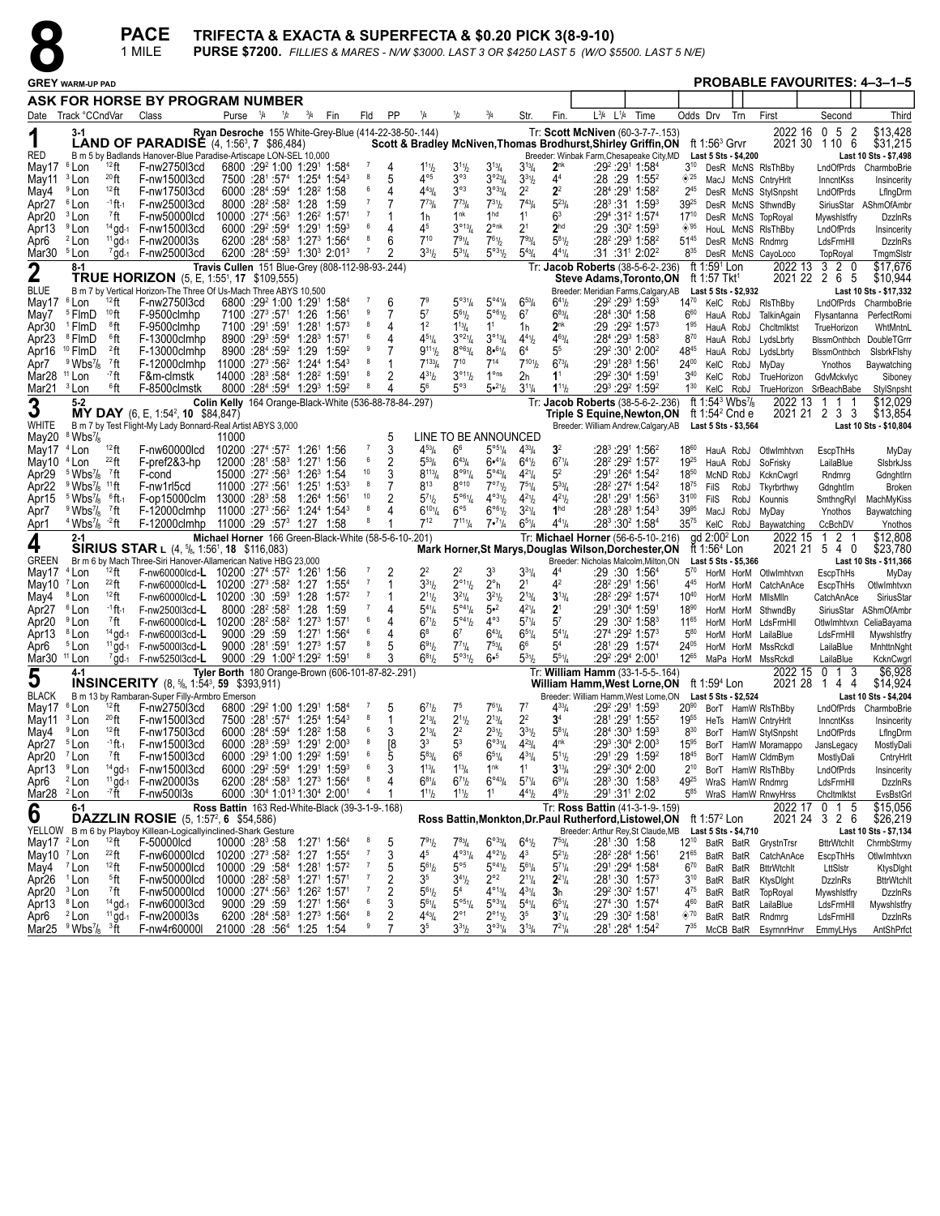

| <b>PROBABLE FAVOURITES: 4-3-1-5</b><br><b>GREY WARM-UP PAD</b><br>ASK FOR HORSE BY PROGRAM NUMBER<br>Date Track °CCndVar<br>$L^{3/4}$<br>$L^{1/4}$<br>Time<br>Odds Drv<br>Third<br>Class<br>Purse $\frac{1}{4}$<br>1/2<br>$^{3}/_{4}$<br>Fin<br>Fld<br>PP<br>1/4<br>Str.<br>Fin<br>Trn<br>First<br>Second<br>1/2<br>0 <sub>5</sub><br>\$13,428<br>Tr: Scott McNiven (60-3-7-7-.153)<br>2022 16<br>-2<br>Ryan Desroche 155 White-Grey-Blue (414-22-38-50-.144)<br>1<br><b>LAND OF PARADISE</b> $(4, 1:56^3, 7, $86,484)$<br>ft 1:56 $3$ Grvr<br>2021 30 1 10 6<br>\$31,215<br>Scott & Bradley McNiven, Thomas Brodhurst, Shirley Griffin, ON<br><b>RED</b><br>B m 5 by Badlands Hanover-Blue Paradise-Artiscape LON-SEL 10,000<br>Breeder: Winbak Farm, Chesapeake City, MD<br>Last 5 Sts - \$4,200<br>Last 10 Sts - \$7,498<br>2 <sup>nk</sup><br><sup>6</sup> Lon<br>$12$ ft<br>6800 :29 <sup>2</sup> 1:00 1:29 <sup>1</sup> 1:58 <sup>4</sup><br>-7<br>$1^{11}h$<br>$3^{11}h$<br>$3^{13}/4$<br>:29 <del>°</del> :291 1:584<br>$3^{10}$<br>May17<br>F-nw2750l3cd<br>$3^{13}$ /4<br>4<br>DesR McNS RIsThBby<br>LndOfPrds<br>CharmboBrie<br>$4^{\circ 5}$<br>20 <sub>ft</sub><br>8<br>$3^{\circ 3}$<br>44<br>5<br>$3^{023}/4$<br><sup>3</sup> Lon<br>F-nw1500l3cd<br>$7500$ :28 <sup>1</sup> :57 <sup>4</sup> 1:25 <sup>4</sup> 1:54 <sup>3</sup><br>$3^{31/2}$<br>:28 :29 1:55 <sup>2</sup><br>$\otimes$ 25<br>MacJ McNS CntryHrlt<br>Insincerity<br>InncntKss<br><sup>9</sup> Lon<br>6000 :284 :594 1:28 <sup>2</sup> 1:58<br>6<br>$4^{43}/4$<br>$3^{\circ 3}$<br>$3^{033}/4$<br>2 <sup>2</sup><br>$2^2$<br>$12$ ft<br>F-nw1750l3cd<br>4<br>:284 :291 1:582<br>$2^{45}$<br>DesR McNS StylSnpsht<br>LndOfPrds<br>LfIngDrm<br>$\overline{7}$<br><sup>6</sup> Lon<br>8000 :28 <sup>2</sup> :58 <sup>2</sup> 1:28<br>$7^{73}$ /4<br>$7^{73}$<br>$7^{31}h$<br>$7^{43}$ / <sub>4</sub><br>$5^{23}$ /4<br>$:28^3:31$ 1:59 <sup>3</sup><br>-1 ft -1<br>F-nw2500l3cd<br>7<br>$39^{25}$<br>Apr <sub>27</sub><br>1:59<br>SiriusStar AShmOfAmbr<br>DesR McNS SthwndBy<br>$\overline{7}$<br>1nk<br>1 <sup>hd</sup><br>1 <sup>1</sup><br>63<br>F-nw50000lcd<br>$10000$ :27 <sup>4</sup> :56 <sup>3</sup> 1:26 <sup>2</sup> 1:57 <sup>1</sup><br>Apr <sub>20</sub><br><sup>3</sup> Lon<br>7ft<br>1h<br>:29 <sup>4</sup> :31 <sup>2</sup> 1:57 <sup>4</sup><br>$17^{10}$<br>DesR McNS TopRoyal<br><b>DzzinRs</b><br>Mywshistfry<br>3°13/4<br><sup>9</sup> Lon<br>$14$ gd-1<br>6000 :29 <sup>2</sup> :59 <sup>4</sup> 1:29 <sup>1</sup> 1:59 <sup>3</sup><br>6<br>45<br>$2^{\circ n k}$<br>$2^1$<br>2 <sup>hd</sup><br>◈'95<br>F-nw1500l3cd<br>4<br>:29 :30 <sup>2</sup> 1:59 <sup>3</sup><br>Apr13<br>HouL McNS RIsThBby<br>LndOfPrds<br>Insincerity<br>$2$ Lon<br>$^{11}$ gd-1<br>6200 :284 :583 1:273 1:564<br>8<br>$7^{10}$<br>$7^{91}/4$<br>$7^{61}/2$<br>$7^{93}$ / <sub>4</sub><br>$5^{81}/2$<br>F-nw2000l3s<br>6<br>:28 <sup>2</sup> :29 <sup>3</sup> 1:58 <sup>2</sup><br>$51^{45}$<br>Apr6<br>DzzInRs<br>DesR McNS Rndmrg<br>LdsFrmHll<br>$3^{31}h$<br>$4^{41}/4$<br>6200 :284 :593 1:303 2:013<br>-7<br>$5^{\circ 3}$ <sup>1</sup> / <sub>2</sub><br>$5^{43}$ / <sub>4</sub><br>$:31:31^{1}$ 2:02 <sup>2</sup><br>Mar30 <sup>5</sup> Lon<br>$7$ gd- $1$ F-nw2500l3cd<br>$5^{31}/4$<br>$8^{35}$<br>DesR McNS CayoLoco<br>TopRoyal<br>TmgmSlstr<br>2 0<br>\$17,676<br>$8-1$<br>ft 1:59 <sup>1</sup> Lon<br>2022 13<br>3<br>$\boldsymbol{2}$<br>Travis Cullen 151 Blue-Grey (808-112-98-93-.244)<br>Tr: Jacob Roberts (38-5-6-2-.236)<br><b>TRUE HORIZON</b> (5, E, 1:55 <sup>1</sup> , 17 \$109,555)<br>2021 22 2 6 5<br><b>Steve Adams, Toronto, ON</b><br>ft 1:57 Tkt <sup>1</sup><br>\$10,944<br>B m 7 by Vertical Horizon-The Three Of Us-Mach Three ABYS 10,500<br>Breeder: Meridian Farms, Calgary, AB<br>Last 10 Sts - \$17,332<br>Last 5 Sts - \$2,932<br>$12$ ft<br>6800 :29 <sup>2</sup> 1:00 1:29 <sup>1</sup> 1:58 <sup>4</sup><br>$5^{931}/4$<br>$5^{\circ 4}$ <sup>1</sup> / <sub>4</sub><br>:292 :293 1:593<br><sup>6</sup> Lon<br>F-nw2750l3cd<br>7 <sup>9</sup><br>$6^{41}$ b<br>1470 KelC RobJ RIsThBby<br>$6^{53}$ /4<br>LndOfPrds CharmboBrie<br>6<br>10 <sub>ft</sub><br>9<br>5 <sup>7</sup><br>$5^{61}h$<br>$5^{\circ 6}$ <sup>1</sup> / <sub>2</sub><br><sup>5</sup> FlmD<br>F-9500clmhp<br>7100 :27 <sup>3</sup> :57 <sup>1</sup> 1:26<br>6 <sup>7</sup><br>$6^{83}$ / <sub>4</sub><br>:28 <sup>4</sup> :30 <sup>4</sup> 1:58<br>$6^{60}$<br>1:561<br>7<br>HauA RobJ<br>TalkinAgain<br>PerfectRomi<br>Flysantanna<br>1 <sup>2</sup><br>$2^{nk}$<br>F-9500clmhp<br>7100 :291 :591 1:281 1:573<br>8<br>1 <sup>1</sup><br>Apr30<br><sup>1</sup> FlmD<br>®ft<br>$1^{13}/4$<br>:29 :29 <del>?</del> 1:57 <sup>3</sup><br>$1^{95}$<br>1h<br>HauA RobJ<br>Chcltmlktst<br>WhtMntnL<br>TrueHorizon<br><sup>8</sup> FlmD<br>8900 :293 :594 1:283 1:571<br>6<br>$4^{51}/4$<br>$3^{o_2}\frac{1}{4}$<br>$3^{013}/4$<br>$4^{41}$ / <sub>2</sub><br>$4^{63}$ / <sub>4</sub><br>:28 <sup>4</sup> :29 <sup>3</sup> 1:58 <sup>3</sup><br>Apr <sub>23</sub><br>®ft<br>F-13000clmhp<br>4<br>$8^{70}$<br>LydsLbrty<br>HauA RobJ<br>BIssmOnthbch DoubleTGrrr<br><sup>10</sup> FlmD<br>8900 :284 :592 1:29<br>9<br>$9^{111}/2$<br>$8^{\circ 6}$ <sup>3</sup> / <sub>4</sub><br>$8•^{61}/4$<br>6 <sup>4</sup><br>55<br>$22$ ft<br>1:59 <sup>2</sup><br>:29 <sup>2</sup> :30 <sup>1</sup> 2:00 <sup>2</sup><br>4845<br>Apr16<br>F-13000clmhp<br>7<br>HauA RobJ<br>LydsLbrty<br>BlssmOnthbch<br>SisbrkFishy<br>$7^{101}h$<br>8<br>$7^{133}/4$<br>$7^{10}$<br>$7^{14}$<br>$6^{73}/4$<br><sup>7</sup> ft<br>$11000 : 273 : 562 1 : 244 1 : 543$<br>Apr7<br>$9$ Wbs <sup>7</sup> / <sub>8</sub><br>F-12000clmhp<br>:291 :28 <sup>3</sup> 1:56<br>$24^{00}$<br>KelC RobJ<br>MyDay<br>Ynothos<br>Baywatching<br>- <sup>7</sup> ft<br>14000 :283 :584 1:282 1:591<br>8<br>$\overline{2}$<br>$4^{31}h$<br>$3^{\circ 11}/2$<br>$1^{\circ}$ ns<br>$3^{40}$<br>Mar28<br>$11$ Lon<br>2h<br>1 <sup>1</sup><br>:29º :30ª 1:591<br>F&m-clmstk<br>KelC RobJ<br>TrueHorizon<br>GdvMckvlyc<br>Siboney<br>56<br>$5^{\circ 3}$<br>5.21/2<br><sup>3</sup> Lon<br>6ft<br>8000 :284 :594 1:293 1:592<br>8<br>$1^{11}$<br>:293 :292 1:592<br>$1^{30}$<br>Mar21<br>F-8500clmstk<br>$3^{11}/4$<br>4<br>KeIC RobJ<br>TrueHorizon SrBeachBabe<br>StylSnpsht<br>ft 1:54 <sup>3</sup> Wbs <sup>7</sup> / <sub>8</sub><br>2022 13<br>\$12,029<br>3<br>5-2<br>Colin Kelly 164 Orange-Black-White (536-88-78-84-.297)<br>Tr: Jacob Roberts (38-5-6-2-.236)<br>-1<br>-1<br>-1<br>2021 21 2 3 3<br><b>MY DAY</b> (6, E, 1:54 <sup>2</sup> , 10 \$84,847)<br>ft 1:54 $2$ Cnd e<br>\$13,854<br>Triple S Equine,Newton,ON<br><b>WHITE</b><br>B m 7 by Test Flight-My Lady Bonnard-Real Artist ABYS 3,000<br>Breeder: William Andrew, Calgary, AB<br>Last 10 Sts - \$10,804<br>Last 5 Sts - \$3,564<br>LINE TO BE ANNOUNCED<br>May20<br>$8$ Wbs $\frac{7}{8}$<br>11000<br>$12$ ft<br>3<br>$4^{53}$ /4<br>6 <sup>6</sup><br>$5^{\circ 5\frac{1}{4}}$<br>May17<br>10200 :274 :57 <sup>2</sup> 1:26 <sup>1</sup> 1:56<br>$4^{33}$ /4<br>3 <sup>2</sup><br>:28 <sup>3</sup> :29 <sup>1</sup> 1:56 <sup>2</sup><br>1860<br><sup>4</sup> Lon<br>F-nw60000lcd<br>HauA RobJ<br>Otlwlmhtvxn<br>EscpThHs<br>MyDay<br>6<br>$^{22}$ ft<br>F-pref2&3-hp<br>2<br>$6^{71}/4$<br>:28 <sup>2</sup> :29 <sup>2</sup> 1:57 <sup>2</sup><br><sup>4</sup> Lon<br>$12000$ :28 <sup>1</sup> :58 <sup>3</sup> 1:27 <sup>1</sup> 1:56<br>$5^{53}$ /4<br>$6^{43}/4$<br>$6•^{41}/4$<br>1925<br>May10<br>$6^{41}/2$<br>HauA RobJ<br>SoFrisky<br>LailaBlue<br>SisbrkJss<br>10<br>3<br>$8^{\circ 9}$ <sup>1</sup> / <sub>4</sub><br>$5^{\circ 43}/4$<br>15000 :27 <sup>2</sup> :56 <sup>3</sup> 1:26 <sup>3</sup> 1:54<br>$8^{113}/4$<br>$4^{2}$ <sup>1</sup> / <sub>4</sub><br>$5^2$<br>Apr29<br>$5 \text{ Wbs}$<br>7ft<br>F-cond<br>:291 :264 1:542<br>$18^{50}$<br>McND RobJ<br>KcknCwgrl<br>Rndmrg<br>GdnghtIrn<br>$11$ ft<br>11000 :27 <sup>2</sup> :561<br>8<br>$8^{13}$<br>$8^{\circ}$ 10<br>7°7%<br>$7^{51}/4$<br>$5^{33}/4$<br>:28 <sup>2</sup> :27 <sup>4</sup> 1:54 <sup>2</sup><br>Apr22<br>$9$ Wbs <sup>7</sup> / <sub>8</sub><br>F-nw1rl5cd<br>$1:251$ 1:53 <sup>3</sup><br>$18^{75}$<br>FilS<br>RobJ<br><b>Broken</b><br>Tkyrbrthwy<br>Gdnghtlrn<br>10<br>$4^{\circ}31/2$<br>13000 :28 <sup>3</sup> :58<br>$5^{96}$ <sup>1</sup> / <sub>4</sub><br>$4^{21}/2$<br>$4^{21}h$<br>$5 \text{ Wbs}$ <sup>7</sup> / <sub>8</sub><br>$^6$ ft-1<br>F-op15000clm<br>1:26 <sup>4</sup> 1:56 <sup>1</sup><br>$5^{7}$ <sup>1</sup> / <sub>2</sub><br>:28 <sup>1</sup> :29 <sup>1</sup> 1:56 <sup>3</sup><br>$31^{00}$<br>Apr15<br>FilS<br>RobJ<br>Kounnis<br>MachMyKiss<br>SmthngRyl<br>$6^{\circ 5}$<br>6°61/2<br>8<br>$3^{21}/4$<br>1 <sup>hd</sup><br>$11000 : 27^3 : 56^2$ 1:24 <sup>4</sup> 1:54 <sup>3</sup><br>:28 <sup>3</sup> :28 <sup>3</sup> 1:54 <sup>3</sup><br>3995<br>$9$ Wbs <sup>7</sup> / <sub>8</sub><br>7ft<br>F-12000clmhp<br>$6^{101}/4$<br>MacJ RobJ<br>MyDay<br>Baywatching<br>Ynothos<br>$7^{12}$<br>$7^{111}/4$<br>$4^{41}$ / <sub>4</sub><br>$4$ Wbs <sup>7</sup> / <sub>8</sub> $-2$ ft<br>F-12000clmhp 11000 :29 :57 <sup>3</sup> 1:27 1:58<br>$7 \cdot \frac{71}{4}$<br>$6^{51}/4$<br>:28 <sup>3</sup> :30 <sup>2</sup> 1:58 <sup>4</sup><br>$35^{75}$<br>KeIC RobJ<br>Baywatching<br>CcBchDV<br>Ynothos<br>\$12,808<br>Michael Horner 166 Green-Black-White (58-5-6-10-.201)<br>Tr: Michael Horner (56-6-5-10-.216)<br>$qd$ 2:00 $2$ Lon<br>2022 15<br>2<br>$2 - 1$<br>-1<br>4<br><b>SIRIUS STAR</b> L $(4, \frac{5}{6}, 1:56^1, 18, \frac{1}{16},083)$<br>ft 1:56 $4$ Lon<br>2021 21 5 4 0<br>\$23,780<br>Mark Horner, St Marys, Douglas Wilson, Dorchester, ON<br><b>GREEN</b><br>Br m 6 by Mach Three-Siri Hanover-Allamerican Native HBG 23,000<br>Breeder: Nicholas Malcolm, Milton, ON<br>Last 5 Sts - \$5,366<br>Last 10 Sts - \$11,366<br>$12$ ft<br>2 <sup>2</sup><br>$2^2$<br>3 <sup>3</sup><br>$3^{31}/4$<br><sup>4</sup> Lon<br>4 <sup>4</sup><br>F-nw60000lcd-L 10200 :27 <sup>4</sup> :57 <sup>2</sup> 1:26 <sup>1</sup><br>2<br>:29 :30 1:56 <sup>4</sup><br>$5^{70}$<br>May17<br>1:56<br>HorM HorM OtlwImhtvxn<br>MyDay<br>EscpThHs<br>$\overline{7}$<br>$3^{31}h$<br>$2^{\circ 1}$ <sup>1</sup> / <sub>2</sub><br>$2^{\circ}$ h<br>42<br>$^{22}$ ft<br>F-nw60000lcd-L 10200 :27 <sup>3</sup> :58 <sup>2</sup> 1:27<br>$2^1$<br>:28 <sup>2</sup> :291 1:561<br>May10 7 Lon<br>$1:55^{4}$<br>445<br>HorM HorM CatchAnAce<br>EscpThHs<br>OtlwImhtvxn<br><sup>8</sup> Lon<br>F-nw60000lcd-L 10200 :30 :593<br>$\overline{7}$<br>$3^{21}$<br>$3^{13}/4$<br>$12$ ft<br>1:28<br>1:57 <sup>2</sup><br>$2^{11}h$<br>$3^{21}/4$<br>$2^{13}$ / <sub>4</sub><br>:28 <sup>2</sup> :29 <sup>2</sup> 1:57 <sup>4</sup><br>$10^{40}$<br>May4<br>HorM HorM<br>MilsMiln<br>CatchAnAce<br>SiriusStar<br>$5^{\circ 4}$ <sup>1</sup> / <sub>4</sub><br>2 <sup>1</sup><br>Apr27<br><sup>6</sup> Lon<br>-1 ft -1<br>F-nw2500l3cd-L<br>8000 :28 <sup>2</sup> :58 <sup>2</sup> 1:28<br>5•2<br>$4^{21}$ /4<br>:291 :30 <sup>4</sup> 1:591<br>$18^{90}$<br>1:59<br>$5^{41}/4$<br>4<br>HorM HorM<br>SthwndBy<br>SiriusStar<br>AShmOfAmbr<br>$4^{\circ}3$<br>F-nw60000lcd-L 10200 :28 <sup>2</sup> :58 <sup>2</sup> 1:27 <sup>3</sup> 1:57 <sup>1</sup><br>6<br>$5^{\circ 4}$ <sup>1</sup> / <sub>2</sub><br>$5^{7}$ <sup>1</sup> / <sub>4</sub><br>$5^7$<br>$6^{7}$ <sup>1</sup> / <sub>2</sub><br><sup>9</sup> Lon<br>7ft<br>:29 :30 <del>°</del> 1:58 <sup>3</sup><br>$11^{65}$<br>HorM HorM LdsFrmHll<br>Otlwimhtvxn<br>CeliaBayama<br><sup>8</sup> Lon<br>9000 :29 :59<br>$6^8$<br>6 <sup>7</sup><br>$6^{43}/4$<br>$65\frac{1}{4}$<br>$5^{41}/4$<br>:274 :292 1:573<br>$5^{80}$<br>$14$ gd-1<br>$1:271$ 1:56 <sup>4</sup><br>4<br>F-nw6000l3cd-L<br>HorM HorM<br>LailaBlue<br>LdsFrmHll<br>Mywshistfry<br><sup>5</sup> Lon<br>$^{11}$ gd-1<br>9000 :281 :591 1:273 1:57<br>8<br>66<br>54<br>5<br>$6^{91}/2$<br>$7^{71}/4$<br>$7^{53}$ /4<br>:281:29 1:574<br>24 <sup>05</sup><br>Apr6<br>F-nw5000l3cd-L<br>HorM HorM<br>MssRckdl<br>LailaBlue<br>MnhttnNght<br>$5^{51}/4$<br>8<br>$5^{\circ 3^{1}/2}$<br>$6 - 5$<br>$5^{3}$ 1/2<br>9000 :29 1:00 <sup>2</sup> 1:29 <sup>2</sup> 1:59 <sup>1</sup><br>$6^{81}/2$<br>:29º :29ª 2:001<br>$12^{65}$<br>Mar30 <sup>11</sup> Lon<br>$7$ gd-1 F-nw5250l3cd-L<br>MaPa HorM MssRckdl<br>LailaBlue<br>KcknCwgrl<br>3<br>\$6,928<br>5<br>$4 - 1$<br>Tyler Borth 180 Orange-Brown (606-101-87-82-.291)<br>Tr: William Hamm (33-1-5-5-.164)<br>2022 15<br>0<br>$\overline{1}$<br><b>INSINCERITY</b> (8, $\frac{5}{6}$ , 1:54 <sup>3</sup> , 59 \$393,911)<br>2021 28<br>\$14,924<br><b>William Hamm, West Lorne, ON</b><br>14<br>4<br>ft 1:59 <sup>4</sup> Lon<br><b>BLACK</b><br>B m 13 by Rambaran-Super Filly-Armbro Emerson<br>Breeder: William Hamm, West Lorne, ON Last 5 Sts - \$2,524<br>Last 10 Sts - \$4,204<br>$12$ ft F-nw2750l3cd 6800 :29 <sup>2</sup> 1:00 1:29 <sup>1</sup> 1:58 <sup>4</sup><br>$6^{71}b$ 7 <sup>5</sup><br>$7^{61}$ /4<br>:292 :291 1:593<br>20 <sup>90</sup> BorT HamW RIsThBby LndOfPrds CharmboBrie<br>May17 <sup>6</sup> Lon<br>5<br>$7^7$<br>$4^{33}/4$<br>May11 <sup>3</sup> Lon<br>20 <sub>ft</sub><br>F-nw1500l3cd<br>7500 :281 :574 1:254 1:543<br>8<br>$2^{13}/4$<br>$2^{11}h$<br>$2^{13}/4$<br>2 <sup>2</sup><br>3 <sup>4</sup><br>:281:291 1:552<br>1955<br>-1<br>HeTs HamW CntryHrlt<br>InncntKss<br>Insincerity<br>$3^{31}$ / <sub>2</sub><br>6<br>3<br>$2^{31}/2$<br>$5^{81}/4$<br><sup>9</sup> Lon<br>$12$ ft<br>F-nw1750l3cd<br>6000 :284 :594 1:28 <sup>2</sup> 1:58<br>$2^{13}/4$<br>2 <sup>2</sup><br>:284:3031:593<br>$8^{30}$<br>BorT HamW StylSnpsht<br>LndOfPrds<br>LfIngDrm<br><sup>5</sup> Lon<br>F-nw1500l3cd<br>6000 :283 :593 1:291 2:003<br>8<br>3 <sup>3</sup><br>5 <sup>3</sup><br>$6^{\circ 31}/4$<br>$4^{23}l_4$<br>4 <sup>nk</sup><br>:293 :304 2:003<br>-1 ft -1<br>[8<br>$15^{95}$<br>BorT HamW Moramappo<br>JansLegacy<br>MostlyDali<br>5<br><sup>7</sup> ft<br>F-nw1500l3cd<br>6000 :293 1:00 1:292 1:591<br>6<br>$5^{83}$ /4<br>6 <sup>6</sup><br>$4^{31}/4$<br>:291:29 1:592<br><sup>7</sup> Lon<br>$6^{51}/4$<br>$5^{11}$ / <sub>2</sub><br>$18^{45}$<br>BorT HamW CldmBym<br>MostlyDali<br>CntryHrlt<br>6<br>3<br>$1^{13}/4$<br>1 <sup>nk</sup><br>1 <sup>1</sup><br><sup>9</sup> Lon<br><sup>14</sup> gd-1  F-nw1500l3cd<br>$6000$ :29 <sup>2</sup> :59 <sup>4</sup> 1:29 <sup>1</sup> 1:59 <sup>3</sup><br>$:29^2:30^4$ 2:00<br>Apr13<br>$1^{13}/4$<br>$3^{13}/4$<br>$2^{10}$<br>BorT HamW RIsThBby<br>LndOfPrds<br>Insincerity<br><sup>2</sup> Lon<br><sup>11</sup> gd-1  F-nw2000l3s<br>6200 :284 :583 1:273 1:564<br>$\boldsymbol{8}$<br>$6^{71}h$<br>$6^{\circ 43} / 4$<br>$5^{7}$ <sup>1</sup> / <sub>4</sub><br>$6^{91}/4$<br>:28 <sup>3</sup> :30 1:58 <sup>3</sup><br>4<br>$6^{81}/4$<br>4925<br>Apr6<br>WraS HamW Rndmrg<br>LdsFrmHll<br><b>DzzinRs</b><br>Mar28 <sup>2</sup> Lon<br>-7 ft<br>6000 :30 <sup>4</sup> 1:01 <sup>3</sup> 1:30 <sup>4</sup> 2:00 <sup>1</sup><br>$\overline{4}$<br>$4^{91}/2$<br>F-nw500l3s<br>1<br>1 <sup>1</sup><br>$4^{4}$ <sup>1</sup> / <sub>2</sub><br>:291:311 2:02<br>$5^{85}$<br>$1^{11}h$<br>$1^{11}h$<br>EvsBstGrl<br>WraS HamW RnwyHrss<br>Chcltmlktst<br>\$15,056<br>Ross Battin 163 Red-White-Black (39-3-1-9-.168)<br>Tr: Ross Battin (41-3-1-9-.159)<br>2022 17 0 1 5<br>$6 - 1$<br>6<br><b>DAZZLIN ROSIE</b> (5, 1:57 <sup>2</sup> , 6 \$54,586)<br>2021 24<br>326<br>Ross Battin, Monkton, Dr. Paul Rutherford, Listowel, ON<br>ft 1:57 $2$ Lon<br>\$26,219<br>YELLOW B m 6 by Playboy Killean-Logicallyinclined-Shark Gesture<br>Breeder: Arthur Rey, St Claude, MB<br>Last 5 Sts - \$4,710<br>Last 10 Sts - \$7,134<br>$6^{\circ 33}/4$<br>$12$ ft<br>791/2<br>$7^{83}$ /4<br>$7^{53}$ / <sub>4</sub><br>May17 $^2$ Lon<br>F-50000lcd<br>10000 :28 <sup>3</sup> :58 1:27 <sup>1</sup> 1:56 <sup>4</sup><br>8<br>5<br>$6^{41}/2$<br>$:28^{\circ}$ :30 1:58<br>$12^{10}$<br>BatR BatR GrystnTrsn<br><b>BttrWtchIt</b><br>ChrmbStrmy<br>10200 :273 :58 <sup>2</sup> 1:27 1:55 <sup>4</sup><br>$4^{\circ 31}/4$<br>$4^{\circ 21}/2$<br>$5^{21}h$<br>May10 $7$ Lon<br>$^{22}$ ft<br>F-nw60000lcd<br>$\overline{7}$<br>3<br>45<br>$4^3$<br>$:28^2:28^4$ 1:561<br>$21^{65}$<br>BatR BatR<br>CatchAnAce<br><b>EscoThHs</b><br>Otlwimhtvxn<br>May4 <sup>7</sup> Lon<br>10000 :29 :584 1:281 1:572<br>$\overline{7}$<br>$5^{\circ 5}$<br>$5^{\circ 4}$ <sup>1</sup> / <sub>2</sub><br>:291 :294 1:584<br>$6^{70}$<br>$12$ ft<br>F-nw50000lcd<br>$5^{61}$<br>$5^{6}$ <sup>1</sup> / <sub>4</sub><br>$5^{71}/4$<br>5<br>BatR BatR<br><b>BttrWtchIt</b><br>LttSIstr<br>KtysDight<br>$\overline{c}$<br>$2^{\circ}2$<br>10000 :28 <sup>2</sup> :58 <sup>3</sup> 1:27 <sup>1</sup> 1:57 <sup>1</sup><br>$2^{21}/4$<br>$\overline{7}$<br>3 <sup>5</sup><br>$3^{41}h$<br>$2^{11}/4$<br>$:28^1:30$ 1:57 <sup>3</sup><br>Apr26 <sup>1</sup> Lon<br><sup>5</sup> ft<br>F-nw50000lcd<br>$3^{10}$<br>BatR BatR<br>KtysDight<br><b>DzzinRs</b><br><b>BttrWtchIt</b><br>Apr20 <sup>3</sup> Lon<br>10000 :274 :56 <sup>3</sup> 1:26 <sup>2</sup> 1:571<br>$\overline{7}$<br>2<br>$5^{61}h$<br>5 <sup>4</sup><br>$4^{\circ_{13}}/4$<br>$4^{31}/4$<br>:29 <sup>2</sup> :30 <sup>2</sup> 1:57 <sup>1</sup><br><sup>7</sup> ft<br>F-nw50000lcd<br>3 <sub>h</sub><br>4 <sup>75</sup><br>TopRoyal<br>BatR BatR<br><b>DzzinRs</b><br>Mywshistfry<br>Apr13 8 Lon<br>$14$ gd-1<br>F-nw6000l3cd<br>9000 :29 :59<br>1:27 <sup>1</sup> 1:56 <sup>4</sup><br>6<br>$5^{\circ 5}\%$<br>$5^{\circ 3}$ <sup>1</sup> / <sub>4</sub><br>$5^{4}$ <sup>1</sup> / <sub>4</sub><br>:27 <sup>4</sup> :30 1:57 <sup>4</sup><br>3<br>$5^{61}/4$<br>$6^{51}/4$<br>460<br>LailaBlue<br>Mywshlstfry<br>BatR BatR<br>LdsFrmHll<br>8<br>$\overline{2}$<br>6200 :284 :583 1:273 1:564<br>$2^{\circ}1$<br>$2^{\circ_{11}}\frac{1}{2}$<br>$11$ gd- $1$ F-nw200013s<br>$4^{43}$ / <sub>4</sub><br>3 <sup>5</sup><br>$3^{7}\frac{1}{4}$<br>$:29:30^2$ 1:58 <sup>1</sup><br>$\circledast$ '70<br>Apr6<br><sup>2</sup> Lon<br>BatR BatR<br>DzzinRs<br>Rndmrg<br>LdsFrmHll | <b>PACE</b><br>TRIFECTA & EXACTA & SUPERFECTA & \$0.20 PICK 3(8-9-10)<br>1 MILE<br><b>PURSE \$7200.</b> FILLIES & MARES - N/W \$3000. LAST 3 OR \$4250 LAST 5 (W/O \$5500. LAST 5 N/E) |  |  |              |  |  |  |   |   |                |           |                  |            |            |  |  |  |          |            |
|-----------------------------------------------------------------------------------------------------------------------------------------------------------------------------------------------------------------------------------------------------------------------------------------------------------------------------------------------------------------------------------------------------------------------------------------------------------------------------------------------------------------------------------------------------------------------------------------------------------------------------------------------------------------------------------------------------------------------------------------------------------------------------------------------------------------------------------------------------------------------------------------------------------------------------------------------------------------------------------------------------------------------------------------------------------------------------------------------------------------------------------------------------------------------------------------------------------------------------------------------------------------------------------------------------------------------------------------------------------------------------------------------------------------------------------------------------------------------------------------------------------------------------------------------------------------------------------------------------------------------------------------------------------------------------------------------------------------------------------------------------------------------------------------------------------------------------------------------------------------------------------------------------------------------------------------------------------------------------------------------------------------------------------------------------------------------------------------------------------------------------------------------------------------------------------------------------------------------------------------------------------------------------------------------------------------------------------------------------------------------------------------------------------------------------------------------------------------------------------------------------------------------------------------------------------------------------------------------------------------------------------------------------------------------------------------------------------------------------------------------------------------------------------------------------------------------------------------------------------------------------------------------------------------------------------------------------------------------------------------------------------------------------------------------------------------------------------------------------------------------------------------------------------------------------------------------------------------------------------------------------------------------------------------------------------------------------------------------------------------------------------------------------------------------------------------------------------------------------------------------------------------------------------------------------------------------------------------------------------------------------------------------------------------------------------------------------------------------------------------------------------------------------------------------------------------------------------------------------------------------------------------------------------------------------------------------------------------------------------------------------------------------------------------------------------------------------------------------------------------------------------------------------------------------------------------------------------------------------------------------------------------------------------------------------------------------------------------------------------------------------------------------------------------------------------------------------------------------------------------------------------------------------------------------------------------------------------------------------------------------------------------------------------------------------------------------------------------------------------------------------------------------------------------------------------------------------------------------------------------------------------------------------------------------------------------------------------------------------------------------------------------------------------------------------------------------------------------------------------------------------------------------------------------------------------------------------------------------------------------------------------------------------------------------------------------------------------------------------------------------------------------------------------------------------------------------------------------------------------------------------------------------------------------------------------------------------------------------------------------------------------------------------------------------------------------------------------------------------------------------------------------------------------------------------------------------------------------------------------------------------------------------------------------------------------------------------------------------------------------------------------------------------------------------------------------------------------------------------------------------------------------------------------------------------------------------------------------------------------------------------------------------------------------------------------------------------------------------------------------------------------------------------------------------------------------------------------------------------------------------------------------------------------------------------------------------------------------------------------------------------------------------------------------------------------------------------------------------------------------------------------------------------------------------------------------------------------------------------------------------------------------------------------------------------------------------------------------------------------------------------------------------------------------------------------------------------------------------------------------------------------------------------------------------------------------------------------------------------------------------------------------------------------------------------------------------------------------------------------------------------------------------------------------------------------------------------------------------------------------------------------------------------------------------------------------------------------------------------------------------------------------------------------------------------------------------------------------------------------------------------------------------------------------------------------------------------------------------------------------------------------------------------------------------------------------------------------------------------------------------------------------------------------------------------------------------------------------------------------------------------------------------------------------------------------------------------------------------------------------------------------------------------------------------------------------------------------------------------------------------------------------------------------------------------------------------------------------------------------------------------------------------------------------------------------------------------------------------------------------------------------------------------------------------------------------------------------------------------------------------------------------------------------------------------------------------------------------------------------------------------------------------------------------------------------------------------------------------------------------------------------------------------------------------------------------------------------------------------------------------------------------------------------------------------------------------------------------------------------------------------------------------------------------------------------------------------------------------------------------------------------------------------------------------------------------------------------------------------------------------------------------------------------------------------------------------------------------------------------------------------------------------------------------------------------------------------------------------------------------------------------------------------------------------------------------------------------------------------------------------------------------------------------------------------------------------------------------------------------------------------------------------------------------------------------------------------------------------------------------------------------------------------------------------------------------------------------------------------------------------------------------------------------------------------------------------------------------------------------------------------------------------------------------------------------------------------------------------------------------------------------------------------------------------------------------------------------------------------------------------------------------------------------------------------------------------------------------------------------------------------------------------------------------------------------------------------------------------------------------------------------------------------------------------------------------------------------------------------------------------------------------------------------------------------------------------------------------------------------------------------------------------------------------------------------------------------------------------------------------------------------------------------------------------------------------------------------------------------------------------------------------------------------------------------------------------------------------------------------------------------------------------------------------------------------------------------------------------------------------------------------------------------------------------------------------------------------------------------------------------------------------------------------------------------------------------------------------------------------------------------------------------------------------------------------------------------------------------------------------------------------------------------------------------------------------------------------------------------------------------------------------------------------------------------------------------------------------------------------------------------------------------------------------------------------------------------------------------------------------------------------------------------------------------------------------------------------------------------------------------------------------------------------------------------------------------------------------------------------------------------------------------------------------------------------------------------------------------------------------------------------------------------------------------------------------------------------------------------------------------------------------------------------------------------------------------------------------------------------------------------------------------------------------------------------------------------------------------------------------------------------------------------------------------------------------------------------------------------------------------------------------------------------------------------------------------------------------------------------------------------------------------------------------------------------------------------------------------------------------------------------------------------------------------------------------------------------------------------------------------------------------------------------------------------------------------------------------------------------------------------------------------------------------------------------------------------------------------------------------------------------------------------------------------------------------------------------------------------------------------------------------------------------------------------------------------------------------------------------------------------------------------------------------------------------------------------------------------------------------------------------------------------------------------------------------------------------------------------------------------------------------------------------------------------------------------------------------------------------------------------------------------------------------------------------------------------------------------------------------------------------------------------------------------------------------------------------------------------------------------------------------------------------------------------------------------------------------------------------------------------------------------------------------------------------------------------------------------------------------------------------------------------------------------------------------------------------------------------------------------------------------------------------------------------------------------------------------------------------------------------------------------------------------------------------------------------------------------------------------------------------------------------------------------------------------------------------------------------------------------------------------------------------------------------------------------------------------------------------------------------------------------------------------------------------------------------------------------------------------------------------------------------------------------------------------------------------------------------------------------------------------------------------------------------------------------------------------------------------------------------------------------------------------------------------------------------------------------------------------------------------------------------------------------------------------------------------------------------------------------------------------------------------------------------------------------------------------------------------------------------------------------------------------------------------------------------------------------------------------------------------------------------------------------------------------------------------------------------------------------------------------------------------------------------------------------------------------------------------------------------------------------------------------------------------------------------------------------------------------------------------------------------------------------------------------------------------------------------------------------------------------------------------------------------------------------------------------------------------------------------------------------------------------------------------------------------------------------------------------------------------------------------------------------------------------------------------------------------------------------------------------------------------------------------------------------------------------------------------------------------------------------------------------------------------------------------------------------------------------------------------------------------------------------------------------------------------------------------------------------------------------------------------------------------------------------------------------------------------------------------------------------------------------------------------------------------------------------------------------------------------------------------------------------------------------------------------------------------------------------------------|----------------------------------------------------------------------------------------------------------------------------------------------------------------------------------------|--|--|--------------|--|--|--|---|---|----------------|-----------|------------------|------------|------------|--|--|--|----------|------------|
|                                                                                                                                                                                                                                                                                                                                                                                                                                                                                                                                                                                                                                                                                                                                                                                                                                                                                                                                                                                                                                                                                                                                                                                                                                                                                                                                                                                                                                                                                                                                                                                                                                                                                                                                                                                                                                                                                                                                                                                                                                                                                                                                                                                                                                                                                                                                                                                                                                                                                                                                                                                                                                                                                                                                                                                                                                                                                                                                                                                                                                                                                                                                                                                                                                                                                                                                                                                                                                                                                                                                                                                                                                                                                                                                                                                                                                                                                                                                                                                                                                                                                                                                                                                                                                                                                                                                                                                                                                                                                                                                                                                                                                                                                                                                                                                                                                                                                                                                                                                                                                                                                                                                                                                                                                                                                                                                                                                                                                                                                                                                                                                                                                                                                                                                                                                                                                                                                                                                                                                                                                                                                                                                                                                                                                                                                                                                                                                                                                                                                                                                                                                                                                                                                                                                                                                                                                                                                                                                                                                                                                                                                                                                                                                                                                                                                                                                                                                                                                                                                                                                                                                                                                                                                                                                                                                                                                                                                                                                                                                                                                                                                                                                                                                                                                                                                                                                                                                                                                                                                                                                                                                                                                                                                                                                                                                                                                                                                                                                                                                                                                                                                                                                                                                                                                                                                                                                                                                                                                                                                                                                                                                                                                                                                                                                                                                                                                                                                                                                                                                                                                                                                                                                                                                                                                                                                                                                                                                                                                                                                                                                                                                                                                                                                                                                                                                                                                                                                                                                                                                                                                                                                                                                                                                                                                                                                                                                                                                                                                                                                                                                                                                                                                                                                                                                                                                                                                                                                                                                                                                                                                                                                                                                                                                                                                                                                                                                                                                                                                                                                                                                                                                                                                                                                                                                                                                                                                                                                                                                                                                                                                                                                                                                                                                                                                                                                                                                                                                                                                                                                                                                                                                                                                                                                                                                                                                                                                                                                                                                                                                                                                                                                                                                                                                                                                                                                                                                                                                                                                                                                                                                                                                                                                                                                                                                                                                                                                                                                                                                                                                                                                                                                                                                                                                                                                                                                                                                                                                                                                                                                                                                                                                                                                                                                                                                                                                                                                                                                                                                                                                                                                                                                                                                                                                                                                                                                                                                                                                                                                                                                                                                                                                                                                                                                                                                                                                                                                                                                                                                                                                                                                                                                                                                                                                                                                                                                                                                                                                                                                                                                                                                                                                                                                                                                                                                                                                                                                                                                                                                                                                                                                                                                                                                   |                                                                                                                                                                                        |  |  |              |  |  |  |   |   |                |           |                  |            |            |  |  |  |          |            |
|                                                                                                                                                                                                                                                                                                                                                                                                                                                                                                                                                                                                                                                                                                                                                                                                                                                                                                                                                                                                                                                                                                                                                                                                                                                                                                                                                                                                                                                                                                                                                                                                                                                                                                                                                                                                                                                                                                                                                                                                                                                                                                                                                                                                                                                                                                                                                                                                                                                                                                                                                                                                                                                                                                                                                                                                                                                                                                                                                                                                                                                                                                                                                                                                                                                                                                                                                                                                                                                                                                                                                                                                                                                                                                                                                                                                                                                                                                                                                                                                                                                                                                                                                                                                                                                                                                                                                                                                                                                                                                                                                                                                                                                                                                                                                                                                                                                                                                                                                                                                                                                                                                                                                                                                                                                                                                                                                                                                                                                                                                                                                                                                                                                                                                                                                                                                                                                                                                                                                                                                                                                                                                                                                                                                                                                                                                                                                                                                                                                                                                                                                                                                                                                                                                                                                                                                                                                                                                                                                                                                                                                                                                                                                                                                                                                                                                                                                                                                                                                                                                                                                                                                                                                                                                                                                                                                                                                                                                                                                                                                                                                                                                                                                                                                                                                                                                                                                                                                                                                                                                                                                                                                                                                                                                                                                                                                                                                                                                                                                                                                                                                                                                                                                                                                                                                                                                                                                                                                                                                                                                                                                                                                                                                                                                                                                                                                                                                                                                                                                                                                                                                                                                                                                                                                                                                                                                                                                                                                                                                                                                                                                                                                                                                                                                                                                                                                                                                                                                                                                                                                                                                                                                                                                                                                                                                                                                                                                                                                                                                                                                                                                                                                                                                                                                                                                                                                                                                                                                                                                                                                                                                                                                                                                                                                                                                                                                                                                                                                                                                                                                                                                                                                                                                                                                                                                                                                                                                                                                                                                                                                                                                                                                                                                                                                                                                                                                                                                                                                                                                                                                                                                                                                                                                                                                                                                                                                                                                                                                                                                                                                                                                                                                                                                                                                                                                                                                                                                                                                                                                                                                                                                                                                                                                                                                                                                                                                                                                                                                                                                                                                                                                                                                                                                                                                                                                                                                                                                                                                                                                                                                                                                                                                                                                                                                                                                                                                                                                                                                                                                                                                                                                                                                                                                                                                                                                                                                                                                                                                                                                                                                                                                                                                                                                                                                                                                                                                                                                                                                                                                                                                                                                                                                                                                                                                                                                                                                                                                                                                                                                                                                                                                                                                                                                                                                                                                                                                                                                                                                                                                                                                                                                                                                                                   |                                                                                                                                                                                        |  |  |              |  |  |  |   |   |                |           |                  |            |            |  |  |  |          |            |
|                                                                                                                                                                                                                                                                                                                                                                                                                                                                                                                                                                                                                                                                                                                                                                                                                                                                                                                                                                                                                                                                                                                                                                                                                                                                                                                                                                                                                                                                                                                                                                                                                                                                                                                                                                                                                                                                                                                                                                                                                                                                                                                                                                                                                                                                                                                                                                                                                                                                                                                                                                                                                                                                                                                                                                                                                                                                                                                                                                                                                                                                                                                                                                                                                                                                                                                                                                                                                                                                                                                                                                                                                                                                                                                                                                                                                                                                                                                                                                                                                                                                                                                                                                                                                                                                                                                                                                                                                                                                                                                                                                                                                                                                                                                                                                                                                                                                                                                                                                                                                                                                                                                                                                                                                                                                                                                                                                                                                                                                                                                                                                                                                                                                                                                                                                                                                                                                                                                                                                                                                                                                                                                                                                                                                                                                                                                                                                                                                                                                                                                                                                                                                                                                                                                                                                                                                                                                                                                                                                                                                                                                                                                                                                                                                                                                                                                                                                                                                                                                                                                                                                                                                                                                                                                                                                                                                                                                                                                                                                                                                                                                                                                                                                                                                                                                                                                                                                                                                                                                                                                                                                                                                                                                                                                                                                                                                                                                                                                                                                                                                                                                                                                                                                                                                                                                                                                                                                                                                                                                                                                                                                                                                                                                                                                                                                                                                                                                                                                                                                                                                                                                                                                                                                                                                                                                                                                                                                                                                                                                                                                                                                                                                                                                                                                                                                                                                                                                                                                                                                                                                                                                                                                                                                                                                                                                                                                                                                                                                                                                                                                                                                                                                                                                                                                                                                                                                                                                                                                                                                                                                                                                                                                                                                                                                                                                                                                                                                                                                                                                                                                                                                                                                                                                                                                                                                                                                                                                                                                                                                                                                                                                                                                                                                                                                                                                                                                                                                                                                                                                                                                                                                                                                                                                                                                                                                                                                                                                                                                                                                                                                                                                                                                                                                                                                                                                                                                                                                                                                                                                                                                                                                                                                                                                                                                                                                                                                                                                                                                                                                                                                                                                                                                                                                                                                                                                                                                                                                                                                                                                                                                                                                                                                                                                                                                                                                                                                                                                                                                                                                                                                                                                                                                                                                                                                                                                                                                                                                                                                                                                                                                                                                                                                                                                                                                                                                                                                                                                                                                                                                                                                                                                                                                                                                                                                                                                                                                                                                                                                                                                                                                                                                                                                                                                                                                                                                                                                                                                                                                                                                                                                                                                                                                                   |                                                                                                                                                                                        |  |  |              |  |  |  |   |   |                |           |                  |            |            |  |  |  |          |            |
|                                                                                                                                                                                                                                                                                                                                                                                                                                                                                                                                                                                                                                                                                                                                                                                                                                                                                                                                                                                                                                                                                                                                                                                                                                                                                                                                                                                                                                                                                                                                                                                                                                                                                                                                                                                                                                                                                                                                                                                                                                                                                                                                                                                                                                                                                                                                                                                                                                                                                                                                                                                                                                                                                                                                                                                                                                                                                                                                                                                                                                                                                                                                                                                                                                                                                                                                                                                                                                                                                                                                                                                                                                                                                                                                                                                                                                                                                                                                                                                                                                                                                                                                                                                                                                                                                                                                                                                                                                                                                                                                                                                                                                                                                                                                                                                                                                                                                                                                                                                                                                                                                                                                                                                                                                                                                                                                                                                                                                                                                                                                                                                                                                                                                                                                                                                                                                                                                                                                                                                                                                                                                                                                                                                                                                                                                                                                                                                                                                                                                                                                                                                                                                                                                                                                                                                                                                                                                                                                                                                                                                                                                                                                                                                                                                                                                                                                                                                                                                                                                                                                                                                                                                                                                                                                                                                                                                                                                                                                                                                                                                                                                                                                                                                                                                                                                                                                                                                                                                                                                                                                                                                                                                                                                                                                                                                                                                                                                                                                                                                                                                                                                                                                                                                                                                                                                                                                                                                                                                                                                                                                                                                                                                                                                                                                                                                                                                                                                                                                                                                                                                                                                                                                                                                                                                                                                                                                                                                                                                                                                                                                                                                                                                                                                                                                                                                                                                                                                                                                                                                                                                                                                                                                                                                                                                                                                                                                                                                                                                                                                                                                                                                                                                                                                                                                                                                                                                                                                                                                                                                                                                                                                                                                                                                                                                                                                                                                                                                                                                                                                                                                                                                                                                                                                                                                                                                                                                                                                                                                                                                                                                                                                                                                                                                                                                                                                                                                                                                                                                                                                                                                                                                                                                                                                                                                                                                                                                                                                                                                                                                                                                                                                                                                                                                                                                                                                                                                                                                                                                                                                                                                                                                                                                                                                                                                                                                                                                                                                                                                                                                                                                                                                                                                                                                                                                                                                                                                                                                                                                                                                                                                                                                                                                                                                                                                                                                                                                                                                                                                                                                                                                                                                                                                                                                                                                                                                                                                                                                                                                                                                                                                                                                                                                                                                                                                                                                                                                                                                                                                                                                                                                                                                                                                                                                                                                                                                                                                                                                                                                                                                                                                                                                                                                                                                                                                                                                                                                                                                                                                                                                                                                                                                                                                   |                                                                                                                                                                                        |  |  |              |  |  |  |   |   |                |           |                  |            |            |  |  |  |          |            |
|                                                                                                                                                                                                                                                                                                                                                                                                                                                                                                                                                                                                                                                                                                                                                                                                                                                                                                                                                                                                                                                                                                                                                                                                                                                                                                                                                                                                                                                                                                                                                                                                                                                                                                                                                                                                                                                                                                                                                                                                                                                                                                                                                                                                                                                                                                                                                                                                                                                                                                                                                                                                                                                                                                                                                                                                                                                                                                                                                                                                                                                                                                                                                                                                                                                                                                                                                                                                                                                                                                                                                                                                                                                                                                                                                                                                                                                                                                                                                                                                                                                                                                                                                                                                                                                                                                                                                                                                                                                                                                                                                                                                                                                                                                                                                                                                                                                                                                                                                                                                                                                                                                                                                                                                                                                                                                                                                                                                                                                                                                                                                                                                                                                                                                                                                                                                                                                                                                                                                                                                                                                                                                                                                                                                                                                                                                                                                                                                                                                                                                                                                                                                                                                                                                                                                                                                                                                                                                                                                                                                                                                                                                                                                                                                                                                                                                                                                                                                                                                                                                                                                                                                                                                                                                                                                                                                                                                                                                                                                                                                                                                                                                                                                                                                                                                                                                                                                                                                                                                                                                                                                                                                                                                                                                                                                                                                                                                                                                                                                                                                                                                                                                                                                                                                                                                                                                                                                                                                                                                                                                                                                                                                                                                                                                                                                                                                                                                                                                                                                                                                                                                                                                                                                                                                                                                                                                                                                                                                                                                                                                                                                                                                                                                                                                                                                                                                                                                                                                                                                                                                                                                                                                                                                                                                                                                                                                                                                                                                                                                                                                                                                                                                                                                                                                                                                                                                                                                                                                                                                                                                                                                                                                                                                                                                                                                                                                                                                                                                                                                                                                                                                                                                                                                                                                                                                                                                                                                                                                                                                                                                                                                                                                                                                                                                                                                                                                                                                                                                                                                                                                                                                                                                                                                                                                                                                                                                                                                                                                                                                                                                                                                                                                                                                                                                                                                                                                                                                                                                                                                                                                                                                                                                                                                                                                                                                                                                                                                                                                                                                                                                                                                                                                                                                                                                                                                                                                                                                                                                                                                                                                                                                                                                                                                                                                                                                                                                                                                                                                                                                                                                                                                                                                                                                                                                                                                                                                                                                                                                                                                                                                                                                                                                                                                                                                                                                                                                                                                                                                                                                                                                                                                                                                                                                                                                                                                                                                                                                                                                                                                                                                                                                                                                                                                                                                                                                                                                                                                                                                                                                                                                                                                                                                                                   |                                                                                                                                                                                        |  |  |              |  |  |  |   |   |                |           |                  |            |            |  |  |  |          |            |
|                                                                                                                                                                                                                                                                                                                                                                                                                                                                                                                                                                                                                                                                                                                                                                                                                                                                                                                                                                                                                                                                                                                                                                                                                                                                                                                                                                                                                                                                                                                                                                                                                                                                                                                                                                                                                                                                                                                                                                                                                                                                                                                                                                                                                                                                                                                                                                                                                                                                                                                                                                                                                                                                                                                                                                                                                                                                                                                                                                                                                                                                                                                                                                                                                                                                                                                                                                                                                                                                                                                                                                                                                                                                                                                                                                                                                                                                                                                                                                                                                                                                                                                                                                                                                                                                                                                                                                                                                                                                                                                                                                                                                                                                                                                                                                                                                                                                                                                                                                                                                                                                                                                                                                                                                                                                                                                                                                                                                                                                                                                                                                                                                                                                                                                                                                                                                                                                                                                                                                                                                                                                                                                                                                                                                                                                                                                                                                                                                                                                                                                                                                                                                                                                                                                                                                                                                                                                                                                                                                                                                                                                                                                                                                                                                                                                                                                                                                                                                                                                                                                                                                                                                                                                                                                                                                                                                                                                                                                                                                                                                                                                                                                                                                                                                                                                                                                                                                                                                                                                                                                                                                                                                                                                                                                                                                                                                                                                                                                                                                                                                                                                                                                                                                                                                                                                                                                                                                                                                                                                                                                                                                                                                                                                                                                                                                                                                                                                                                                                                                                                                                                                                                                                                                                                                                                                                                                                                                                                                                                                                                                                                                                                                                                                                                                                                                                                                                                                                                                                                                                                                                                                                                                                                                                                                                                                                                                                                                                                                                                                                                                                                                                                                                                                                                                                                                                                                                                                                                                                                                                                                                                                                                                                                                                                                                                                                                                                                                                                                                                                                                                                                                                                                                                                                                                                                                                                                                                                                                                                                                                                                                                                                                                                                                                                                                                                                                                                                                                                                                                                                                                                                                                                                                                                                                                                                                                                                                                                                                                                                                                                                                                                                                                                                                                                                                                                                                                                                                                                                                                                                                                                                                                                                                                                                                                                                                                                                                                                                                                                                                                                                                                                                                                                                                                                                                                                                                                                                                                                                                                                                                                                                                                                                                                                                                                                                                                                                                                                                                                                                                                                                                                                                                                                                                                                                                                                                                                                                                                                                                                                                                                                                                                                                                                                                                                                                                                                                                                                                                                                                                                                                                                                                                                                                                                                                                                                                                                                                                                                                                                                                                                                                                                                                                                                                                                                                                                                                                                                                                                                                                                                                                                                                                                                   |                                                                                                                                                                                        |  |  |              |  |  |  |   |   |                |           |                  |            |            |  |  |  |          |            |
|                                                                                                                                                                                                                                                                                                                                                                                                                                                                                                                                                                                                                                                                                                                                                                                                                                                                                                                                                                                                                                                                                                                                                                                                                                                                                                                                                                                                                                                                                                                                                                                                                                                                                                                                                                                                                                                                                                                                                                                                                                                                                                                                                                                                                                                                                                                                                                                                                                                                                                                                                                                                                                                                                                                                                                                                                                                                                                                                                                                                                                                                                                                                                                                                                                                                                                                                                                                                                                                                                                                                                                                                                                                                                                                                                                                                                                                                                                                                                                                                                                                                                                                                                                                                                                                                                                                                                                                                                                                                                                                                                                                                                                                                                                                                                                                                                                                                                                                                                                                                                                                                                                                                                                                                                                                                                                                                                                                                                                                                                                                                                                                                                                                                                                                                                                                                                                                                                                                                                                                                                                                                                                                                                                                                                                                                                                                                                                                                                                                                                                                                                                                                                                                                                                                                                                                                                                                                                                                                                                                                                                                                                                                                                                                                                                                                                                                                                                                                                                                                                                                                                                                                                                                                                                                                                                                                                                                                                                                                                                                                                                                                                                                                                                                                                                                                                                                                                                                                                                                                                                                                                                                                                                                                                                                                                                                                                                                                                                                                                                                                                                                                                                                                                                                                                                                                                                                                                                                                                                                                                                                                                                                                                                                                                                                                                                                                                                                                                                                                                                                                                                                                                                                                                                                                                                                                                                                                                                                                                                                                                                                                                                                                                                                                                                                                                                                                                                                                                                                                                                                                                                                                                                                                                                                                                                                                                                                                                                                                                                                                                                                                                                                                                                                                                                                                                                                                                                                                                                                                                                                                                                                                                                                                                                                                                                                                                                                                                                                                                                                                                                                                                                                                                                                                                                                                                                                                                                                                                                                                                                                                                                                                                                                                                                                                                                                                                                                                                                                                                                                                                                                                                                                                                                                                                                                                                                                                                                                                                                                                                                                                                                                                                                                                                                                                                                                                                                                                                                                                                                                                                                                                                                                                                                                                                                                                                                                                                                                                                                                                                                                                                                                                                                                                                                                                                                                                                                                                                                                                                                                                                                                                                                                                                                                                                                                                                                                                                                                                                                                                                                                                                                                                                                                                                                                                                                                                                                                                                                                                                                                                                                                                                                                                                                                                                                                                                                                                                                                                                                                                                                                                                                                                                                                                                                                                                                                                                                                                                                                                                                                                                                                                                                                                                                                                                                                                                                                                                                                                                                                                                                                                                                                                                                                                   | May11                                                                                                                                                                                  |  |  |              |  |  |  |   |   |                |           |                  |            |            |  |  |  |          |            |
|                                                                                                                                                                                                                                                                                                                                                                                                                                                                                                                                                                                                                                                                                                                                                                                                                                                                                                                                                                                                                                                                                                                                                                                                                                                                                                                                                                                                                                                                                                                                                                                                                                                                                                                                                                                                                                                                                                                                                                                                                                                                                                                                                                                                                                                                                                                                                                                                                                                                                                                                                                                                                                                                                                                                                                                                                                                                                                                                                                                                                                                                                                                                                                                                                                                                                                                                                                                                                                                                                                                                                                                                                                                                                                                                                                                                                                                                                                                                                                                                                                                                                                                                                                                                                                                                                                                                                                                                                                                                                                                                                                                                                                                                                                                                                                                                                                                                                                                                                                                                                                                                                                                                                                                                                                                                                                                                                                                                                                                                                                                                                                                                                                                                                                                                                                                                                                                                                                                                                                                                                                                                                                                                                                                                                                                                                                                                                                                                                                                                                                                                                                                                                                                                                                                                                                                                                                                                                                                                                                                                                                                                                                                                                                                                                                                                                                                                                                                                                                                                                                                                                                                                                                                                                                                                                                                                                                                                                                                                                                                                                                                                                                                                                                                                                                                                                                                                                                                                                                                                                                                                                                                                                                                                                                                                                                                                                                                                                                                                                                                                                                                                                                                                                                                                                                                                                                                                                                                                                                                                                                                                                                                                                                                                                                                                                                                                                                                                                                                                                                                                                                                                                                                                                                                                                                                                                                                                                                                                                                                                                                                                                                                                                                                                                                                                                                                                                                                                                                                                                                                                                                                                                                                                                                                                                                                                                                                                                                                                                                                                                                                                                                                                                                                                                                                                                                                                                                                                                                                                                                                                                                                                                                                                                                                                                                                                                                                                                                                                                                                                                                                                                                                                                                                                                                                                                                                                                                                                                                                                                                                                                                                                                                                                                                                                                                                                                                                                                                                                                                                                                                                                                                                                                                                                                                                                                                                                                                                                                                                                                                                                                                                                                                                                                                                                                                                                                                                                                                                                                                                                                                                                                                                                                                                                                                                                                                                                                                                                                                                                                                                                                                                                                                                                                                                                                                                                                                                                                                                                                                                                                                                                                                                                                                                                                                                                                                                                                                                                                                                                                                                                                                                                                                                                                                                                                                                                                                                                                                                                                                                                                                                                                                                                                                                                                                                                                                                                                                                                                                                                                                                                                                                                                                                                                                                                                                                                                                                                                                                                                                                                                                                                                                                                                                                                                                                                                                                                                                                                                                                                                                                                                                                                                                                                   | May4                                                                                                                                                                                   |  |  |              |  |  |  |   |   |                |           |                  |            |            |  |  |  |          |            |
|                                                                                                                                                                                                                                                                                                                                                                                                                                                                                                                                                                                                                                                                                                                                                                                                                                                                                                                                                                                                                                                                                                                                                                                                                                                                                                                                                                                                                                                                                                                                                                                                                                                                                                                                                                                                                                                                                                                                                                                                                                                                                                                                                                                                                                                                                                                                                                                                                                                                                                                                                                                                                                                                                                                                                                                                                                                                                                                                                                                                                                                                                                                                                                                                                                                                                                                                                                                                                                                                                                                                                                                                                                                                                                                                                                                                                                                                                                                                                                                                                                                                                                                                                                                                                                                                                                                                                                                                                                                                                                                                                                                                                                                                                                                                                                                                                                                                                                                                                                                                                                                                                                                                                                                                                                                                                                                                                                                                                                                                                                                                                                                                                                                                                                                                                                                                                                                                                                                                                                                                                                                                                                                                                                                                                                                                                                                                                                                                                                                                                                                                                                                                                                                                                                                                                                                                                                                                                                                                                                                                                                                                                                                                                                                                                                                                                                                                                                                                                                                                                                                                                                                                                                                                                                                                                                                                                                                                                                                                                                                                                                                                                                                                                                                                                                                                                                                                                                                                                                                                                                                                                                                                                                                                                                                                                                                                                                                                                                                                                                                                                                                                                                                                                                                                                                                                                                                                                                                                                                                                                                                                                                                                                                                                                                                                                                                                                                                                                                                                                                                                                                                                                                                                                                                                                                                                                                                                                                                                                                                                                                                                                                                                                                                                                                                                                                                                                                                                                                                                                                                                                                                                                                                                                                                                                                                                                                                                                                                                                                                                                                                                                                                                                                                                                                                                                                                                                                                                                                                                                                                                                                                                                                                                                                                                                                                                                                                                                                                                                                                                                                                                                                                                                                                                                                                                                                                                                                                                                                                                                                                                                                                                                                                                                                                                                                                                                                                                                                                                                                                                                                                                                                                                                                                                                                                                                                                                                                                                                                                                                                                                                                                                                                                                                                                                                                                                                                                                                                                                                                                                                                                                                                                                                                                                                                                                                                                                                                                                                                                                                                                                                                                                                                                                                                                                                                                                                                                                                                                                                                                                                                                                                                                                                                                                                                                                                                                                                                                                                                                                                                                                                                                                                                                                                                                                                                                                                                                                                                                                                                                                                                                                                                                                                                                                                                                                                                                                                                                                                                                                                                                                                                                                                                                                                                                                                                                                                                                                                                                                                                                                                                                                                                                                                                                                                                                                                                                                                                                                                                                                                                                                                                                                                                                                   |                                                                                                                                                                                        |  |  |              |  |  |  |   |   |                |           |                  |            |            |  |  |  |          |            |
|                                                                                                                                                                                                                                                                                                                                                                                                                                                                                                                                                                                                                                                                                                                                                                                                                                                                                                                                                                                                                                                                                                                                                                                                                                                                                                                                                                                                                                                                                                                                                                                                                                                                                                                                                                                                                                                                                                                                                                                                                                                                                                                                                                                                                                                                                                                                                                                                                                                                                                                                                                                                                                                                                                                                                                                                                                                                                                                                                                                                                                                                                                                                                                                                                                                                                                                                                                                                                                                                                                                                                                                                                                                                                                                                                                                                                                                                                                                                                                                                                                                                                                                                                                                                                                                                                                                                                                                                                                                                                                                                                                                                                                                                                                                                                                                                                                                                                                                                                                                                                                                                                                                                                                                                                                                                                                                                                                                                                                                                                                                                                                                                                                                                                                                                                                                                                                                                                                                                                                                                                                                                                                                                                                                                                                                                                                                                                                                                                                                                                                                                                                                                                                                                                                                                                                                                                                                                                                                                                                                                                                                                                                                                                                                                                                                                                                                                                                                                                                                                                                                                                                                                                                                                                                                                                                                                                                                                                                                                                                                                                                                                                                                                                                                                                                                                                                                                                                                                                                                                                                                                                                                                                                                                                                                                                                                                                                                                                                                                                                                                                                                                                                                                                                                                                                                                                                                                                                                                                                                                                                                                                                                                                                                                                                                                                                                                                                                                                                                                                                                                                                                                                                                                                                                                                                                                                                                                                                                                                                                                                                                                                                                                                                                                                                                                                                                                                                                                                                                                                                                                                                                                                                                                                                                                                                                                                                                                                                                                                                                                                                                                                                                                                                                                                                                                                                                                                                                                                                                                                                                                                                                                                                                                                                                                                                                                                                                                                                                                                                                                                                                                                                                                                                                                                                                                                                                                                                                                                                                                                                                                                                                                                                                                                                                                                                                                                                                                                                                                                                                                                                                                                                                                                                                                                                                                                                                                                                                                                                                                                                                                                                                                                                                                                                                                                                                                                                                                                                                                                                                                                                                                                                                                                                                                                                                                                                                                                                                                                                                                                                                                                                                                                                                                                                                                                                                                                                                                                                                                                                                                                                                                                                                                                                                                                                                                                                                                                                                                                                                                                                                                                                                                                                                                                                                                                                                                                                                                                                                                                                                                                                                                                                                                                                                                                                                                                                                                                                                                                                                                                                                                                                                                                                                                                                                                                                                                                                                                                                                                                                                                                                                                                                                                                                                                                                                                                                                                                                                                                                                                                                                                                                                                                                                                   |                                                                                                                                                                                        |  |  |              |  |  |  |   |   |                |           |                  |            |            |  |  |  |          |            |
|                                                                                                                                                                                                                                                                                                                                                                                                                                                                                                                                                                                                                                                                                                                                                                                                                                                                                                                                                                                                                                                                                                                                                                                                                                                                                                                                                                                                                                                                                                                                                                                                                                                                                                                                                                                                                                                                                                                                                                                                                                                                                                                                                                                                                                                                                                                                                                                                                                                                                                                                                                                                                                                                                                                                                                                                                                                                                                                                                                                                                                                                                                                                                                                                                                                                                                                                                                                                                                                                                                                                                                                                                                                                                                                                                                                                                                                                                                                                                                                                                                                                                                                                                                                                                                                                                                                                                                                                                                                                                                                                                                                                                                                                                                                                                                                                                                                                                                                                                                                                                                                                                                                                                                                                                                                                                                                                                                                                                                                                                                                                                                                                                                                                                                                                                                                                                                                                                                                                                                                                                                                                                                                                                                                                                                                                                                                                                                                                                                                                                                                                                                                                                                                                                                                                                                                                                                                                                                                                                                                                                                                                                                                                                                                                                                                                                                                                                                                                                                                                                                                                                                                                                                                                                                                                                                                                                                                                                                                                                                                                                                                                                                                                                                                                                                                                                                                                                                                                                                                                                                                                                                                                                                                                                                                                                                                                                                                                                                                                                                                                                                                                                                                                                                                                                                                                                                                                                                                                                                                                                                                                                                                                                                                                                                                                                                                                                                                                                                                                                                                                                                                                                                                                                                                                                                                                                                                                                                                                                                                                                                                                                                                                                                                                                                                                                                                                                                                                                                                                                                                                                                                                                                                                                                                                                                                                                                                                                                                                                                                                                                                                                                                                                                                                                                                                                                                                                                                                                                                                                                                                                                                                                                                                                                                                                                                                                                                                                                                                                                                                                                                                                                                                                                                                                                                                                                                                                                                                                                                                                                                                                                                                                                                                                                                                                                                                                                                                                                                                                                                                                                                                                                                                                                                                                                                                                                                                                                                                                                                                                                                                                                                                                                                                                                                                                                                                                                                                                                                                                                                                                                                                                                                                                                                                                                                                                                                                                                                                                                                                                                                                                                                                                                                                                                                                                                                                                                                                                                                                                                                                                                                                                                                                                                                                                                                                                                                                                                                                                                                                                                                                                                                                                                                                                                                                                                                                                                                                                                                                                                                                                                                                                                                                                                                                                                                                                                                                                                                                                                                                                                                                                                                                                                                                                                                                                                                                                                                                                                                                                                                                                                                                                                                                                                                                                                                                                                                                                                                                                                                                                                                                                                                                                                                                   |                                                                                                                                                                                        |  |  |              |  |  |  |   |   |                |           |                  |            |            |  |  |  |          |            |
|                                                                                                                                                                                                                                                                                                                                                                                                                                                                                                                                                                                                                                                                                                                                                                                                                                                                                                                                                                                                                                                                                                                                                                                                                                                                                                                                                                                                                                                                                                                                                                                                                                                                                                                                                                                                                                                                                                                                                                                                                                                                                                                                                                                                                                                                                                                                                                                                                                                                                                                                                                                                                                                                                                                                                                                                                                                                                                                                                                                                                                                                                                                                                                                                                                                                                                                                                                                                                                                                                                                                                                                                                                                                                                                                                                                                                                                                                                                                                                                                                                                                                                                                                                                                                                                                                                                                                                                                                                                                                                                                                                                                                                                                                                                                                                                                                                                                                                                                                                                                                                                                                                                                                                                                                                                                                                                                                                                                                                                                                                                                                                                                                                                                                                                                                                                                                                                                                                                                                                                                                                                                                                                                                                                                                                                                                                                                                                                                                                                                                                                                                                                                                                                                                                                                                                                                                                                                                                                                                                                                                                                                                                                                                                                                                                                                                                                                                                                                                                                                                                                                                                                                                                                                                                                                                                                                                                                                                                                                                                                                                                                                                                                                                                                                                                                                                                                                                                                                                                                                                                                                                                                                                                                                                                                                                                                                                                                                                                                                                                                                                                                                                                                                                                                                                                                                                                                                                                                                                                                                                                                                                                                                                                                                                                                                                                                                                                                                                                                                                                                                                                                                                                                                                                                                                                                                                                                                                                                                                                                                                                                                                                                                                                                                                                                                                                                                                                                                                                                                                                                                                                                                                                                                                                                                                                                                                                                                                                                                                                                                                                                                                                                                                                                                                                                                                                                                                                                                                                                                                                                                                                                                                                                                                                                                                                                                                                                                                                                                                                                                                                                                                                                                                                                                                                                                                                                                                                                                                                                                                                                                                                                                                                                                                                                                                                                                                                                                                                                                                                                                                                                                                                                                                                                                                                                                                                                                                                                                                                                                                                                                                                                                                                                                                                                                                                                                                                                                                                                                                                                                                                                                                                                                                                                                                                                                                                                                                                                                                                                                                                                                                                                                                                                                                                                                                                                                                                                                                                                                                                                                                                                                                                                                                                                                                                                                                                                                                                                                                                                                                                                                                                                                                                                                                                                                                                                                                                                                                                                                                                                                                                                                                                                                                                                                                                                                                                                                                                                                                                                                                                                                                                                                                                                                                                                                                                                                                                                                                                                                                                                                                                                                                                                                                                                                                                                                                                                                                                                                                                                                                                                                                                                                                                                                   |                                                                                                                                                                                        |  |  |              |  |  |  |   |   |                |           |                  |            |            |  |  |  |          |            |
|                                                                                                                                                                                                                                                                                                                                                                                                                                                                                                                                                                                                                                                                                                                                                                                                                                                                                                                                                                                                                                                                                                                                                                                                                                                                                                                                                                                                                                                                                                                                                                                                                                                                                                                                                                                                                                                                                                                                                                                                                                                                                                                                                                                                                                                                                                                                                                                                                                                                                                                                                                                                                                                                                                                                                                                                                                                                                                                                                                                                                                                                                                                                                                                                                                                                                                                                                                                                                                                                                                                                                                                                                                                                                                                                                                                                                                                                                                                                                                                                                                                                                                                                                                                                                                                                                                                                                                                                                                                                                                                                                                                                                                                                                                                                                                                                                                                                                                                                                                                                                                                                                                                                                                                                                                                                                                                                                                                                                                                                                                                                                                                                                                                                                                                                                                                                                                                                                                                                                                                                                                                                                                                                                                                                                                                                                                                                                                                                                                                                                                                                                                                                                                                                                                                                                                                                                                                                                                                                                                                                                                                                                                                                                                                                                                                                                                                                                                                                                                                                                                                                                                                                                                                                                                                                                                                                                                                                                                                                                                                                                                                                                                                                                                                                                                                                                                                                                                                                                                                                                                                                                                                                                                                                                                                                                                                                                                                                                                                                                                                                                                                                                                                                                                                                                                                                                                                                                                                                                                                                                                                                                                                                                                                                                                                                                                                                                                                                                                                                                                                                                                                                                                                                                                                                                                                                                                                                                                                                                                                                                                                                                                                                                                                                                                                                                                                                                                                                                                                                                                                                                                                                                                                                                                                                                                                                                                                                                                                                                                                                                                                                                                                                                                                                                                                                                                                                                                                                                                                                                                                                                                                                                                                                                                                                                                                                                                                                                                                                                                                                                                                                                                                                                                                                                                                                                                                                                                                                                                                                                                                                                                                                                                                                                                                                                                                                                                                                                                                                                                                                                                                                                                                                                                                                                                                                                                                                                                                                                                                                                                                                                                                                                                                                                                                                                                                                                                                                                                                                                                                                                                                                                                                                                                                                                                                                                                                                                                                                                                                                                                                                                                                                                                                                                                                                                                                                                                                                                                                                                                                                                                                                                                                                                                                                                                                                                                                                                                                                                                                                                                                                                                                                                                                                                                                                                                                                                                                                                                                                                                                                                                                                                                                                                                                                                                                                                                                                                                                                                                                                                                                                                                                                                                                                                                                                                                                                                                                                                                                                                                                                                                                                                                                                                                                                                                                                                                                                                                                                                                                                                                                                                                                                                                                                   |                                                                                                                                                                                        |  |  |              |  |  |  |   |   |                |           |                  |            |            |  |  |  |          |            |
|                                                                                                                                                                                                                                                                                                                                                                                                                                                                                                                                                                                                                                                                                                                                                                                                                                                                                                                                                                                                                                                                                                                                                                                                                                                                                                                                                                                                                                                                                                                                                                                                                                                                                                                                                                                                                                                                                                                                                                                                                                                                                                                                                                                                                                                                                                                                                                                                                                                                                                                                                                                                                                                                                                                                                                                                                                                                                                                                                                                                                                                                                                                                                                                                                                                                                                                                                                                                                                                                                                                                                                                                                                                                                                                                                                                                                                                                                                                                                                                                                                                                                                                                                                                                                                                                                                                                                                                                                                                                                                                                                                                                                                                                                                                                                                                                                                                                                                                                                                                                                                                                                                                                                                                                                                                                                                                                                                                                                                                                                                                                                                                                                                                                                                                                                                                                                                                                                                                                                                                                                                                                                                                                                                                                                                                                                                                                                                                                                                                                                                                                                                                                                                                                                                                                                                                                                                                                                                                                                                                                                                                                                                                                                                                                                                                                                                                                                                                                                                                                                                                                                                                                                                                                                                                                                                                                                                                                                                                                                                                                                                                                                                                                                                                                                                                                                                                                                                                                                                                                                                                                                                                                                                                                                                                                                                                                                                                                                                                                                                                                                                                                                                                                                                                                                                                                                                                                                                                                                                                                                                                                                                                                                                                                                                                                                                                                                                                                                                                                                                                                                                                                                                                                                                                                                                                                                                                                                                                                                                                                                                                                                                                                                                                                                                                                                                                                                                                                                                                                                                                                                                                                                                                                                                                                                                                                                                                                                                                                                                                                                                                                                                                                                                                                                                                                                                                                                                                                                                                                                                                                                                                                                                                                                                                                                                                                                                                                                                                                                                                                                                                                                                                                                                                                                                                                                                                                                                                                                                                                                                                                                                                                                                                                                                                                                                                                                                                                                                                                                                                                                                                                                                                                                                                                                                                                                                                                                                                                                                                                                                                                                                                                                                                                                                                                                                                                                                                                                                                                                                                                                                                                                                                                                                                                                                                                                                                                                                                                                                                                                                                                                                                                                                                                                                                                                                                                                                                                                                                                                                                                                                                                                                                                                                                                                                                                                                                                                                                                                                                                                                                                                                                                                                                                                                                                                                                                                                                                                                                                                                                                                                                                                                                                                                                                                                                                                                                                                                                                                                                                                                                                                                                                                                                                                                                                                                                                                                                                                                                                                                                                                                                                                                                                                                                                                                                                                                                                                                                                                                                                                                                                                                                                                                                                   |                                                                                                                                                                                        |  |  |              |  |  |  |   |   |                |           |                  |            |            |  |  |  |          |            |
|                                                                                                                                                                                                                                                                                                                                                                                                                                                                                                                                                                                                                                                                                                                                                                                                                                                                                                                                                                                                                                                                                                                                                                                                                                                                                                                                                                                                                                                                                                                                                                                                                                                                                                                                                                                                                                                                                                                                                                                                                                                                                                                                                                                                                                                                                                                                                                                                                                                                                                                                                                                                                                                                                                                                                                                                                                                                                                                                                                                                                                                                                                                                                                                                                                                                                                                                                                                                                                                                                                                                                                                                                                                                                                                                                                                                                                                                                                                                                                                                                                                                                                                                                                                                                                                                                                                                                                                                                                                                                                                                                                                                                                                                                                                                                                                                                                                                                                                                                                                                                                                                                                                                                                                                                                                                                                                                                                                                                                                                                                                                                                                                                                                                                                                                                                                                                                                                                                                                                                                                                                                                                                                                                                                                                                                                                                                                                                                                                                                                                                                                                                                                                                                                                                                                                                                                                                                                                                                                                                                                                                                                                                                                                                                                                                                                                                                                                                                                                                                                                                                                                                                                                                                                                                                                                                                                                                                                                                                                                                                                                                                                                                                                                                                                                                                                                                                                                                                                                                                                                                                                                                                                                                                                                                                                                                                                                                                                                                                                                                                                                                                                                                                                                                                                                                                                                                                                                                                                                                                                                                                                                                                                                                                                                                                                                                                                                                                                                                                                                                                                                                                                                                                                                                                                                                                                                                                                                                                                                                                                                                                                                                                                                                                                                                                                                                                                                                                                                                                                                                                                                                                                                                                                                                                                                                                                                                                                                                                                                                                                                                                                                                                                                                                                                                                                                                                                                                                                                                                                                                                                                                                                                                                                                                                                                                                                                                                                                                                                                                                                                                                                                                                                                                                                                                                                                                                                                                                                                                                                                                                                                                                                                                                                                                                                                                                                                                                                                                                                                                                                                                                                                                                                                                                                                                                                                                                                                                                                                                                                                                                                                                                                                                                                                                                                                                                                                                                                                                                                                                                                                                                                                                                                                                                                                                                                                                                                                                                                                                                                                                                                                                                                                                                                                                                                                                                                                                                                                                                                                                                                                                                                                                                                                                                                                                                                                                                                                                                                                                                                                                                                                                                                                                                                                                                                                                                                                                                                                                                                                                                                                                                                                                                                                                                                                                                                                                                                                                                                                                                                                                                                                                                                                                                                                                                                                                                                                                                                                                                                                                                                                                                                                                                                                                                                                                                                                                                                                                                                                                                                                                                                                                                                                                                                   | <b>BLUE</b>                                                                                                                                                                            |  |  |              |  |  |  |   |   |                |           |                  |            |            |  |  |  |          |            |
|                                                                                                                                                                                                                                                                                                                                                                                                                                                                                                                                                                                                                                                                                                                                                                                                                                                                                                                                                                                                                                                                                                                                                                                                                                                                                                                                                                                                                                                                                                                                                                                                                                                                                                                                                                                                                                                                                                                                                                                                                                                                                                                                                                                                                                                                                                                                                                                                                                                                                                                                                                                                                                                                                                                                                                                                                                                                                                                                                                                                                                                                                                                                                                                                                                                                                                                                                                                                                                                                                                                                                                                                                                                                                                                                                                                                                                                                                                                                                                                                                                                                                                                                                                                                                                                                                                                                                                                                                                                                                                                                                                                                                                                                                                                                                                                                                                                                                                                                                                                                                                                                                                                                                                                                                                                                                                                                                                                                                                                                                                                                                                                                                                                                                                                                                                                                                                                                                                                                                                                                                                                                                                                                                                                                                                                                                                                                                                                                                                                                                                                                                                                                                                                                                                                                                                                                                                                                                                                                                                                                                                                                                                                                                                                                                                                                                                                                                                                                                                                                                                                                                                                                                                                                                                                                                                                                                                                                                                                                                                                                                                                                                                                                                                                                                                                                                                                                                                                                                                                                                                                                                                                                                                                                                                                                                                                                                                                                                                                                                                                                                                                                                                                                                                                                                                                                                                                                                                                                                                                                                                                                                                                                                                                                                                                                                                                                                                                                                                                                                                                                                                                                                                                                                                                                                                                                                                                                                                                                                                                                                                                                                                                                                                                                                                                                                                                                                                                                                                                                                                                                                                                                                                                                                                                                                                                                                                                                                                                                                                                                                                                                                                                                                                                                                                                                                                                                                                                                                                                                                                                                                                                                                                                                                                                                                                                                                                                                                                                                                                                                                                                                                                                                                                                                                                                                                                                                                                                                                                                                                                                                                                                                                                                                                                                                                                                                                                                                                                                                                                                                                                                                                                                                                                                                                                                                                                                                                                                                                                                                                                                                                                                                                                                                                                                                                                                                                                                                                                                                                                                                                                                                                                                                                                                                                                                                                                                                                                                                                                                                                                                                                                                                                                                                                                                                                                                                                                                                                                                                                                                                                                                                                                                                                                                                                                                                                                                                                                                                                                                                                                                                                                                                                                                                                                                                                                                                                                                                                                                                                                                                                                                                                                                                                                                                                                                                                                                                                                                                                                                                                                                                                                                                                                                                                                                                                                                                                                                                                                                                                                                                                                                                                                                                                                                                                                                                                                                                                                                                                                                                                                                                                                                                                                                                   | May17                                                                                                                                                                                  |  |  |              |  |  |  |   |   |                |           |                  |            |            |  |  |  |          |            |
|                                                                                                                                                                                                                                                                                                                                                                                                                                                                                                                                                                                                                                                                                                                                                                                                                                                                                                                                                                                                                                                                                                                                                                                                                                                                                                                                                                                                                                                                                                                                                                                                                                                                                                                                                                                                                                                                                                                                                                                                                                                                                                                                                                                                                                                                                                                                                                                                                                                                                                                                                                                                                                                                                                                                                                                                                                                                                                                                                                                                                                                                                                                                                                                                                                                                                                                                                                                                                                                                                                                                                                                                                                                                                                                                                                                                                                                                                                                                                                                                                                                                                                                                                                                                                                                                                                                                                                                                                                                                                                                                                                                                                                                                                                                                                                                                                                                                                                                                                                                                                                                                                                                                                                                                                                                                                                                                                                                                                                                                                                                                                                                                                                                                                                                                                                                                                                                                                                                                                                                                                                                                                                                                                                                                                                                                                                                                                                                                                                                                                                                                                                                                                                                                                                                                                                                                                                                                                                                                                                                                                                                                                                                                                                                                                                                                                                                                                                                                                                                                                                                                                                                                                                                                                                                                                                                                                                                                                                                                                                                                                                                                                                                                                                                                                                                                                                                                                                                                                                                                                                                                                                                                                                                                                                                                                                                                                                                                                                                                                                                                                                                                                                                                                                                                                                                                                                                                                                                                                                                                                                                                                                                                                                                                                                                                                                                                                                                                                                                                                                                                                                                                                                                                                                                                                                                                                                                                                                                                                                                                                                                                                                                                                                                                                                                                                                                                                                                                                                                                                                                                                                                                                                                                                                                                                                                                                                                                                                                                                                                                                                                                                                                                                                                                                                                                                                                                                                                                                                                                                                                                                                                                                                                                                                                                                                                                                                                                                                                                                                                                                                                                                                                                                                                                                                                                                                                                                                                                                                                                                                                                                                                                                                                                                                                                                                                                                                                                                                                                                                                                                                                                                                                                                                                                                                                                                                                                                                                                                                                                                                                                                                                                                                                                                                                                                                                                                                                                                                                                                                                                                                                                                                                                                                                                                                                                                                                                                                                                                                                                                                                                                                                                                                                                                                                                                                                                                                                                                                                                                                                                                                                                                                                                                                                                                                                                                                                                                                                                                                                                                                                                                                                                                                                                                                                                                                                                                                                                                                                                                                                                                                                                                                                                                                                                                                                                                                                                                                                                                                                                                                                                                                                                                                                                                                                                                                                                                                                                                                                                                                                                                                                                                                                                                                                                                                                                                                                                                                                                                                                                                                                                                                                                                                                                   | May7                                                                                                                                                                                   |  |  |              |  |  |  |   |   |                |           |                  |            |            |  |  |  |          |            |
|                                                                                                                                                                                                                                                                                                                                                                                                                                                                                                                                                                                                                                                                                                                                                                                                                                                                                                                                                                                                                                                                                                                                                                                                                                                                                                                                                                                                                                                                                                                                                                                                                                                                                                                                                                                                                                                                                                                                                                                                                                                                                                                                                                                                                                                                                                                                                                                                                                                                                                                                                                                                                                                                                                                                                                                                                                                                                                                                                                                                                                                                                                                                                                                                                                                                                                                                                                                                                                                                                                                                                                                                                                                                                                                                                                                                                                                                                                                                                                                                                                                                                                                                                                                                                                                                                                                                                                                                                                                                                                                                                                                                                                                                                                                                                                                                                                                                                                                                                                                                                                                                                                                                                                                                                                                                                                                                                                                                                                                                                                                                                                                                                                                                                                                                                                                                                                                                                                                                                                                                                                                                                                                                                                                                                                                                                                                                                                                                                                                                                                                                                                                                                                                                                                                                                                                                                                                                                                                                                                                                                                                                                                                                                                                                                                                                                                                                                                                                                                                                                                                                                                                                                                                                                                                                                                                                                                                                                                                                                                                                                                                                                                                                                                                                                                                                                                                                                                                                                                                                                                                                                                                                                                                                                                                                                                                                                                                                                                                                                                                                                                                                                                                                                                                                                                                                                                                                                                                                                                                                                                                                                                                                                                                                                                                                                                                                                                                                                                                                                                                                                                                                                                                                                                                                                                                                                                                                                                                                                                                                                                                                                                                                                                                                                                                                                                                                                                                                                                                                                                                                                                                                                                                                                                                                                                                                                                                                                                                                                                                                                                                                                                                                                                                                                                                                                                                                                                                                                                                                                                                                                                                                                                                                                                                                                                                                                                                                                                                                                                                                                                                                                                                                                                                                                                                                                                                                                                                                                                                                                                                                                                                                                                                                                                                                                                                                                                                                                                                                                                                                                                                                                                                                                                                                                                                                                                                                                                                                                                                                                                                                                                                                                                                                                                                                                                                                                                                                                                                                                                                                                                                                                                                                                                                                                                                                                                                                                                                                                                                                                                                                                                                                                                                                                                                                                                                                                                                                                                                                                                                                                                                                                                                                                                                                                                                                                                                                                                                                                                                                                                                                                                                                                                                                                                                                                                                                                                                                                                                                                                                                                                                                                                                                                                                                                                                                                                                                                                                                                                                                                                                                                                                                                                                                                                                                                                                                                                                                                                                                                                                                                                                                                                                                                                                                                                                                                                                                                                                                                                                                                                                                                                                                                                                                   |                                                                                                                                                                                        |  |  |              |  |  |  |   |   |                |           |                  |            |            |  |  |  |          |            |
|                                                                                                                                                                                                                                                                                                                                                                                                                                                                                                                                                                                                                                                                                                                                                                                                                                                                                                                                                                                                                                                                                                                                                                                                                                                                                                                                                                                                                                                                                                                                                                                                                                                                                                                                                                                                                                                                                                                                                                                                                                                                                                                                                                                                                                                                                                                                                                                                                                                                                                                                                                                                                                                                                                                                                                                                                                                                                                                                                                                                                                                                                                                                                                                                                                                                                                                                                                                                                                                                                                                                                                                                                                                                                                                                                                                                                                                                                                                                                                                                                                                                                                                                                                                                                                                                                                                                                                                                                                                                                                                                                                                                                                                                                                                                                                                                                                                                                                                                                                                                                                                                                                                                                                                                                                                                                                                                                                                                                                                                                                                                                                                                                                                                                                                                                                                                                                                                                                                                                                                                                                                                                                                                                                                                                                                                                                                                                                                                                                                                                                                                                                                                                                                                                                                                                                                                                                                                                                                                                                                                                                                                                                                                                                                                                                                                                                                                                                                                                                                                                                                                                                                                                                                                                                                                                                                                                                                                                                                                                                                                                                                                                                                                                                                                                                                                                                                                                                                                                                                                                                                                                                                                                                                                                                                                                                                                                                                                                                                                                                                                                                                                                                                                                                                                                                                                                                                                                                                                                                                                                                                                                                                                                                                                                                                                                                                                                                                                                                                                                                                                                                                                                                                                                                                                                                                                                                                                                                                                                                                                                                                                                                                                                                                                                                                                                                                                                                                                                                                                                                                                                                                                                                                                                                                                                                                                                                                                                                                                                                                                                                                                                                                                                                                                                                                                                                                                                                                                                                                                                                                                                                                                                                                                                                                                                                                                                                                                                                                                                                                                                                                                                                                                                                                                                                                                                                                                                                                                                                                                                                                                                                                                                                                                                                                                                                                                                                                                                                                                                                                                                                                                                                                                                                                                                                                                                                                                                                                                                                                                                                                                                                                                                                                                                                                                                                                                                                                                                                                                                                                                                                                                                                                                                                                                                                                                                                                                                                                                                                                                                                                                                                                                                                                                                                                                                                                                                                                                                                                                                                                                                                                                                                                                                                                                                                                                                                                                                                                                                                                                                                                                                                                                                                                                                                                                                                                                                                                                                                                                                                                                                                                                                                                                                                                                                                                                                                                                                                                                                                                                                                                                                                                                                                                                                                                                                                                                                                                                                                                                                                                                                                                                                                                                                                                                                                                                                                                                                                                                                                                                                                                                                                                                                                                                   |                                                                                                                                                                                        |  |  |              |  |  |  |   |   |                |           |                  |            |            |  |  |  |          |            |
|                                                                                                                                                                                                                                                                                                                                                                                                                                                                                                                                                                                                                                                                                                                                                                                                                                                                                                                                                                                                                                                                                                                                                                                                                                                                                                                                                                                                                                                                                                                                                                                                                                                                                                                                                                                                                                                                                                                                                                                                                                                                                                                                                                                                                                                                                                                                                                                                                                                                                                                                                                                                                                                                                                                                                                                                                                                                                                                                                                                                                                                                                                                                                                                                                                                                                                                                                                                                                                                                                                                                                                                                                                                                                                                                                                                                                                                                                                                                                                                                                                                                                                                                                                                                                                                                                                                                                                                                                                                                                                                                                                                                                                                                                                                                                                                                                                                                                                                                                                                                                                                                                                                                                                                                                                                                                                                                                                                                                                                                                                                                                                                                                                                                                                                                                                                                                                                                                                                                                                                                                                                                                                                                                                                                                                                                                                                                                                                                                                                                                                                                                                                                                                                                                                                                                                                                                                                                                                                                                                                                                                                                                                                                                                                                                                                                                                                                                                                                                                                                                                                                                                                                                                                                                                                                                                                                                                                                                                                                                                                                                                                                                                                                                                                                                                                                                                                                                                                                                                                                                                                                                                                                                                                                                                                                                                                                                                                                                                                                                                                                                                                                                                                                                                                                                                                                                                                                                                                                                                                                                                                                                                                                                                                                                                                                                                                                                                                                                                                                                                                                                                                                                                                                                                                                                                                                                                                                                                                                                                                                                                                                                                                                                                                                                                                                                                                                                                                                                                                                                                                                                                                                                                                                                                                                                                                                                                                                                                                                                                                                                                                                                                                                                                                                                                                                                                                                                                                                                                                                                                                                                                                                                                                                                                                                                                                                                                                                                                                                                                                                                                                                                                                                                                                                                                                                                                                                                                                                                                                                                                                                                                                                                                                                                                                                                                                                                                                                                                                                                                                                                                                                                                                                                                                                                                                                                                                                                                                                                                                                                                                                                                                                                                                                                                                                                                                                                                                                                                                                                                                                                                                                                                                                                                                                                                                                                                                                                                                                                                                                                                                                                                                                                                                                                                                                                                                                                                                                                                                                                                                                                                                                                                                                                                                                                                                                                                                                                                                                                                                                                                                                                                                                                                                                                                                                                                                                                                                                                                                                                                                                                                                                                                                                                                                                                                                                                                                                                                                                                                                                                                                                                                                                                                                                                                                                                                                                                                                                                                                                                                                                                                                                                                                                                                                                                                                                                                                                                                                                                                                                                                                                                                                                                                                                   |                                                                                                                                                                                        |  |  |              |  |  |  |   |   |                |           |                  |            |            |  |  |  |          |            |
|                                                                                                                                                                                                                                                                                                                                                                                                                                                                                                                                                                                                                                                                                                                                                                                                                                                                                                                                                                                                                                                                                                                                                                                                                                                                                                                                                                                                                                                                                                                                                                                                                                                                                                                                                                                                                                                                                                                                                                                                                                                                                                                                                                                                                                                                                                                                                                                                                                                                                                                                                                                                                                                                                                                                                                                                                                                                                                                                                                                                                                                                                                                                                                                                                                                                                                                                                                                                                                                                                                                                                                                                                                                                                                                                                                                                                                                                                                                                                                                                                                                                                                                                                                                                                                                                                                                                                                                                                                                                                                                                                                                                                                                                                                                                                                                                                                                                                                                                                                                                                                                                                                                                                                                                                                                                                                                                                                                                                                                                                                                                                                                                                                                                                                                                                                                                                                                                                                                                                                                                                                                                                                                                                                                                                                                                                                                                                                                                                                                                                                                                                                                                                                                                                                                                                                                                                                                                                                                                                                                                                                                                                                                                                                                                                                                                                                                                                                                                                                                                                                                                                                                                                                                                                                                                                                                                                                                                                                                                                                                                                                                                                                                                                                                                                                                                                                                                                                                                                                                                                                                                                                                                                                                                                                                                                                                                                                                                                                                                                                                                                                                                                                                                                                                                                                                                                                                                                                                                                                                                                                                                                                                                                                                                                                                                                                                                                                                                                                                                                                                                                                                                                                                                                                                                                                                                                                                                                                                                                                                                                                                                                                                                                                                                                                                                                                                                                                                                                                                                                                                                                                                                                                                                                                                                                                                                                                                                                                                                                                                                                                                                                                                                                                                                                                                                                                                                                                                                                                                                                                                                                                                                                                                                                                                                                                                                                                                                                                                                                                                                                                                                                                                                                                                                                                                                                                                                                                                                                                                                                                                                                                                                                                                                                                                                                                                                                                                                                                                                                                                                                                                                                                                                                                                                                                                                                                                                                                                                                                                                                                                                                                                                                                                                                                                                                                                                                                                                                                                                                                                                                                                                                                                                                                                                                                                                                                                                                                                                                                                                                                                                                                                                                                                                                                                                                                                                                                                                                                                                                                                                                                                                                                                                                                                                                                                                                                                                                                                                                                                                                                                                                                                                                                                                                                                                                                                                                                                                                                                                                                                                                                                                                                                                                                                                                                                                                                                                                                                                                                                                                                                                                                                                                                                                                                                                                                                                                                                                                                                                                                                                                                                                                                                                                                                                                                                                                                                                                                                                                                                                                                                                                                                                                                                                   |                                                                                                                                                                                        |  |  |              |  |  |  |   |   |                |           |                  |            |            |  |  |  |          |            |
|                                                                                                                                                                                                                                                                                                                                                                                                                                                                                                                                                                                                                                                                                                                                                                                                                                                                                                                                                                                                                                                                                                                                                                                                                                                                                                                                                                                                                                                                                                                                                                                                                                                                                                                                                                                                                                                                                                                                                                                                                                                                                                                                                                                                                                                                                                                                                                                                                                                                                                                                                                                                                                                                                                                                                                                                                                                                                                                                                                                                                                                                                                                                                                                                                                                                                                                                                                                                                                                                                                                                                                                                                                                                                                                                                                                                                                                                                                                                                                                                                                                                                                                                                                                                                                                                                                                                                                                                                                                                                                                                                                                                                                                                                                                                                                                                                                                                                                                                                                                                                                                                                                                                                                                                                                                                                                                                                                                                                                                                                                                                                                                                                                                                                                                                                                                                                                                                                                                                                                                                                                                                                                                                                                                                                                                                                                                                                                                                                                                                                                                                                                                                                                                                                                                                                                                                                                                                                                                                                                                                                                                                                                                                                                                                                                                                                                                                                                                                                                                                                                                                                                                                                                                                                                                                                                                                                                                                                                                                                                                                                                                                                                                                                                                                                                                                                                                                                                                                                                                                                                                                                                                                                                                                                                                                                                                                                                                                                                                                                                                                                                                                                                                                                                                                                                                                                                                                                                                                                                                                                                                                                                                                                                                                                                                                                                                                                                                                                                                                                                                                                                                                                                                                                                                                                                                                                                                                                                                                                                                                                                                                                                                                                                                                                                                                                                                                                                                                                                                                                                                                                                                                                                                                                                                                                                                                                                                                                                                                                                                                                                                                                                                                                                                                                                                                                                                                                                                                                                                                                                                                                                                                                                                                                                                                                                                                                                                                                                                                                                                                                                                                                                                                                                                                                                                                                                                                                                                                                                                                                                                                                                                                                                                                                                                                                                                                                                                                                                                                                                                                                                                                                                                                                                                                                                                                                                                                                                                                                                                                                                                                                                                                                                                                                                                                                                                                                                                                                                                                                                                                                                                                                                                                                                                                                                                                                                                                                                                                                                                                                                                                                                                                                                                                                                                                                                                                                                                                                                                                                                                                                                                                                                                                                                                                                                                                                                                                                                                                                                                                                                                                                                                                                                                                                                                                                                                                                                                                                                                                                                                                                                                                                                                                                                                                                                                                                                                                                                                                                                                                                                                                                                                                                                                                                                                                                                                                                                                                                                                                                                                                                                                                                                                                                                                                                                                                                                                                                                                                                                                                                                                                                                                                                                                                   |                                                                                                                                                                                        |  |  |              |  |  |  |   |   |                |           |                  |            |            |  |  |  |          |            |
|                                                                                                                                                                                                                                                                                                                                                                                                                                                                                                                                                                                                                                                                                                                                                                                                                                                                                                                                                                                                                                                                                                                                                                                                                                                                                                                                                                                                                                                                                                                                                                                                                                                                                                                                                                                                                                                                                                                                                                                                                                                                                                                                                                                                                                                                                                                                                                                                                                                                                                                                                                                                                                                                                                                                                                                                                                                                                                                                                                                                                                                                                                                                                                                                                                                                                                                                                                                                                                                                                                                                                                                                                                                                                                                                                                                                                                                                                                                                                                                                                                                                                                                                                                                                                                                                                                                                                                                                                                                                                                                                                                                                                                                                                                                                                                                                                                                                                                                                                                                                                                                                                                                                                                                                                                                                                                                                                                                                                                                                                                                                                                                                                                                                                                                                                                                                                                                                                                                                                                                                                                                                                                                                                                                                                                                                                                                                                                                                                                                                                                                                                                                                                                                                                                                                                                                                                                                                                                                                                                                                                                                                                                                                                                                                                                                                                                                                                                                                                                                                                                                                                                                                                                                                                                                                                                                                                                                                                                                                                                                                                                                                                                                                                                                                                                                                                                                                                                                                                                                                                                                                                                                                                                                                                                                                                                                                                                                                                                                                                                                                                                                                                                                                                                                                                                                                                                                                                                                                                                                                                                                                                                                                                                                                                                                                                                                                                                                                                                                                                                                                                                                                                                                                                                                                                                                                                                                                                                                                                                                                                                                                                                                                                                                                                                                                                                                                                                                                                                                                                                                                                                                                                                                                                                                                                                                                                                                                                                                                                                                                                                                                                                                                                                                                                                                                                                                                                                                                                                                                                                                                                                                                                                                                                                                                                                                                                                                                                                                                                                                                                                                                                                                                                                                                                                                                                                                                                                                                                                                                                                                                                                                                                                                                                                                                                                                                                                                                                                                                                                                                                                                                                                                                                                                                                                                                                                                                                                                                                                                                                                                                                                                                                                                                                                                                                                                                                                                                                                                                                                                                                                                                                                                                                                                                                                                                                                                                                                                                                                                                                                                                                                                                                                                                                                                                                                                                                                                                                                                                                                                                                                                                                                                                                                                                                                                                                                                                                                                                                                                                                                                                                                                                                                                                                                                                                                                                                                                                                                                                                                                                                                                                                                                                                                                                                                                                                                                                                                                                                                                                                                                                                                                                                                                                                                                                                                                                                                                                                                                                                                                                                                                                                                                                                                                                                                                                                                                                                                                                                                                                                                                                                                                                                                                                   |                                                                                                                                                                                        |  |  |              |  |  |  |   |   |                |           |                  |            |            |  |  |  |          |            |
|                                                                                                                                                                                                                                                                                                                                                                                                                                                                                                                                                                                                                                                                                                                                                                                                                                                                                                                                                                                                                                                                                                                                                                                                                                                                                                                                                                                                                                                                                                                                                                                                                                                                                                                                                                                                                                                                                                                                                                                                                                                                                                                                                                                                                                                                                                                                                                                                                                                                                                                                                                                                                                                                                                                                                                                                                                                                                                                                                                                                                                                                                                                                                                                                                                                                                                                                                                                                                                                                                                                                                                                                                                                                                                                                                                                                                                                                                                                                                                                                                                                                                                                                                                                                                                                                                                                                                                                                                                                                                                                                                                                                                                                                                                                                                                                                                                                                                                                                                                                                                                                                                                                                                                                                                                                                                                                                                                                                                                                                                                                                                                                                                                                                                                                                                                                                                                                                                                                                                                                                                                                                                                                                                                                                                                                                                                                                                                                                                                                                                                                                                                                                                                                                                                                                                                                                                                                                                                                                                                                                                                                                                                                                                                                                                                                                                                                                                                                                                                                                                                                                                                                                                                                                                                                                                                                                                                                                                                                                                                                                                                                                                                                                                                                                                                                                                                                                                                                                                                                                                                                                                                                                                                                                                                                                                                                                                                                                                                                                                                                                                                                                                                                                                                                                                                                                                                                                                                                                                                                                                                                                                                                                                                                                                                                                                                                                                                                                                                                                                                                                                                                                                                                                                                                                                                                                                                                                                                                                                                                                                                                                                                                                                                                                                                                                                                                                                                                                                                                                                                                                                                                                                                                                                                                                                                                                                                                                                                                                                                                                                                                                                                                                                                                                                                                                                                                                                                                                                                                                                                                                                                                                                                                                                                                                                                                                                                                                                                                                                                                                                                                                                                                                                                                                                                                                                                                                                                                                                                                                                                                                                                                                                                                                                                                                                                                                                                                                                                                                                                                                                                                                                                                                                                                                                                                                                                                                                                                                                                                                                                                                                                                                                                                                                                                                                                                                                                                                                                                                                                                                                                                                                                                                                                                                                                                                                                                                                                                                                                                                                                                                                                                                                                                                                                                                                                                                                                                                                                                                                                                                                                                                                                                                                                                                                                                                                                                                                                                                                                                                                                                                                                                                                                                                                                                                                                                                                                                                                                                                                                                                                                                                                                                                                                                                                                                                                                                                                                                                                                                                                                                                                                                                                                                                                                                                                                                                                                                                                                                                                                                                                                                                                                                                                                                                                                                                                                                                                                                                                                                                                                                                                                                                                                                                   |                                                                                                                                                                                        |  |  |              |  |  |  |   |   |                |           |                  |            |            |  |  |  |          |            |
|                                                                                                                                                                                                                                                                                                                                                                                                                                                                                                                                                                                                                                                                                                                                                                                                                                                                                                                                                                                                                                                                                                                                                                                                                                                                                                                                                                                                                                                                                                                                                                                                                                                                                                                                                                                                                                                                                                                                                                                                                                                                                                                                                                                                                                                                                                                                                                                                                                                                                                                                                                                                                                                                                                                                                                                                                                                                                                                                                                                                                                                                                                                                                                                                                                                                                                                                                                                                                                                                                                                                                                                                                                                                                                                                                                                                                                                                                                                                                                                                                                                                                                                                                                                                                                                                                                                                                                                                                                                                                                                                                                                                                                                                                                                                                                                                                                                                                                                                                                                                                                                                                                                                                                                                                                                                                                                                                                                                                                                                                                                                                                                                                                                                                                                                                                                                                                                                                                                                                                                                                                                                                                                                                                                                                                                                                                                                                                                                                                                                                                                                                                                                                                                                                                                                                                                                                                                                                                                                                                                                                                                                                                                                                                                                                                                                                                                                                                                                                                                                                                                                                                                                                                                                                                                                                                                                                                                                                                                                                                                                                                                                                                                                                                                                                                                                                                                                                                                                                                                                                                                                                                                                                                                                                                                                                                                                                                                                                                                                                                                                                                                                                                                                                                                                                                                                                                                                                                                                                                                                                                                                                                                                                                                                                                                                                                                                                                                                                                                                                                                                                                                                                                                                                                                                                                                                                                                                                                                                                                                                                                                                                                                                                                                                                                                                                                                                                                                                                                                                                                                                                                                                                                                                                                                                                                                                                                                                                                                                                                                                                                                                                                                                                                                                                                                                                                                                                                                                                                                                                                                                                                                                                                                                                                                                                                                                                                                                                                                                                                                                                                                                                                                                                                                                                                                                                                                                                                                                                                                                                                                                                                                                                                                                                                                                                                                                                                                                                                                                                                                                                                                                                                                                                                                                                                                                                                                                                                                                                                                                                                                                                                                                                                                                                                                                                                                                                                                                                                                                                                                                                                                                                                                                                                                                                                                                                                                                                                                                                                                                                                                                                                                                                                                                                                                                                                                                                                                                                                                                                                                                                                                                                                                                                                                                                                                                                                                                                                                                                                                                                                                                                                                                                                                                                                                                                                                                                                                                                                                                                                                                                                                                                                                                                                                                                                                                                                                                                                                                                                                                                                                                                                                                                                                                                                                                                                                                                                                                                                                                                                                                                                                                                                                                                                                                                                                                                                                                                                                                                                                                                                                                                                                                                                                                   |                                                                                                                                                                                        |  |  |              |  |  |  |   |   |                |           |                  |            |            |  |  |  |          |            |
|                                                                                                                                                                                                                                                                                                                                                                                                                                                                                                                                                                                                                                                                                                                                                                                                                                                                                                                                                                                                                                                                                                                                                                                                                                                                                                                                                                                                                                                                                                                                                                                                                                                                                                                                                                                                                                                                                                                                                                                                                                                                                                                                                                                                                                                                                                                                                                                                                                                                                                                                                                                                                                                                                                                                                                                                                                                                                                                                                                                                                                                                                                                                                                                                                                                                                                                                                                                                                                                                                                                                                                                                                                                                                                                                                                                                                                                                                                                                                                                                                                                                                                                                                                                                                                                                                                                                                                                                                                                                                                                                                                                                                                                                                                                                                                                                                                                                                                                                                                                                                                                                                                                                                                                                                                                                                                                                                                                                                                                                                                                                                                                                                                                                                                                                                                                                                                                                                                                                                                                                                                                                                                                                                                                                                                                                                                                                                                                                                                                                                                                                                                                                                                                                                                                                                                                                                                                                                                                                                                                                                                                                                                                                                                                                                                                                                                                                                                                                                                                                                                                                                                                                                                                                                                                                                                                                                                                                                                                                                                                                                                                                                                                                                                                                                                                                                                                                                                                                                                                                                                                                                                                                                                                                                                                                                                                                                                                                                                                                                                                                                                                                                                                                                                                                                                                                                                                                                                                                                                                                                                                                                                                                                                                                                                                                                                                                                                                                                                                                                                                                                                                                                                                                                                                                                                                                                                                                                                                                                                                                                                                                                                                                                                                                                                                                                                                                                                                                                                                                                                                                                                                                                                                                                                                                                                                                                                                                                                                                                                                                                                                                                                                                                                                                                                                                                                                                                                                                                                                                                                                                                                                                                                                                                                                                                                                                                                                                                                                                                                                                                                                                                                                                                                                                                                                                                                                                                                                                                                                                                                                                                                                                                                                                                                                                                                                                                                                                                                                                                                                                                                                                                                                                                                                                                                                                                                                                                                                                                                                                                                                                                                                                                                                                                                                                                                                                                                                                                                                                                                                                                                                                                                                                                                                                                                                                                                                                                                                                                                                                                                                                                                                                                                                                                                                                                                                                                                                                                                                                                                                                                                                                                                                                                                                                                                                                                                                                                                                                                                                                                                                                                                                                                                                                                                                                                                                                                                                                                                                                                                                                                                                                                                                                                                                                                                                                                                                                                                                                                                                                                                                                                                                                                                                                                                                                                                                                                                                                                                                                                                                                                                                                                                                                                                                                                                                                                                                                                                                                                                                                                                                                                                                                                                                                   |                                                                                                                                                                                        |  |  |              |  |  |  |   |   |                |           |                  |            |            |  |  |  |          |            |
|                                                                                                                                                                                                                                                                                                                                                                                                                                                                                                                                                                                                                                                                                                                                                                                                                                                                                                                                                                                                                                                                                                                                                                                                                                                                                                                                                                                                                                                                                                                                                                                                                                                                                                                                                                                                                                                                                                                                                                                                                                                                                                                                                                                                                                                                                                                                                                                                                                                                                                                                                                                                                                                                                                                                                                                                                                                                                                                                                                                                                                                                                                                                                                                                                                                                                                                                                                                                                                                                                                                                                                                                                                                                                                                                                                                                                                                                                                                                                                                                                                                                                                                                                                                                                                                                                                                                                                                                                                                                                                                                                                                                                                                                                                                                                                                                                                                                                                                                                                                                                                                                                                                                                                                                                                                                                                                                                                                                                                                                                                                                                                                                                                                                                                                                                                                                                                                                                                                                                                                                                                                                                                                                                                                                                                                                                                                                                                                                                                                                                                                                                                                                                                                                                                                                                                                                                                                                                                                                                                                                                                                                                                                                                                                                                                                                                                                                                                                                                                                                                                                                                                                                                                                                                                                                                                                                                                                                                                                                                                                                                                                                                                                                                                                                                                                                                                                                                                                                                                                                                                                                                                                                                                                                                                                                                                                                                                                                                                                                                                                                                                                                                                                                                                                                                                                                                                                                                                                                                                                                                                                                                                                                                                                                                                                                                                                                                                                                                                                                                                                                                                                                                                                                                                                                                                                                                                                                                                                                                                                                                                                                                                                                                                                                                                                                                                                                                                                                                                                                                                                                                                                                                                                                                                                                                                                                                                                                                                                                                                                                                                                                                                                                                                                                                                                                                                                                                                                                                                                                                                                                                                                                                                                                                                                                                                                                                                                                                                                                                                                                                                                                                                                                                                                                                                                                                                                                                                                                                                                                                                                                                                                                                                                                                                                                                                                                                                                                                                                                                                                                                                                                                                                                                                                                                                                                                                                                                                                                                                                                                                                                                                                                                                                                                                                                                                                                                                                                                                                                                                                                                                                                                                                                                                                                                                                                                                                                                                                                                                                                                                                                                                                                                                                                                                                                                                                                                                                                                                                                                                                                                                                                                                                                                                                                                                                                                                                                                                                                                                                                                                                                                                                                                                                                                                                                                                                                                                                                                                                                                                                                                                                                                                                                                                                                                                                                                                                                                                                                                                                                                                                                                                                                                                                                                                                                                                                                                                                                                                                                                                                                                                                                                                                                                                                                                                                                                                                                                                                                                                                                                                                                                                                                                                                                   |                                                                                                                                                                                        |  |  |              |  |  |  |   |   |                |           |                  |            |            |  |  |  |          |            |
|                                                                                                                                                                                                                                                                                                                                                                                                                                                                                                                                                                                                                                                                                                                                                                                                                                                                                                                                                                                                                                                                                                                                                                                                                                                                                                                                                                                                                                                                                                                                                                                                                                                                                                                                                                                                                                                                                                                                                                                                                                                                                                                                                                                                                                                                                                                                                                                                                                                                                                                                                                                                                                                                                                                                                                                                                                                                                                                                                                                                                                                                                                                                                                                                                                                                                                                                                                                                                                                                                                                                                                                                                                                                                                                                                                                                                                                                                                                                                                                                                                                                                                                                                                                                                                                                                                                                                                                                                                                                                                                                                                                                                                                                                                                                                                                                                                                                                                                                                                                                                                                                                                                                                                                                                                                                                                                                                                                                                                                                                                                                                                                                                                                                                                                                                                                                                                                                                                                                                                                                                                                                                                                                                                                                                                                                                                                                                                                                                                                                                                                                                                                                                                                                                                                                                                                                                                                                                                                                                                                                                                                                                                                                                                                                                                                                                                                                                                                                                                                                                                                                                                                                                                                                                                                                                                                                                                                                                                                                                                                                                                                                                                                                                                                                                                                                                                                                                                                                                                                                                                                                                                                                                                                                                                                                                                                                                                                                                                                                                                                                                                                                                                                                                                                                                                                                                                                                                                                                                                                                                                                                                                                                                                                                                                                                                                                                                                                                                                                                                                                                                                                                                                                                                                                                                                                                                                                                                                                                                                                                                                                                                                                                                                                                                                                                                                                                                                                                                                                                                                                                                                                                                                                                                                                                                                                                                                                                                                                                                                                                                                                                                                                                                                                                                                                                                                                                                                                                                                                                                                                                                                                                                                                                                                                                                                                                                                                                                                                                                                                                                                                                                                                                                                                                                                                                                                                                                                                                                                                                                                                                                                                                                                                                                                                                                                                                                                                                                                                                                                                                                                                                                                                                                                                                                                                                                                                                                                                                                                                                                                                                                                                                                                                                                                                                                                                                                                                                                                                                                                                                                                                                                                                                                                                                                                                                                                                                                                                                                                                                                                                                                                                                                                                                                                                                                                                                                                                                                                                                                                                                                                                                                                                                                                                                                                                                                                                                                                                                                                                                                                                                                                                                                                                                                                                                                                                                                                                                                                                                                                                                                                                                                                                                                                                                                                                                                                                                                                                                                                                                                                                                                                                                                                                                                                                                                                                                                                                                                                                                                                                                                                                                                                                                                                                                                                                                                                                                                                                                                                                                                                                                                                                                                                                                   |                                                                                                                                                                                        |  |  |              |  |  |  |   |   |                |           |                  |            |            |  |  |  |          |            |
|                                                                                                                                                                                                                                                                                                                                                                                                                                                                                                                                                                                                                                                                                                                                                                                                                                                                                                                                                                                                                                                                                                                                                                                                                                                                                                                                                                                                                                                                                                                                                                                                                                                                                                                                                                                                                                                                                                                                                                                                                                                                                                                                                                                                                                                                                                                                                                                                                                                                                                                                                                                                                                                                                                                                                                                                                                                                                                                                                                                                                                                                                                                                                                                                                                                                                                                                                                                                                                                                                                                                                                                                                                                                                                                                                                                                                                                                                                                                                                                                                                                                                                                                                                                                                                                                                                                                                                                                                                                                                                                                                                                                                                                                                                                                                                                                                                                                                                                                                                                                                                                                                                                                                                                                                                                                                                                                                                                                                                                                                                                                                                                                                                                                                                                                                                                                                                                                                                                                                                                                                                                                                                                                                                                                                                                                                                                                                                                                                                                                                                                                                                                                                                                                                                                                                                                                                                                                                                                                                                                                                                                                                                                                                                                                                                                                                                                                                                                                                                                                                                                                                                                                                                                                                                                                                                                                                                                                                                                                                                                                                                                                                                                                                                                                                                                                                                                                                                                                                                                                                                                                                                                                                                                                                                                                                                                                                                                                                                                                                                                                                                                                                                                                                                                                                                                                                                                                                                                                                                                                                                                                                                                                                                                                                                                                                                                                                                                                                                                                                                                                                                                                                                                                                                                                                                                                                                                                                                                                                                                                                                                                                                                                                                                                                                                                                                                                                                                                                                                                                                                                                                                                                                                                                                                                                                                                                                                                                                                                                                                                                                                                                                                                                                                                                                                                                                                                                                                                                                                                                                                                                                                                                                                                                                                                                                                                                                                                                                                                                                                                                                                                                                                                                                                                                                                                                                                                                                                                                                                                                                                                                                                                                                                                                                                                                                                                                                                                                                                                                                                                                                                                                                                                                                                                                                                                                                                                                                                                                                                                                                                                                                                                                                                                                                                                                                                                                                                                                                                                                                                                                                                                                                                                                                                                                                                                                                                                                                                                                                                                                                                                                                                                                                                                                                                                                                                                                                                                                                                                                                                                                                                                                                                                                                                                                                                                                                                                                                                                                                                                                                                                                                                                                                                                                                                                                                                                                                                                                                                                                                                                                                                                                                                                                                                                                                                                                                                                                                                                                                                                                                                                                                                                                                                                                                                                                                                                                                                                                                                                                                                                                                                                                                                                                                                                                                                                                                                                                                                                                                                                                                                                                                                                                                                                   |                                                                                                                                                                                        |  |  |              |  |  |  |   |   |                |           |                  |            |            |  |  |  |          |            |
|                                                                                                                                                                                                                                                                                                                                                                                                                                                                                                                                                                                                                                                                                                                                                                                                                                                                                                                                                                                                                                                                                                                                                                                                                                                                                                                                                                                                                                                                                                                                                                                                                                                                                                                                                                                                                                                                                                                                                                                                                                                                                                                                                                                                                                                                                                                                                                                                                                                                                                                                                                                                                                                                                                                                                                                                                                                                                                                                                                                                                                                                                                                                                                                                                                                                                                                                                                                                                                                                                                                                                                                                                                                                                                                                                                                                                                                                                                                                                                                                                                                                                                                                                                                                                                                                                                                                                                                                                                                                                                                                                                                                                                                                                                                                                                                                                                                                                                                                                                                                                                                                                                                                                                                                                                                                                                                                                                                                                                                                                                                                                                                                                                                                                                                                                                                                                                                                                                                                                                                                                                                                                                                                                                                                                                                                                                                                                                                                                                                                                                                                                                                                                                                                                                                                                                                                                                                                                                                                                                                                                                                                                                                                                                                                                                                                                                                                                                                                                                                                                                                                                                                                                                                                                                                                                                                                                                                                                                                                                                                                                                                                                                                                                                                                                                                                                                                                                                                                                                                                                                                                                                                                                                                                                                                                                                                                                                                                                                                                                                                                                                                                                                                                                                                                                                                                                                                                                                                                                                                                                                                                                                                                                                                                                                                                                                                                                                                                                                                                                                                                                                                                                                                                                                                                                                                                                                                                                                                                                                                                                                                                                                                                                                                                                                                                                                                                                                                                                                                                                                                                                                                                                                                                                                                                                                                                                                                                                                                                                                                                                                                                                                                                                                                                                                                                                                                                                                                                                                                                                                                                                                                                                                                                                                                                                                                                                                                                                                                                                                                                                                                                                                                                                                                                                                                                                                                                                                                                                                                                                                                                                                                                                                                                                                                                                                                                                                                                                                                                                                                                                                                                                                                                                                                                                                                                                                                                                                                                                                                                                                                                                                                                                                                                                                                                                                                                                                                                                                                                                                                                                                                                                                                                                                                                                                                                                                                                                                                                                                                                                                                                                                                                                                                                                                                                                                                                                                                                                                                                                                                                                                                                                                                                                                                                                                                                                                                                                                                                                                                                                                                                                                                                                                                                                                                                                                                                                                                                                                                                                                                                                                                                                                                                                                                                                                                                                                                                                                                                                                                                                                                                                                                                                                                                                                                                                                                                                                                                                                                                                                                                                                                                                                                                                                                                                                                                                                                                                                                                                                                                                                                                                                                                                                                                   |                                                                                                                                                                                        |  |  |              |  |  |  |   |   |                |           |                  |            |            |  |  |  |          |            |
|                                                                                                                                                                                                                                                                                                                                                                                                                                                                                                                                                                                                                                                                                                                                                                                                                                                                                                                                                                                                                                                                                                                                                                                                                                                                                                                                                                                                                                                                                                                                                                                                                                                                                                                                                                                                                                                                                                                                                                                                                                                                                                                                                                                                                                                                                                                                                                                                                                                                                                                                                                                                                                                                                                                                                                                                                                                                                                                                                                                                                                                                                                                                                                                                                                                                                                                                                                                                                                                                                                                                                                                                                                                                                                                                                                                                                                                                                                                                                                                                                                                                                                                                                                                                                                                                                                                                                                                                                                                                                                                                                                                                                                                                                                                                                                                                                                                                                                                                                                                                                                                                                                                                                                                                                                                                                                                                                                                                                                                                                                                                                                                                                                                                                                                                                                                                                                                                                                                                                                                                                                                                                                                                                                                                                                                                                                                                                                                                                                                                                                                                                                                                                                                                                                                                                                                                                                                                                                                                                                                                                                                                                                                                                                                                                                                                                                                                                                                                                                                                                                                                                                                                                                                                                                                                                                                                                                                                                                                                                                                                                                                                                                                                                                                                                                                                                                                                                                                                                                                                                                                                                                                                                                                                                                                                                                                                                                                                                                                                                                                                                                                                                                                                                                                                                                                                                                                                                                                                                                                                                                                                                                                                                                                                                                                                                                                                                                                                                                                                                                                                                                                                                                                                                                                                                                                                                                                                                                                                                                                                                                                                                                                                                                                                                                                                                                                                                                                                                                                                                                                                                                                                                                                                                                                                                                                                                                                                                                                                                                                                                                                                                                                                                                                                                                                                                                                                                                                                                                                                                                                                                                                                                                                                                                                                                                                                                                                                                                                                                                                                                                                                                                                                                                                                                                                                                                                                                                                                                                                                                                                                                                                                                                                                                                                                                                                                                                                                                                                                                                                                                                                                                                                                                                                                                                                                                                                                                                                                                                                                                                                                                                                                                                                                                                                                                                                                                                                                                                                                                                                                                                                                                                                                                                                                                                                                                                                                                                                                                                                                                                                                                                                                                                                                                                                                                                                                                                                                                                                                                                                                                                                                                                                                                                                                                                                                                                                                                                                                                                                                                                                                                                                                                                                                                                                                                                                                                                                                                                                                                                                                                                                                                                                                                                                                                                                                                                                                                                                                                                                                                                                                                                                                                                                                                                                                                                                                                                                                                                                                                                                                                                                                                                                                                                                                                                                                                                                                                                                                                                                                                                                                                                                                                                                                   | Apr7                                                                                                                                                                                   |  |  |              |  |  |  |   |   |                |           |                  |            |            |  |  |  |          |            |
|                                                                                                                                                                                                                                                                                                                                                                                                                                                                                                                                                                                                                                                                                                                                                                                                                                                                                                                                                                                                                                                                                                                                                                                                                                                                                                                                                                                                                                                                                                                                                                                                                                                                                                                                                                                                                                                                                                                                                                                                                                                                                                                                                                                                                                                                                                                                                                                                                                                                                                                                                                                                                                                                                                                                                                                                                                                                                                                                                                                                                                                                                                                                                                                                                                                                                                                                                                                                                                                                                                                                                                                                                                                                                                                                                                                                                                                                                                                                                                                                                                                                                                                                                                                                                                                                                                                                                                                                                                                                                                                                                                                                                                                                                                                                                                                                                                                                                                                                                                                                                                                                                                                                                                                                                                                                                                                                                                                                                                                                                                                                                                                                                                                                                                                                                                                                                                                                                                                                                                                                                                                                                                                                                                                                                                                                                                                                                                                                                                                                                                                                                                                                                                                                                                                                                                                                                                                                                                                                                                                                                                                                                                                                                                                                                                                                                                                                                                                                                                                                                                                                                                                                                                                                                                                                                                                                                                                                                                                                                                                                                                                                                                                                                                                                                                                                                                                                                                                                                                                                                                                                                                                                                                                                                                                                                                                                                                                                                                                                                                                                                                                                                                                                                                                                                                                                                                                                                                                                                                                                                                                                                                                                                                                                                                                                                                                                                                                                                                                                                                                                                                                                                                                                                                                                                                                                                                                                                                                                                                                                                                                                                                                                                                                                                                                                                                                                                                                                                                                                                                                                                                                                                                                                                                                                                                                                                                                                                                                                                                                                                                                                                                                                                                                                                                                                                                                                                                                                                                                                                                                                                                                                                                                                                                                                                                                                                                                                                                                                                                                                                                                                                                                                                                                                                                                                                                                                                                                                                                                                                                                                                                                                                                                                                                                                                                                                                                                                                                                                                                                                                                                                                                                                                                                                                                                                                                                                                                                                                                                                                                                                                                                                                                                                                                                                                                                                                                                                                                                                                                                                                                                                                                                                                                                                                                                                                                                                                                                                                                                                                                                                                                                                                                                                                                                                                                                                                                                                                                                                                                                                                                                                                                                                                                                                                                                                                                                                                                                                                                                                                                                                                                                                                                                                                                                                                                                                                                                                                                                                                                                                                                                                                                                                                                                                                                                                                                                                                                                                                                                                                                                                                                                                                                                                                                                                                                                                                                                                                                                                                                                                                                                                                                                                                                                                                                                                                                                                                                                                                                                                                                                                                                                                                                                                   | Apr1                                                                                                                                                                                   |  |  |              |  |  |  |   |   |                |           |                  |            |            |  |  |  |          |            |
|                                                                                                                                                                                                                                                                                                                                                                                                                                                                                                                                                                                                                                                                                                                                                                                                                                                                                                                                                                                                                                                                                                                                                                                                                                                                                                                                                                                                                                                                                                                                                                                                                                                                                                                                                                                                                                                                                                                                                                                                                                                                                                                                                                                                                                                                                                                                                                                                                                                                                                                                                                                                                                                                                                                                                                                                                                                                                                                                                                                                                                                                                                                                                                                                                                                                                                                                                                                                                                                                                                                                                                                                                                                                                                                                                                                                                                                                                                                                                                                                                                                                                                                                                                                                                                                                                                                                                                                                                                                                                                                                                                                                                                                                                                                                                                                                                                                                                                                                                                                                                                                                                                                                                                                                                                                                                                                                                                                                                                                                                                                                                                                                                                                                                                                                                                                                                                                                                                                                                                                                                                                                                                                                                                                                                                                                                                                                                                                                                                                                                                                                                                                                                                                                                                                                                                                                                                                                                                                                                                                                                                                                                                                                                                                                                                                                                                                                                                                                                                                                                                                                                                                                                                                                                                                                                                                                                                                                                                                                                                                                                                                                                                                                                                                                                                                                                                                                                                                                                                                                                                                                                                                                                                                                                                                                                                                                                                                                                                                                                                                                                                                                                                                                                                                                                                                                                                                                                                                                                                                                                                                                                                                                                                                                                                                                                                                                                                                                                                                                                                                                                                                                                                                                                                                                                                                                                                                                                                                                                                                                                                                                                                                                                                                                                                                                                                                                                                                                                                                                                                                                                                                                                                                                                                                                                                                                                                                                                                                                                                                                                                                                                                                                                                                                                                                                                                                                                                                                                                                                                                                                                                                                                                                                                                                                                                                                                                                                                                                                                                                                                                                                                                                                                                                                                                                                                                                                                                                                                                                                                                                                                                                                                                                                                                                                                                                                                                                                                                                                                                                                                                                                                                                                                                                                                                                                                                                                                                                                                                                                                                                                                                                                                                                                                                                                                                                                                                                                                                                                                                                                                                                                                                                                                                                                                                                                                                                                                                                                                                                                                                                                                                                                                                                                                                                                                                                                                                                                                                                                                                                                                                                                                                                                                                                                                                                                                                                                                                                                                                                                                                                                                                                                                                                                                                                                                                                                                                                                                                                                                                                                                                                                                                                                                                                                                                                                                                                                                                                                                                                                                                                                                                                                                                                                                                                                                                                                                                                                                                                                                                                                                                                                                                                                                                                                                                                                                                                                                                                                                                                                                                                                                                                                                                                                   |                                                                                                                                                                                        |  |  |              |  |  |  |   |   |                |           |                  |            |            |  |  |  |          |            |
|                                                                                                                                                                                                                                                                                                                                                                                                                                                                                                                                                                                                                                                                                                                                                                                                                                                                                                                                                                                                                                                                                                                                                                                                                                                                                                                                                                                                                                                                                                                                                                                                                                                                                                                                                                                                                                                                                                                                                                                                                                                                                                                                                                                                                                                                                                                                                                                                                                                                                                                                                                                                                                                                                                                                                                                                                                                                                                                                                                                                                                                                                                                                                                                                                                                                                                                                                                                                                                                                                                                                                                                                                                                                                                                                                                                                                                                                                                                                                                                                                                                                                                                                                                                                                                                                                                                                                                                                                                                                                                                                                                                                                                                                                                                                                                                                                                                                                                                                                                                                                                                                                                                                                                                                                                                                                                                                                                                                                                                                                                                                                                                                                                                                                                                                                                                                                                                                                                                                                                                                                                                                                                                                                                                                                                                                                                                                                                                                                                                                                                                                                                                                                                                                                                                                                                                                                                                                                                                                                                                                                                                                                                                                                                                                                                                                                                                                                                                                                                                                                                                                                                                                                                                                                                                                                                                                                                                                                                                                                                                                                                                                                                                                                                                                                                                                                                                                                                                                                                                                                                                                                                                                                                                                                                                                                                                                                                                                                                                                                                                                                                                                                                                                                                                                                                                                                                                                                                                                                                                                                                                                                                                                                                                                                                                                                                                                                                                                                                                                                                                                                                                                                                                                                                                                                                                                                                                                                                                                                                                                                                                                                                                                                                                                                                                                                                                                                                                                                                                                                                                                                                                                                                                                                                                                                                                                                                                                                                                                                                                                                                                                                                                                                                                                                                                                                                                                                                                                                                                                                                                                                                                                                                                                                                                                                                                                                                                                                                                                                                                                                                                                                                                                                                                                                                                                                                                                                                                                                                                                                                                                                                                                                                                                                                                                                                                                                                                                                                                                                                                                                                                                                                                                                                                                                                                                                                                                                                                                                                                                                                                                                                                                                                                                                                                                                                                                                                                                                                                                                                                                                                                                                                                                                                                                                                                                                                                                                                                                                                                                                                                                                                                                                                                                                                                                                                                                                                                                                                                                                                                                                                                                                                                                                                                                                                                                                                                                                                                                                                                                                                                                                                                                                                                                                                                                                                                                                                                                                                                                                                                                                                                                                                                                                                                                                                                                                                                                                                                                                                                                                                                                                                                                                                                                                                                                                                                                                                                                                                                                                                                                                                                                                                                                                                                                                                                                                                                                                                                                                                                                                                                                                                                                                                                                   |                                                                                                                                                                                        |  |  |              |  |  |  |   |   |                |           |                  |            |            |  |  |  |          |            |
|                                                                                                                                                                                                                                                                                                                                                                                                                                                                                                                                                                                                                                                                                                                                                                                                                                                                                                                                                                                                                                                                                                                                                                                                                                                                                                                                                                                                                                                                                                                                                                                                                                                                                                                                                                                                                                                                                                                                                                                                                                                                                                                                                                                                                                                                                                                                                                                                                                                                                                                                                                                                                                                                                                                                                                                                                                                                                                                                                                                                                                                                                                                                                                                                                                                                                                                                                                                                                                                                                                                                                                                                                                                                                                                                                                                                                                                                                                                                                                                                                                                                                                                                                                                                                                                                                                                                                                                                                                                                                                                                                                                                                                                                                                                                                                                                                                                                                                                                                                                                                                                                                                                                                                                                                                                                                                                                                                                                                                                                                                                                                                                                                                                                                                                                                                                                                                                                                                                                                                                                                                                                                                                                                                                                                                                                                                                                                                                                                                                                                                                                                                                                                                                                                                                                                                                                                                                                                                                                                                                                                                                                                                                                                                                                                                                                                                                                                                                                                                                                                                                                                                                                                                                                                                                                                                                                                                                                                                                                                                                                                                                                                                                                                                                                                                                                                                                                                                                                                                                                                                                                                                                                                                                                                                                                                                                                                                                                                                                                                                                                                                                                                                                                                                                                                                                                                                                                                                                                                                                                                                                                                                                                                                                                                                                                                                                                                                                                                                                                                                                                                                                                                                                                                                                                                                                                                                                                                                                                                                                                                                                                                                                                                                                                                                                                                                                                                                                                                                                                                                                                                                                                                                                                                                                                                                                                                                                                                                                                                                                                                                                                                                                                                                                                                                                                                                                                                                                                                                                                                                                                                                                                                                                                                                                                                                                                                                                                                                                                                                                                                                                                                                                                                                                                                                                                                                                                                                                                                                                                                                                                                                                                                                                                                                                                                                                                                                                                                                                                                                                                                                                                                                                                                                                                                                                                                                                                                                                                                                                                                                                                                                                                                                                                                                                                                                                                                                                                                                                                                                                                                                                                                                                                                                                                                                                                                                                                                                                                                                                                                                                                                                                                                                                                                                                                                                                                                                                                                                                                                                                                                                                                                                                                                                                                                                                                                                                                                                                                                                                                                                                                                                                                                                                                                                                                                                                                                                                                                                                                                                                                                                                                                                                                                                                                                                                                                                                                                                                                                                                                                                                                                                                                                                                                                                                                                                                                                                                                                                                                                                                                                                                                                                                                                                                                                                                                                                                                                                                                                                                                                                                                                                                                                                                                   |                                                                                                                                                                                        |  |  |              |  |  |  |   |   |                |           |                  |            |            |  |  |  |          |            |
|                                                                                                                                                                                                                                                                                                                                                                                                                                                                                                                                                                                                                                                                                                                                                                                                                                                                                                                                                                                                                                                                                                                                                                                                                                                                                                                                                                                                                                                                                                                                                                                                                                                                                                                                                                                                                                                                                                                                                                                                                                                                                                                                                                                                                                                                                                                                                                                                                                                                                                                                                                                                                                                                                                                                                                                                                                                                                                                                                                                                                                                                                                                                                                                                                                                                                                                                                                                                                                                                                                                                                                                                                                                                                                                                                                                                                                                                                                                                                                                                                                                                                                                                                                                                                                                                                                                                                                                                                                                                                                                                                                                                                                                                                                                                                                                                                                                                                                                                                                                                                                                                                                                                                                                                                                                                                                                                                                                                                                                                                                                                                                                                                                                                                                                                                                                                                                                                                                                                                                                                                                                                                                                                                                                                                                                                                                                                                                                                                                                                                                                                                                                                                                                                                                                                                                                                                                                                                                                                                                                                                                                                                                                                                                                                                                                                                                                                                                                                                                                                                                                                                                                                                                                                                                                                                                                                                                                                                                                                                                                                                                                                                                                                                                                                                                                                                                                                                                                                                                                                                                                                                                                                                                                                                                                                                                                                                                                                                                                                                                                                                                                                                                                                                                                                                                                                                                                                                                                                                                                                                                                                                                                                                                                                                                                                                                                                                                                                                                                                                                                                                                                                                                                                                                                                                                                                                                                                                                                                                                                                                                                                                                                                                                                                                                                                                                                                                                                                                                                                                                                                                                                                                                                                                                                                                                                                                                                                                                                                                                                                                                                                                                                                                                                                                                                                                                                                                                                                                                                                                                                                                                                                                                                                                                                                                                                                                                                                                                                                                                                                                                                                                                                                                                                                                                                                                                                                                                                                                                                                                                                                                                                                                                                                                                                                                                                                                                                                                                                                                                                                                                                                                                                                                                                                                                                                                                                                                                                                                                                                                                                                                                                                                                                                                                                                                                                                                                                                                                                                                                                                                                                                                                                                                                                                                                                                                                                                                                                                                                                                                                                                                                                                                                                                                                                                                                                                                                                                                                                                                                                                                                                                                                                                                                                                                                                                                                                                                                                                                                                                                                                                                                                                                                                                                                                                                                                                                                                                                                                                                                                                                                                                                                                                                                                                                                                                                                                                                                                                                                                                                                                                                                                                                                                                                                                                                                                                                                                                                                                                                                                                                                                                                                                                                                                                                                                                                                                                                                                                                                                                                                                                                                                                                                                                   |                                                                                                                                                                                        |  |  |              |  |  |  |   |   |                |           |                  |            |            |  |  |  |          |            |
|                                                                                                                                                                                                                                                                                                                                                                                                                                                                                                                                                                                                                                                                                                                                                                                                                                                                                                                                                                                                                                                                                                                                                                                                                                                                                                                                                                                                                                                                                                                                                                                                                                                                                                                                                                                                                                                                                                                                                                                                                                                                                                                                                                                                                                                                                                                                                                                                                                                                                                                                                                                                                                                                                                                                                                                                                                                                                                                                                                                                                                                                                                                                                                                                                                                                                                                                                                                                                                                                                                                                                                                                                                                                                                                                                                                                                                                                                                                                                                                                                                                                                                                                                                                                                                                                                                                                                                                                                                                                                                                                                                                                                                                                                                                                                                                                                                                                                                                                                                                                                                                                                                                                                                                                                                                                                                                                                                                                                                                                                                                                                                                                                                                                                                                                                                                                                                                                                                                                                                                                                                                                                                                                                                                                                                                                                                                                                                                                                                                                                                                                                                                                                                                                                                                                                                                                                                                                                                                                                                                                                                                                                                                                                                                                                                                                                                                                                                                                                                                                                                                                                                                                                                                                                                                                                                                                                                                                                                                                                                                                                                                                                                                                                                                                                                                                                                                                                                                                                                                                                                                                                                                                                                                                                                                                                                                                                                                                                                                                                                                                                                                                                                                                                                                                                                                                                                                                                                                                                                                                                                                                                                                                                                                                                                                                                                                                                                                                                                                                                                                                                                                                                                                                                                                                                                                                                                                                                                                                                                                                                                                                                                                                                                                                                                                                                                                                                                                                                                                                                                                                                                                                                                                                                                                                                                                                                                                                                                                                                                                                                                                                                                                                                                                                                                                                                                                                                                                                                                                                                                                                                                                                                                                                                                                                                                                                                                                                                                                                                                                                                                                                                                                                                                                                                                                                                                                                                                                                                                                                                                                                                                                                                                                                                                                                                                                                                                                                                                                                                                                                                                                                                                                                                                                                                                                                                                                                                                                                                                                                                                                                                                                                                                                                                                                                                                                                                                                                                                                                                                                                                                                                                                                                                                                                                                                                                                                                                                                                                                                                                                                                                                                                                                                                                                                                                                                                                                                                                                                                                                                                                                                                                                                                                                                                                                                                                                                                                                                                                                                                                                                                                                                                                                                                                                                                                                                                                                                                                                                                                                                                                                                                                                                                                                                                                                                                                                                                                                                                                                                                                                                                                                                                                                                                                                                                                                                                                                                                                                                                                                                                                                                                                                                                                                                                                                                                                                                                                                                                                                                                                                                                                                                                                                                                   |                                                                                                                                                                                        |  |  |              |  |  |  |   |   |                |           |                  |            |            |  |  |  |          |            |
|                                                                                                                                                                                                                                                                                                                                                                                                                                                                                                                                                                                                                                                                                                                                                                                                                                                                                                                                                                                                                                                                                                                                                                                                                                                                                                                                                                                                                                                                                                                                                                                                                                                                                                                                                                                                                                                                                                                                                                                                                                                                                                                                                                                                                                                                                                                                                                                                                                                                                                                                                                                                                                                                                                                                                                                                                                                                                                                                                                                                                                                                                                                                                                                                                                                                                                                                                                                                                                                                                                                                                                                                                                                                                                                                                                                                                                                                                                                                                                                                                                                                                                                                                                                                                                                                                                                                                                                                                                                                                                                                                                                                                                                                                                                                                                                                                                                                                                                                                                                                                                                                                                                                                                                                                                                                                                                                                                                                                                                                                                                                                                                                                                                                                                                                                                                                                                                                                                                                                                                                                                                                                                                                                                                                                                                                                                                                                                                                                                                                                                                                                                                                                                                                                                                                                                                                                                                                                                                                                                                                                                                                                                                                                                                                                                                                                                                                                                                                                                                                                                                                                                                                                                                                                                                                                                                                                                                                                                                                                                                                                                                                                                                                                                                                                                                                                                                                                                                                                                                                                                                                                                                                                                                                                                                                                                                                                                                                                                                                                                                                                                                                                                                                                                                                                                                                                                                                                                                                                                                                                                                                                                                                                                                                                                                                                                                                                                                                                                                                                                                                                                                                                                                                                                                                                                                                                                                                                                                                                                                                                                                                                                                                                                                                                                                                                                                                                                                                                                                                                                                                                                                                                                                                                                                                                                                                                                                                                                                                                                                                                                                                                                                                                                                                                                                                                                                                                                                                                                                                                                                                                                                                                                                                                                                                                                                                                                                                                                                                                                                                                                                                                                                                                                                                                                                                                                                                                                                                                                                                                                                                                                                                                                                                                                                                                                                                                                                                                                                                                                                                                                                                                                                                                                                                                                                                                                                                                                                                                                                                                                                                                                                                                                                                                                                                                                                                                                                                                                                                                                                                                                                                                                                                                                                                                                                                                                                                                                                                                                                                                                                                                                                                                                                                                                                                                                                                                                                                                                                                                                                                                                                                                                                                                                                                                                                                                                                                                                                                                                                                                                                                                                                                                                                                                                                                                                                                                                                                                                                                                                                                                                                                                                                                                                                                                                                                                                                                                                                                                                                                                                                                                                                                                                                                                                                                                                                                                                                                                                                                                                                                                                                                                                                                                                                                                                                                                                                                                                                                                                                                                                                                                                                                                                                                   |                                                                                                                                                                                        |  |  |              |  |  |  |   |   |                |           |                  |            |            |  |  |  |          |            |
|                                                                                                                                                                                                                                                                                                                                                                                                                                                                                                                                                                                                                                                                                                                                                                                                                                                                                                                                                                                                                                                                                                                                                                                                                                                                                                                                                                                                                                                                                                                                                                                                                                                                                                                                                                                                                                                                                                                                                                                                                                                                                                                                                                                                                                                                                                                                                                                                                                                                                                                                                                                                                                                                                                                                                                                                                                                                                                                                                                                                                                                                                                                                                                                                                                                                                                                                                                                                                                                                                                                                                                                                                                                                                                                                                                                                                                                                                                                                                                                                                                                                                                                                                                                                                                                                                                                                                                                                                                                                                                                                                                                                                                                                                                                                                                                                                                                                                                                                                                                                                                                                                                                                                                                                                                                                                                                                                                                                                                                                                                                                                                                                                                                                                                                                                                                                                                                                                                                                                                                                                                                                                                                                                                                                                                                                                                                                                                                                                                                                                                                                                                                                                                                                                                                                                                                                                                                                                                                                                                                                                                                                                                                                                                                                                                                                                                                                                                                                                                                                                                                                                                                                                                                                                                                                                                                                                                                                                                                                                                                                                                                                                                                                                                                                                                                                                                                                                                                                                                                                                                                                                                                                                                                                                                                                                                                                                                                                                                                                                                                                                                                                                                                                                                                                                                                                                                                                                                                                                                                                                                                                                                                                                                                                                                                                                                                                                                                                                                                                                                                                                                                                                                                                                                                                                                                                                                                                                                                                                                                                                                                                                                                                                                                                                                                                                                                                                                                                                                                                                                                                                                                                                                                                                                                                                                                                                                                                                                                                                                                                                                                                                                                                                                                                                                                                                                                                                                                                                                                                                                                                                                                                                                                                                                                                                                                                                                                                                                                                                                                                                                                                                                                                                                                                                                                                                                                                                                                                                                                                                                                                                                                                                                                                                                                                                                                                                                                                                                                                                                                                                                                                                                                                                                                                                                                                                                                                                                                                                                                                                                                                                                                                                                                                                                                                                                                                                                                                                                                                                                                                                                                                                                                                                                                                                                                                                                                                                                                                                                                                                                                                                                                                                                                                                                                                                                                                                                                                                                                                                                                                                                                                                                                                                                                                                                                                                                                                                                                                                                                                                                                                                                                                                                                                                                                                                                                                                                                                                                                                                                                                                                                                                                                                                                                                                                                                                                                                                                                                                                                                                                                                                                                                                                                                                                                                                                                                                                                                                                                                                                                                                                                                                                                                                                                                                                                                                                                                                                                                                                                                                                                                                                                                                                                                   | Apr20                                                                                                                                                                                  |  |  |              |  |  |  |   |   |                |           |                  |            |            |  |  |  |          |            |
|                                                                                                                                                                                                                                                                                                                                                                                                                                                                                                                                                                                                                                                                                                                                                                                                                                                                                                                                                                                                                                                                                                                                                                                                                                                                                                                                                                                                                                                                                                                                                                                                                                                                                                                                                                                                                                                                                                                                                                                                                                                                                                                                                                                                                                                                                                                                                                                                                                                                                                                                                                                                                                                                                                                                                                                                                                                                                                                                                                                                                                                                                                                                                                                                                                                                                                                                                                                                                                                                                                                                                                                                                                                                                                                                                                                                                                                                                                                                                                                                                                                                                                                                                                                                                                                                                                                                                                                                                                                                                                                                                                                                                                                                                                                                                                                                                                                                                                                                                                                                                                                                                                                                                                                                                                                                                                                                                                                                                                                                                                                                                                                                                                                                                                                                                                                                                                                                                                                                                                                                                                                                                                                                                                                                                                                                                                                                                                                                                                                                                                                                                                                                                                                                                                                                                                                                                                                                                                                                                                                                                                                                                                                                                                                                                                                                                                                                                                                                                                                                                                                                                                                                                                                                                                                                                                                                                                                                                                                                                                                                                                                                                                                                                                                                                                                                                                                                                                                                                                                                                                                                                                                                                                                                                                                                                                                                                                                                                                                                                                                                                                                                                                                                                                                                                                                                                                                                                                                                                                                                                                                                                                                                                                                                                                                                                                                                                                                                                                                                                                                                                                                                                                                                                                                                                                                                                                                                                                                                                                                                                                                                                                                                                                                                                                                                                                                                                                                                                                                                                                                                                                                                                                                                                                                                                                                                                                                                                                                                                                                                                                                                                                                                                                                                                                                                                                                                                                                                                                                                                                                                                                                                                                                                                                                                                                                                                                                                                                                                                                                                                                                                                                                                                                                                                                                                                                                                                                                                                                                                                                                                                                                                                                                                                                                                                                                                                                                                                                                                                                                                                                                                                                                                                                                                                                                                                                                                                                                                                                                                                                                                                                                                                                                                                                                                                                                                                                                                                                                                                                                                                                                                                                                                                                                                                                                                                                                                                                                                                                                                                                                                                                                                                                                                                                                                                                                                                                                                                                                                                                                                                                                                                                                                                                                                                                                                                                                                                                                                                                                                                                                                                                                                                                                                                                                                                                                                                                                                                                                                                                                                                                                                                                                                                                                                                                                                                                                                                                                                                                                                                                                                                                                                                                                                                                                                                                                                                                                                                                                                                                                                                                                                                                                                                                                                                                                                                                                                                                                                                                                                                                                                                                                                                                                                   | Apr13                                                                                                                                                                                  |  |  |              |  |  |  |   |   |                |           |                  |            |            |  |  |  |          |            |
|                                                                                                                                                                                                                                                                                                                                                                                                                                                                                                                                                                                                                                                                                                                                                                                                                                                                                                                                                                                                                                                                                                                                                                                                                                                                                                                                                                                                                                                                                                                                                                                                                                                                                                                                                                                                                                                                                                                                                                                                                                                                                                                                                                                                                                                                                                                                                                                                                                                                                                                                                                                                                                                                                                                                                                                                                                                                                                                                                                                                                                                                                                                                                                                                                                                                                                                                                                                                                                                                                                                                                                                                                                                                                                                                                                                                                                                                                                                                                                                                                                                                                                                                                                                                                                                                                                                                                                                                                                                                                                                                                                                                                                                                                                                                                                                                                                                                                                                                                                                                                                                                                                                                                                                                                                                                                                                                                                                                                                                                                                                                                                                                                                                                                                                                                                                                                                                                                                                                                                                                                                                                                                                                                                                                                                                                                                                                                                                                                                                                                                                                                                                                                                                                                                                                                                                                                                                                                                                                                                                                                                                                                                                                                                                                                                                                                                                                                                                                                                                                                                                                                                                                                                                                                                                                                                                                                                                                                                                                                                                                                                                                                                                                                                                                                                                                                                                                                                                                                                                                                                                                                                                                                                                                                                                                                                                                                                                                                                                                                                                                                                                                                                                                                                                                                                                                                                                                                                                                                                                                                                                                                                                                                                                                                                                                                                                                                                                                                                                                                                                                                                                                                                                                                                                                                                                                                                                                                                                                                                                                                                                                                                                                                                                                                                                                                                                                                                                                                                                                                                                                                                                                                                                                                                                                                                                                                                                                                                                                                                                                                                                                                                                                                                                                                                                                                                                                                                                                                                                                                                                                                                                                                                                                                                                                                                                                                                                                                                                                                                                                                                                                                                                                                                                                                                                                                                                                                                                                                                                                                                                                                                                                                                                                                                                                                                                                                                                                                                                                                                                                                                                                                                                                                                                                                                                                                                                                                                                                                                                                                                                                                                                                                                                                                                                                                                                                                                                                                                                                                                                                                                                                                                                                                                                                                                                                                                                                                                                                                                                                                                                                                                                                                                                                                                                                                                                                                                                                                                                                                                                                                                                                                                                                                                                                                                                                                                                                                                                                                                                                                                                                                                                                                                                                                                                                                                                                                                                                                                                                                                                                                                                                                                                                                                                                                                                                                                                                                                                                                                                                                                                                                                                                                                                                                                                                                                                                                                                                                                                                                                                                                                                                                                                                                                                                                                                                                                                                                                                                                                                                                                                                                                                                                                                                   |                                                                                                                                                                                        |  |  |              |  |  |  |   |   |                |           |                  |            |            |  |  |  |          |            |
|                                                                                                                                                                                                                                                                                                                                                                                                                                                                                                                                                                                                                                                                                                                                                                                                                                                                                                                                                                                                                                                                                                                                                                                                                                                                                                                                                                                                                                                                                                                                                                                                                                                                                                                                                                                                                                                                                                                                                                                                                                                                                                                                                                                                                                                                                                                                                                                                                                                                                                                                                                                                                                                                                                                                                                                                                                                                                                                                                                                                                                                                                                                                                                                                                                                                                                                                                                                                                                                                                                                                                                                                                                                                                                                                                                                                                                                                                                                                                                                                                                                                                                                                                                                                                                                                                                                                                                                                                                                                                                                                                                                                                                                                                                                                                                                                                                                                                                                                                                                                                                                                                                                                                                                                                                                                                                                                                                                                                                                                                                                                                                                                                                                                                                                                                                                                                                                                                                                                                                                                                                                                                                                                                                                                                                                                                                                                                                                                                                                                                                                                                                                                                                                                                                                                                                                                                                                                                                                                                                                                                                                                                                                                                                                                                                                                                                                                                                                                                                                                                                                                                                                                                                                                                                                                                                                                                                                                                                                                                                                                                                                                                                                                                                                                                                                                                                                                                                                                                                                                                                                                                                                                                                                                                                                                                                                                                                                                                                                                                                                                                                                                                                                                                                                                                                                                                                                                                                                                                                                                                                                                                                                                                                                                                                                                                                                                                                                                                                                                                                                                                                                                                                                                                                                                                                                                                                                                                                                                                                                                                                                                                                                                                                                                                                                                                                                                                                                                                                                                                                                                                                                                                                                                                                                                                                                                                                                                                                                                                                                                                                                                                                                                                                                                                                                                                                                                                                                                                                                                                                                                                                                                                                                                                                                                                                                                                                                                                                                                                                                                                                                                                                                                                                                                                                                                                                                                                                                                                                                                                                                                                                                                                                                                                                                                                                                                                                                                                                                                                                                                                                                                                                                                                                                                                                                                                                                                                                                                                                                                                                                                                                                                                                                                                                                                                                                                                                                                                                                                                                                                                                                                                                                                                                                                                                                                                                                                                                                                                                                                                                                                                                                                                                                                                                                                                                                                                                                                                                                                                                                                                                                                                                                                                                                                                                                                                                                                                                                                                                                                                                                                                                                                                                                                                                                                                                                                                                                                                                                                                                                                                                                                                                                                                                                                                                                                                                                                                                                                                                                                                                                                                                                                                                                                                                                                                                                                                                                                                                                                                                                                                                                                                                                                                                                                                                                                                                                                                                                                                                                                                                                                                                                                                                                                   |                                                                                                                                                                                        |  |  |              |  |  |  |   |   |                |           |                  |            |            |  |  |  |          |            |
|                                                                                                                                                                                                                                                                                                                                                                                                                                                                                                                                                                                                                                                                                                                                                                                                                                                                                                                                                                                                                                                                                                                                                                                                                                                                                                                                                                                                                                                                                                                                                                                                                                                                                                                                                                                                                                                                                                                                                                                                                                                                                                                                                                                                                                                                                                                                                                                                                                                                                                                                                                                                                                                                                                                                                                                                                                                                                                                                                                                                                                                                                                                                                                                                                                                                                                                                                                                                                                                                                                                                                                                                                                                                                                                                                                                                                                                                                                                                                                                                                                                                                                                                                                                                                                                                                                                                                                                                                                                                                                                                                                                                                                                                                                                                                                                                                                                                                                                                                                                                                                                                                                                                                                                                                                                                                                                                                                                                                                                                                                                                                                                                                                                                                                                                                                                                                                                                                                                                                                                                                                                                                                                                                                                                                                                                                                                                                                                                                                                                                                                                                                                                                                                                                                                                                                                                                                                                                                                                                                                                                                                                                                                                                                                                                                                                                                                                                                                                                                                                                                                                                                                                                                                                                                                                                                                                                                                                                                                                                                                                                                                                                                                                                                                                                                                                                                                                                                                                                                                                                                                                                                                                                                                                                                                                                                                                                                                                                                                                                                                                                                                                                                                                                                                                                                                                                                                                                                                                                                                                                                                                                                                                                                                                                                                                                                                                                                                                                                                                                                                                                                                                                                                                                                                                                                                                                                                                                                                                                                                                                                                                                                                                                                                                                                                                                                                                                                                                                                                                                                                                                                                                                                                                                                                                                                                                                                                                                                                                                                                                                                                                                                                                                                                                                                                                                                                                                                                                                                                                                                                                                                                                                                                                                                                                                                                                                                                                                                                                                                                                                                                                                                                                                                                                                                                                                                                                                                                                                                                                                                                                                                                                                                                                                                                                                                                                                                                                                                                                                                                                                                                                                                                                                                                                                                                                                                                                                                                                                                                                                                                                                                                                                                                                                                                                                                                                                                                                                                                                                                                                                                                                                                                                                                                                                                                                                                                                                                                                                                                                                                                                                                                                                                                                                                                                                                                                                                                                                                                                                                                                                                                                                                                                                                                                                                                                                                                                                                                                                                                                                                                                                                                                                                                                                                                                                                                                                                                                                                                                                                                                                                                                                                                                                                                                                                                                                                                                                                                                                                                                                                                                                                                                                                                                                                                                                                                                                                                                                                                                                                                                                                                                                                                                                                                                                                                                                                                                                                                                                                                                                                                                                                                                                                                                   |                                                                                                                                                                                        |  |  |              |  |  |  |   |   |                |           |                  |            |            |  |  |  |          |            |
|                                                                                                                                                                                                                                                                                                                                                                                                                                                                                                                                                                                                                                                                                                                                                                                                                                                                                                                                                                                                                                                                                                                                                                                                                                                                                                                                                                                                                                                                                                                                                                                                                                                                                                                                                                                                                                                                                                                                                                                                                                                                                                                                                                                                                                                                                                                                                                                                                                                                                                                                                                                                                                                                                                                                                                                                                                                                                                                                                                                                                                                                                                                                                                                                                                                                                                                                                                                                                                                                                                                                                                                                                                                                                                                                                                                                                                                                                                                                                                                                                                                                                                                                                                                                                                                                                                                                                                                                                                                                                                                                                                                                                                                                                                                                                                                                                                                                                                                                                                                                                                                                                                                                                                                                                                                                                                                                                                                                                                                                                                                                                                                                                                                                                                                                                                                                                                                                                                                                                                                                                                                                                                                                                                                                                                                                                                                                                                                                                                                                                                                                                                                                                                                                                                                                                                                                                                                                                                                                                                                                                                                                                                                                                                                                                                                                                                                                                                                                                                                                                                                                                                                                                                                                                                                                                                                                                                                                                                                                                                                                                                                                                                                                                                                                                                                                                                                                                                                                                                                                                                                                                                                                                                                                                                                                                                                                                                                                                                                                                                                                                                                                                                                                                                                                                                                                                                                                                                                                                                                                                                                                                                                                                                                                                                                                                                                                                                                                                                                                                                                                                                                                                                                                                                                                                                                                                                                                                                                                                                                                                                                                                                                                                                                                                                                                                                                                                                                                                                                                                                                                                                                                                                                                                                                                                                                                                                                                                                                                                                                                                                                                                                                                                                                                                                                                                                                                                                                                                                                                                                                                                                                                                                                                                                                                                                                                                                                                                                                                                                                                                                                                                                                                                                                                                                                                                                                                                                                                                                                                                                                                                                                                                                                                                                                                                                                                                                                                                                                                                                                                                                                                                                                                                                                                                                                                                                                                                                                                                                                                                                                                                                                                                                                                                                                                                                                                                                                                                                                                                                                                                                                                                                                                                                                                                                                                                                                                                                                                                                                                                                                                                                                                                                                                                                                                                                                                                                                                                                                                                                                                                                                                                                                                                                                                                                                                                                                                                                                                                                                                                                                                                                                                                                                                                                                                                                                                                                                                                                                                                                                                                                                                                                                                                                                                                                                                                                                                                                                                                                                                                                                                                                                                                                                                                                                                                                                                                                                                                                                                                                                                                                                                                                                                                                                                                                                                                                                                                                                                                                                                                                                                                                                                                                                                   |                                                                                                                                                                                        |  |  |              |  |  |  |   |   |                |           |                  |            |            |  |  |  |          |            |
|                                                                                                                                                                                                                                                                                                                                                                                                                                                                                                                                                                                                                                                                                                                                                                                                                                                                                                                                                                                                                                                                                                                                                                                                                                                                                                                                                                                                                                                                                                                                                                                                                                                                                                                                                                                                                                                                                                                                                                                                                                                                                                                                                                                                                                                                                                                                                                                                                                                                                                                                                                                                                                                                                                                                                                                                                                                                                                                                                                                                                                                                                                                                                                                                                                                                                                                                                                                                                                                                                                                                                                                                                                                                                                                                                                                                                                                                                                                                                                                                                                                                                                                                                                                                                                                                                                                                                                                                                                                                                                                                                                                                                                                                                                                                                                                                                                                                                                                                                                                                                                                                                                                                                                                                                                                                                                                                                                                                                                                                                                                                                                                                                                                                                                                                                                                                                                                                                                                                                                                                                                                                                                                                                                                                                                                                                                                                                                                                                                                                                                                                                                                                                                                                                                                                                                                                                                                                                                                                                                                                                                                                                                                                                                                                                                                                                                                                                                                                                                                                                                                                                                                                                                                                                                                                                                                                                                                                                                                                                                                                                                                                                                                                                                                                                                                                                                                                                                                                                                                                                                                                                                                                                                                                                                                                                                                                                                                                                                                                                                                                                                                                                                                                                                                                                                                                                                                                                                                                                                                                                                                                                                                                                                                                                                                                                                                                                                                                                                                                                                                                                                                                                                                                                                                                                                                                                                                                                                                                                                                                                                                                                                                                                                                                                                                                                                                                                                                                                                                                                                                                                                                                                                                                                                                                                                                                                                                                                                                                                                                                                                                                                                                                                                                                                                                                                                                                                                                                                                                                                                                                                                                                                                                                                                                                                                                                                                                                                                                                                                                                                                                                                                                                                                                                                                                                                                                                                                                                                                                                                                                                                                                                                                                                                                                                                                                                                                                                                                                                                                                                                                                                                                                                                                                                                                                                                                                                                                                                                                                                                                                                                                                                                                                                                                                                                                                                                                                                                                                                                                                                                                                                                                                                                                                                                                                                                                                                                                                                                                                                                                                                                                                                                                                                                                                                                                                                                                                                                                                                                                                                                                                                                                                                                                                                                                                                                                                                                                                                                                                                                                                                                                                                                                                                                                                                                                                                                                                                                                                                                                                                                                                                                                                                                                                                                                                                                                                                                                                                                                                                                                                                                                                                                                                                                                                                                                                                                                                                                                                                                                                                                                                                                                                                                                                                                                                                                                                                                                                                                                                                                                                                                                                                                                                                   |                                                                                                                                                                                        |  |  |              |  |  |  |   |   |                |           |                  |            |            |  |  |  |          |            |
|                                                                                                                                                                                                                                                                                                                                                                                                                                                                                                                                                                                                                                                                                                                                                                                                                                                                                                                                                                                                                                                                                                                                                                                                                                                                                                                                                                                                                                                                                                                                                                                                                                                                                                                                                                                                                                                                                                                                                                                                                                                                                                                                                                                                                                                                                                                                                                                                                                                                                                                                                                                                                                                                                                                                                                                                                                                                                                                                                                                                                                                                                                                                                                                                                                                                                                                                                                                                                                                                                                                                                                                                                                                                                                                                                                                                                                                                                                                                                                                                                                                                                                                                                                                                                                                                                                                                                                                                                                                                                                                                                                                                                                                                                                                                                                                                                                                                                                                                                                                                                                                                                                                                                                                                                                                                                                                                                                                                                                                                                                                                                                                                                                                                                                                                                                                                                                                                                                                                                                                                                                                                                                                                                                                                                                                                                                                                                                                                                                                                                                                                                                                                                                                                                                                                                                                                                                                                                                                                                                                                                                                                                                                                                                                                                                                                                                                                                                                                                                                                                                                                                                                                                                                                                                                                                                                                                                                                                                                                                                                                                                                                                                                                                                                                                                                                                                                                                                                                                                                                                                                                                                                                                                                                                                                                                                                                                                                                                                                                                                                                                                                                                                                                                                                                                                                                                                                                                                                                                                                                                                                                                                                                                                                                                                                                                                                                                                                                                                                                                                                                                                                                                                                                                                                                                                                                                                                                                                                                                                                                                                                                                                                                                                                                                                                                                                                                                                                                                                                                                                                                                                                                                                                                                                                                                                                                                                                                                                                                                                                                                                                                                                                                                                                                                                                                                                                                                                                                                                                                                                                                                                                                                                                                                                                                                                                                                                                                                                                                                                                                                                                                                                                                                                                                                                                                                                                                                                                                                                                                                                                                                                                                                                                                                                                                                                                                                                                                                                                                                                                                                                                                                                                                                                                                                                                                                                                                                                                                                                                                                                                                                                                                                                                                                                                                                                                                                                                                                                                                                                                                                                                                                                                                                                                                                                                                                                                                                                                                                                                                                                                                                                                                                                                                                                                                                                                                                                                                                                                                                                                                                                                                                                                                                                                                                                                                                                                                                                                                                                                                                                                                                                                                                                                                                                                                                                                                                                                                                                                                                                                                                                                                                                                                                                                                                                                                                                                                                                                                                                                                                                                                                                                                                                                                                                                                                                                                                                                                                                                                                                                                                                                                                                                                                                                                                                                                                                                                                                                                                                                                                                                                                                                                                                                                   |                                                                                                                                                                                        |  |  |              |  |  |  |   |   |                |           |                  |            |            |  |  |  |          |            |
|                                                                                                                                                                                                                                                                                                                                                                                                                                                                                                                                                                                                                                                                                                                                                                                                                                                                                                                                                                                                                                                                                                                                                                                                                                                                                                                                                                                                                                                                                                                                                                                                                                                                                                                                                                                                                                                                                                                                                                                                                                                                                                                                                                                                                                                                                                                                                                                                                                                                                                                                                                                                                                                                                                                                                                                                                                                                                                                                                                                                                                                                                                                                                                                                                                                                                                                                                                                                                                                                                                                                                                                                                                                                                                                                                                                                                                                                                                                                                                                                                                                                                                                                                                                                                                                                                                                                                                                                                                                                                                                                                                                                                                                                                                                                                                                                                                                                                                                                                                                                                                                                                                                                                                                                                                                                                                                                                                                                                                                                                                                                                                                                                                                                                                                                                                                                                                                                                                                                                                                                                                                                                                                                                                                                                                                                                                                                                                                                                                                                                                                                                                                                                                                                                                                                                                                                                                                                                                                                                                                                                                                                                                                                                                                                                                                                                                                                                                                                                                                                                                                                                                                                                                                                                                                                                                                                                                                                                                                                                                                                                                                                                                                                                                                                                                                                                                                                                                                                                                                                                                                                                                                                                                                                                                                                                                                                                                                                                                                                                                                                                                                                                                                                                                                                                                                                                                                                                                                                                                                                                                                                                                                                                                                                                                                                                                                                                                                                                                                                                                                                                                                                                                                                                                                                                                                                                                                                                                                                                                                                                                                                                                                                                                                                                                                                                                                                                                                                                                                                                                                                                                                                                                                                                                                                                                                                                                                                                                                                                                                                                                                                                                                                                                                                                                                                                                                                                                                                                                                                                                                                                                                                                                                                                                                                                                                                                                                                                                                                                                                                                                                                                                                                                                                                                                                                                                                                                                                                                                                                                                                                                                                                                                                                                                                                                                                                                                                                                                                                                                                                                                                                                                                                                                                                                                                                                                                                                                                                                                                                                                                                                                                                                                                                                                                                                                                                                                                                                                                                                                                                                                                                                                                                                                                                                                                                                                                                                                                                                                                                                                                                                                                                                                                                                                                                                                                                                                                                                                                                                                                                                                                                                                                                                                                                                                                                                                                                                                                                                                                                                                                                                                                                                                                                                                                                                                                                                                                                                                                                                                                                                                                                                                                                                                                                                                                                                                                                                                                                                                                                                                                                                                                                                                                                                                                                                                                                                                                                                                                                                                                                                                                                                                                                                                                                                                                                                                                                                                                                                                                                                                                                                                                                                                                                   | May4                                                                                                                                                                                   |  |  |              |  |  |  |   |   |                |           |                  |            |            |  |  |  |          |            |
|                                                                                                                                                                                                                                                                                                                                                                                                                                                                                                                                                                                                                                                                                                                                                                                                                                                                                                                                                                                                                                                                                                                                                                                                                                                                                                                                                                                                                                                                                                                                                                                                                                                                                                                                                                                                                                                                                                                                                                                                                                                                                                                                                                                                                                                                                                                                                                                                                                                                                                                                                                                                                                                                                                                                                                                                                                                                                                                                                                                                                                                                                                                                                                                                                                                                                                                                                                                                                                                                                                                                                                                                                                                                                                                                                                                                                                                                                                                                                                                                                                                                                                                                                                                                                                                                                                                                                                                                                                                                                                                                                                                                                                                                                                                                                                                                                                                                                                                                                                                                                                                                                                                                                                                                                                                                                                                                                                                                                                                                                                                                                                                                                                                                                                                                                                                                                                                                                                                                                                                                                                                                                                                                                                                                                                                                                                                                                                                                                                                                                                                                                                                                                                                                                                                                                                                                                                                                                                                                                                                                                                                                                                                                                                                                                                                                                                                                                                                                                                                                                                                                                                                                                                                                                                                                                                                                                                                                                                                                                                                                                                                                                                                                                                                                                                                                                                                                                                                                                                                                                                                                                                                                                                                                                                                                                                                                                                                                                                                                                                                                                                                                                                                                                                                                                                                                                                                                                                                                                                                                                                                                                                                                                                                                                                                                                                                                                                                                                                                                                                                                                                                                                                                                                                                                                                                                                                                                                                                                                                                                                                                                                                                                                                                                                                                                                                                                                                                                                                                                                                                                                                                                                                                                                                                                                                                                                                                                                                                                                                                                                                                                                                                                                                                                                                                                                                                                                                                                                                                                                                                                                                                                                                                                                                                                                                                                                                                                                                                                                                                                                                                                                                                                                                                                                                                                                                                                                                                                                                                                                                                                                                                                                                                                                                                                                                                                                                                                                                                                                                                                                                                                                                                                                                                                                                                                                                                                                                                                                                                                                                                                                                                                                                                                                                                                                                                                                                                                                                                                                                                                                                                                                                                                                                                                                                                                                                                                                                                                                                                                                                                                                                                                                                                                                                                                                                                                                                                                                                                                                                                                                                                                                                                                                                                                                                                                                                                                                                                                                                                                                                                                                                                                                                                                                                                                                                                                                                                                                                                                                                                                                                                                                                                                                                                                                                                                                                                                                                                                                                                                                                                                                                                                                                                                                                                                                                                                                                                                                                                                                                                                                                                                                                                                                                                                                                                                                                                                                                                                                                                                                                                                                                                                                                                                   | Apr27                                                                                                                                                                                  |  |  |              |  |  |  |   |   |                |           |                  |            |            |  |  |  |          |            |
|                                                                                                                                                                                                                                                                                                                                                                                                                                                                                                                                                                                                                                                                                                                                                                                                                                                                                                                                                                                                                                                                                                                                                                                                                                                                                                                                                                                                                                                                                                                                                                                                                                                                                                                                                                                                                                                                                                                                                                                                                                                                                                                                                                                                                                                                                                                                                                                                                                                                                                                                                                                                                                                                                                                                                                                                                                                                                                                                                                                                                                                                                                                                                                                                                                                                                                                                                                                                                                                                                                                                                                                                                                                                                                                                                                                                                                                                                                                                                                                                                                                                                                                                                                                                                                                                                                                                                                                                                                                                                                                                                                                                                                                                                                                                                                                                                                                                                                                                                                                                                                                                                                                                                                                                                                                                                                                                                                                                                                                                                                                                                                                                                                                                                                                                                                                                                                                                                                                                                                                                                                                                                                                                                                                                                                                                                                                                                                                                                                                                                                                                                                                                                                                                                                                                                                                                                                                                                                                                                                                                                                                                                                                                                                                                                                                                                                                                                                                                                                                                                                                                                                                                                                                                                                                                                                                                                                                                                                                                                                                                                                                                                                                                                                                                                                                                                                                                                                                                                                                                                                                                                                                                                                                                                                                                                                                                                                                                                                                                                                                                                                                                                                                                                                                                                                                                                                                                                                                                                                                                                                                                                                                                                                                                                                                                                                                                                                                                                                                                                                                                                                                                                                                                                                                                                                                                                                                                                                                                                                                                                                                                                                                                                                                                                                                                                                                                                                                                                                                                                                                                                                                                                                                                                                                                                                                                                                                                                                                                                                                                                                                                                                                                                                                                                                                                                                                                                                                                                                                                                                                                                                                                                                                                                                                                                                                                                                                                                                                                                                                                                                                                                                                                                                                                                                                                                                                                                                                                                                                                                                                                                                                                                                                                                                                                                                                                                                                                                                                                                                                                                                                                                                                                                                                                                                                                                                                                                                                                                                                                                                                                                                                                                                                                                                                                                                                                                                                                                                                                                                                                                                                                                                                                                                                                                                                                                                                                                                                                                                                                                                                                                                                                                                                                                                                                                                                                                                                                                                                                                                                                                                                                                                                                                                                                                                                                                                                                                                                                                                                                                                                                                                                                                                                                                                                                                                                                                                                                                                                                                                                                                                                                                                                                                                                                                                                                                                                                                                                                                                                                                                                                                                                                                                                                                                                                                                                                                                                                                                                                                                                                                                                                                                                                                                                                                                                                                                                                                                                                                                                                                                                                                                                                                                                                   | Apr20                                                                                                                                                                                  |  |  |              |  |  |  |   |   |                |           |                  |            |            |  |  |  |          |            |
|                                                                                                                                                                                                                                                                                                                                                                                                                                                                                                                                                                                                                                                                                                                                                                                                                                                                                                                                                                                                                                                                                                                                                                                                                                                                                                                                                                                                                                                                                                                                                                                                                                                                                                                                                                                                                                                                                                                                                                                                                                                                                                                                                                                                                                                                                                                                                                                                                                                                                                                                                                                                                                                                                                                                                                                                                                                                                                                                                                                                                                                                                                                                                                                                                                                                                                                                                                                                                                                                                                                                                                                                                                                                                                                                                                                                                                                                                                                                                                                                                                                                                                                                                                                                                                                                                                                                                                                                                                                                                                                                                                                                                                                                                                                                                                                                                                                                                                                                                                                                                                                                                                                                                                                                                                                                                                                                                                                                                                                                                                                                                                                                                                                                                                                                                                                                                                                                                                                                                                                                                                                                                                                                                                                                                                                                                                                                                                                                                                                                                                                                                                                                                                                                                                                                                                                                                                                                                                                                                                                                                                                                                                                                                                                                                                                                                                                                                                                                                                                                                                                                                                                                                                                                                                                                                                                                                                                                                                                                                                                                                                                                                                                                                                                                                                                                                                                                                                                                                                                                                                                                                                                                                                                                                                                                                                                                                                                                                                                                                                                                                                                                                                                                                                                                                                                                                                                                                                                                                                                                                                                                                                                                                                                                                                                                                                                                                                                                                                                                                                                                                                                                                                                                                                                                                                                                                                                                                                                                                                                                                                                                                                                                                                                                                                                                                                                                                                                                                                                                                                                                                                                                                                                                                                                                                                                                                                                                                                                                                                                                                                                                                                                                                                                                                                                                                                                                                                                                                                                                                                                                                                                                                                                                                                                                                                                                                                                                                                                                                                                                                                                                                                                                                                                                                                                                                                                                                                                                                                                                                                                                                                                                                                                                                                                                                                                                                                                                                                                                                                                                                                                                                                                                                                                                                                                                                                                                                                                                                                                                                                                                                                                                                                                                                                                                                                                                                                                                                                                                                                                                                                                                                                                                                                                                                                                                                                                                                                                                                                                                                                                                                                                                                                                                                                                                                                                                                                                                                                                                                                                                                                                                                                                                                                                                                                                                                                                                                                                                                                                                                                                                                                                                                                                                                                                                                                                                                                                                                                                                                                                                                                                                                                                                                                                                                                                                                                                                                                                                                                                                                                                                                                                                                                                                                                                                                                                                                                                                                                                                                                                                                                                                                                                                                                                                                                                                                                                                                                                                                                                                                                                                                                                                                                                                   |                                                                                                                                                                                        |  |  |              |  |  |  |   |   |                |           |                  |            |            |  |  |  |          |            |
|                                                                                                                                                                                                                                                                                                                                                                                                                                                                                                                                                                                                                                                                                                                                                                                                                                                                                                                                                                                                                                                                                                                                                                                                                                                                                                                                                                                                                                                                                                                                                                                                                                                                                                                                                                                                                                                                                                                                                                                                                                                                                                                                                                                                                                                                                                                                                                                                                                                                                                                                                                                                                                                                                                                                                                                                                                                                                                                                                                                                                                                                                                                                                                                                                                                                                                                                                                                                                                                                                                                                                                                                                                                                                                                                                                                                                                                                                                                                                                                                                                                                                                                                                                                                                                                                                                                                                                                                                                                                                                                                                                                                                                                                                                                                                                                                                                                                                                                                                                                                                                                                                                                                                                                                                                                                                                                                                                                                                                                                                                                                                                                                                                                                                                                                                                                                                                                                                                                                                                                                                                                                                                                                                                                                                                                                                                                                                                                                                                                                                                                                                                                                                                                                                                                                                                                                                                                                                                                                                                                                                                                                                                                                                                                                                                                                                                                                                                                                                                                                                                                                                                                                                                                                                                                                                                                                                                                                                                                                                                                                                                                                                                                                                                                                                                                                                                                                                                                                                                                                                                                                                                                                                                                                                                                                                                                                                                                                                                                                                                                                                                                                                                                                                                                                                                                                                                                                                                                                                                                                                                                                                                                                                                                                                                                                                                                                                                                                                                                                                                                                                                                                                                                                                                                                                                                                                                                                                                                                                                                                                                                                                                                                                                                                                                                                                                                                                                                                                                                                                                                                                                                                                                                                                                                                                                                                                                                                                                                                                                                                                                                                                                                                                                                                                                                                                                                                                                                                                                                                                                                                                                                                                                                                                                                                                                                                                                                                                                                                                                                                                                                                                                                                                                                                                                                                                                                                                                                                                                                                                                                                                                                                                                                                                                                                                                                                                                                                                                                                                                                                                                                                                                                                                                                                                                                                                                                                                                                                                                                                                                                                                                                                                                                                                                                                                                                                                                                                                                                                                                                                                                                                                                                                                                                                                                                                                                                                                                                                                                                                                                                                                                                                                                                                                                                                                                                                                                                                                                                                                                                                                                                                                                                                                                                                                                                                                                                                                                                                                                                                                                                                                                                                                                                                                                                                                                                                                                                                                                                                                                                                                                                                                                                                                                                                                                                                                                                                                                                                                                                                                                                                                                                                                                                                                                                                                                                                                                                                                                                                                                                                                                                                                                                                                                                                                                                                                                                                                                                                                                                                                                                                                                                                                                                                   |                                                                                                                                                                                        |  |  |              |  |  |  |   |   |                |           |                  |            |            |  |  |  |          |            |
|                                                                                                                                                                                                                                                                                                                                                                                                                                                                                                                                                                                                                                                                                                                                                                                                                                                                                                                                                                                                                                                                                                                                                                                                                                                                                                                                                                                                                                                                                                                                                                                                                                                                                                                                                                                                                                                                                                                                                                                                                                                                                                                                                                                                                                                                                                                                                                                                                                                                                                                                                                                                                                                                                                                                                                                                                                                                                                                                                                                                                                                                                                                                                                                                                                                                                                                                                                                                                                                                                                                                                                                                                                                                                                                                                                                                                                                                                                                                                                                                                                                                                                                                                                                                                                                                                                                                                                                                                                                                                                                                                                                                                                                                                                                                                                                                                                                                                                                                                                                                                                                                                                                                                                                                                                                                                                                                                                                                                                                                                                                                                                                                                                                                                                                                                                                                                                                                                                                                                                                                                                                                                                                                                                                                                                                                                                                                                                                                                                                                                                                                                                                                                                                                                                                                                                                                                                                                                                                                                                                                                                                                                                                                                                                                                                                                                                                                                                                                                                                                                                                                                                                                                                                                                                                                                                                                                                                                                                                                                                                                                                                                                                                                                                                                                                                                                                                                                                                                                                                                                                                                                                                                                                                                                                                                                                                                                                                                                                                                                                                                                                                                                                                                                                                                                                                                                                                                                                                                                                                                                                                                                                                                                                                                                                                                                                                                                                                                                                                                                                                                                                                                                                                                                                                                                                                                                                                                                                                                                                                                                                                                                                                                                                                                                                                                                                                                                                                                                                                                                                                                                                                                                                                                                                                                                                                                                                                                                                                                                                                                                                                                                                                                                                                                                                                                                                                                                                                                                                                                                                                                                                                                                                                                                                                                                                                                                                                                                                                                                                                                                                                                                                                                                                                                                                                                                                                                                                                                                                                                                                                                                                                                                                                                                                                                                                                                                                                                                                                                                                                                                                                                                                                                                                                                                                                                                                                                                                                                                                                                                                                                                                                                                                                                                                                                                                                                                                                                                                                                                                                                                                                                                                                                                                                                                                                                                                                                                                                                                                                                                                                                                                                                                                                                                                                                                                                                                                                                                                                                                                                                                                                                                                                                                                                                                                                                                                                                                                                                                                                                                                                                                                                                                                                                                                                                                                                                                                                                                                                                                                                                                                                                                                                                                                                                                                                                                                                                                                                                                                                                                                                                                                                                                                                                                                                                                                                                                                                                                                                                                                                                                                                                                                                                                                                                                                                                                                                                                                                                                                                                                                                                                                                                                                                                   |                                                                                                                                                                                        |  |  |              |  |  |  |   |   |                |           |                  |            |            |  |  |  |          |            |
|                                                                                                                                                                                                                                                                                                                                                                                                                                                                                                                                                                                                                                                                                                                                                                                                                                                                                                                                                                                                                                                                                                                                                                                                                                                                                                                                                                                                                                                                                                                                                                                                                                                                                                                                                                                                                                                                                                                                                                                                                                                                                                                                                                                                                                                                                                                                                                                                                                                                                                                                                                                                                                                                                                                                                                                                                                                                                                                                                                                                                                                                                                                                                                                                                                                                                                                                                                                                                                                                                                                                                                                                                                                                                                                                                                                                                                                                                                                                                                                                                                                                                                                                                                                                                                                                                                                                                                                                                                                                                                                                                                                                                                                                                                                                                                                                                                                                                                                                                                                                                                                                                                                                                                                                                                                                                                                                                                                                                                                                                                                                                                                                                                                                                                                                                                                                                                                                                                                                                                                                                                                                                                                                                                                                                                                                                                                                                                                                                                                                                                                                                                                                                                                                                                                                                                                                                                                                                                                                                                                                                                                                                                                                                                                                                                                                                                                                                                                                                                                                                                                                                                                                                                                                                                                                                                                                                                                                                                                                                                                                                                                                                                                                                                                                                                                                                                                                                                                                                                                                                                                                                                                                                                                                                                                                                                                                                                                                                                                                                                                                                                                                                                                                                                                                                                                                                                                                                                                                                                                                                                                                                                                                                                                                                                                                                                                                                                                                                                                                                                                                                                                                                                                                                                                                                                                                                                                                                                                                                                                                                                                                                                                                                                                                                                                                                                                                                                                                                                                                                                                                                                                                                                                                                                                                                                                                                                                                                                                                                                                                                                                                                                                                                                                                                                                                                                                                                                                                                                                                                                                                                                                                                                                                                                                                                                                                                                                                                                                                                                                                                                                                                                                                                                                                                                                                                                                                                                                                                                                                                                                                                                                                                                                                                                                                                                                                                                                                                                                                                                                                                                                                                                                                                                                                                                                                                                                                                                                                                                                                                                                                                                                                                                                                                                                                                                                                                                                                                                                                                                                                                                                                                                                                                                                                                                                                                                                                                                                                                                                                                                                                                                                                                                                                                                                                                                                                                                                                                                                                                                                                                                                                                                                                                                                                                                                                                                                                                                                                                                                                                                                                                                                                                                                                                                                                                                                                                                                                                                                                                                                                                                                                                                                                                                                                                                                                                                                                                                                                                                                                                                                                                                                                                                                                                                                                                                                                                                                                                                                                                                                                                                                                                                                                                                                                                                                                                                                                                                                                                                                                                                                                                                                                                                                                   |                                                                                                                                                                                        |  |  |              |  |  |  |   |   |                |           |                  |            |            |  |  |  |          |            |
|                                                                                                                                                                                                                                                                                                                                                                                                                                                                                                                                                                                                                                                                                                                                                                                                                                                                                                                                                                                                                                                                                                                                                                                                                                                                                                                                                                                                                                                                                                                                                                                                                                                                                                                                                                                                                                                                                                                                                                                                                                                                                                                                                                                                                                                                                                                                                                                                                                                                                                                                                                                                                                                                                                                                                                                                                                                                                                                                                                                                                                                                                                                                                                                                                                                                                                                                                                                                                                                                                                                                                                                                                                                                                                                                                                                                                                                                                                                                                                                                                                                                                                                                                                                                                                                                                                                                                                                                                                                                                                                                                                                                                                                                                                                                                                                                                                                                                                                                                                                                                                                                                                                                                                                                                                                                                                                                                                                                                                                                                                                                                                                                                                                                                                                                                                                                                                                                                                                                                                                                                                                                                                                                                                                                                                                                                                                                                                                                                                                                                                                                                                                                                                                                                                                                                                                                                                                                                                                                                                                                                                                                                                                                                                                                                                                                                                                                                                                                                                                                                                                                                                                                                                                                                                                                                                                                                                                                                                                                                                                                                                                                                                                                                                                                                                                                                                                                                                                                                                                                                                                                                                                                                                                                                                                                                                                                                                                                                                                                                                                                                                                                                                                                                                                                                                                                                                                                                                                                                                                                                                                                                                                                                                                                                                                                                                                                                                                                                                                                                                                                                                                                                                                                                                                                                                                                                                                                                                                                                                                                                                                                                                                                                                                                                                                                                                                                                                                                                                                                                                                                                                                                                                                                                                                                                                                                                                                                                                                                                                                                                                                                                                                                                                                                                                                                                                                                                                                                                                                                                                                                                                                                                                                                                                                                                                                                                                                                                                                                                                                                                                                                                                                                                                                                                                                                                                                                                                                                                                                                                                                                                                                                                                                                                                                                                                                                                                                                                                                                                                                                                                                                                                                                                                                                                                                                                                                                                                                                                                                                                                                                                                                                                                                                                                                                                                                                                                                                                                                                                                                                                                                                                                                                                                                                                                                                                                                                                                                                                                                                                                                                                                                                                                                                                                                                                                                                                                                                                                                                                                                                                                                                                                                                                                                                                                                                                                                                                                                                                                                                                                                                                                                                                                                                                                                                                                                                                                                                                                                                                                                                                                                                                                                                                                                                                                                                                                                                                                                                                                                                                                                                                                                                                                                                                                                                                                                                                                                                                                                                                                                                                                                                                                                                                                                                                                                                                                                                                                                                                                                                                                                                                                                                                                                                   |                                                                                                                                                                                        |  |  |              |  |  |  |   |   |                |           |                  |            |            |  |  |  |          |            |
|                                                                                                                                                                                                                                                                                                                                                                                                                                                                                                                                                                                                                                                                                                                                                                                                                                                                                                                                                                                                                                                                                                                                                                                                                                                                                                                                                                                                                                                                                                                                                                                                                                                                                                                                                                                                                                                                                                                                                                                                                                                                                                                                                                                                                                                                                                                                                                                                                                                                                                                                                                                                                                                                                                                                                                                                                                                                                                                                                                                                                                                                                                                                                                                                                                                                                                                                                                                                                                                                                                                                                                                                                                                                                                                                                                                                                                                                                                                                                                                                                                                                                                                                                                                                                                                                                                                                                                                                                                                                                                                                                                                                                                                                                                                                                                                                                                                                                                                                                                                                                                                                                                                                                                                                                                                                                                                                                                                                                                                                                                                                                                                                                                                                                                                                                                                                                                                                                                                                                                                                                                                                                                                                                                                                                                                                                                                                                                                                                                                                                                                                                                                                                                                                                                                                                                                                                                                                                                                                                                                                                                                                                                                                                                                                                                                                                                                                                                                                                                                                                                                                                                                                                                                                                                                                                                                                                                                                                                                                                                                                                                                                                                                                                                                                                                                                                                                                                                                                                                                                                                                                                                                                                                                                                                                                                                                                                                                                                                                                                                                                                                                                                                                                                                                                                                                                                                                                                                                                                                                                                                                                                                                                                                                                                                                                                                                                                                                                                                                                                                                                                                                                                                                                                                                                                                                                                                                                                                                                                                                                                                                                                                                                                                                                                                                                                                                                                                                                                                                                                                                                                                                                                                                                                                                                                                                                                                                                                                                                                                                                                                                                                                                                                                                                                                                                                                                                                                                                                                                                                                                                                                                                                                                                                                                                                                                                                                                                                                                                                                                                                                                                                                                                                                                                                                                                                                                                                                                                                                                                                                                                                                                                                                                                                                                                                                                                                                                                                                                                                                                                                                                                                                                                                                                                                                                                                                                                                                                                                                                                                                                                                                                                                                                                                                                                                                                                                                                                                                                                                                                                                                                                                                                                                                                                                                                                                                                                                                                                                                                                                                                                                                                                                                                                                                                                                                                                                                                                                                                                                                                                                                                                                                                                                                                                                                                                                                                                                                                                                                                                                                                                                                                                                                                                                                                                                                                                                                                                                                                                                                                                                                                                                                                                                                                                                                                                                                                                                                                                                                                                                                                                                                                                                                                                                                                                                                                                                                                                                                                                                                                                                                                                                                                                                                                                                                                                                                                                                                                                                                                                                                                                                                                                                                                                   |                                                                                                                                                                                        |  |  |              |  |  |  |   |   |                |           |                  |            |            |  |  |  |          |            |
|                                                                                                                                                                                                                                                                                                                                                                                                                                                                                                                                                                                                                                                                                                                                                                                                                                                                                                                                                                                                                                                                                                                                                                                                                                                                                                                                                                                                                                                                                                                                                                                                                                                                                                                                                                                                                                                                                                                                                                                                                                                                                                                                                                                                                                                                                                                                                                                                                                                                                                                                                                                                                                                                                                                                                                                                                                                                                                                                                                                                                                                                                                                                                                                                                                                                                                                                                                                                                                                                                                                                                                                                                                                                                                                                                                                                                                                                                                                                                                                                                                                                                                                                                                                                                                                                                                                                                                                                                                                                                                                                                                                                                                                                                                                                                                                                                                                                                                                                                                                                                                                                                                                                                                                                                                                                                                                                                                                                                                                                                                                                                                                                                                                                                                                                                                                                                                                                                                                                                                                                                                                                                                                                                                                                                                                                                                                                                                                                                                                                                                                                                                                                                                                                                                                                                                                                                                                                                                                                                                                                                                                                                                                                                                                                                                                                                                                                                                                                                                                                                                                                                                                                                                                                                                                                                                                                                                                                                                                                                                                                                                                                                                                                                                                                                                                                                                                                                                                                                                                                                                                                                                                                                                                                                                                                                                                                                                                                                                                                                                                                                                                                                                                                                                                                                                                                                                                                                                                                                                                                                                                                                                                                                                                                                                                                                                                                                                                                                                                                                                                                                                                                                                                                                                                                                                                                                                                                                                                                                                                                                                                                                                                                                                                                                                                                                                                                                                                                                                                                                                                                                                                                                                                                                                                                                                                                                                                                                                                                                                                                                                                                                                                                                                                                                                                                                                                                                                                                                                                                                                                                                                                                                                                                                                                                                                                                                                                                                                                                                                                                                                                                                                                                                                                                                                                                                                                                                                                                                                                                                                                                                                                                                                                                                                                                                                                                                                                                                                                                                                                                                                                                                                                                                                                                                                                                                                                                                                                                                                                                                                                                                                                                                                                                                                                                                                                                                                                                                                                                                                                                                                                                                                                                                                                                                                                                                                                                                                                                                                                                                                                                                                                                                                                                                                                                                                                                                                                                                                                                                                                                                                                                                                                                                                                                                                                                                                                                                                                                                                                                                                                                                                                                                                                                                                                                                                                                                                                                                                                                                                                                                                                                                                                                                                                                                                                                                                                                                                                                                                                                                                                                                                                                                                                                                                                                                                                                                                                                                                                                                                                                                                                                                                                                                                                                                                                                                                                                                                                                                                                                                                                                                                                                                                                                   |                                                                                                                                                                                        |  |  |              |  |  |  |   |   |                |           |                  |            |            |  |  |  |          |            |
|                                                                                                                                                                                                                                                                                                                                                                                                                                                                                                                                                                                                                                                                                                                                                                                                                                                                                                                                                                                                                                                                                                                                                                                                                                                                                                                                                                                                                                                                                                                                                                                                                                                                                                                                                                                                                                                                                                                                                                                                                                                                                                                                                                                                                                                                                                                                                                                                                                                                                                                                                                                                                                                                                                                                                                                                                                                                                                                                                                                                                                                                                                                                                                                                                                                                                                                                                                                                                                                                                                                                                                                                                                                                                                                                                                                                                                                                                                                                                                                                                                                                                                                                                                                                                                                                                                                                                                                                                                                                                                                                                                                                                                                                                                                                                                                                                                                                                                                                                                                                                                                                                                                                                                                                                                                                                                                                                                                                                                                                                                                                                                                                                                                                                                                                                                                                                                                                                                                                                                                                                                                                                                                                                                                                                                                                                                                                                                                                                                                                                                                                                                                                                                                                                                                                                                                                                                                                                                                                                                                                                                                                                                                                                                                                                                                                                                                                                                                                                                                                                                                                                                                                                                                                                                                                                                                                                                                                                                                                                                                                                                                                                                                                                                                                                                                                                                                                                                                                                                                                                                                                                                                                                                                                                                                                                                                                                                                                                                                                                                                                                                                                                                                                                                                                                                                                                                                                                                                                                                                                                                                                                                                                                                                                                                                                                                                                                                                                                                                                                                                                                                                                                                                                                                                                                                                                                                                                                                                                                                                                                                                                                                                                                                                                                                                                                                                                                                                                                                                                                                                                                                                                                                                                                                                                                                                                                                                                                                                                                                                                                                                                                                                                                                                                                                                                                                                                                                                                                                                                                                                                                                                                                                                                                                                                                                                                                                                                                                                                                                                                                                                                                                                                                                                                                                                                                                                                                                                                                                                                                                                                                                                                                                                                                                                                                                                                                                                                                                                                                                                                                                                                                                                                                                                                                                                                                                                                                                                                                                                                                                                                                                                                                                                                                                                                                                                                                                                                                                                                                                                                                                                                                                                                                                                                                                                                                                                                                                                                                                                                                                                                                                                                                                                                                                                                                                                                                                                                                                                                                                                                                                                                                                                                                                                                                                                                                                                                                                                                                                                                                                                                                                                                                                                                                                                                                                                                                                                                                                                                                                                                                                                                                                                                                                                                                                                                                                                                                                                                                                                                                                                                                                                                                                                                                                                                                                                                                                                                                                                                                                                                                                                                                                                                                                                                                                                                                                                                                                                                                                                                                                                                                                                                                                                                   |                                                                                                                                                                                        |  |  |              |  |  |  |   |   |                |           |                  |            |            |  |  |  |          |            |
|                                                                                                                                                                                                                                                                                                                                                                                                                                                                                                                                                                                                                                                                                                                                                                                                                                                                                                                                                                                                                                                                                                                                                                                                                                                                                                                                                                                                                                                                                                                                                                                                                                                                                                                                                                                                                                                                                                                                                                                                                                                                                                                                                                                                                                                                                                                                                                                                                                                                                                                                                                                                                                                                                                                                                                                                                                                                                                                                                                                                                                                                                                                                                                                                                                                                                                                                                                                                                                                                                                                                                                                                                                                                                                                                                                                                                                                                                                                                                                                                                                                                                                                                                                                                                                                                                                                                                                                                                                                                                                                                                                                                                                                                                                                                                                                                                                                                                                                                                                                                                                                                                                                                                                                                                                                                                                                                                                                                                                                                                                                                                                                                                                                                                                                                                                                                                                                                                                                                                                                                                                                                                                                                                                                                                                                                                                                                                                                                                                                                                                                                                                                                                                                                                                                                                                                                                                                                                                                                                                                                                                                                                                                                                                                                                                                                                                                                                                                                                                                                                                                                                                                                                                                                                                                                                                                                                                                                                                                                                                                                                                                                                                                                                                                                                                                                                                                                                                                                                                                                                                                                                                                                                                                                                                                                                                                                                                                                                                                                                                                                                                                                                                                                                                                                                                                                                                                                                                                                                                                                                                                                                                                                                                                                                                                                                                                                                                                                                                                                                                                                                                                                                                                                                                                                                                                                                                                                                                                                                                                                                                                                                                                                                                                                                                                                                                                                                                                                                                                                                                                                                                                                                                                                                                                                                                                                                                                                                                                                                                                                                                                                                                                                                                                                                                                                                                                                                                                                                                                                                                                                                                                                                                                                                                                                                                                                                                                                                                                                                                                                                                                                                                                                                                                                                                                                                                                                                                                                                                                                                                                                                                                                                                                                                                                                                                                                                                                                                                                                                                                                                                                                                                                                                                                                                                                                                                                                                                                                                                                                                                                                                                                                                                                                                                                                                                                                                                                                                                                                                                                                                                                                                                                                                                                                                                                                                                                                                                                                                                                                                                                                                                                                                                                                                                                                                                                                                                                                                                                                                                                                                                                                                                                                                                                                                                                                                                                                                                                                                                                                                                                                                                                                                                                                                                                                                                                                                                                                                                                                                                                                                                                                                                                                                                                                                                                                                                                                                                                                                                                                                                                                                                                                                                                                                                                                                                                                                                                                                                                                                                                                                                                                                                                                                                                                                                                                                                                                                                                                                                                                                                                                                                                                                                                                   |                                                                                                                                                                                        |  |  |              |  |  |  |   |   |                |           |                  |            |            |  |  |  |          |            |
|                                                                                                                                                                                                                                                                                                                                                                                                                                                                                                                                                                                                                                                                                                                                                                                                                                                                                                                                                                                                                                                                                                                                                                                                                                                                                                                                                                                                                                                                                                                                                                                                                                                                                                                                                                                                                                                                                                                                                                                                                                                                                                                                                                                                                                                                                                                                                                                                                                                                                                                                                                                                                                                                                                                                                                                                                                                                                                                                                                                                                                                                                                                                                                                                                                                                                                                                                                                                                                                                                                                                                                                                                                                                                                                                                                                                                                                                                                                                                                                                                                                                                                                                                                                                                                                                                                                                                                                                                                                                                                                                                                                                                                                                                                                                                                                                                                                                                                                                                                                                                                                                                                                                                                                                                                                                                                                                                                                                                                                                                                                                                                                                                                                                                                                                                                                                                                                                                                                                                                                                                                                                                                                                                                                                                                                                                                                                                                                                                                                                                                                                                                                                                                                                                                                                                                                                                                                                                                                                                                                                                                                                                                                                                                                                                                                                                                                                                                                                                                                                                                                                                                                                                                                                                                                                                                                                                                                                                                                                                                                                                                                                                                                                                                                                                                                                                                                                                                                                                                                                                                                                                                                                                                                                                                                                                                                                                                                                                                                                                                                                                                                                                                                                                                                                                                                                                                                                                                                                                                                                                                                                                                                                                                                                                                                                                                                                                                                                                                                                                                                                                                                                                                                                                                                                                                                                                                                                                                                                                                                                                                                                                                                                                                                                                                                                                                                                                                                                                                                                                                                                                                                                                                                                                                                                                                                                                                                                                                                                                                                                                                                                                                                                                                                                                                                                                                                                                                                                                                                                                                                                                                                                                                                                                                                                                                                                                                                                                                                                                                                                                                                                                                                                                                                                                                                                                                                                                                                                                                                                                                                                                                                                                                                                                                                                                                                                                                                                                                                                                                                                                                                                                                                                                                                                                                                                                                                                                                                                                                                                                                                                                                                                                                                                                                                                                                                                                                                                                                                                                                                                                                                                                                                                                                                                                                                                                                                                                                                                                                                                                                                                                                                                                                                                                                                                                                                                                                                                                                                                                                                                                                                                                                                                                                                                                                                                                                                                                                                                                                                                                                                                                                                                                                                                                                                                                                                                                                                                                                                                                                                                                                                                                                                                                                                                                                                                                                                                                                                                                                                                                                                                                                                                                                                                                                                                                                                                                                                                                                                                                                                                                                                                                                                                                                                                                                                                                                                                                                                                                                                                                                                                                                                                                                                                   |                                                                                                                                                                                        |  |  |              |  |  |  |   |   |                |           |                  |            |            |  |  |  |          |            |
|                                                                                                                                                                                                                                                                                                                                                                                                                                                                                                                                                                                                                                                                                                                                                                                                                                                                                                                                                                                                                                                                                                                                                                                                                                                                                                                                                                                                                                                                                                                                                                                                                                                                                                                                                                                                                                                                                                                                                                                                                                                                                                                                                                                                                                                                                                                                                                                                                                                                                                                                                                                                                                                                                                                                                                                                                                                                                                                                                                                                                                                                                                                                                                                                                                                                                                                                                                                                                                                                                                                                                                                                                                                                                                                                                                                                                                                                                                                                                                                                                                                                                                                                                                                                                                                                                                                                                                                                                                                                                                                                                                                                                                                                                                                                                                                                                                                                                                                                                                                                                                                                                                                                                                                                                                                                                                                                                                                                                                                                                                                                                                                                                                                                                                                                                                                                                                                                                                                                                                                                                                                                                                                                                                                                                                                                                                                                                                                                                                                                                                                                                                                                                                                                                                                                                                                                                                                                                                                                                                                                                                                                                                                                                                                                                                                                                                                                                                                                                                                                                                                                                                                                                                                                                                                                                                                                                                                                                                                                                                                                                                                                                                                                                                                                                                                                                                                                                                                                                                                                                                                                                                                                                                                                                                                                                                                                                                                                                                                                                                                                                                                                                                                                                                                                                                                                                                                                                                                                                                                                                                                                                                                                                                                                                                                                                                                                                                                                                                                                                                                                                                                                                                                                                                                                                                                                                                                                                                                                                                                                                                                                                                                                                                                                                                                                                                                                                                                                                                                                                                                                                                                                                                                                                                                                                                                                                                                                                                                                                                                                                                                                                                                                                                                                                                                                                                                                                                                                                                                                                                                                                                                                                                                                                                                                                                                                                                                                                                                                                                                                                                                                                                                                                                                                                                                                                                                                                                                                                                                                                                                                                                                                                                                                                                                                                                                                                                                                                                                                                                                                                                                                                                                                                                                                                                                                                                                                                                                                                                                                                                                                                                                                                                                                                                                                                                                                                                                                                                                                                                                                                                                                                                                                                                                                                                                                                                                                                                                                                                                                                                                                                                                                                                                                                                                                                                                                                                                                                                                                                                                                                                                                                                                                                                                                                                                                                                                                                                                                                                                                                                                                                                                                                                                                                                                                                                                                                                                                                                                                                                                                                                                                                                                                                                                                                                                                                                                                                                                                                                                                                                                                                                                                                                                                                                                                                                                                                                                                                                                                                                                                                                                                                                                                                                                                                                                                                                                                                                                                                                                                                                                                                                                                                                                                   |                                                                                                                                                                                        |  |  |              |  |  |  |   |   |                |           |                  |            |            |  |  |  |          |            |
| Mar25 $9$ Wbs <sup>7</sup> / <sub>8</sub> $3\text{ft}$<br>21000 :28 :56 <sup>4</sup> 1:25 1:54<br>:281:284 1:542<br>735 McCB BatR EsymnrHnvr                                                                                                                                                                                                                                                                                                                                                                                                                                                                                                                                                                                                                                                                                                                                                                                                                                                                                                                                                                                                                                                                                                                                                                                                                                                                                                                                                                                                                                                                                                                                                                                                                                                                                                                                                                                                                                                                                                                                                                                                                                                                                                                                                                                                                                                                                                                                                                                                                                                                                                                                                                                                                                                                                                                                                                                                                                                                                                                                                                                                                                                                                                                                                                                                                                                                                                                                                                                                                                                                                                                                                                                                                                                                                                                                                                                                                                                                                                                                                                                                                                                                                                                                                                                                                                                                                                                                                                                                                                                                                                                                                                                                                                                                                                                                                                                                                                                                                                                                                                                                                                                                                                                                                                                                                                                                                                                                                                                                                                                                                                                                                                                                                                                                                                                                                                                                                                                                                                                                                                                                                                                                                                                                                                                                                                                                                                                                                                                                                                                                                                                                                                                                                                                                                                                                                                                                                                                                                                                                                                                                                                                                                                                                                                                                                                                                                                                                                                                                                                                                                                                                                                                                                                                                                                                                                                                                                                                                                                                                                                                                                                                                                                                                                                                                                                                                                                                                                                                                                                                                                                                                                                                                                                                                                                                                                                                                                                                                                                                                                                                                                                                                                                                                                                                                                                                                                                                                                                                                                                                                                                                                                                                                                                                                                                                                                                                                                                                                                                                                                                                                                                                                                                                                                                                                                                                                                                                                                                                                                                                                                                                                                                                                                                                                                                                                                                                                                                                                                                                                                                                                                                                                                                                                                                                                                                                                                                                                                                                                                                                                                                                                                                                                                                                                                                                                                                                                                                                                                                                                                                                                                                                                                                                                                                                                                                                                                                                                                                                                                                                                                                                                                                                                                                                                                                                                                                                                                                                                                                                                                                                                                                                                                                                                                                                                                                                                                                                                                                                                                                                                                                                                                                                                                                                                                                                                                                                                                                                                                                                                                                                                                                                                                                                                                                                                                                                                                                                                                                                                                                                                                                                                                                                                                                                                                                                                                                                                                                                                                                                                                                                                                                                                                                                                                                                                                                                                                                                                                                                                                                                                                                                                                                                                                                                                                                                                                                                                                                                                                                                                                                                                                                                                                                                                                                                                                                                                                                                                                                                                                                                                                                                                                                                                                                                                                                                                                                                                                                                                                                                                                                                                                                                                                                                                                                                                                                                                                                                                                                                                                                                                                                                                                                                                                                                                                                                                                                                                                                                                                                                                                                                      |                                                                                                                                                                                        |  |  | F-nw4r60000I |  |  |  | 9 | 7 | 3 <sup>5</sup> | $3^{31}h$ | $3^{\circ 31}/4$ | $3^{13}/4$ | $7^{21}/4$ |  |  |  | EmmyLHys | AntShPrfct |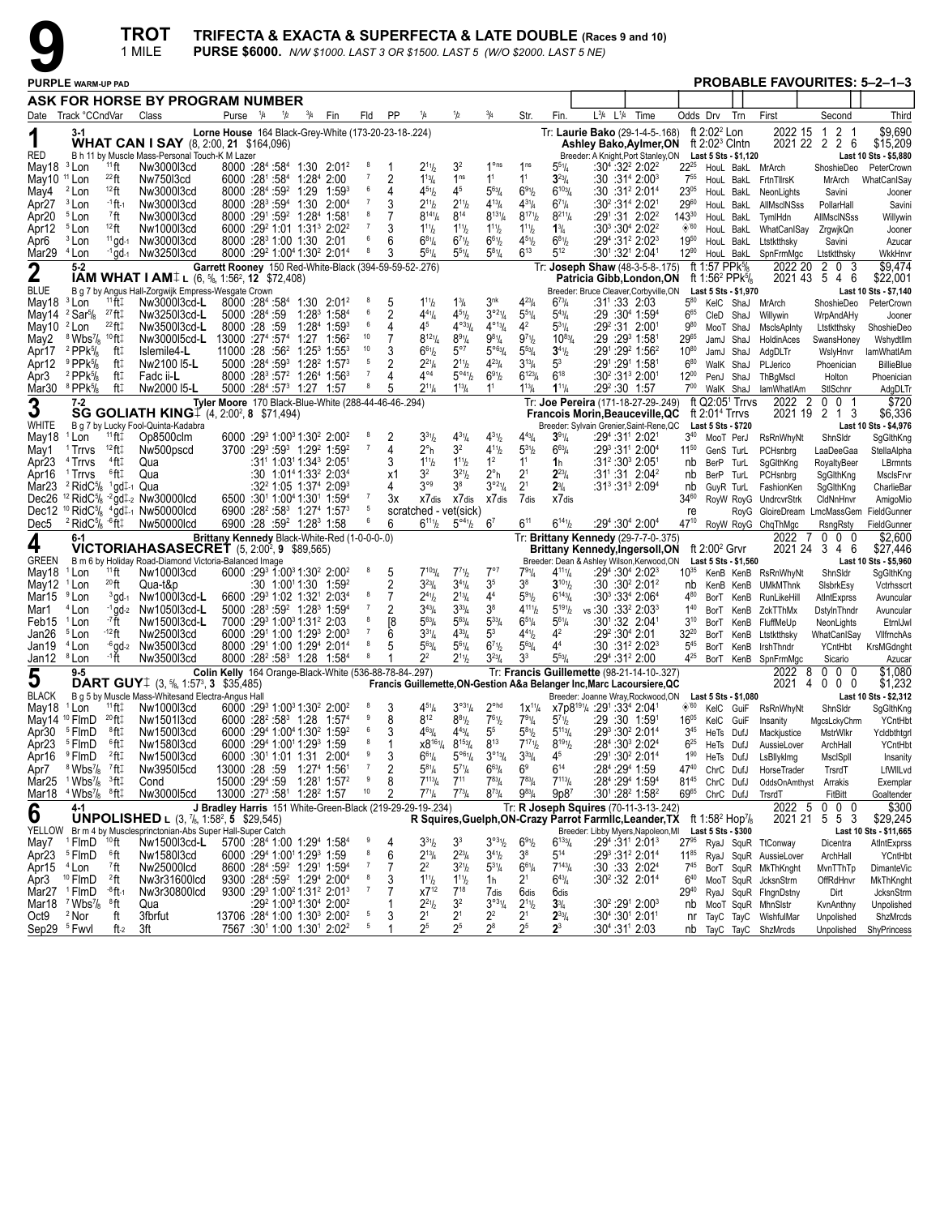

|                                  |                                                                                 |                               | <b>TROT</b><br>1 MILE                                                                   | TRIFECTA & EXACTA & SUPERFECTA & LATE DOUBLE (Races 9 and 10)<br><b>PURSE \$6000.</b> N/W \$1000. LAST 3 OR \$1500. LAST 5 (W/O \$2000. LAST 5 NE) |     |                                                                                                                                               |                     |            |                                      |                                                                      |                                  |                                                   |                                      |                                                                                                                        |                                                     |                              |                                                      |           |                                                            |                                              |                               |
|----------------------------------|---------------------------------------------------------------------------------|-------------------------------|-----------------------------------------------------------------------------------------|----------------------------------------------------------------------------------------------------------------------------------------------------|-----|-----------------------------------------------------------------------------------------------------------------------------------------------|---------------------|------------|--------------------------------------|----------------------------------------------------------------------|----------------------------------|---------------------------------------------------|--------------------------------------|------------------------------------------------------------------------------------------------------------------------|-----------------------------------------------------|------------------------------|------------------------------------------------------|-----------|------------------------------------------------------------|----------------------------------------------|-------------------------------|
|                                  | <b>PURPLE WARM-UP PAD</b>                                                       |                               |                                                                                         |                                                                                                                                                    |     |                                                                                                                                               |                     |            |                                      |                                                                      |                                  |                                                   |                                      |                                                                                                                        |                                                     |                              |                                                      |           | PROBABLE FAVOURITES: 5-2-1-3                               |                                              |                               |
|                                  |                                                                                 |                               | ASK FOR HORSE BY PROGRAM NUMBER                                                         |                                                                                                                                                    |     |                                                                                                                                               |                     |            |                                      |                                                                      |                                  |                                                   |                                      |                                                                                                                        |                                                     |                              |                                                      |           |                                                            |                                              |                               |
|                                  | Date Track °CCndVar                                                             |                               | Class                                                                                   | Purse <sup>1</sup> /4                                                                                                                              | 1/2 | $^{3}/_{4}$<br>Fin                                                                                                                            | Fld                 | PP         | ¼                                    | 1/2                                                                  | $^{3}/_{4}$                      | Str.                                              | Fin.                                 | $L^{3}/_{4}$ $L^{1}/_{4}$                                                                                              | Time                                                |                              | Odds Drv                                             | Trn       | First                                                      | Second                                       | Third                         |
|                                  |                                                                                 |                               |                                                                                         | Lorne House 164 Black-Grey-White (173-20-23-18-.224)                                                                                               |     |                                                                                                                                               |                     |            |                                      |                                                                      |                                  |                                                   |                                      | Tr: Laurie Bako (29-1-4-5-.168)                                                                                        |                                                     |                              | ft $2:022$ Lon                                       |           | 2022 15                                                    | 2 <sub>1</sub><br>$\overline{1}$             | \$9,690                       |
| 1                                |                                                                                 |                               | <b>WHAT CAN I SAY</b> (8, 2:00, 21 \$164,096)                                           |                                                                                                                                                    |     |                                                                                                                                               |                     |            |                                      |                                                                      |                                  |                                                   |                                      | Ashley Bako, Aylmer, ON                                                                                                |                                                     |                              | ft $2:02^3$ Cintn                                    |           | 2021 22 2                                                  | 2 6                                          | \$15,209                      |
| <b>RED</b>                       |                                                                                 |                               | B h 11 by Muscle Mass-Personal Touch-K M Lazer                                          |                                                                                                                                                    |     |                                                                                                                                               | $_{\rm 8}$          |            |                                      |                                                                      | 1 <sup>o</sup> ns                | 1 <sub>ns</sub>                                   |                                      | Breeder: A Knight, Port Stanley, ON                                                                                    |                                                     |                              | Last 5 Sts - \$1,120                                 |           |                                                            |                                              | Last 10 Sts - \$5,880         |
| May18<br>May10 <sup>11</sup> Lon | <sup>3</sup> Lon                                                                | $11$ ft<br>$^{22}$ ft         | Nw3000l3cd<br>Nw75013cd                                                                 |                                                                                                                                                    |     | $8000$ :28 <sup>4</sup> :58 <sup>4</sup> 1:30 2:01 <sup>2</sup><br>6000 :281 :584 1:284 2:00                                                  |                     | 2          | $2^{11}h$<br>$1^{13}$ / <sub>4</sub> | 3 <sup>2</sup><br>1 <sup>ns</sup>                                    | 1 <sup>1</sup>                   | 1 <sup>1</sup>                                    | $5^{51}/4$<br>$3^{23}/4$             |                                                                                                                        | :304 :322 2:022<br>:30 :31ª 2:00ª                   | $22^{25}$<br>7 <sup>55</sup> | HouL BakL<br>HouL BakL                               |           | MrArch<br>FrtnTllrsK                                       | ShoshieDeo<br>MrArch                         | PeterCrown<br>WhatCanISay     |
| May4                             | <sup>2</sup> Lon                                                                | $12$ ft                       | Nw3000l3cd                                                                              | 8000 :284 :59 <sup>2</sup> 1:29                                                                                                                    |     | 1:593                                                                                                                                         |                     | 4          | $4^{51}h$                            | 4 <sup>5</sup>                                                       | $5^{63}$ /4                      | $6^{91}/2$                                        | $6^{103}$ /4                         |                                                                                                                        | $:30:31^2 2:01^4$                                   | $23^{05}$                    | HouL BakL                                            |           | NeonLights                                                 | Savini                                       | Jooner                        |
| Apr27                            | <sup>3</sup> Lon                                                                | -1 ft 1                       | Nw3000l3cd                                                                              |                                                                                                                                                    |     | 8000 :28 <sup>3</sup> :59 <sup>4</sup> 1:30 2:00 <sup>4</sup>                                                                                 | $\overline{7}$      | 3          | $2^{11}h$                            | $2^{11}h$                                                            | $4^{13}/4$                       | $4^{31}/4$                                        | $6^{71}/4$                           |                                                                                                                        | :30²:31ª 2:021                                      | 2960                         | HouL BakL                                            |           | AllMscINSss                                                | PollarHall                                   | Savini                        |
| Apr20                            | <sup>5</sup> Lon                                                                | <sup>7</sup> ft               | Nw3000l3cd                                                                              |                                                                                                                                                    |     | 8000 :291 :59 <sup>2</sup> 1:284 1:581                                                                                                        | 8                   |            | $8^{14}\%$                           | $8^{14}$                                                             | $8^{131}/4$                      | $8^{17}$ <sup>1</sup> / <sub>2</sub>              | $8^{21}$ <sup>1</sup> / <sub>4</sub> |                                                                                                                        | $:29^1:31$ 2:02 <sup>2</sup>                        | $143^{30}$                   | HouL BakL                                            |           | TymlHdn                                                    | AllMscINSss                                  | Willywin                      |
| Apr12                            | <sup>5</sup> Lon                                                                | $12$ ft                       | Nw1000l3cd                                                                              |                                                                                                                                                    |     | 6000 :29 <sup>2</sup> 1:01 1:31 <sup>3</sup> 2:02 <sup>2</sup><br>8000 :28 <sup>3</sup> 1:00 1:30 2:01                                        |                     |            | $1^{11}b$                            | $1^{11}b$                                                            | $1^{11}$ / <sub>2</sub>          | $1^{11}$ / <sub>2</sub>                           | $1\frac{3}{4}$                       |                                                                                                                        | $:30^3:30^4$ 2:02 <sup>2</sup>                      | $\Diamond$ '60               | HouL BakL                                            |           | WhatCanISay                                                | ZrgwjkQn                                     | Jooner                        |
| Apr6<br>Mar29 <sup>4</sup> Lon   | <sup>3</sup> Lon                                                                | $11$ gd-1<br>$-1$ gd-1        | Nw3000l3cd<br>Nw3250l3cd                                                                |                                                                                                                                                    |     | 8000 :29 <sup>2</sup> 1:00 <sup>4</sup> 1:30 <sup>2</sup> 2:01 <sup>4</sup>                                                                   | 8                   | 6<br>3     | $6^{81}/4$<br>$5^{61}/4$             | $6^{7}$ <sup>1</sup> / <sub>2</sub><br>$55\%$                        | $6^{61}/2$<br>$5^{81}/4$         | $4^{51}/2$<br>$6^{13}$                            | $6^{81}/2$<br>$5^{12}$               |                                                                                                                        | :29 <sup>4</sup> :31 <sup>2</sup> 2:02 <sup>3</sup> | 1950<br>$12^{90}$            | HouL BakL                                            |           | Ltstktthsky<br>HouL BakL SpnFrmMgc                         | Savini<br>Ltstktthsky                        | Azucar<br>WkkHnvr             |
|                                  | $5 - 2$                                                                         |                               |                                                                                         | Garrett Rooney 150 Red-White-Black (394-59-59-52-.276)                                                                                             |     |                                                                                                                                               |                     |            |                                      |                                                                      |                                  |                                                   |                                      | Tr: Joseph Shaw (48-3-5-8-.175)                                                                                        |                                                     |                              | ft 1:57 PPk $\frac{5}{8}$                            |           | 2022 20                                                    | 2<br>0<br>3                                  | \$9,474                       |
| $\boldsymbol{2}$                 |                                                                                 |                               | <b>IAM WHAT I AM</b> I (6, $\frac{5}{6}$ , 1:56 <sup>2</sup> , 12 \$72,408)             |                                                                                                                                                    |     |                                                                                                                                               |                     |            |                                      |                                                                      |                                  |                                                   |                                      | Patricia Gibb, London, ON                                                                                              |                                                     |                              | ft 1:56 <sup>2</sup> PPk $\frac{1}{8}$               |           |                                                            | 2021 43 5 4 6                                | \$22,001                      |
| <b>BLUE</b>                      |                                                                                 | $11$ ft:                      | B g 7 by Angus Hall-Zorgwijk Empress-Wesgate Crown                                      |                                                                                                                                                    |     | 8000 :284 :584 1:30 2:01 <sup>2</sup>                                                                                                         |                     |            |                                      |                                                                      | 3 <sup>nk</sup>                  | $4^{23}$ /4                                       | $6^{73}$ /4                          | Breeder: Bruce Cleaver, Corbyville, ON                                                                                 |                                                     | $5^{80}$                     | Last 5 Sts - \$1,970                                 |           |                                                            |                                              | Last 10 Sts - \$7,140         |
| May18<br>May14                   | <sup>3</sup> Lon<br>$2$ Sar $\frac{5}{8}$                                       | $^{27}$ ft $\ddagger$         | Nw3000l3cd-L<br>Nw325013cd-L                                                            | 5000 :284 :59                                                                                                                                      |     | $1:28^3$ 1:58 <sup>4</sup>                                                                                                                    |                     | 2          | $1^{11}b$<br>$4^{41}/4$              | $1\frac{3}{4}$<br>$4^{51}h$                                          | $3°^{21}/4$                      | $5^{51}/4$                                        | $5^{43}$ /4                          | :31':33 2:03                                                                                                           | :29 :30 <sup>4</sup> 1:59 <sup>4</sup>              | $6^{65}$                     | KelC ShaJ<br>CleD ShaJ                               |           | MrArch<br>Willywin                                         | ShoshieDeo<br>WrpAndAHy                      | PeterCrown<br>Jooner          |
| May10 <sup>2</sup> Lon           |                                                                                 | $^{22}$ ft $\ddagger$         | Nw3500l3cd-L                                                                            | 8000 :28 :59                                                                                                                                       |     | 1:28 <sup>4</sup> 1:59 <sup>3</sup>                                                                                                           | 6                   | 4          | 45                                   | $4^{\circ 33}/4$                                                     | $4^{\circ_{13}}/4$               | $4^2$                                             | $5^{31}/4$                           |                                                                                                                        | :29º :31 2:001                                      | 980                          | MooT ShaJ                                            |           | MsclsApInty                                                | Ltstktthsky                                  | ShoshieDeo                    |
| May2                             | <sup>8</sup> Wbs <sup>7</sup> / <sub>8</sub>                                    | $10$ ft $\ddagger$            | Nw3000l5cd-L                                                                            | 13000 :274 :574                                                                                                                                    |     | $1:27$ $1:56^2$                                                                                                                               | 10                  |            | $8^{121}/4$                          | $8^{91}/4$                                                           | $9^{81}/4$                       | $9^{7}$ <sup>1</sup> / <sub>2</sub>               | $10^{83}$ /4                         |                                                                                                                        | $:29:29^3$ 1:581                                    | 2965                         | JamJ ShaJ                                            |           | HoldinAces                                                 | SwansHoney                                   | Wshydtllm                     |
| Apr17                            | $2$ PPk $\frac{5}{8}$                                                           | ft‡                           | Islemile4-L                                                                             |                                                                                                                                                    |     | 11000 :28 :56 <sup>2</sup> 1:25 <sup>3</sup> 1:55 <sup>3</sup>                                                                                | $10$                | 3          | $6^{61}/2$                           | $5^{\circ}7$                                                         | $5^{063} / 4$                    | $5^{53}$ /4                                       | $3^{41}/2$                           |                                                                                                                        | :291 :29 <sup>2</sup> 1:56 <sup>2</sup>             | 1080                         | JamJ ShaJ                                            |           | AdgDLTr                                                    | WslyHnvr                                     | lamWhatIAm                    |
| Apr12                            | $9$ PPk $\frac{5}{8}$                                                           | ft‡                           | Nw2100 I5-L                                                                             |                                                                                                                                                    |     | 5000 :28 <sup>4</sup> :59 <sup>3</sup> 1:28 <sup>2</sup> 1:57 <sup>3</sup>                                                                    | 5                   | 2          | $2^{21}/4$                           | $2^{11}h$                                                            | $4^{23}l_4$                      | $3^{13}/4$                                        | $5^3$                                |                                                                                                                        | :291 :291 1:581                                     | $6^{80}$                     | WalK ShaJ                                            |           | PLJerico                                                   | Phoenician                                   | <b>BillieBlue</b>             |
| Apr3                             | $2$ PPk $\frac{5}{8}$<br>Mar30 $8$ PPk $\frac{5}{8}$                            | ft‡<br>ft‡                    | Fadc ii-L<br>Nw2000 15-L                                                                |                                                                                                                                                    |     | 8000 :28 <sup>3</sup> :57 <sup>2</sup> 1:26 <sup>4</sup> 1:56 <sup>3</sup><br>5000 :28 <sup>4</sup> :57 <sup>3</sup> 1:27 1:57                |                     | Δ<br>5     | $4^{\circ 4}$<br>$2^{11}/4$          | $5^{\circ 4}$ <sup>1</sup> / <sub>2</sub><br>$1^{13}$ / <sub>4</sub> | $6^{91}/2$<br>1 <sup>1</sup>     | $6^{123}/4$<br>$1^{13}$ / <sub>4</sub>            | $6^{18}$<br>$1^{11}/4$               | :29 <sup>2</sup> :30 1:57                                                                                              | $:30^2:31^3$ 2:001                                  | $12^{00}$<br>700             | PenJ ShaJ<br>WalK ShaJ                               |           | ThBgMscl<br>lamWhatIAm                                     | Holton<br>StlSchnr                           | Phoenician<br>AdgDLTr         |
|                                  | 7-2                                                                             |                               |                                                                                         | Tyler Moore 170 Black-Blue-White (288-44-46-46-.294)                                                                                               |     |                                                                                                                                               |                     |            |                                      |                                                                      |                                  |                                                   |                                      | Tr: Joe Pereira (171-18-27-29-.249)                                                                                    |                                                     |                              | ft $Q2:051$ Trrvs                                    |           | 2022<br>$\overline{c}$                                     | 001                                          | \$720                         |
| 3                                |                                                                                 |                               | <b>SG GOLIATH KING</b> $[4, 2:00^2, 8, 571,494)$                                        |                                                                                                                                                    |     |                                                                                                                                               |                     |            |                                      |                                                                      |                                  |                                                   |                                      | Francois Morin, Beauceville, QC                                                                                        |                                                     |                              | ft $2:014$ Trrvs                                     |           |                                                            | 2021 19 2 1 3                                | \$6,336                       |
| WHITE                            |                                                                                 |                               | B g 7 by Lucky Fool-Quinta-Kadabra                                                      |                                                                                                                                                    |     |                                                                                                                                               |                     |            |                                      |                                                                      |                                  |                                                   |                                      | Breeder: Sylvain Grenier, Saint-Rene, QC                                                                               |                                                     |                              | Last 5 Sts - \$720                                   |           |                                                            |                                              | Last 10 Sts - \$4,976         |
| May18                            | <sup>1</sup> Lon                                                                | $11$ ft‡                      | Op8500clm                                                                               |                                                                                                                                                    |     | 6000 :29 1:00 1:30 2:00 2:00                                                                                                                  | 8                   | 2<br>4     | $3^{31}h$                            | $4^{31}/4$<br>32                                                     | $4^{31}/2$<br>$4^{11}/2$         | $4^{43}$ /4                                       | $3^{91}/4$<br>$6^{63}/4$             |                                                                                                                        | :29 <sup>4</sup> :31' 2:02'                         | $3^{40}$                     | MooT PerJ                                            |           | RsRnWhyNt                                                  | ShnSIdr                                      | SgGlthKng                     |
| May1<br>Apr23                    | <sup>1</sup> Trrvs<br><sup>4</sup> Trrvs                                        | $12$ ft $\ddagger$<br>$4$ ft‡ | Nw500pscd<br>Qua                                                                        |                                                                                                                                                    |     | $3700$ :29 <sup>3</sup> :59 <sup>3</sup> 1:29 <sup>2</sup> 1:59 <sup>2</sup><br>$:31^1$ 1:03 <sup>1</sup> 1:34 <sup>3</sup> 2:05 <sup>1</sup> |                     | 3          | $2^{\circ}$ h<br>$1^{11}b$           | $1^{11}h$                                                            | 1 <sup>2</sup>                   | $5^{31}$ / <sub>2</sub><br>1 <sup>1</sup>         | 1 <sub>h</sub>                       |                                                                                                                        | :293 :311 2:004<br>:31º :30ª 2:05ª                  | $11^{50}$<br>nb              | GenS TurL<br>BerP TurL                               |           | PCHsnbrg<br>SgGlthKng                                      | LaaDeeGaa<br>RoyaltyBeer                     | StellaAlpha<br>LBrmnts        |
| Apr16                            | <sup>1</sup> Trrvs                                                              | ®ft‡                          | Qua                                                                                     |                                                                                                                                                    |     | $:30 \quad 1:01^41:33^2 \quad 2:03^4$                                                                                                         |                     | x1         | 32                                   | $3^{21}h$                                                            | $2^{\circ}$ h                    | 2 <sup>1</sup>                                    | $2^{23}$ /4                          |                                                                                                                        | $:31^{\circ} :31$ 2:04 <sup>2</sup>                 | nb                           | BerP TurL                                            |           | PCHsnbrg                                                   | SgGlthKng                                    | MsclsFrvr                     |
| Mar <sub>23</sub>                | $2$ RidC $\frac{5}{8}$                                                          | $1$ gd $\downarrow$ -1 Qua    |                                                                                         |                                                                                                                                                    |     | $:32^2$ 1:05 1:37 <sup>4</sup> 2:09 <sup>3</sup>                                                                                              |                     | 4          | $3^{\circ 9}$                        | 3 <sup>8</sup>                                                       | $3^{921}/4$                      | 2 <sup>1</sup>                                    | $2^{3}/_{4}$                         |                                                                                                                        | $:31^3:31^3$ $2:09^4$                               | nb                           | GuyR TurL                                            |           | FashionKen                                                 | SgGlthKng                                    | CharlieBar                    |
|                                  | Dec26 $12$ RidC $\frac{5}{8}$                                                   |                               | $-2$ gd <sub>+2</sub> Nw30000lcd                                                        |                                                                                                                                                    |     | 6500 :30 <sup>1</sup> 1:00 <sup>4</sup> 1:30 <sup>1</sup> 1:59 <sup>4</sup>                                                                   |                     | Зx         | X7dis                                | X7 dis                                                               | X7dis                            | 7dis                                              | X7 dis                               |                                                                                                                        |                                                     | $34^{60}$                    |                                                      |           | RoyW RoyG UndrcvrStrk                                      | CldNnHnvr                                    | AmigoMio                      |
|                                  |                                                                                 |                               | Dec12 <sup>10</sup> RidC <sup>5</sup> / <sub>8</sub> $^{4}$ gd $\ddagger$ -1 Nw50000lcd |                                                                                                                                                    |     | 6900 :28 <sup>2</sup> :58 <sup>3</sup> 1:27 <sup>4</sup> 1:57 <sup>3</sup>                                                                    | 5                   |            | scratched - vet(sick)                |                                                                      |                                  |                                                   |                                      |                                                                                                                        |                                                     | re                           |                                                      |           | RoyG GloireDream LmcMassGem                                |                                              | FieldGunner                   |
| Dec5                             | $2$ RidC <sup>5</sup> / <sub>8</sub> $-6$ ft <sub>1</sub><br>6-1                |                               | Nw50000lcd                                                                              | Brittany Kennedy Black-White-Red (1-0-0-0-.0)                                                                                                      |     | 6900 :28 :59 <sup>2</sup> 1:28 <sup>3</sup> 1:58                                                                                              |                     | 6          | $6^{111}/2$                          | $5^{\circ 41}/2$ 6 <sup>7</sup>                                      |                                  | $6^{11}$                                          | $6^{141}$                            | Tr: Brittany Kennedy (29-7-7-0-.375)                                                                                   | :29 <sup>4</sup> :30 <sup>4</sup> 2:00 <sup>4</sup> | 47 <sup>10</sup>             |                                                      |           | RoyW RoyG ChqThMgc<br>2022<br>-7                           | RsngRsty<br>$0\quad0\quad0$                  | FieldGunner<br>\$2,600        |
| 4                                |                                                                                 |                               | <b>VICTORIAHASASECRET</b> (5, 2:00 <sup>2</sup> , 9 \$89,565)                           |                                                                                                                                                    |     |                                                                                                                                               |                     |            |                                      |                                                                      |                                  |                                                   |                                      | Brittany Kennedy,Ingersoll,ON                                                                                          |                                                     |                              | ft $2:00^2$ Grvr                                     |           |                                                            | 2021 24 3 4 6                                | \$27,446                      |
| <b>GREEN</b>                     |                                                                                 |                               | B m 6 by Holiday Road-Diamond Victoria-Balanced Image                                   |                                                                                                                                                    |     |                                                                                                                                               |                     |            |                                      |                                                                      |                                  |                                                   |                                      | Breeder: Dean & Ashley Wilson, Kerwood, ON                                                                             |                                                     |                              | Last 5 Sts - \$1,560                                 |           |                                                            |                                              | Last 10 Sts - \$5,960         |
| May18                            | <sup>1</sup> Lon                                                                | $11$ ft                       | Nw1000l3cd                                                                              |                                                                                                                                                    |     | 6000 :293 1:003 1:30 <sup>2</sup> 2:00 <sup>2</sup>                                                                                           | 8                   | 5          | $7^{103}$ /4                         | $7^{71}h$                                                            | $7^{\circ}7$                     | $79\%$                                            | $4^{11}$ <sup>1</sup> / <sub>4</sub> |                                                                                                                        | $:29^4:30^4$ 2:02 <sup>3</sup>                      | $10^{35}$                    |                                                      |           | KenB KenB RsRnWhyNt                                        | ShnSldr                                      | SgGlthKng                     |
| May12<br>Mar15                   | <sup>1</sup> Lon<br><sup>9</sup> Lon                                            | $^{20}$ ft<br>$3$ gd-1        | Qua-t&p<br>Nw1000l3cd-L                                                                 |                                                                                                                                                    |     | :30 1:0011:30 1:59 <sup>2</sup><br>6600 :29 1:02 1:32 2:03 4                                                                                  | 8                   | 2          | $3^{23}$ /4<br>$2^{41}h$             | $3^{41}/4$<br>$2^{13}$ /4                                            | 3 <sup>5</sup><br>4 <sup>4</sup> | 38<br>$5^{91}/2$                                  | $3^{101}/2$<br>$6^{143}$ /4          |                                                                                                                        | :30 :30 2:01 2:<br>:303 :334 2:064                  | nb<br>480                    |                                                      |           | KenB KenB UMkMThnk<br>BorT KenB RunLikeHill                | SisbrkEsy<br>AtIntExprss                     | Vctrhsscrt                    |
| Mar1                             | $4$ Lon                                                                         |                               | $-1$ gd-2 Nw1050l3cd-L                                                                  |                                                                                                                                                    |     | 5000 :283 :59 <sup>2</sup> 1:283 1:594                                                                                                        |                     | 2          | $3^{43}$ /4                          | $3^{33}/4$                                                           | 3 <sup>8</sup>                   | $4^{111}/2$                                       | $5^{19}$ <sup>1</sup> / <sub>2</sub> | vs:30 :33 <sup>2</sup> 2:03 <sup>3</sup>                                                                               |                                                     | $1^{40}$                     |                                                      |           | BorT KenB ZckTThMx                                         | DstylnThndr                                  | Avuncular<br>Avuncular        |
| Feb15 <sup>1</sup> Lon           |                                                                                 | -7ft                          | Nw1500l3cd-L                                                                            |                                                                                                                                                    |     | 7000 :29 1:00 1:31 2:03                                                                                                                       |                     | [8         | $5^{63}$ /4                          | $5^{63}$ /4                                                          | $5^{33}$ / <sub>4</sub>          | $6^{51}/4$                                        | $5^{61}/4$                           |                                                                                                                        | :301:32 2:041                                       | $3^{10}$                     |                                                      |           | BorT KenB FluffMeUp                                        | NeonLights                                   | EtrnIJwl                      |
| Jan26                            | <sup>5</sup> Lon                                                                | -12 ft                        | Nw2500l3cd                                                                              |                                                                                                                                                    |     | 6000 :291 1:00 1:293 2:003                                                                                                                    |                     | 6          | $3^{31}/4$                           | $4^{33}$ /4                                                          | 5 <sup>3</sup>                   | $4^{41}$                                          | 4 <sup>2</sup>                       | :29 <sup>2</sup> :30 <sup>4</sup> 2:01                                                                                 |                                                     | $32^{20}$                    |                                                      | BorT KenB | Ltstktthsky                                                | WhatCanISay                                  | VilfrnchAs                    |
| Jan19                            | <sup>4</sup> Lon                                                                |                               | -6 gd-2 Nw3500l3cd                                                                      |                                                                                                                                                    |     | 8000 :291 1:00 1:294 2:014                                                                                                                    | 8                   | 5          | $5^{63}$ /4                          | $5^{61}/4$                                                           | $6^{71}/2$                       | $5^{63}$ /4                                       | 44                                   |                                                                                                                        | :30 :31º 2:02ª                                      | $5^{45}$                     | BorT KenB                                            |           | IrshThndr                                                  | YCntHbt                                      | KrsMGdnght                    |
| Jan12 <sup>8</sup> Lon           |                                                                                 | -1 ft                         | Nw3500l3cd                                                                              |                                                                                                                                                    |     | 8000 :28 <sup>2</sup> :58 <sup>3</sup> 1:28 1:58 <sup>4</sup>                                                                                 |                     |            | $2^2$                                | $2^{11}h$                                                            | $3^{23}/4$                       | 3 <sup>3</sup>                                    | $5^{53}/4$                           | :294 :31 <sup>2</sup> 2:00                                                                                             |                                                     | 4 <sup>25</sup>              |                                                      |           | BorT KenB SpnFrmMgc                                        | Sicario                                      | Azucar<br>\$1,080             |
| 5                                | $9 - 5$                                                                         |                               | <b>DART GUY</b> $\downarrow$ (3, $\frac{5}{6}$ , 1:57 <sup>3</sup> , 3 \$35,485)        | Colin Kelly 164 Orange-Black-White (536-88-78-84-.297)                                                                                             |     |                                                                                                                                               |                     |            |                                      |                                                                      |                                  |                                                   |                                      | Tr: Francis Guillemette (98-21-14-10-.327)<br>Francis Guillemette, ON-Gestion A&a Belanger Inc, Marc Lacoursiere, QC   |                                                     |                              |                                                      |           | - 8<br>2022<br>2021 4                                      | $0\quad 0$<br>0<br>$\mathbf 0$<br>$0\quad 0$ | \$1,232                       |
| <b>BLACK</b>                     |                                                                                 |                               | B q 5 by Muscle Mass-Whitesand Electra-Angus Hall                                       |                                                                                                                                                    |     |                                                                                                                                               |                     |            |                                      |                                                                      |                                  |                                                   |                                      | Breeder: Joanne Wray, Rockwood, ON                                                                                     |                                                     |                              | Last 5 Sts - \$1,080                                 |           |                                                            |                                              | Last 10 Sts - \$2,312         |
|                                  | May18 <sup>1</sup> Lon                                                          |                               | $11$ ft $\ddagger$ Nw1000l3cd                                                           |                                                                                                                                                    |     | $6000 \cdot 29^3 1 \cdot 00^3 1 \cdot 30^2 2 \cdot 00^2$ 8                                                                                    |                     | 3          | $4^{51}$ /4                          | $3^{931}/4$                                                          | $2^{\circ$ hd                    |                                                   |                                      | 1x <sup>11</sup> / <sub>4</sub> x7p8 <sup>191</sup> / <sub>4</sub> :29 <sup>1</sup> :33 <sup>4</sup> 2:04 <sup>1</sup> |                                                     |                              |                                                      |           | <sup>6'60</sup> KelC GuiF RsRnWhyNt                        | ShnSldr                                      | SgGlthKng                     |
|                                  | May14 <sup>10</sup> FlmD                                                        | 20 ft‡                        | Nw1501l3cd                                                                              |                                                                                                                                                    |     | 6000 :28 <sup>2</sup> :58 <sup>3</sup> 1:28 1:57 <sup>4</sup>                                                                                 | 9<br>6              | 8<br>3     | $8^{12}$<br>$4^{63}/4$               | $8^{81}$ / <sub>2</sub>                                              | $7^{61}/2$<br>$5^5$              | 791/4                                             | $5^{71}h$<br>$5^{113}/4$             | :29 :30 1:591                                                                                                          |                                                     | $16^{05}$                    | KelC GuiF                                            |           | Insanity                                                   | MgcsLckyChrm                                 | YCntHbt                       |
|                                  | Apr30 <sup>5</sup> FlmD<br>Apr23 <sup>5</sup> FlmD                              | ®ft‡<br>®ft‡                  | Nw1500l3cd<br>Nw1580l3cd                                                                |                                                                                                                                                    |     | 6000 :294 1:004 1:30 <sup>2</sup> 1:59 <sup>2</sup><br>6000 :294 1:001 1:293 1:59                                                             |                     |            | $x8^{161}/4$                         | $4^{43}$ / <sub>4</sub><br>$8^{153}/4$                               | $8^{13}$                         | $5^{8}$ <sup>1</sup> / <sub>2</sub><br>$7^{171}h$ | $8^{191}/2$                          |                                                                                                                        | $:29^3:30^2$ 2:01 <sup>4</sup><br>:284 :303 2:024   | $3^{45}$<br>$6^{25}$         | HeTs DufJ<br>HeTs DufJ                               |           | Mackjustice<br>AussieLover                                 | MstrWlkr<br>ArchHall                         | Ycldbthtgrl<br><b>YCntHbt</b> |
|                                  | Apr16 <sup>9</sup> FlmD                                                         | $2$ ft $\ddagger$             | Nw1500l3cd                                                                              |                                                                                                                                                    |     | 6000 :301 1:01 1:31 2:004                                                                                                                     | 9                   | $\sqrt{3}$ | $6^{61}/4$                           | $5^{\circ 6}\%$                                                      | $3^{013}/4$                      | $3^{33}/4$                                        | 4 <sup>5</sup>                       |                                                                                                                        | :291:302 2:014                                      | $1^{90}$                     | HeTs DufJ                                            |           | LsBllyklmg                                                 | MscISpII                                     | Insanity                      |
| Apr7                             | $8$ Wbs $\frac{7}{8}$ $7$ ft:                                                   |                               | Nw395015cd                                                                              |                                                                                                                                                    |     | 13000 :28 :59 1:27 <sup>4</sup> 1:56 <sup>1</sup>                                                                                             | -7                  | 2          | $5^{81}/4$                           | $5^{7}$ <sup>1</sup> / <sub>4</sub>                                  | $6^{63}/4$                       | 6 <sup>9</sup>                                    | $6^{14}$                             | :284:2941:59                                                                                                           |                                                     | 4740                         | ChrC DufJ                                            |           | HorseTrader                                                | TrsrdT                                       | LfWIILvd                      |
|                                  | Mar25 $1$ Wbs <sup>7</sup> / <sub>8</sub> $3$ ft $\ddagger$                     |                               | Cond                                                                                    | 15000 :294 :59                                                                                                                                     |     | 1:28 <sup>1</sup> 1:57 <sup>2</sup>                                                                                                           | $_{9}$              | 8          | $7^{113}/4$                          | $7^{11}$                                                             | $7^{83}$ / <sub>4</sub>          | $7^{83}$ /4                                       | $7^{113}$ /4                         |                                                                                                                        | :284 :294 1:594                                     | $81^{45}$                    | ChrC DufJ                                            |           | OddsOnAmthyst Arrakis                                      |                                              | Exemplar                      |
|                                  | Mar18 <sup>4</sup> Wbs <sup>7</sup> / <sub>8</sub> <sup>8</sup> ft <sup>1</sup> |                               | Nw300015cd                                                                              |                                                                                                                                                    |     | 13000 :27 <sup>3</sup> :58 <sup>1</sup> 1:28 <sup>2</sup> 1:57                                                                                | 10                  | 2          | $7^{71}$ /4                          | $7^{73}$ /4                                                          | $8^{73}/4$                       | $9^{83} / 4$                                      | 9p8 <sup>7</sup>                     |                                                                                                                        | :301:282 1:582                                      |                              | 6965 ChrC DufJ                                       |           | TrsrdT                                                     | FitBitt                                      | Goaltender                    |
| 6                                | 4-1                                                                             |                               | <b>UNPOLISHED</b> L $(3, 7), 1:58^2, 5$ \$29,545)                                       | J Bradley Harris 151 White-Green-Black (219-29-29-19-.234)                                                                                         |     |                                                                                                                                               |                     |            |                                      |                                                                      |                                  |                                                   |                                      | Tr: R Joseph Squires (70-11-3-13-.242)<br>R Squires, Guelph, ON-Crazy Parrot Farmilc, Leander, TX                      |                                                     |                              | ft 1:58 <sup>2</sup> Hop <sup>7</sup> / <sub>8</sub> |           |                                                            | 2022 5 0 0 0<br>2021 21 5 5 3                | \$300<br>\$29,245             |
|                                  |                                                                                 |                               | YELLOW Br m 4 by Musclesprinctonian-Abs Super Hall-Super Catch                          |                                                                                                                                                    |     |                                                                                                                                               |                     |            |                                      |                                                                      |                                  |                                                   |                                      | Breeder: Libby Myers, Napoleon, MI                                                                                     |                                                     |                              | Last 5 Sts - \$300                                   |           |                                                            |                                              | Last 10 Sts - \$11,665        |
| May7                             | 1 FlmD                                                                          | $10$ ft                       | Nw1500l3cd-L                                                                            |                                                                                                                                                    |     | 5700 :284 1:00 1:294 1:584                                                                                                                    |                     | 4          | $3^{31}h$                            | 3 <sup>3</sup>                                                       | $3^{031}/2$                      | $6^{91}/2$                                        | $6^{133}/4$                          |                                                                                                                        | :294 :31 <sup>1</sup> 2:01 <sup>3</sup>             |                              |                                                      |           | 27 <sup>95</sup> RyaJ SquR TtConway                        | Dicentra                                     | AtIntExprss                   |
|                                  | Apr23 <sup>5</sup> FlmD                                                         | $^6$ ft                       | Nw1580l3cd                                                                              |                                                                                                                                                    |     | 6000 :294 1:001 1:293 1:59                                                                                                                    |                     | 6          | $2^{13}/4$                           | $2^{23}$ /4                                                          | $3^{41}/2$                       | 38                                                | $5^{14}$                             |                                                                                                                        | :293:312 2:014                                      |                              |                                                      |           | 1185 RyaJ SquR AussieLover                                 | ArchHall                                     | YCntHbt                       |
| Apr15 <sup>4</sup> Lon           | <sup>10</sup> FlmD                                                              | <sup>7</sup> ft<br>$^{2}$ ft  | Nw25000lcd<br>Nw3r31600lcd                                                              |                                                                                                                                                    |     | 8600 :284 :59 <sup>2</sup> 1:291 1:594<br>$9300 : 284: 592 1:294 2:004$                                                                       | $\overline{7}$<br>8 | 7<br>3     | 2 <sup>2</sup><br>$1^{11}h$          | $3^{21}h$                                                            | $5^{31}/4$                       | $6^{61}/4$<br>2 <sup>1</sup>                      | $7^{143}/4$<br>$6^{43}/4$            |                                                                                                                        | :30 :33 2:024<br>$:30^2:32$ 2:01 <sup>4</sup>       | $7^{45}$                     |                                                      |           | BorT SquR MkThKnght<br>6 <sup>40</sup> MooT SquR JcksnStrm | MvnTThTp                                     | <b>DimanteVic</b>             |
| Apr3                             | Mar27 $1$ FlmD                                                                  | - <sup>8</sup> ft-1           | Nw3r30800lcd                                                                            |                                                                                                                                                    |     | 9300 :29 1:00 21:31 2:01 3                                                                                                                    | -7                  |            | $X7^{12}$                            | $1^{11}h$<br>$7^{18}$                                                | 1 <sub>h</sub><br>7dis           | 6dis                                              | 6dis                                 |                                                                                                                        |                                                     |                              |                                                      |           | 29 <sup>40</sup> RyaJ SquR FlngnDstny                      | OffRdHnvr<br>Dirt                            | MkThKnght<br><b>JcksnStrm</b> |
|                                  | Mar18 <sup>7</sup> Wbs <sup>7</sup> / <sub>8</sub>                              | ®ft                           | Qua                                                                                     |                                                                                                                                                    |     | :29 <sup>2</sup> 1:00 <sup>3</sup> 1:30 <sup>4</sup> 2:00 <sup>2</sup>                                                                        |                     | -1         | $2^{21}h$                            | 3 <sup>2</sup>                                                       | $3^{031}/4$                      | $2^{11}/2$                                        | $3\frac{3}{4}$                       |                                                                                                                        | :30 <sup>2</sup> :29 <sup>1</sup> 2:00 <sup>3</sup> |                              |                                                      |           | nb MooT SquR MhnSlstr                                      | KvnAnthny                                    | Unpolished                    |
| Oct9                             | <sup>2</sup> Nor                                                                | ft                            | 3fbrfut                                                                                 |                                                                                                                                                    |     | 13706 :284 1:00 1:30 <sup>3</sup> 2:00 <sup>2</sup>                                                                                           | 5                   | 3          | $2^1$                                | 2 <sup>1</sup>                                                       | $2^2$                            | $2^{1}$                                           | $2^{33}/4$                           |                                                                                                                        | $:30^{4}:30^{1}$ 2:01 <sup>1</sup>                  |                              |                                                      |           | nr TayC TayC WishfulMar                                    | Unpolished                                   | ShzMrcds                      |
| Sep29 <sup>5</sup> Fwvl          |                                                                                 | ft-2                          | 3ft                                                                                     |                                                                                                                                                    |     | 7567 :301 1:00 1:301 2:022                                                                                                                    | 5                   | 1          | 2 <sup>5</sup>                       | 2 <sup>5</sup>                                                       | $2^8$                            | 25                                                | $2^3$                                | :30 <sup>4</sup> :31 <sup>1</sup> 2:03                                                                                 |                                                     |                              |                                                      |           | nb TayC TayC ShzMrcds                                      |                                              | Unpolished ShyPrincess        |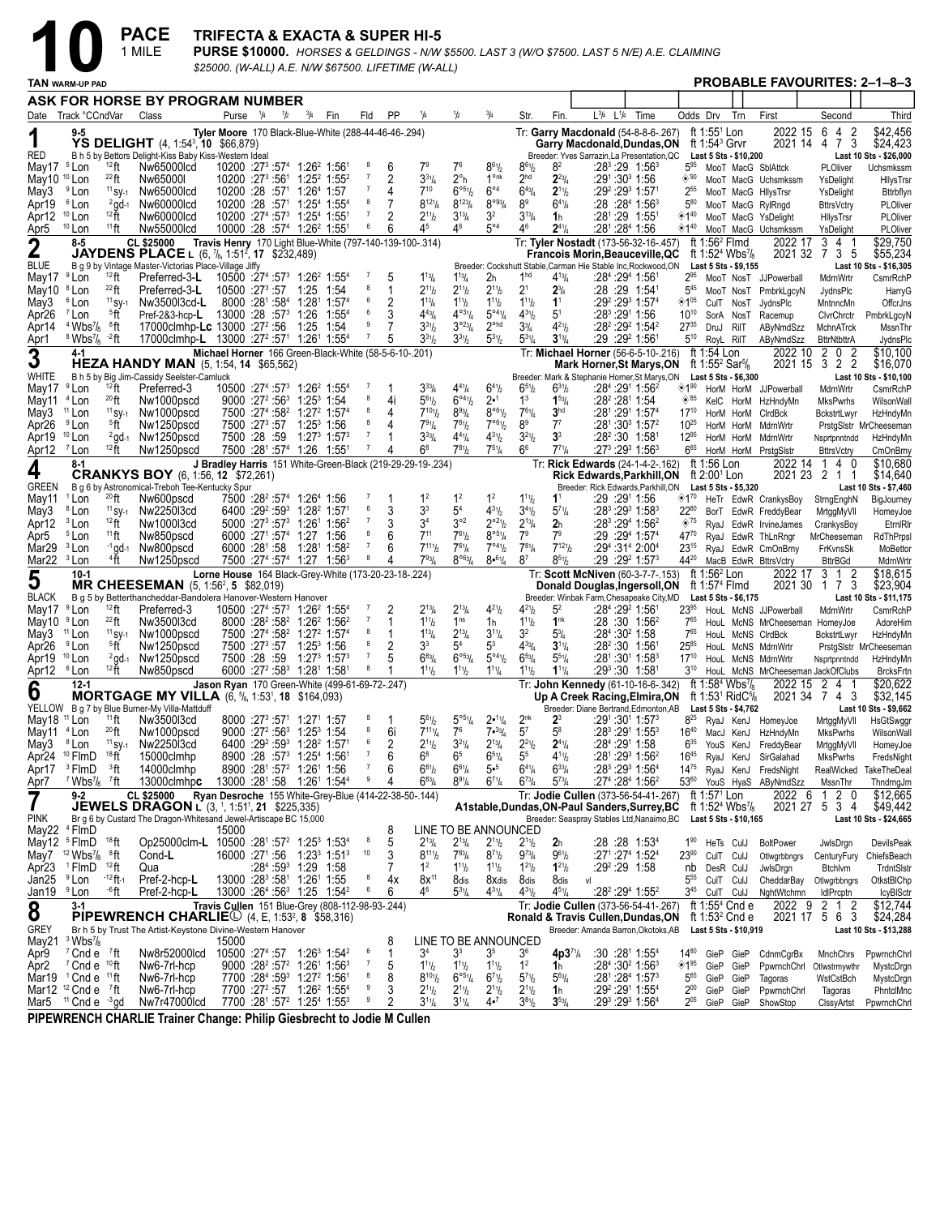$PACE$ <sub>1 MILE</sub>

### **TRIFECTA & EXACTA & SUPER HI-5**

PURSE \$10000. HORSES & GELDINGS - N/W \$5500. LAST 3 (W/O \$7500. LAST 5 N/E) A.E. CLAIMING \$25000. (W-ALL) A.E. N/W \$67500. LIFETIME (W-ALL)

|                                | <b>TAN WARM-UP PAD</b>                             |                               |                                                                                                               |                                                                                                                            |                     |               |                                                                                                                                                          |            |                     |           |                                                            |                                           |                                           |                                           |                                        |                                                                                                    |      |                                            |                                                      |                                                                               |                                                     |                                               | <b>PROBABLE FAVOURITES: 2-1-8-3</b> |
|--------------------------------|----------------------------------------------------|-------------------------------|---------------------------------------------------------------------------------------------------------------|----------------------------------------------------------------------------------------------------------------------------|---------------------|---------------|----------------------------------------------------------------------------------------------------------------------------------------------------------|------------|---------------------|-----------|------------------------------------------------------------|-------------------------------------------|-------------------------------------------|-------------------------------------------|----------------------------------------|----------------------------------------------------------------------------------------------------|------|--------------------------------------------|------------------------------------------------------|-------------------------------------------------------------------------------|-----------------------------------------------------|-----------------------------------------------|-------------------------------------|
|                                |                                                    |                               | ASK FOR HORSE BY PROGRAM NUMBER                                                                               |                                                                                                                            |                     |               |                                                                                                                                                          |            |                     |           |                                                            |                                           |                                           |                                           |                                        |                                                                                                    |      |                                            |                                                      |                                                                               |                                                     |                                               |                                     |
|                                | Date Track °CCndVar                                |                               | Class                                                                                                         |                                                                                                                            | Purse $\frac{1}{4}$ | $\frac{1}{2}$ | $^{3}/_{4}$                                                                                                                                              | Fin        | Fld                 | <b>PP</b> | 1/4                                                        | 1/2                                       | $^{3}/_{4}$                               | Str.                                      | Fin.                                   | L3/4 L1/4                                                                                          | Time | Odds Drv                                   |                                                      | Trn                                                                           | First                                               | Second                                        | Third                               |
|                                | 9-5                                                |                               |                                                                                                               | Tyler Moore 170 Black-Blue-White (288-44-46-46-.294)                                                                       |                     |               |                                                                                                                                                          |            |                     |           |                                                            |                                           |                                           |                                           |                                        | Tr: Garry Macdonald (54-8-8-6-.267)                                                                |      |                                            | ft 1:55 <sup>1</sup> Lon                             |                                                                               | 2022 15                                             | 6<br>4<br>2                                   | \$42,456                            |
|                                |                                                    |                               | YS DELIGHT (4, 1:54 <sup>3</sup> , 10 \$66,879)                                                               |                                                                                                                            |                     |               |                                                                                                                                                          |            |                     |           |                                                            |                                           |                                           |                                           |                                        | Garry Macdonald, Dundas, ON                                                                        |      |                                            | ft 1:54 $3$ Grvr                                     |                                                                               |                                                     | 3<br>2021 14 4 7                              | \$24,423                            |
| RED<br>May17 <sup>5</sup> Lon  |                                                    | $12$ ft                       | B h 5 by Bettors Delight-Kiss Baby Kiss-Western Ideal<br>Nw65000lcd                                           | $10200$ :27 <sup>3</sup> :57 <sup>4</sup> 1:26 <sup>2</sup> 1:56 <sup>1</sup>                                              |                     |               |                                                                                                                                                          |            |                     | 6         |                                                            | 7 <sup>6</sup>                            | $8^{61}$                                  | $8^{6}$ <sup>1</sup> / <sub>2</sub>       | 82                                     | Breeder: Yves Sarrazin, La Presentation, QC                                                        |      | 595                                        |                                                      | Last 5 Sts - \$10,200                                                         | MooT MacG SblAttck                                  | PLOliver                                      | Last 10 Sts - \$26,000<br>Uchsmkssm |
| May10 <sup>10</sup> Lon        |                                                    | $^{22}$ ft                    | Nw65000I                                                                                                      | 10200 :273 :561 1:252 1:552                                                                                                |                     |               |                                                                                                                                                          |            |                     | 2         | $3^{31}/4$                                                 | $2^{\circ}$ h                             | 1 <sup>onk</sup>                          | 2 <sup>hd</sup>                           | $2^{23}$ / <sub>4</sub>                | :291:303 1:56                                                                                      |      | $\circledcirc$ '90                         |                                                      |                                                                               | MooT MacG Uchsmkssm                                 | YsDelight                                     | HllysTrsr                           |
| May3                           | <sup>9</sup> Lon                                   | $11$ SY-1                     | Nw65000lcd                                                                                                    | $10200$ :28 :57 <sup>1</sup> 1:26 <sup>4</sup> 1:57                                                                        |                     |               |                                                                                                                                                          |            |                     |           | $7^{10}$                                                   | $6^{\circ 51}$                            | $6^{\circ 4}$                             | $6^{43}/4$                                | $2^{11}/2$                             | :29º :29ª 1:57ª                                                                                    |      | $2^{55}$                                   |                                                      |                                                                               | MooT MacG HllysTrsr                                 | YsDelight                                     | Bttrbflyn                           |
| Apr19                          | <sup>6</sup> Lon                                   | $^{2}$ gd-1                   | Nw60000lcd                                                                                                    | $10200$ :28 :57 <sup>1</sup> 1:25 <sup>4</sup> 1:55 <sup>4</sup>                                                           |                     |               |                                                                                                                                                          |            | 8                   | 7         | $8^{12}$ <sup>1</sup> / <sub>4</sub>                       | $8^{123}/4$                               | $8^{\circ 93}/4$                          | 8 <sup>9</sup>                            | $6^{41}/4$                             | :28:28 <sup>4</sup> 1:56 <sup>3</sup>                                                              |      | $5^{80}$                                   |                                                      |                                                                               | MooT MacG RylRngd                                   | <b>BttrsVctry</b>                             | PLOliver                            |
| Apr12                          | <sup>10</sup> Lon                                  | $12 +$                        | Nw60000lcd                                                                                                    | 10200 :27 <sup>4</sup> :57 <sup>3</sup> 1:25 <sup>4</sup> 1:55 <sup>1</sup>                                                |                     |               |                                                                                                                                                          |            | 7<br>6              | 6         | $2^{11}h$                                                  | $3^{13}/4$<br>46                          | 3 <sup>2</sup><br>$5^{\circ 4}$           | $3^{13}/4$                                | 1h                                     | :281:29 1:551                                                                                      |      | ◈1 <sup>40</sup>                           |                                                      |                                                                               | MooT MacG YsDelight                                 | HilysTrsr                                     | PLOliver                            |
| Apr5                           | $10$ Lon<br>8-5                                    | $11$ ft                       | Nw55000lcd<br>CL \$25000                                                                                      | 10000 :28 :57 <sup>4</sup> 1:26 <sup>2</sup> 1:55 <sup>1</sup><br>Travis Henry 170 Light Blue-White (797-140-139-100-.314) |                     |               |                                                                                                                                                          |            |                     |           | 4 <sup>5</sup>                                             |                                           |                                           | 46                                        | $2^{41}/4$                             | :281:284 1:56<br>Tr: Tyler Nostadt (173-56-32-16-.457)                                             |      | ◈1"                                        | ft 1:56 <sup>2</sup> Flmd                            |                                                                               | MooT MacG Uchsmkssm<br>2022 17                      | YsDelight<br>3<br>41                          | PLOliver<br>\$29,750                |
| $\mathbf 2$                    |                                                    |                               | <b>JAYDENS PLACE</b> L (6, $\frac{7}{6}$ , 1:51 <sup>2</sup> , 17 \$232,489)                                  |                                                                                                                            |                     |               |                                                                                                                                                          |            |                     |           |                                                            |                                           |                                           |                                           |                                        | <b>Francois Morin, Beauceville, QC</b>                                                             |      |                                            |                                                      | ft 1:52 <sup>4</sup> Wbs <sup>7</sup> / <sub>8</sub>                          | 2021 32                                             | 735                                           | \$55,234                            |
| <b>BLUE</b>                    |                                                    |                               | B g 9 by Vintage Master-Victorias Place-Village Jiffy                                                         |                                                                                                                            |                     |               |                                                                                                                                                          |            |                     |           |                                                            |                                           |                                           |                                           |                                        | Breeder: Cockshutt Stable, Carman Hie Stable Inc, Rockwood, ON                                     |      |                                            |                                                      | Last 5 Sts - \$9,155                                                          |                                                     |                                               | Last 10 Sts - \$16,305              |
| May17 <sup>9</sup> Lon         |                                                    | $12$ ft                       | Preferred-3-L                                                                                                 | $10500$ :27 <sup>4</sup> :57 <sup>3</sup> 1:26 <sup>2</sup> 1:55 <sup>4</sup>                                              |                     |               |                                                                                                                                                          |            |                     | 5         | $1^{13}/4$                                                 | $1^{13}$ /4                               | 2h                                        | 1 <sup>hd</sup>                           | $4^{13}$ / <sub>4</sub>                | :28 <sup>4</sup> :29 <sup>4</sup> 1:561                                                            |      | 295                                        |                                                      |                                                                               | MooT NosT JJPowerball                               | MdrnWrtr                                      | CsmrRchP                            |
| May10<br>May3                  | <sup>8</sup> Lon<br><sup>6</sup> Lon               | $^{22}$ ft<br>$11$ SV-1       | Preferred-3-L<br>Nw3500l3cd-L                                                                                 | 10500 :27 <sup>3</sup> :57 1:25<br>8000 :281 :584                                                                          |                     |               | 1:28 <sup>1</sup> 1:57 <sup>4</sup>                                                                                                                      | 1:54       | 6                   | 1<br>2    | $2^{11}h$<br>$1^{13}$ / <sub>4</sub>                       | $2^{11}h$<br>$1^{11}h$                    | $2^{11}/2$<br>$1^{11}$ / <sub>2</sub>     | 2 <sup>1</sup><br>$1^{11}$ / <sub>2</sub> | $2\frac{3}{4}$<br>1 <sup>1</sup>       | :28 :29 1:541<br>:29 <sup>2</sup> :29 <sup>3</sup> 1:57 <sup>4</sup>                               |      | $5^{45}$<br>$\diamondsuit$ 1 <sup>05</sup> |                                                      | CulT NosT                                                                     | MooT NosT PmbrkLgcyN<br>JydnsPlc                    | JydnsPlc<br>MntnncMn                          | HarryG<br>OffcrJns                  |
| Apr <sub>26</sub>              | <sup>7</sup> Lon                                   | 5 <sup>6</sup>                | Pref-2&3-hcp-L                                                                                                | 13000 :28 :57 <sup>3</sup>                                                                                                 |                     |               | 1:26                                                                                                                                                     | $1:55^{4}$ | 6                   | 3         | $4^{43}$ /4                                                | $4^{\circ 3}$ <sup>1</sup> / <sub>4</sub> | $5^{\circ 4}$ <sup>1</sup> / <sub>4</sub> | $4^{31}/2$                                | $5^1$                                  | :28ª :291 1:56                                                                                     |      | $10^{10}$                                  | SorA NosT                                            |                                                                               | Racemup                                             | ClvrChrctr                                    | PmbrkLgcyN                          |
| Apr14                          | $4$ Wbs $\frac{7}{8}$                              | ®ft                           | 17000clmhp-Lc 13000 :27 <sup>2</sup> :56                                                                      |                                                                                                                            |                     |               | 1:25                                                                                                                                                     | 1:54       |                     |           | $3^{31}$                                                   | $3^{023}/4$                               | $2^{\circ}$ hd                            | 3 <sup>3</sup> / <sub>4</sub>             | $4^{21}b$                              | $:28^2:29^2$ 1:54 <sup>2</sup>                                                                     |      | $27^{35}$                                  | DruJ RiIT                                            |                                                                               | AByNmdSzz                                           | MchnATrck                                     | MssnThr                             |
| Apr1                           | $8$ Wbs <sup>7</sup> / <sub>8</sub> $-2$ ft        |                               | 17000clmhp-L 13000 :27 <sup>2</sup> :57 <sup>1</sup> 1:26 <sup>1</sup> 1:55 <sup>4</sup>                      |                                                                                                                            |                     |               |                                                                                                                                                          |            | $\overline{7}$      | 5         | $3^{31}h$                                                  | $3^{31}h$                                 | $5^{31}/2$                                | $5^{31}/4$                                | $3^{13}/4$                             | :29 :29 1:561                                                                                      |      | $5^{10}$                                   | RoyL RilT                                            |                                                                               | AByNmdSzz                                           | <b>BttrNtbttrA</b>                            | JydnsPlc                            |
| 3                              | 4-1                                                |                               |                                                                                                               | Michael Horner 166 Green-Black-White (58-5-6-10-.201)                                                                      |                     |               |                                                                                                                                                          |            |                     |           |                                                            |                                           |                                           |                                           |                                        | Tr: Michael Horner (56-6-5-10-.216)                                                                |      |                                            | ft 1:54 Lon                                          |                                                                               | 2022 10                                             | 2<br>0<br>2<br>$3\overline{2}$ $\overline{2}$ | \$10,100                            |
| WHITE                          |                                                    |                               | <b>HEZA HANDY MAN</b> (5, 1:54, <b>14</b> \$65,562)<br>B h 5 by Big Jim-Cassidy Seelster-Camluck              |                                                                                                                            |                     |               |                                                                                                                                                          |            |                     |           |                                                            |                                           |                                           |                                           |                                        | <b>Mark Horner, St Marys, ON</b><br>Breeder: Mark & Stephanie Horner, St Marys, ON                 |      |                                            | ft 1:55 <sup>2</sup> Sar <sup>5</sup> / <sub>8</sub> | Last 5 Sts - \$6,300                                                          | 2021 15                                             |                                               | \$16,070<br>Last 10 Sts - \$10,100  |
| May17                          | <sup>9</sup> Lon                                   | $12$ ft                       | Preferred-3                                                                                                   |                                                                                                                            |                     |               | 10500 :27 <sup>4</sup> :57 <sup>3</sup> 1:26 <sup>2</sup> 1:55 <sup>4</sup>                                                                              |            |                     |           | $3^{33}$ /4                                                | $4^{41}$ /4                               | $6^{41}/2$                                | $6^{51}/2$                                | $6^{31}/2$                             | :28 <sup>4</sup> :291 1:56 <sup>2</sup>                                                            |      | ◈1"                                        |                                                      |                                                                               | HorM HorM JJPowerball                               | MdrnWrtr                                      | CsmrRchP                            |
| May11                          | <sup>4</sup> Lon                                   | $^{20}$ ft                    | Nw1000pscd                                                                                                    |                                                                                                                            |                     |               | $9000 : 27^2 : 56^3$ 1:25 <sup>3</sup> 1:54                                                                                                              |            | 8                   | 4i        | $5^{61}$                                                   | $6^{\circ 4}$ <sup>1</sup> / <sub>2</sub> | 2• <sup>1</sup>                           | 1 <sup>3</sup>                            | $1^{53}/4$                             | :28 <sup>2</sup> :28 <sup>1</sup> 1:54                                                             |      | $\diamond$ '85                             |                                                      |                                                                               | KelC HorM HzHndyMn                                  | MksPwrhs                                      | WilsonWall                          |
| May3                           | <sup>11</sup> Lon                                  | $11$ SV-1                     | Nw1000pscd                                                                                                    |                                                                                                                            |                     |               | 7500 :274 :58 <sup>2</sup> 1:27 <sup>2</sup> 1:574                                                                                                       |            | 8<br>8              | 4         | $7^{101}$                                                  | $8^{93}/4$                                | $8^{\circ 61}/2$                          | $7^{61}/4$                                | 3 <sup>hd</sup>                        | :281:291 1:574                                                                                     |      | $17^{10}$                                  |                                                      |                                                                               | HorM HorM CIrdBck                                   | BckstrtLwyr                                   | HzHndyMn                            |
| Apr <sub>26</sub><br>Apr19     | <sup>9</sup> Lon<br>$10$ Lon                       | 5 <sup>6</sup><br>$^{2}$ gd-1 | Nw1250pscd<br>Nw1250pscd                                                                                      | 7500 :27 <sup>3</sup> :57                                                                                                  |                     |               | $1:25^3$ 1:56<br>7500 :28 :59 1:27 <sup>3</sup> 1:57 <sup>3</sup>                                                                                        |            | $\overline{7}$      | 4         | $7^{91}/4$<br>$3^{33}/4$                                   | $7^{81}h$<br>$4^{41}/4$                   | 7°61/2<br>$4^{31}/2$                      | 8 <sup>9</sup><br>$3^{21}/2$              | $7^7$<br>3 <sup>3</sup>                | $:28^1:30^3$ 1:57 <sup>2</sup><br>$:28^2:30$ 1:581                                                 |      | $10^{25}$<br>$12^{95}$                     |                                                      | HorM HorM                                                                     | MdrnWrtr<br>HorM HorM MdrnWrtr                      | Nsprtpnntndd                                  | PrstgSlstr MrCheeseman<br>HzHndyMn  |
| Apr12                          | <sup>7</sup> Lon                                   | $12$ ft                       | Nw1250pscd                                                                                                    |                                                                                                                            |                     |               | 7500 :281 :574 1:26 1:551                                                                                                                                |            | 7                   | 4         | $6^8$                                                      | $7^{81}h$                                 | $7^{51}/4$                                | 6 <sup>6</sup>                            | $7^{71}/4$                             | :27 <sup>3</sup> :29 <sup>3</sup> 1:56 <sup>3</sup>                                                |      | $6^{65}$                                   |                                                      |                                                                               | HorM HorM PrstgSlstr                                | <b>BttrsVctry</b>                             | CmOnBrny                            |
|                                | 8-1                                                |                               |                                                                                                               |                                                                                                                            |                     |               |                                                                                                                                                          |            |                     |           | J Bradley Harris 151 White-Green-Black (219-29-29-19-.234) |                                           |                                           |                                           |                                        | Tr: Rick Edwards (24-1-4-2-.162)                                                                   |      |                                            | ft 1:56 Lon                                          |                                                                               | 2022 14                                             | 140                                           | \$10,680                            |
| 4                              |                                                    |                               | <b>CRANKYS BOY</b> (6, 1:56, 12 \$72,261)                                                                     |                                                                                                                            |                     |               |                                                                                                                                                          |            |                     |           |                                                            |                                           |                                           |                                           |                                        | <b>Rick Edwards, Parkhill, ON</b>                                                                  |      |                                            | ft $2:001$ Lon                                       |                                                                               |                                                     | 2021 23 2 1 1                                 | \$14,640                            |
| <b>GREEN</b>                   | <sup>1</sup> Lon                                   | $^{20}$ ft                    | B g 6 by Astronomical-Treboh Tee-Kentucky Spur<br>Nw600pscd                                                   |                                                                                                                            |                     |               | 7500 :28 <sup>2</sup> :57 <sup>4</sup> 1:26 <sup>4</sup> 1:56                                                                                            |            |                     |           | 1 <sup>2</sup>                                             | 1 <sup>2</sup>                            | 1 <sup>2</sup>                            | $1^{11}$                                  | 1 <sup>1</sup>                         | Breeder: Rick Edwards, Parkhill, ON<br>:29 :291 1:56                                               |      | ⊗1"                                        |                                                      | Last 5 Sts - \$5.320                                                          |                                                     |                                               | Last 10 Sts - \$7,460               |
| May11<br>May3                  | <sup>8</sup> Lon                                   | $11$ SV-1                     | Nw225013cd                                                                                                    |                                                                                                                            |                     |               | 6400 :29 <sup>2</sup> :59 <sup>3</sup> 1:28 <sup>2</sup> 1:57 <sup>1</sup>                                                                               |            | 6                   | 3         | 3 <sup>3</sup>                                             | 5 <sup>4</sup>                            | $4^{31}/2$                                | $3^{4}$ <sup>1</sup> / <sub>2</sub>       | $5^{71}/4$                             | :28 <sup>3</sup> :29 <sup>3</sup> 1:58 <sup>3</sup>                                                |      | 2280                                       |                                                      |                                                                               | HeTr EdwR CrankysBoy<br>BorT EdwR FreddyBear        | StrngEnghN<br>MrtggMyVII                      | BigJourney<br>HomeyJoe              |
| Apr12                          | <sup>3</sup> Lon                                   | $12$ ft                       | Nw1000l3cd                                                                                                    |                                                                                                                            |                     |               | $5000$ :27 <sup>3</sup> :57 <sup>3</sup> 1:26 <sup>1</sup> 1:56 <sup>2</sup>                                                                             |            | 7                   | 3         | 3 <sup>4</sup>                                             | $3^{\circ 2}$                             | $2^{o_2}\frac{1}{2}$                      | $2^{13}$ /4                               | 2 <sub>h</sub>                         | :28 <sup>3</sup> :29 <sup>4</sup> 1:56 <sup>2</sup>                                                |      | $\otimes$ '75                              |                                                      |                                                                               | RyaJ EdwR IrvineJames                               | CrankysBoy                                    | EtrnIRIn                            |
| Apr5                           | <sup>5</sup> Lon                                   | $11$ ft                       | Nw850pscd                                                                                                     | 6000 :271 :574 1:27                                                                                                        |                     |               |                                                                                                                                                          | 1:56       | 8                   | 6         | $7^{11}$                                                   | $7^{61}h$                                 | $8^{\circ 5_{1}}/4$                       | 7 <sup>9</sup>                            | 7 <sup>9</sup>                         | :29:29 <sup>4</sup> 1:57 <sup>4</sup>                                                              |      | 4770                                       |                                                      |                                                                               | RyaJ EdwR ThLnRngr                                  | MrCheeseman                                   | RdThPrpsl                           |
| Mar29                          | <sup>3</sup> Lon                                   | $-1$ gd $-1$                  | Nw800pscd                                                                                                     |                                                                                                                            |                     |               | 6000 :281 :58 1:281 1:582                                                                                                                                |            | $\overline{7}$<br>8 | 6         | $7^{111}$                                                  | $7^{61}/4$                                | 7°41/2                                    | $7^{81}/4$                                | $7^{121}$                              | $:29^4:31^4 2:00^4$                                                                                |      | $23^{15}$                                  |                                                      |                                                                               | RyaJ EdwR CmOnBrny                                  | FrKvnsSk                                      | MoBettor                            |
| Mar <sub>22</sub>              | <sup>3</sup> Lon                                   | $4$ ft                        | Nw1250pscd                                                                                                    |                                                                                                                            |                     |               | 7500 :27 <sup>4</sup> :57 <sup>4</sup> 1:27 1:56 <sup>3</sup>                                                                                            |            |                     | 4         | $7^{93}$                                                   | $8^{\circ 63} / 4$                        | $8•^{61}/4$                               | 8 <sup>7</sup>                            | $8^{51}/2$                             | $:29:29^2$ 1:57 <sup>3</sup>                                                                       |      | 4420                                       | ft $1:562$ Lon                                       |                                                                               | MacB EdwR BttrsVctry                                | <b>BttrBGd</b><br>3 1<br>2                    | MdrnWrtr<br>\$18,615                |
| 5                              | 10-1                                               |                               | <b>MR CHEESEMAN</b> $(5, 1:56^2, 5 \$82,019)$                                                                 | Lorne House 164 Black-Grey-White (173-20-23-18-.224)                                                                       |                     |               |                                                                                                                                                          |            |                     |           |                                                            |                                           |                                           |                                           |                                        | Tr: Scott McNiven (60-3-7-7-.153)<br>Donald Douglas, Ingersoll, ON                                 |      |                                            | ft 1:57 <sup>4</sup> Flmd                            |                                                                               | 2022 17                                             | 2021 30 1 7 3                                 | \$23,904                            |
| <b>BLACK</b>                   |                                                    |                               | B g 5 by Betterthancheddar-Bandolera Hanover-Western Hanover                                                  |                                                                                                                            |                     |               |                                                                                                                                                          |            |                     |           |                                                            |                                           |                                           |                                           |                                        | Breeder: Winbak Farm, Chesapeake City, MD                                                          |      |                                            |                                                      | Last 5 Sts - \$6,175                                                          |                                                     |                                               | Last 10 Sts - \$11,175              |
| May17                          | <sup>9</sup> Lon                                   | $12$ ft                       | Preferred-3                                                                                                   | 10500 :27 <sup>4</sup> :57 <sup>3</sup> 1:26 <sup>2</sup> 1:55 <sup>4</sup>                                                |                     |               |                                                                                                                                                          |            |                     | 2         | $2^{13}/4$                                                 | $2^{13}$ /4                               | $4^{21}/2$                                | $4^{21}$ / <sub>2</sub>                   | 5 <sup>2</sup>                         | :28 <sup>4</sup> :29 <sup>2</sup> 1:561                                                            |      | 2395                                       |                                                      |                                                                               | HouL McNS JJPowerball                               | MdrnWrtr                                      | CsmrRchP                            |
| May10 <sup>9</sup> Lon<br>May3 | <sup>11</sup> Lon                                  | $^{22}$ ft<br>$11$ SV-1       | Nw3500l3cd<br>Nw1000pscd                                                                                      |                                                                                                                            |                     |               | 8000 :28 <sup>2</sup> :58 <sup>2</sup> 1:26 <sup>2</sup> 1:56 <sup>2</sup><br>7500 :27 <sup>4</sup> :58 <sup>2</sup> 1:27 <sup>2</sup> 1:57 <sup>4</sup> |            | 8                   | 1         | $1^{11}h$<br>$1^{13}$ / <sub>4</sub>                       | 1 <sup>ns</sup><br>$2^{13}$ /4            | 1h<br>$3^{11}/4$                          | $1^{11}$<br>3 <sup>2</sup>                | 1 <sup>nk</sup><br>$5\frac{3}{4}$      | $:28:30$ 1:56 <sup>2</sup><br>:28 <sup>4</sup> :30 <sup>2</sup> 1:58                               |      | $7^{65}$<br>765                            |                                                      |                                                                               | HouL McNS MrCheeseman HomeyJoe<br>HouL McNS CIrdBck | BckstrtLwyr                                   | AdoreHim                            |
| Apr <sub>26</sub>              | <sup>9</sup> Lon                                   | 5 <sup>6</sup>                | Nw1250pscd                                                                                                    | 7500 :27 <sup>3</sup> :57                                                                                                  |                     |               | $1:25^3$ 1:56                                                                                                                                            |            |                     | 2         | 3 <sup>3</sup>                                             | 5 <sup>4</sup>                            | 5 <sup>3</sup>                            | $4^{33}$ / <sub>4</sub>                   | $3^{11}/4$                             | :28 <sup>2</sup> :30 1:56                                                                          |      | $25^{85}$                                  |                                                      |                                                                               | HouL McNS MdrnWrtr                                  |                                               | HzHndyMn<br>PrstgSlstr MrCheeseman  |
| Apr19                          | $10$ Lon                                           | $^{2}$ gd-1                   | Nw1250pscd                                                                                                    |                                                                                                                            |                     |               | 7500 :28 :59 1:27 <sup>3</sup> 1:57 <sup>3</sup>                                                                                                         |            | $\overline{7}$      |           | $6^{83}$ /4                                                | $6^{\circ 53}/4$                          | $5^{\circ 4}$ <sup>1</sup> / <sub>2</sub> | $6^{53}$ /4                               | $5^{51}/4$                             | $:28^{\scriptscriptstyle 1}{\cdot}30^{\scriptscriptstyle 1}{\cdot}1$ :58 $^{\scriptscriptstyle 3}$ |      | $17^{10}$                                  |                                                      |                                                                               | HouL McNS MdrnWrtr                                  | Nsprtpnntndd                                  | HzHndyMn                            |
| Apr12                          | ® Lon                                              | $12$ ft                       | Nw850pscd                                                                                                     |                                                                                                                            |                     |               | 6000 :27 <sup>2</sup> :58 <sup>3</sup> 1:28 <sup>1</sup> 1:58 <sup>1</sup>                                                                               |            | 8                   |           | $1^{11}h$                                                  | $1^{11}h$                                 | $1^{11}/4$                                | $1^{11}$ / <sub>2</sub>                   | $1^{11}/4$                             | :293:30 1:581                                                                                      |      |                                            |                                                      |                                                                               | 3 <sup>10</sup> HouL McNS MrCheeseman JackOfClubs   |                                               | <b>BrcksFrtn</b>                    |
| 6                              | $12 - 1$                                           |                               |                                                                                                               | Jason Ryan 170 Green-White (499-61-69-72-.247)                                                                             |                     |               |                                                                                                                                                          |            |                     |           |                                                            |                                           |                                           |                                           |                                        | Tr: John Kennedy (61-10-16-6-.342)                                                                 |      |                                            |                                                      | ft 1:58 <sup>4</sup> Wbs <sup>7</sup> / <sub>8</sub>                          | 2022 15                                             | 2 4 1<br>2021 34 7 4 3                        | \$20,622                            |
| YELLOW                         |                                                    |                               | <b>MORTGAGE MY VILLA</b> (6, 5/8, 1:53 <sup>1</sup> , 18 \$164,093)<br>B g 7 by Blue Burner-My Villa-Mattduff |                                                                                                                            |                     |               |                                                                                                                                                          |            |                     |           |                                                            |                                           |                                           |                                           |                                        | Up A Creek Racing, Elmira, ON<br>Breeder: Diane Bertrand, Edmonton, AB                             |      |                                            |                                                      | ft 1:53 <sup>1</sup> RidC <sup>5</sup> / <sub>8</sub><br>Last 5 Sts - \$4,762 |                                                     |                                               | \$32,145<br>Last 10 Sts - \$9,662   |
| May18 <sup>11</sup> Lon        |                                                    | $11$ ft                       | Nw3500l3cd                                                                                                    |                                                                                                                            |                     |               | 8000 :27 <sup>3</sup> :57 <sup>1</sup> 1:27 <sup>1</sup> 1:57                                                                                            |            |                     |           | $5^{61}$ / <sub>2</sub>                                    | $5^{\circ}$ 51/4                          | 2•11/4                                    | 2 <sup>nk</sup>                           | $2^3$                                  | :291 :301 1:57 <sup>3</sup>                                                                        |      | $8^{25}$                                   |                                                      | RyaJ KenJ                                                                     | HomeyJoe                                            | MrtggMyVII                                    | HsGtSwggr                           |
| May11                          | <sup>4</sup> Lon                                   | $^{20}$ ft                    | Nw1000pscd                                                                                                    |                                                                                                                            |                     |               | $9000 : 27^2 : 56^3$ 1:25 <sup>3</sup> 1:54                                                                                                              |            |                     | 6i        | $7^{111}/4$                                                | 7 <sup>6</sup>                            | 7.33/4                                    | 5 <sup>7</sup>                            | $5^8$                                  | :28 <sup>3</sup> :29 <sup>1</sup> 1:55 <sup>3</sup>                                                |      | $16^{40}$                                  |                                                      | MacJ KenJ                                                                     | HzHndyMn                                            | MksPwrhs                                      | WilsonWall                          |
| May3                           | <sup>8</sup> Lon                                   | $11$ SV-1<br>18 <sub>ft</sub> | Nw2250l3cd                                                                                                    |                                                                                                                            |                     |               | 6400 :29 :59 1:28 1:57                                                                                                                                   |            | 6<br>7              | 2<br>6    | $2^{11}h$<br>$6^8$                                         | $3^{21}/4$<br>6 <sup>5</sup>              | $2^{13}/4$                                | $2^{21}/2$                                | $2^{41}/4$                             | :284 :291 1:58                                                                                     |      | $6^{35}$                                   |                                                      | YouS KenJ                                                                     | FreddyBear                                          | MrtggMyVII                                    | HomeyJoe                            |
| Apr17                          | Apr24 <sup>10</sup> FlmD<br><sup>3</sup> FlmD      | $33$ ft                       | 15000clmhp<br>14000clmhp                                                                                      |                                                                                                                            |                     |               | 8900 :28 :57 <sup>3</sup> 1:25 <sup>4</sup> 1:56 <sup>1</sup><br>8900 :281 :572 1:261 1:56                                                               |            |                     | 6         | $6^{81}/2$                                                 | $6^{61}/4$                                | $6^{51}/4$<br>5• <sup>5</sup>             | 5 <sup>5</sup><br>$6^{4}\%$               | $4^{11}b$<br>$6^{33}/4$                | :281:293 1:562<br>:283 :293 1:564                                                                  |      | $16^{45}$<br>$14^{75}$                     |                                                      | RyaJ KenJ                                                                     | SirGalahad<br>RyaJ KenJ FredsNight                  | <b>MksPwrhs</b><br>RealWicked                 | FredsNight<br>TakeTheDeal           |
| Apr7                           | $7$ Wbs $\frac{7}{8}$ $7$ ft                       |                               | 13000clmhpc                                                                                                   | 13000 :281 :58  1:261  1:544                                                                                               |                     |               |                                                                                                                                                          |            | 9                   | 4         | $6^{83}$ / <sub>4</sub>                                    | $8^{91}/4$                                | $6^{71}/4$                                | $6^{73}/4$                                | $5^{73}/4$                             | :274 :284 1:562                                                                                    |      |                                            |                                                      |                                                                               | 53 <sup>60</sup> YouS HyaS AByNmdSzz                | MssnThr                                       | ThndrngJm                           |
| 7                              | $9-2$                                              |                               | CL \$25000                                                                                                    | Ryan Desroche 155 White-Grey-Blue (414-22-38-50-.144)                                                                      |                     |               |                                                                                                                                                          |            |                     |           |                                                            |                                           |                                           |                                           |                                        | Tr: Jodie Cullen (373-56-54-41-.267)                                                               |      |                                            | ft 1:57 <sup>1</sup> Lon                             |                                                                               | 2022 6                                              | 2 0<br>1                                      | \$12,665                            |
|                                |                                                    |                               | <b>JEWELS DRAGON</b> L (3, <sup>1</sup> , 1:51 <sup>1</sup> , <b>21</b> \$225,335)                            |                                                                                                                            |                     |               |                                                                                                                                                          |            |                     |           |                                                            |                                           |                                           |                                           |                                        | A1stable.Dundas, ON-Paul Sanders, Surrey, BC                                                       |      |                                            |                                                      | ft 1:52 <sup>4</sup> Wbs <sup>7</sup> / <sub>8</sub>                          |                                                     | 2021 27 5 3 4                                 | \$49,442                            |
| <b>PINK</b>                    | <sup>4</sup> FlmD                                  |                               | Br g 6 by Custard The Dragon-Whitesand Jewel-Artiscape BC 15,000                                              | 15000                                                                                                                      |                     |               |                                                                                                                                                          |            |                     | 8         | LINE TO BE ANNOUNCED                                       |                                           |                                           |                                           |                                        | Breeder: Seaspray Stables Ltd, Nanaimo, BC                                                         |      |                                            |                                                      | Last 5 Sts - \$10,165                                                         |                                                     |                                               | Last 10 Sts - \$24,665              |
| May22<br>May12                 | <sup>5</sup> FlmD                                  | 18 ft                         | Op25000clm-L 10500 :281 :572 1:253 1:534                                                                      |                                                                                                                            |                     |               |                                                                                                                                                          |            | 8                   | 5         | $2^{13}/4$                                                 | $2^{13}/4$                                | $2^{11}/2$                                | $2^{11}/2$                                | 2 <sub>h</sub>                         | :28 :28 1:534                                                                                      |      | $1^{90}$                                   | HeTs CulJ                                            |                                                                               | <b>BoltPower</b>                                    | JwlsDrgn                                      | DevilsPeak                          |
| May7                           | $12 \text{ Wbs}$ <sup>8</sup> ft                   |                               | Cond-L                                                                                                        | 16000 :271 :56 1:23 1:51 3                                                                                                 |                     |               |                                                                                                                                                          |            | 10                  | 3         | $8^{111}/2$                                                | $7^{83}$ /4                               | $8^{7}$ <sup>1</sup> / <sub>2</sub>       | $9^{73}$ / <sub>4</sub>                   | $9^{61}/2$                             | :271:274 1:524                                                                                     |      | $23^{90}$                                  | CulT CulJ                                            |                                                                               | Otlwgrbbngrs                                        | CenturyFury                                   | ChiefsBeach                         |
| Apr23                          | $1$ FlmD $12$ ft                                   |                               | Qua                                                                                                           |                                                                                                                            |                     |               | :28 <sup>4</sup> :59 <sup>3</sup> 1:29 1:58                                                                                                              |            |                     | 7         | 1 <sup>2</sup>                                             | $1^{11}h$                                 | $1^{11}$                                  | $1^{21}/2$                                | $1^{21}/2$                             | :29 <sup>2</sup> :29 1:58                                                                          |      | nb                                         | DesR CulJ                                            |                                                                               | JwlsDrgn                                            | <b>Btchlvm</b>                                | TrdntSlstr                          |
| Jan25                          | $9$ Lon                                            | $-12$ ft-1                    | Pref-2-hcp-L                                                                                                  | 13000 :283 :581 1:261 1:55                                                                                                 |                     |               |                                                                                                                                                          |            | 8                   | 4х        | $8x^{11}$                                                  | 8dis                                      | 8xdis                                     | 8dis                                      | 8dis                                   | vl                                                                                                 |      | $5^{55}$                                   | CulT CulJ                                            |                                                                               | CheddarBay                                          | Otlwgrbbngrs                                  | OtkstBIChp                          |
| Jan19 <sup>9</sup> Lon         |                                                    | .6ft                          | Pref-2-hcp-L                                                                                                  | 13000 :264 :56 <sup>3</sup> 1:25 1:54 <sup>2</sup>                                                                         |                     |               |                                                                                                                                                          |            |                     | 6         | 46                                                         | $5^{31}/4$                                | $4^{31}/4$                                | $4^{31}/2$                                | $4^{51}/4$                             | :28 <sup>2</sup> :29 <sup>4</sup> 1:55 <sup>2</sup>                                                |      | $3^{45}$                                   | CulT CulJ                                            |                                                                               | NghtWtchmn                                          | IdlPrcptn                                     | IcyBISctr                           |
| 8                              | $3-1$                                              |                               | <b>PIPEWRENCH CHARLIE</b> $\bigcirc$ (4, E, 1:53 <sup>2</sup> , 8 \$58,316)                                   | Travis Cullen 151 Blue-Grey (808-112-98-93-.244)                                                                           |                     |               |                                                                                                                                                          |            |                     |           |                                                            |                                           |                                           |                                           |                                        | Tr: Jodie Cullen (373-56-54-41-.267)<br>Ronald & Travis Cullen, Dundas, ON                         |      |                                            |                                                      | ft 1:55 <sup>4</sup> Cnd e<br>ft 1:53 <sup>2</sup> Cnd e                      | 2022                                                | $\overline{9}$<br>2 1<br>2<br>2021 17 5 6 3   | \$12,744<br>\$24,284                |
| <b>GREY</b>                    |                                                    |                               | Br h 5 by Trust The Artist-Keystone Divine-Western Hanover                                                    |                                                                                                                            |                     |               |                                                                                                                                                          |            |                     |           |                                                            |                                           |                                           |                                           |                                        | Breeder: Amanda Barron, Okotoks, AB                                                                |      |                                            |                                                      | Last 5 Sts - \$10,919                                                         |                                                     |                                               | Last 10 Sts - \$13,288              |
|                                | May21 <sup>3</sup> Wbs <sup>7</sup> / <sub>8</sub> |                               |                                                                                                               | 15000                                                                                                                      |                     |               |                                                                                                                                                          |            |                     | 8         | LINE TO BE ANNOUNCED                                       |                                           |                                           |                                           |                                        |                                                                                                    |      |                                            |                                                      |                                                                               |                                                     |                                               |                                     |
| Apr9                           | $7$ Cnd e $7$ ft<br>$7$ Cnd e $10$ ft              |                               | Nw8r52000lcd<br>Nw6-7rl-hcp                                                                                   | $10500 : 274 : 57 1:263 1:542$                                                                                             |                     |               | $9000 : 28^2 : 57^2$ 1:26 <sup>1</sup> 1:56 <sup>3</sup>                                                                                                 |            | 6<br>$\overline{7}$ | 1<br>5    | 3 <sup>4</sup><br>$1^{11}h$                                | 3 <sup>3</sup><br>$1^{11}h$               | 3 <sup>5</sup><br>$1^{11}$ / <sub>2</sub> | 36<br>1 <sup>2</sup>                      | $4p3^{7}\frac{1}{4}$<br>1 <sub>h</sub> | :30 :28 <sup>1</sup> 1:55 <sup>4</sup><br>:28 <sup>4</sup> :30 <sup>2</sup> 1:56 <sup>3</sup>      |      | 1480<br>◈1"                                |                                                      | GieP GieP                                                                     | CdnmCgrBx                                           | MnchChrs                                      | PpwrnchChrl                         |
| Apr <sub>2</sub>               | Mar19 <sup>1</sup> Cnd e <sup>11</sup> ft          |                               | Nw6-7rl-hcp                                                                                                   |                                                                                                                            |                     |               | 7700 :284 :593 1:272 1:561                                                                                                                               |            | $_{\rm 8}$          | 8         | $8^{101}/2$                                                | $6^{\circ 5}$ <sup>1</sup> / <sub>4</sub> | $6^{7}$ <sup>1</sup> / <sub>2</sub>       | $5^{7}$ <sup>1</sup> / <sub>2</sub>       | $5^{63}/4$                             | :281:284 1:573                                                                                     |      | $5^{65}$                                   | GieP GieP<br>GieP GieP                               |                                                                               | PpwrnchChrl<br>Tagoras                              | Otlwstrmywthr<br>WstCstBch                    | MystcDrgn<br>MystcDrgn              |
|                                | Mar12 <sup>12</sup> Cnd e <sup>7</sup> ft          |                               | Nw6-7rl-hcp                                                                                                   |                                                                                                                            |                     |               | 7700 :27 <sup>2</sup> :57 1:26 <sup>2</sup> 1:55 <sup>4</sup>                                                                                            |            |                     | 3         | $2^{11}h$                                                  | $2^{11}h$                                 | $2^{11}/2$                                | $2^{11}/2$                                | 1 <sub>h</sub>                         | :29 <sup>2</sup> :29 <sup>1</sup> 1:55 <sup>4</sup>                                                |      | $2^{00}$                                   | GieP GieP                                            |                                                                               | PpwrnchChrl                                         | Tagoras                                       | PhntclMnc                           |
| Mar5 $11$ Cnd e $-3$ ad        |                                                    |                               | Nw7r47000lcd                                                                                                  | 7700 :281 :57 <sup>2</sup> 1:25 <sup>4</sup> 1:55 <sup>3</sup>                                                             |                     |               |                                                                                                                                                          |            | 9                   |           | $3^{11}$ / <sub>4</sub>                                    | $3^{11}/4$                                | 4•7                                       | $3^{81}$ / <sub>2</sub>                   | $3^{53}$ /                             | $:29^3:29^3$ 1:56 <sup>4</sup>                                                                     |      |                                            | $2^{05}$ GieP GieP                                   |                                                                               | ShowStop                                            |                                               | ClssvArtst PowrnchChrl              |

PIPEWRENCH CHARLIE Trainer Change: Philip Giesbrecht to Jodie M Cullen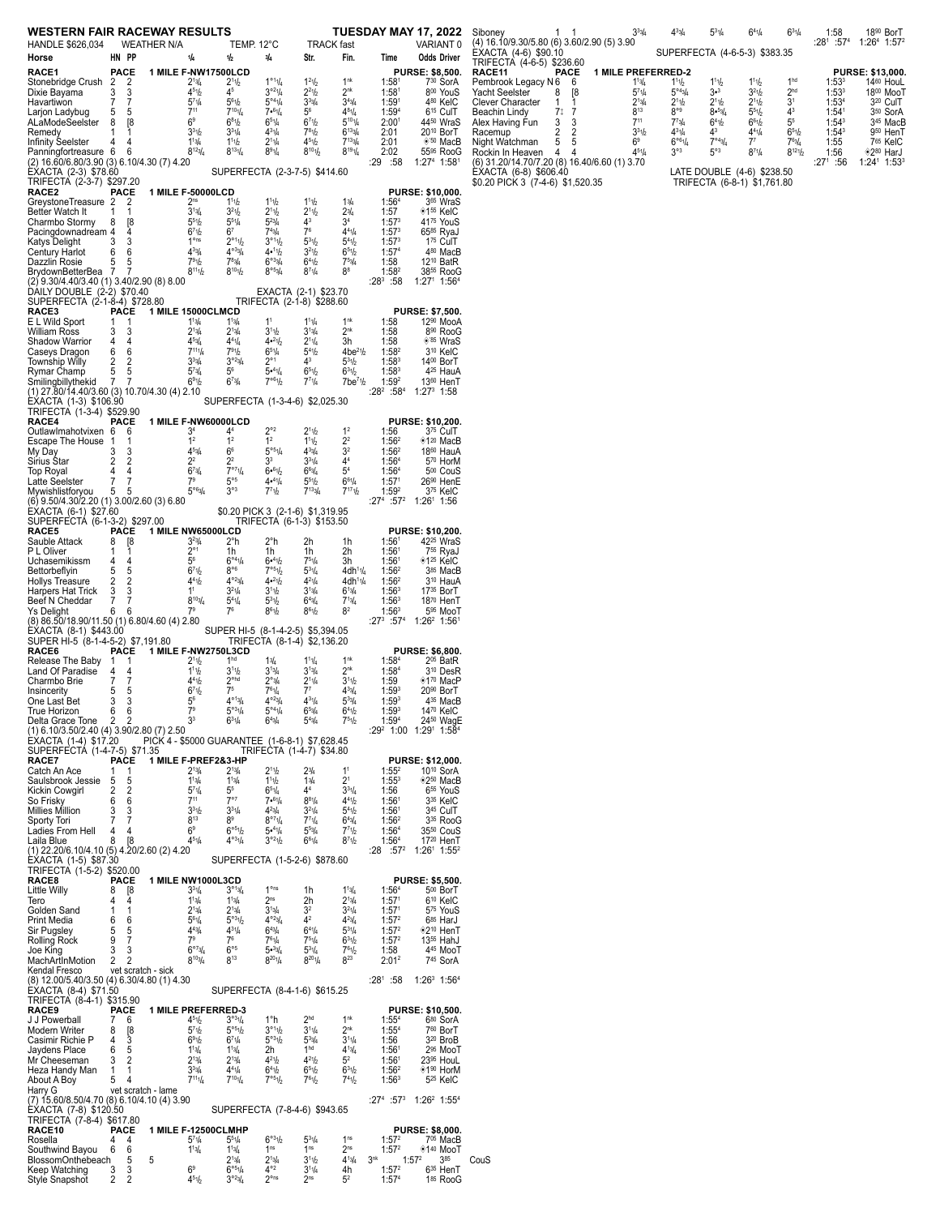| WESTERN FAIR RACEWAY RESULTS<br><b>TUESDAY MAY 17, 2022</b><br>Sibo<br>(4) 1<br><b>WEATHER N/A</b><br>TEMP. 12°C<br><b>TRACK</b> fast<br>VARIANT <sub>0</sub><br>HANDLE \$626,034<br>ÈÝA<br>HN PP<br>Str.<br><b>Odds Driver</b><br>Horse<br>1/4<br>1/2<br>3/4<br>Fin.<br>Time<br><b>TRIF</b> |                     |                     |  |                                                 |                                                                |                                                     |                                                        |                                                          |                                                           |                                                               |              |  |  |
|----------------------------------------------------------------------------------------------------------------------------------------------------------------------------------------------------------------------------------------------------------------------------------------------|---------------------|---------------------|--|-------------------------------------------------|----------------------------------------------------------------|-----------------------------------------------------|--------------------------------------------------------|----------------------------------------------------------|-----------------------------------------------------------|---------------------------------------------------------------|--------------|--|--|
|                                                                                                                                                                                                                                                                                              |                     |                     |  |                                                 |                                                                |                                                     |                                                        |                                                          |                                                           |                                                               |              |  |  |
| RACE1                                                                                                                                                                                                                                                                                        | <b>PACE</b>         |                     |  | 1 MILE F-NW17500LCD                             |                                                                |                                                     |                                                        |                                                          |                                                           | <b>PURSE: \$8,500.</b>                                        | RAC          |  |  |
| Stonebridge Crush                                                                                                                                                                                                                                                                            | 2                   | 2                   |  | $2^{13/4}$                                      | 2 <sup>1</sup> 1/2                                             | $1^{\circ 1}1/a$                                    | 1 <sup>2</sup> 1 <sub>b</sub>                          | 1 <sup>nk</sup>                                          | 1:58 <sup>1</sup>                                         | 730 SorA                                                      | Pem          |  |  |
| Dixie Bayama                                                                                                                                                                                                                                                                                 | 3                   | 3                   |  | $4^{51}/2$                                      | 45                                                             | $3^{o_2}1/4$                                        | $2^{21}/2$                                             | 2 <sup>nk</sup>                                          | 1:58 <sup>1</sup>                                         | 800 YouS                                                      | Yach         |  |  |
| Havartiwon<br>Larjon Ladybug                                                                                                                                                                                                                                                                 | 7<br>5              | 7<br>5              |  | $5^{7}$ <sup>1</sup> / <sub>4</sub><br>$7^{11}$ | $5^{61}h$<br>$7^{10}$ 1/4                                      | $5^{\circ 4}$ <sup>1</sup> / <sub>4</sub><br>7.61/4 | $3^{33}/4$<br>5 <sup>6</sup>                           | $3^{43}/4$<br>$4^{8_1}/4$                                | 1:59 <sup>1</sup><br>1:594                                | 480 KelC<br>6 <sup>15</sup> CulT                              | Clev<br>Bead |  |  |
| ALaModeSeelster                                                                                                                                                                                                                                                                              | 8                   | [8                  |  | 6 <sup>9</sup>                                  | $6^{81}/2$                                                     | 651/4                                               | $6^{71}/2$                                             | $5^{10}$ 1/4                                             | 2:00 <sup>1</sup>                                         | 4450 WraS                                                     | Alex         |  |  |
| Remedy                                                                                                                                                                                                                                                                                       | 1<br>4              | 1<br>4              |  | $3^{31}h$<br>$1^{13}/4$                         | $3^{31}/4$<br>111b                                             | $4^{31}/4$<br>$2^{11/4}$                            | $7^{81}h$<br>$4^{51}$                                  | $6^{133}/4$<br>$7^{13}$ <sub>4</sub>                     | 2:01<br>2:01                                              | 20 <sup>10</sup> BorT<br><sup>*50</sup> MacB                  | Race         |  |  |
| Infinity Seelster<br>Panningfortreasure                                                                                                                                                                                                                                                      | 6                   | 6                   |  | $8^{12}$ <sup>3</sup> / <sub>4</sub>            | $8^{13}1/4$                                                    | $8^{91}/4$                                          | $8^{10}1/2$                                            | $8^{19}1/4$                                              | 2:02                                                      | 55 <sup>95</sup> RooG                                         | Nigh<br>Rocl |  |  |
| (2) 16.60/6.80/3.90 (3) 6.10/4.30 (7) 4.20                                                                                                                                                                                                                                                   |                     |                     |  |                                                 |                                                                |                                                     |                                                        |                                                          | :29<br>:58                                                | 1:274 1:581                                                   | (6) 3        |  |  |
| EXACTA (2-3) \$78.60<br>TRIFECTA (2-3-7) \$297.20                                                                                                                                                                                                                                            |                     |                     |  |                                                 |                                                                |                                                     | SUPERFECTA (2-3-7-5) \$414.60                          |                                                          |                                                           |                                                               | ĖХА<br>\$0.2 |  |  |
| <b>RACE2</b>                                                                                                                                                                                                                                                                                 | <b>PACE</b>         |                     |  | 1 MILE F-50000LCD                               |                                                                |                                                     |                                                        |                                                          |                                                           | <b>PURSE: \$10,000.</b>                                       |              |  |  |
| GreystoneTreasure 2                                                                                                                                                                                                                                                                          | 1                   | 2                   |  | 2 <sup>ns</sup><br>$3^{13}/4$                   | 111b<br>3 <sup>2</sup> 1/2                                     | 111b                                                | 111b                                                   | 13/4                                                     | 1:56 <sup>4</sup>                                         | 3 <sup>65</sup> WraS<br><sup>◆155</sup> KelC                  |              |  |  |
| Better Watch It<br>Charmbo Stormy                                                                                                                                                                                                                                                            | 8                   | 1<br>[8             |  | $5^{51}h$                                       | $5^{51}/4$                                                     | $2^1$ 1/2<br>$5^{23}/4$                             | $2^{11}h$<br>4 <sup>3</sup>                            | 23/4<br>3 <sup>4</sup>                                   | 1:57<br>$1:57^{3}$                                        | 4175 YouS                                                     |              |  |  |
| Pacingdownadream 4                                                                                                                                                                                                                                                                           |                     | 4                   |  | 671/2                                           | 6 <sup>7</sup>                                                 | $7^{4}3/4$                                          | 7 <sup>6</sup>                                         | $4^{41}/4$                                               | $1:57^{3}$                                                | 6585 RyaJ                                                     |              |  |  |
| Katys Delight<br><b>Century Harlot</b>                                                                                                                                                                                                                                                       | 3<br>6              | 3<br>6              |  | 1 <sup>ons</sup><br>$4^{33}/4$                  | $2^{\circ 1}1/2$<br>$4^{\circ}3\frac{1}{4}$                    | 3°11/2<br>4•11b                                     | $5^{31}/2$<br>3 <sup>2</sup> 1/2                       | $5^{4}$ <sup>1</sup> / <sub>2</sub><br>651/2             | 1:57 <sup>3</sup><br>1:57 <sup>4</sup>                    | 175 CulT<br>480 MacB                                          |              |  |  |
| Dazzlin Rosie                                                                                                                                                                                                                                                                                | 5                   | 5                   |  | 791b                                            | $7^{8}3/4$                                                     | $6^{o3}$ <sub>4</sub>                               | $6^{41}h$                                              | 753/4                                                    | 1:58                                                      | 12 <sup>10</sup> BatR                                         |              |  |  |
| BrydownBetterBea                                                                                                                                                                                                                                                                             | 7                   | 7                   |  | $8^{11}1/2$                                     | $8^{10}$ 1/2                                                   | 8°53/4                                              | $8^{7}1/4$                                             | $8^8$                                                    | 1:58 <sup>2</sup>                                         | 38 <sup>55</sup> RooG                                         |              |  |  |
| (2) 9.30/4.40/3.40 (1) 3.40/2.90 (8) 8.00<br>DAILY DOUBLE (2-2) \$70.40                                                                                                                                                                                                                      |                     |                     |  |                                                 |                                                                |                                                     | EXACTA (2-1) \$23.70                                   |                                                          | $:28^3:58$                                                | $1:271$ 1:56 <sup>4</sup>                                     |              |  |  |
| SUPERFECTA (2-1-8-4) \$728.80                                                                                                                                                                                                                                                                |                     |                     |  |                                                 |                                                                |                                                     | TRIFECTA (2-1-8) \$288.60                              |                                                          |                                                           |                                                               |              |  |  |
| RACE3<br>E L Wild Sport                                                                                                                                                                                                                                                                      | <b>PACE</b><br>1    | 1                   |  | 1 MILE 15000CLMCD<br>$1^{13}/4$                 | $1^{13}/4$                                                     | 1 <sup>1</sup>                                      | $1^{11}/4$                                             | 1 <sup>nk</sup>                                          | 1:58                                                      | <b>PURSE: \$7,500.</b><br>12 <sup>90</sup> MooA               |              |  |  |
| William Ross                                                                                                                                                                                                                                                                                 | 3                   | 3                   |  | $2^{13}/4$                                      | $2^{13}/4$                                                     | 3 <sup>1</sup> 1/2                                  | $3^{13}/4$                                             | 2 <sup>nk</sup>                                          | 1:58                                                      | 8 <sup>90</sup> RooG                                          |              |  |  |
| Shadow Warrior                                                                                                                                                                                                                                                                               | 4                   | 4                   |  | $4^{53}/4$                                      | $4^{41}/4$                                                     | $4•^{21}h$                                          | $2^{11}/4$                                             | 3h                                                       | 1:58                                                      | ®'85 WraS                                                     |              |  |  |
| Caseys Dragon<br>Township Willy                                                                                                                                                                                                                                                              | 6<br>2              | 6<br>2              |  | $7^{11}1/a$<br>$3^{3}_{4}$                      | $7^{9}1h$<br>$3^{o_2}$ <sub>4</sub>                            | $6^{51}/4$<br>$2^{\circ}1$                          | $5^{4}$ <sup>1</sup> / <sub>2</sub><br>4 <sup>3</sup>  | $4be^{21}/2$<br>$5^{31/2}$                               | 1:58 <sup>2</sup><br>$1:58^{3}$                           | 3 <sup>10</sup> KelC<br>1400 BorT                             |              |  |  |
| Rymar Champ                                                                                                                                                                                                                                                                                  | 5                   | 5                   |  | $5^{73}/4$                                      | $5^{\scriptscriptstyle 6}$                                     | 5•41/4                                              | 651/2                                                  | $6^{31}h$                                                | $1:58^{3}$                                                | 4 <sup>25</sup> HauA                                          |              |  |  |
| Smilingbillythekid                                                                                                                                                                                                                                                                           | 7                   | 7                   |  | 69%                                             | $6^{7}_{4}$                                                    | 7°61b                                               | 771/4                                                  | $7$ be <sup>7</sup> $1/2$                                | $1:59^{2}$                                                | 1360 HenT                                                     |              |  |  |
| (1) 27.80/14.40/3.60 (3) 10.70/4.30 (4) 2.10<br>EXACTA (1-3) \$106.90                                                                                                                                                                                                                        |                     |                     |  |                                                 |                                                                |                                                     | SUPERFECTA (1-3-4-6) \$2,025.30                        |                                                          | :28 <sup>2</sup><br>:58 <sup>4</sup>                      | $1:27^3$ 1:58                                                 |              |  |  |
| TRIFECTA (1-3-4) \$529.90                                                                                                                                                                                                                                                                    |                     |                     |  |                                                 |                                                                |                                                     |                                                        |                                                          |                                                           |                                                               |              |  |  |
| RACE4<br>OutlawImahotvixen                                                                                                                                                                                                                                                                   | PACE<br>6           | 6                   |  | 1 MILE F-NW60000LCD<br>34                       | 44                                                             | $2^{\circ 2}$                                       | $2^{11}h$                                              | 1 <sup>2</sup>                                           | 1:56                                                      | <b>PURSE: \$10,200.</b><br>3 <sup>75</sup> CulT               |              |  |  |
| Escape The House                                                                                                                                                                                                                                                                             | 1                   | 1                   |  | $\mathbf{1}^2$                                  | 1 <sup>2</sup>                                                 | 1 <sup>2</sup>                                      | 111b                                                   | $2^2$                                                    | 1:56 <sup>2</sup>                                         | <sup>◆120</sup> MacB                                          |              |  |  |
| My Day                                                                                                                                                                                                                                                                                       | 3                   | 3                   |  | $4^{5}_{4}$                                     | 6 <sup>6</sup>                                                 | $5^{\circ 5}$ <sup>1</sup> / <sub>4</sub>           | $4^{3}3/4$                                             | 3 <sup>2</sup>                                           | 1:56 <sup>2</sup>                                         | 1860 HauA                                                     |              |  |  |
| Sirius Star<br>Top Royal                                                                                                                                                                                                                                                                     | $\overline{2}$<br>4 | 2<br>4              |  | 2 <sup>2</sup><br>$6^{7}$ 3/4                   | 2 <sup>2</sup><br>$\frac{1}{7}$ ° <sup>7</sup> 1/ <sub>4</sub> | 3 <sup>3</sup><br>6.61/2                            | $3^{31}/4$<br>6 <sup>6</sup> 3/4                       | 44<br>$5^4\,$                                            | 1:56 <sup>4</sup><br>1:56 <sup>4</sup>                    | 570 HorM<br>5 <sup>00</sup> CouS                              |              |  |  |
| Latte Seelster                                                                                                                                                                                                                                                                               | 7                   | 7                   |  | 7 <sup>9</sup>                                  | $5^{\circ 5}$                                                  | 4•41/4                                              | $5^{51}/2$                                             | $6^{61}/4$                                               | 1:57 <sup>1</sup>                                         | 26 <sup>90</sup> HenE                                         |              |  |  |
| Mywishlistforyou                                                                                                                                                                                                                                                                             | 5                   | 5                   |  | 5°63/4                                          | $3^{\circ 3}$                                                  | $7^{7}1h$                                           | $7^{133/4}$                                            | $7^{17}1h$                                               | 1:59 <sup>2</sup>                                         | 375 KelC                                                      |              |  |  |
| (6) 9.50/4.30/2.20 (1) 3.00/2.60 (3) 6.80<br>EXACTA (6-1) \$27.60                                                                                                                                                                                                                            |                     |                     |  |                                                 |                                                                |                                                     | \$0.20 PICK 3 (2-1-6) \$1,319.95                       |                                                          | $:57^2$<br>:27 <sup>4</sup>                               | 1:26 <sup>1</sup> 1:56                                        |              |  |  |
| SUPERFECTA (6-1-3-2) \$297.00                                                                                                                                                                                                                                                                |                     |                     |  |                                                 |                                                                |                                                     | TRIFECTA (6-1-3) \$153.50                              |                                                          |                                                           |                                                               |              |  |  |
| <b>RACE5</b><br>Sauble Attack                                                                                                                                                                                                                                                                | PACE<br>8           | [8                  |  | 1 MILE NW65000LCD<br>$3^{23}/4$                 | 2°h                                                            | 2°h                                                 | 2h                                                     | 1h                                                       | 1:56 <sup>1</sup>                                         | <b>PURSE: \$10,200.</b><br>42 <sup>25</sup> WraS              |              |  |  |
| P L Oliver                                                                                                                                                                                                                                                                                   | 1                   | 1                   |  | $2^{\circ}1$                                    | 1h                                                             | 1h                                                  | 1h                                                     | 2h                                                       | 1:56 <sup>1</sup>                                         | 7 <sup>55</sup> RyaJ                                          |              |  |  |
| Uchasemikissm                                                                                                                                                                                                                                                                                | 4                   | 4                   |  | $5^6$                                           | $6^{\circ 4}$ <sup>1</sup> / <sub>4</sub>                      | $6 - 41$                                            | 751/4                                                  | 3h                                                       | 1:56 <sup>1</sup>                                         | <sup>→</sup> 1 <sup>25</sup> KelC                             |              |  |  |
| Bettorbeflyin<br><b>Hollys Treasure</b>                                                                                                                                                                                                                                                      | 5<br>2              | 5<br>$\overline{2}$ |  | 671/2<br>$4^{41}h$                              | $8^{\circ 6}$<br>$4^{\circ 23}$                                | 7°51/2<br>$4•^{21}h$                                | $5^{31}/4$<br>$4^{21}/4$                               | 4dh <sup>1</sup> 1/ <sub>4</sub><br>4dh <sup>11</sup> /4 | 1:56 <sup>2</sup><br>$1:56^2$                             | 385 MacB<br>3 <sup>10</sup> HauA                              |              |  |  |
| Harpers Hat Trick                                                                                                                                                                                                                                                                            | 3                   | 3                   |  | 1 <sup>1</sup>                                  | $3^{21/4}$                                                     | 3 <sup>11</sup> b                                   | $3^{13}/4$                                             | $6^{13}/4$                                               | 1:56 <sup>3</sup>                                         | 17 <sup>35</sup> BorT                                         |              |  |  |
| Beef N Cheddar                                                                                                                                                                                                                                                                               | 7                   | 7                   |  | $8^{10}$ <sub>4</sub><br>7 <sup>9</sup>         | $5^{41}/4$<br>7 <sup>6</sup>                                   | $5^{3}1h$<br>$8^{61}h$                              | $6^{4}$ <sup>3</sup> / <sub>4</sub>                    | $7^{13}/4$<br>8 <sup>2</sup>                             | 1:56 <sup>3</sup>                                         | 1870 HenT                                                     |              |  |  |
| <b>Ys Delight</b><br>(8) 86.50/18.90/11.50 (1) 6.80/4.60 (4) 2.80                                                                                                                                                                                                                            | 6                   | 6                   |  |                                                 |                                                                |                                                     | $8^{61}/2$                                             |                                                          | $1:56^{3}$<br>$:27^{3}$<br>$:57^4$                        | 5 <sup>95</sup> MooT<br>1:26 <sup>2</sup> 1:56 <sup>1</sup>   |              |  |  |
| EXACTA (8-1) \$443.00                                                                                                                                                                                                                                                                        |                     |                     |  |                                                 |                                                                |                                                     | SUPER HI-5 (8-1-4-2-5) \$5,394.05                      |                                                          |                                                           |                                                               |              |  |  |
| SUPER HI-5(8-1-4-5-2)\$7,191.80<br><b>RACE6</b>                                                                                                                                                                                                                                              | PACE                |                     |  | 1 MILE F-NW2750L3CD                             |                                                                |                                                     | TRIFECTA (8-1-4) \$2,136.20                            |                                                          |                                                           | <b>PURSE: \$6,800.</b>                                        |              |  |  |
| Release The Baby                                                                                                                                                                                                                                                                             | 1                   | 1                   |  | 2 <sup>1</sup> 1/2                              | 1 <sup>hd</sup>                                                | 13/4                                                | $1^{11}/4$                                             | 1 <sup>nk</sup>                                          | 1:58 <sup>4</sup>                                         | 2 <sup>05</sup> BatR                                          |              |  |  |
| Land Of Paradise                                                                                                                                                                                                                                                                             | 4                   | 4                   |  | $1^{11}h$                                       | 3 <sup>11</sup> b                                              | $3^{13}/4$                                          | $3^{13}/4$                                             | 2 <sup>nk</sup>                                          | 1:58 <sup>4</sup>                                         | 3 <sup>10</sup> DesR                                          |              |  |  |
| Charmbo Brie<br>Insincerity                                                                                                                                                                                                                                                                  | 7<br>5              | 7<br>5              |  | 4 <sup>4</sup> 1 <sup>b</sup><br>671/2          | $2^{\circ \text{hd}}$<br>7 <sup>5</sup>                        | 2°3/4<br>$7^6 \frac{1}{4}$                          | $2^{11/4}$<br>7 <sup>7</sup>                           | 3 <sup>1</sup> h<br>$4^{3}$ <sup>3</sup> / <sub>4</sub>  | 1:59<br>$1:59^{3}$                                        | <sup>◆170</sup> MacP<br>20 <sup>90</sup> BorT                 |              |  |  |
| One Last Bet                                                                                                                                                                                                                                                                                 | 3                   | 3                   |  | $5^6\,$                                         | $4^{\circ 13}$ / <sub>4</sub>                                  | $4^{o_{23}}/4$                                      | $4^{31}/4$                                             | $5^{33}/4$                                               | 1:59 <sup>3</sup>                                         | 4 <sup>35</sup> MacB                                          |              |  |  |
| True Horizon                                                                                                                                                                                                                                                                                 | 6                   | 6                   |  | $7^9$                                           | $5^{\circ 3}1/4$                                               | $5^{\circ 4}$ 1/4                                   | 653/4                                                  | 6 <sup>4</sup> 1/2                                       | $1:59^{3}$                                                | 1470 KelC                                                     |              |  |  |
| Delta Grace Tone<br>(1) 6.10/3.50/2.40 (4) 3.90/2.80 (7) 2.50                                                                                                                                                                                                                                | 2                   | 2                   |  | 3 <sup>3</sup>                                  | $6^{31}/4$                                                     | $6^{4}$ <sup>3</sup> / <sub>4</sub>                 | $5^{4}3/4$                                             | 751/2                                                    | $1:59^{4}$                                                | 2450 WagE<br>$:29^2$ 1:00 1:29 <sup>1</sup> 1:58 <sup>4</sup> |              |  |  |
| EXACTA (1-4) \$17.20                                                                                                                                                                                                                                                                         |                     |                     |  |                                                 |                                                                |                                                     | PICK 4 - \$5000 GUARANTEE (1-6-8-1) \$7,628.45         |                                                          |                                                           |                                                               |              |  |  |
| SUPERFECTA (1-4-7-5) \$71.35<br>RACE7                                                                                                                                                                                                                                                        | <b>PACE</b>         |                     |  | <b>1 MILE F-PREF2&amp;3-HP</b>                  |                                                                |                                                     | TRIFECTA (1-4-7) \$34.80                               |                                                          |                                                           | PURSE: \$12,000.                                              |              |  |  |
| Catch An Ace                                                                                                                                                                                                                                                                                 | 1                   | 1                   |  | $2^{13}/4$                                      | $2^{13}/4$                                                     | 2 <sup>1</sup> 1b                                   | 23/4                                                   | 1 <sup>1</sup>                                           | 1:55 <sup>2</sup>                                         | 10 <sup>10</sup> SorA                                         |              |  |  |
| Saulsbrook Jessie                                                                                                                                                                                                                                                                            | 5                   | 5                   |  | $1^{13}/4$                                      | $1^{13}/4$                                                     | 111/2                                               | 13/4                                                   | 2 <sup>1</sup>                                           | $1:55^{3}$                                                | <sup>◇250</sup> MacB                                          |              |  |  |
| Kickin Cowgirl<br>So Frisky                                                                                                                                                                                                                                                                  | 2<br>6              | 2<br>6              |  | $5^{7}$ <sup>1</sup> / <sub>4</sub><br>$7^{11}$ | $5^5$<br>$7^{\circ}$                                           | 651/4<br>7.61/4                                     | 44<br>$8^{81}/4$                                       | $3^{31}/4$<br>$4^{41}h$                                  | 1:56<br>1:56 <sup>1</sup>                                 | 6 <sup>55</sup> YouS<br>3 <sup>35</sup> KelC                  |              |  |  |
| Millies Million                                                                                                                                                                                                                                                                              | 3                   | 3                   |  | 3 <sup>3</sup> 1/2                              | $3^{31}/4$                                                     | $4^{2}3/4$                                          | $3^{21}/4$                                             | $5^{4}$ <sup>1</sup> / <sub>2</sub>                      | 1:56 <sup>1</sup>                                         | 3 <sup>45</sup> CulT                                          |              |  |  |
| Sporty Tori                                                                                                                                                                                                                                                                                  | $\overline{7}$      | 7                   |  | $8^{13}$                                        | $8^{\rm 9}$<br>6°51b                                           | $8^{\circ 7}$ 1/4                                   | $7^{71}/4$                                             | $6^{43}/4$                                               | $1:56^2$                                                  | 3 <sup>35</sup> RooG                                          |              |  |  |
| Ladies From Hell<br>Laila Blue                                                                                                                                                                                                                                                               | 4<br>8              | 4<br>[8             |  | $6^{\rm o}$<br>$4^{5}$ 1/ <sub>4</sub>          | $4^{\circ 3}$ 1/4                                              | 5•41/4<br>$3^{o_2}1/2$                              | $5^{53}/4$<br>$6^{61}/4$                               | 7 <sup>7</sup> 1h<br>$8^{7}1/2$                          | 1:56 <sup>4</sup><br>1:56 <sup>4</sup>                    | 35 <sup>50</sup> CouS<br>17 <sup>20</sup> HenT                |              |  |  |
| (1) 22.20/6.10/4.10 (5) 4.20/2.60 (2) 4.20                                                                                                                                                                                                                                                   |                     |                     |  |                                                 |                                                                |                                                     |                                                        |                                                          | :28<br>$:57^2$                                            | 1:26 <sup>1</sup> 1:55 <sup>2</sup>                           |              |  |  |
| ÉXACTA (1-5) \$87.30                                                                                                                                                                                                                                                                         |                     |                     |  |                                                 |                                                                |                                                     | SUPERFECTA (1-5-2-6) \$878.60                          |                                                          |                                                           |                                                               |              |  |  |
| TRIFECTA (1-5-2) \$520.00<br>RACE8                                                                                                                                                                                                                                                           | <b>PACE</b>         |                     |  | 1 MILE NW1000L3CD                               |                                                                |                                                     |                                                        |                                                          |                                                           | <b>PURSE: \$5,500.</b>                                        |              |  |  |
| Little Willy                                                                                                                                                                                                                                                                                 | 8                   | [8                  |  | $3^{31}/4$                                      | $3^{013}/4$                                                    | 1 <sup>ons</sup>                                    | 1h                                                     | $1^{13}/4$                                               | 1:56 <sup>4</sup>                                         | 500 BorT                                                      |              |  |  |
| Tero<br>Golden Sand                                                                                                                                                                                                                                                                          | 4<br>1              | 4<br>1              |  | $1^{13}/4$<br>$2^{13}/4$                        | $1^{13}/4$<br>$2^{13}/4$                                       | 2 <sup>ns</sup><br>$3^{13}/4$                       | 2h<br>3 <sup>2</sup>                                   | $2^{13}/4$<br>$3^{21}/4$                                 | 1:57 <sup>1</sup><br>1:57 <sup>1</sup>                    | 6 <sup>10</sup> KelC<br>575 YouS                              |              |  |  |
| Print Media                                                                                                                                                                                                                                                                                  | 6                   | 6                   |  | $5^{6}1/4$                                      | 5°31b                                                          | $4^{o_2}$ <sub>3/4</sub>                            | $4^{\rm 2}$                                            | $4^{23}/4$                                               | 1:57 <sup>2</sup>                                         | 685 HarJ                                                      |              |  |  |
| Sir Pugsley                                                                                                                                                                                                                                                                                  | 5                   | 5                   |  | $4^{4}3/4$                                      | $4^{31}/4$                                                     | $6^{4}$ <sup>3</sup> / <sub>4</sub>                 | $6^{41}/4$                                             | $5^{31}/4$                                               | 1:57 <sup>2</sup>                                         | <sup>◇210</sup> HenT                                          |              |  |  |
| Rolling Rock<br>Joe King                                                                                                                                                                                                                                                                     | 9<br>3              | 7<br>3              |  | 7 <sup>9</sup><br>$6^{07}$ <sub>3/4</sub>       | 7 <sup>6</sup><br>$6^{\circ 5}$                                | $7^{61}/4$<br>5•344                                 | $7^{51}/4$<br>$5^{31}/4$                               | $6^{31}h$<br>$7^{6}$ <sup>1</sup> / <sub>2</sub>         | 1:57 <sup>2</sup><br>1:58                                 | 13 <sup>55</sup> HahJ<br>445 MooT                             |              |  |  |
| MachArtInMotion                                                                                                                                                                                                                                                                              | 2                   | 2                   |  | $8^{10}$ <sub>4</sub>                           | 813                                                            | $8^{20}$ <sup>1</sup> / <sub>4</sub>                | $8^{20}$ 1/ <sub>4</sub>                               | 823                                                      | $2:01^2$                                                  | 745 SorA                                                      |              |  |  |
| Kendal Fresco                                                                                                                                                                                                                                                                                |                     | vet scratch - sick  |  |                                                 |                                                                |                                                     |                                                        |                                                          |                                                           |                                                               |              |  |  |
| (8) 12.00/5.40/3.50 (4) 6.30/4.80 (1) 4.30<br>EXACTA (8-4) \$71.50                                                                                                                                                                                                                           |                     |                     |  |                                                 |                                                                |                                                     | SUPERFECTA (8-4-1-6) \$615.25                          |                                                          | $:28^1:58$                                                | $1:26^3$ 1:56 <sup>4</sup>                                    |              |  |  |
| TRIFECTA (8-4-1) \$315.90                                                                                                                                                                                                                                                                    |                     |                     |  |                                                 |                                                                |                                                     |                                                        |                                                          |                                                           |                                                               |              |  |  |
| <b>RACE9</b><br>J J Powerball                                                                                                                                                                                                                                                                | <b>PACE</b><br>7    | 6                   |  | <b>1 MILE PREFERRED-3</b><br>$4^{5}$ 1/2        | $3^{031}/4$                                                    | 1°h                                                 | 2 <sup>hd</sup>                                        | 1 <sup>nk</sup>                                          | 1:55 <sup>4</sup>                                         | PURSE: \$10,500.<br>680 SorA                                  |              |  |  |
| Modern Writer                                                                                                                                                                                                                                                                                | 8                   | [8<br>3             |  | 5 <sup>7</sup> 1b                               | 5°51/2                                                         | 3°11h                                               | $3^{11}/4$                                             | 2 <sup>nk</sup>                                          | $1:55^{4}$                                                | 760 BorT                                                      |              |  |  |
| Casimir Richie P                                                                                                                                                                                                                                                                             | 4                   |                     |  | 691 <sub>b</sub>                                | $6^{71}/4$                                                     | 5°31b                                               | $5^{3}$ <sup>3</sup> / <sub>4</sub><br>1 <sup>hd</sup> | $3^{11}/4$<br>$4^{13}/4$                                 | 1:56                                                      | 3 <sup>20</sup> BroB                                          |              |  |  |
| Jaydens Place<br>Mr Cheeseman                                                                                                                                                                                                                                                                | 6<br>3              | 5<br>$\overline{2}$ |  | $1^{13}/4$<br>$2^{13}/4$                        | $1^{13}/4$<br>$2^{13}/4$                                       | 2h<br>$4^{21}h$                                     | $4^{21}h$                                              | 5 <sup>2</sup>                                           | 1:56 <sup>1</sup><br>1:56 <sup>1</sup>                    | 2 <sup>95</sup> MooT<br>23 <sup>95</sup> HouL                 |              |  |  |
| Heza Handy Man                                                                                                                                                                                                                                                                               | 1                   | 1                   |  | $3^{3}_{4}$                                     | $4^{41}/4$                                                     | 641b                                                | 651/2                                                  | $6^{31}h$                                                | 1:56 <sup>2</sup>                                         | ◈1 <sup>90</sup> HorM                                         |              |  |  |
| About A Boy                                                                                                                                                                                                                                                                                  | 5                   | 4                   |  | $7^{11}1/a$                                     | $7^{10}$ 1/4                                                   | 7°51/2                                              | $7^{61}/2$                                             | 7 <sup>4</sup> 1/2                                       | $1:56^{3}$                                                | 5 <sup>25</sup> KelC                                          |              |  |  |
| Harry G<br>(7) 15.60/8.50/4.70 (8) 6.10/4.10 (4) 3.90                                                                                                                                                                                                                                        |                     | vet scratch - lame  |  |                                                 |                                                                |                                                     |                                                        |                                                          | :27 <sup>4</sup> :57 <sup>3</sup>                         | $1:26^2$ 1:55 <sup>4</sup>                                    |              |  |  |
| EXACTA (7-8) \$120.50                                                                                                                                                                                                                                                                        |                     |                     |  |                                                 |                                                                |                                                     | SUPERFECTA (7-8-4-6) \$943.65                          |                                                          |                                                           |                                                               |              |  |  |
| TRIFECTA (7-8-4) \$617.80<br>RACE10                                                                                                                                                                                                                                                          | PACE                |                     |  | 1 MILE F-12500CLMHP                             |                                                                |                                                     |                                                        |                                                          |                                                           | <b>PURSE: \$8,000.</b>                                        |              |  |  |
| Rosella                                                                                                                                                                                                                                                                                      | 4                   | 4                   |  | $5^{7}$ <sup>1</sup> / <sub>4</sub>             | $5^{51}/4$                                                     | $6^{o_3}1/2$                                        | $5^{31}/4$                                             | 1 <sup>ns</sup>                                          | 1:57 <sup>2</sup>                                         | 705 MacB                                                      |              |  |  |
| Southwind Bayou                                                                                                                                                                                                                                                                              | 6                   | 6                   |  | $1^{13}/4$                                      | $1^{13}/4$                                                     | 1 <sup>ns</sup>                                     | 1 <sup>ns</sup>                                        | 2 <sup>ns</sup>                                          | 1:57 <sup>2</sup><br>3 <sup>nk</sup><br>1:57 <sup>2</sup> | $*140$ MooT                                                   |              |  |  |
| BlossomOnthebeach<br>Keep Watching                                                                                                                                                                                                                                                           | 3                   | 5<br>5<br>3         |  | 6 <sup>9</sup>                                  | $2^{13}/4$<br>6°51/a                                           | $2^{13/4}$<br>$4^{\circ 2}$                         | 3 <sup>11</sup> b<br>$3^{11}/4$                        | $4^{13}/4$<br>4h                                         | 1:57 <sup>2</sup>                                         | 385<br>6 <sup>35</sup> HenT                                   | CouS         |  |  |
| Style Snapshot                                                                                                                                                                                                                                                                               | 2                   | $\overline{2}$      |  | $4^{51}h$                                       | 3°3/4                                                          | $2^{\circ}$ ns                                      | 2 <sup>ns</sup>                                        | $5^2$                                                    | 1:57 <sup>4</sup>                                         | 185 RooG                                                      |              |  |  |

| Sibonev                                                            |                |                | $3^{33}/4$                | $4^{33}/4$                                | $5^{31}/4$         | $6^{41}/4$                    | $6^{31}/4$      | 1:58              | 18 <sup>90</sup> BorT               |
|--------------------------------------------------------------------|----------------|----------------|---------------------------|-------------------------------------------|--------------------|-------------------------------|-----------------|-------------------|-------------------------------------|
| (4) 16.10/9.30/5.80 (6) 3.60/2.90 (5) 3.90<br>ÈXACTA (4-6) \$90.10 |                |                |                           |                                           |                    | SUPERFECTA (4-6-5-3) \$383.35 |                 | $:28^1:57^4$      | 1:26 <sup>4</sup> 1:57 <sup>2</sup> |
| TRIFECTA (4-6-5) \$236.60                                          |                |                |                           |                                           |                    |                               |                 |                   |                                     |
| RACE11                                                             | <b>PACE</b>    |                | <b>1 MILE PREFERRED 2</b> |                                           |                    |                               |                 |                   | PURSE: \$13,000.                    |
| Pembrook Legacy N6                                                 |                | 6              | $1^{13}/4$                | 111 <sub>b</sub>                          | 111b               | 111b                          | 1 <sup>hd</sup> | 1:53 <sup>3</sup> | 1460 HouL                           |
| Yacht Seelster                                                     | 8              | I <sub>8</sub> | $5^{71}/4$                | $5^{\circ 4}$ <sup>3</sup> / <sub>4</sub> | 3• <sup>3</sup>    | 3 <sup>2</sup> 1 <sub>b</sub> | 2 <sup>hd</sup> | 1:53 <sup>3</sup> | 18 <sup>00</sup> MooT               |
| Clever Character                                                   |                |                | $2^{13}/4$                | 2 <sup>1</sup> 1 <sub>b</sub>             | 2 <sup>1</sup> 1/2 | 2 <sup>1</sup> 1b             | 3 <sup>1</sup>  | 1:53 <sup>4</sup> | 3 <sup>20</sup> CulT                |
| Beachin Lindy                                                      | 7 <sup>†</sup> |                | 813                       | $8^{\circ 9}$                             | $8 - 53/4$         | 551/2                         | 4 <sup>3</sup>  | 1:54 <sup>1</sup> | 3 <sup>50</sup> SorA                |
| Alex Having Fun                                                    | 3              | 3              | $7^{11}$                  | $7^{73}4$                                 | 641b               | $6^{61}$                      | 5 <sup>5</sup>  | $1:54^{3}$        | 345 MacB                            |
| Racemup                                                            |                | $\overline{2}$ | $3^{31}b$                 | $4^{31}/4$                                | $4^3$              | $4^{4}$ 1/4                   | 651b            | $1:54^3$          | 950 HenT                            |
| Night Watchman                                                     | 5              | 5              | 6 <sup>9</sup>            | 6°61/4                                    | 7°43/4             | 7 <sup>7</sup>                | $7^{6}_{4}$     | 1:55              | 765 KelC                            |
| Rockin In Heaven                                                   | 4              | 4              | $4^{51}/4$                | 3°3                                       | 5°3                | $8^{71}/4$                    | $8^{12}1h$      | 1:56              | $\Diamond$ 2 <sup>80</sup> HarJ     |
| (6) 31.20/14.70/7.20 (8) 16.40/6.60 (1) 3.70                       |                |                |                           |                                           |                    |                               |                 | $:27^1:56$        | $1:24^1$ 1:53 <sup>3</sup>          |
| ÈXACTA (6-8) \$606.40                                              |                |                |                           |                                           |                    | LATE DOUBLE (4-6) \$238.50    |                 |                   |                                     |
| \$0.20 PICK 3 (7-4-6) \$1,520.35                                   |                |                |                           |                                           |                    | TRIFECTA (6-8-1) \$1,761.80   |                 |                   |                                     |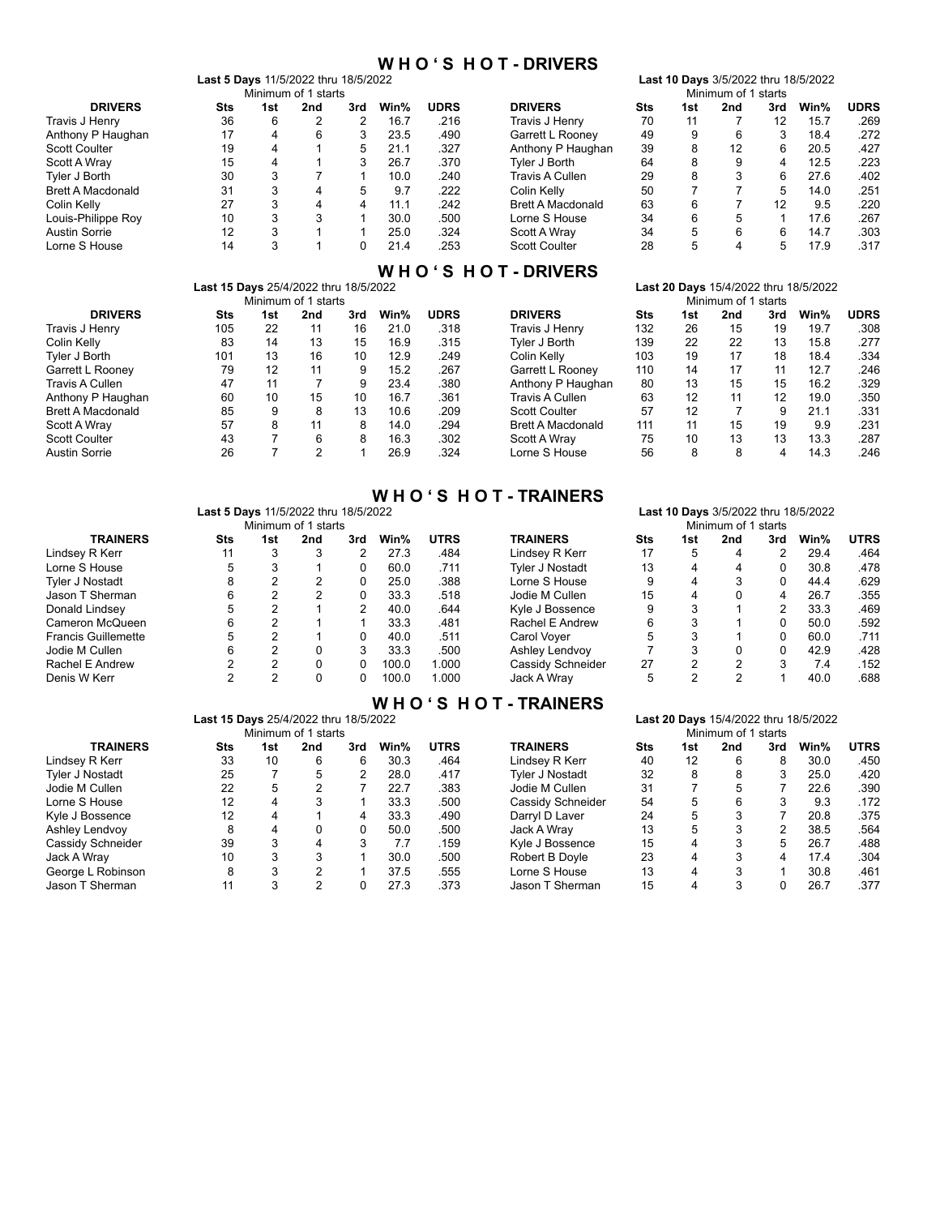### **W H O ' S H O T - DRIVERS**

**Last 10 Days** 3/5/2022 thru 18/5/2022

|  |  |  | <b>Last 5 Days 11/5/2022 thru 18/5/2022</b> |  |
|--|--|--|---------------------------------------------|--|
|  |  |  |                                             |  |

|                          |     |     | Minimum of 1 starts |     |      |             | Minimum of 1<br>starts   |            |     |     |     |      |             |
|--------------------------|-----|-----|---------------------|-----|------|-------------|--------------------------|------------|-----|-----|-----|------|-------------|
| <b>DRIVERS</b>           | Sts | 1st | 2nd                 | 3rd | Win% | <b>UDRS</b> | <b>DRIVERS</b>           | <b>Sts</b> | 1st | 2nd | 3rd | Win% | <b>UDRS</b> |
| Travis J Henry           | 36  | 6   | 2                   | っ   | 16.7 | .216        | Travis J Henry           | 70         | 11  |     | 12  | 15.7 | .269        |
| Anthony P Haughan        | 17  | 4   | 6                   | 3   | 23.5 | .490        | Garrett L Roonev         | 49         | 9   | 6   |     | 18.4 | .272        |
| <b>Scott Coulter</b>     | 19  | 4   |                     | 5   | 21.1 | .327        | Anthony P Haughan        | 39         | 8   | 12  | 6   | 20.5 | .427        |
| Scott A Wrav             | 15  | 4   |                     |     | 26.7 | .370        | Tvler J Borth            | 64         | 8   | 9   | 4   | 12.5 | 223         |
| Tvler J Borth            | 30  | 3   |                     |     | 10.0 | 240         | Travis A Cullen          | 29         | 8   | 3   | հ   | 27.6 | .402        |
| <b>Brett A Macdonald</b> | 31  | 3   | 4                   | 5   | 9.7  | .222        | Colin Kelly              | 50         |     |     | 5   | 14.0 | .251        |
| Colin Kelly              | 27  | 3   | 4                   | 4   | 11.1 | .242        | <b>Brett A Macdonald</b> | 63         | 6   |     | 12  | 9.5  | .220        |
| Louis-Philippe Roy       | 10  | 3   | 3                   |     | 30.0 | .500        | Lorne S House            | 34         | 6   | 5   |     | 17.6 | .267        |
| Austin Sorrie            | 12  | 3   |                     |     | 25.0 | .324        | Scott A Wrav             | 34         | 5   | 6   |     | 14.7 | .303        |
| Lorne S House            | 14  |     |                     |     | 21.4 | 253         | <b>Scott Coulter</b>     | 28         |     |     |     | 17.9 | .317        |

# **W H O ' S H O T - DRIVERS**

|                          | Last 15 Days 25/4/2022 thru 18/5/2022 |     |                     | Last 20 Days 15/4/2022 thru 18/5/2022 |      |             |                          |            |     |     |     |      |             |
|--------------------------|---------------------------------------|-----|---------------------|---------------------------------------|------|-------------|--------------------------|------------|-----|-----|-----|------|-------------|
|                          |                                       |     | Minimum of 1 starts |                                       |      |             | Minimum of 1 starts      |            |     |     |     |      |             |
| <b>DRIVERS</b>           | Sts                                   | 1st | 2nd                 | 3rd                                   | Win% | <b>UDRS</b> | <b>DRIVERS</b>           | <b>Sts</b> | 1st | 2nd | 3rd | Win% | <b>UDRS</b> |
| Travis J Henry           | 105                                   | 22  | 11                  | 16                                    | 21.0 | .318        | Travis J Henry           | 132        | 26  | 15  | 19  | 19.7 | .308        |
| Colin Kelly              | 83                                    | 14  | 13                  | 15                                    | 16.9 | .315        | Tvler J Borth            | 139        | 22  | 22  | 13  | 15.8 | .277        |
| Tvler J Borth            | 101                                   | 13  | 16                  | 10                                    | 12.9 | .249        | Colin Kelly              | 103        | 19  | 17  | 18  | 18.4 | .334        |
| Garrett L Rooney         | 79                                    | 12  | 11                  | 9                                     | 15.2 | .267        | Garrett L Roonev         | 110        | 14  | 17  | 11  | 12.7 | .246        |
| Travis A Cullen          | 47                                    | 11  |                     | 9                                     | 23.4 | .380        | Anthony P Haughan        | 80         | 13  | 15  | 15  | 16.2 | .329        |
| Anthony P Haughan        | 60                                    | 10  | 15                  | 10                                    | 16.7 | .361        | Travis A Cullen          | 63         | 12  | 11  | 12  | 19.0 | .350        |
| <b>Brett A Macdonald</b> | 85                                    | 9   | 8                   | 13                                    | 10.6 | .209        | <b>Scott Coulter</b>     | 57         | 12  | 7   | 9   | 21.1 | .331        |
| Scott A Wray             | 57                                    | 8   | 11                  | 8                                     | 14.0 | .294        | <b>Brett A Macdonald</b> | 111        | 11  | 15  | 19  | 9.9  | .231        |
| <b>Scott Coulter</b>     | 43                                    |     | 6                   | 8                                     | 16.3 | .302        | Scott A Wray             | 75         | 10  | 13  | 13  | 13.3 | .287        |
| Austin Sorrie            | 26                                    |     | 2                   |                                       | 26.9 | .324        | Lorne S House            | 56         | 8   | 8   | 4   | 14.3 | .246        |

|                            |                                       |                |                     |                |       |             | <b>WHO'S HOT-TRAINERS</b> |                                      |                |                |                |                                       |             |  |  |
|----------------------------|---------------------------------------|----------------|---------------------|----------------|-------|-------------|---------------------------|--------------------------------------|----------------|----------------|----------------|---------------------------------------|-------------|--|--|
|                            | Last 5 Days 11/5/2022 thru 18/5/2022  |                |                     |                |       |             |                           | Last 10 Days 3/5/2022 thru 18/5/2022 |                |                |                |                                       |             |  |  |
|                            |                                       |                | Minimum of 1 starts |                |       |             |                           | Minimum of 1 starts                  |                |                |                |                                       |             |  |  |
| <b>TRAINERS</b>            | Sts                                   | 1st            | 2nd                 | 3rd            | Win%  | <b>UTRS</b> | <b>TRAINERS</b>           | <b>Sts</b>                           | 1st            | 2nd            | 3rd            | Win%                                  | <b>UTRS</b> |  |  |
| Lindsey R Kerr             | 11                                    | 3              | 3                   | 2              | 27.3  | .484        | Lindsey R Kerr            | 17                                   | 5              | 4              | 2              | 29.4                                  | .464        |  |  |
| Lorne S House              | 5                                     | 3              |                     | 0              | 60.0  | .711        | Tyler J Nostadt           | 13                                   | 4              | 4              | 0              | 30.8                                  | .478        |  |  |
| <b>Tyler J Nostadt</b>     | 8                                     | 2              | $\overline{2}$      | 0              | 25.0  | .388        | Lorne S House             | 9                                    | 4              | 3              | 0              | 44.4                                  | .629        |  |  |
| Jason T Sherman            | 6                                     | 2              | 2                   | 0              | 33.3  | .518        | Jodie M Cullen            | 15                                   | 4              | 0              | 4              | 26.7                                  | .355        |  |  |
| Donald Lindsey             | 5.                                    | $\overline{2}$ |                     | $\overline{2}$ | 40.0  | .644        | Kyle J Bossence           | 9                                    | 3              |                | $\overline{2}$ | 33.3                                  | .469        |  |  |
| Cameron McQueen            | 6                                     | 2              |                     |                | 33.3  | .481        | Rachel E Andrew           | 6                                    | 3              |                | 0              | 50.0                                  | .592        |  |  |
| <b>Francis Guillemette</b> | 5                                     | 2              |                     | 0              | 40.0  | .511        | Carol Voyer               | 5                                    | 3              |                | 0              | 60.0                                  | .711        |  |  |
| Jodie M Cullen             | 6                                     | 2              | 0                   | 3              | 33.3  | .500        | Ashley Lendvov            |                                      | 3              | 0              | 0              | 42.9                                  | .428        |  |  |
| Rachel E Andrew            |                                       | 2              | 0                   | $\Omega$       | 100.0 | 1.000       | Cassidy Schneider         | 27                                   | $\overline{2}$ | $\overline{2}$ | 3              | 7.4                                   | .152        |  |  |
| Denis W Kerr               | 2                                     | 2              | 0                   | 0              | 100.0 | 1.000       | Jack A Wray               | 5                                    | $\overline{2}$ | $\overline{2}$ |                | 40.0                                  | .688        |  |  |
|                            |                                       |                |                     |                |       |             | WHO'S HOT-TRAINERS        |                                      |                |                |                |                                       |             |  |  |
|                            | Last 15 Days 25/4/2022 thru 18/5/2022 |                |                     |                |       |             |                           |                                      |                |                |                | Last 20 Days 15/4/2022 thru 18/5/2022 |             |  |  |

|     | <b>Last ZU Days</b> 15/4/2022 thru 16/5/2022 |     |     |                     |                                              |                   |     |     |     |     |      |             |
|-----|----------------------------------------------|-----|-----|---------------------|----------------------------------------------|-------------------|-----|-----|-----|-----|------|-------------|
|     |                                              |     |     |                     | Minimum of 1 starts                          |                   |     |     |     |     |      |             |
| Sts | 1st                                          | 2nd | 3rd | Win%                | <b>UTRS</b>                                  | <b>TRAINERS</b>   | Sts | 1st | 2nd | 3rd | Win% | <b>UTRS</b> |
| 33  | 10                                           | 6   | 6   | 30.3                | .464                                         | Lindsey R Kerr    | 40  | 12  | 6   |     | 30.0 | .450        |
| 25  |                                              | 5   |     | 28.0                | .417                                         | Tyler J Nostadt   | 32  | 8   | 8   |     | 25.0 | .420        |
| 22  | 5                                            |     |     | 22.7                | .383                                         | Jodie M Cullen    | 31  |     |     |     | 22.6 | .390        |
| 12  | 4                                            |     |     | 33.3                | .500                                         | Cassidy Schneider | 54  | 5   | 6   |     | 9.3  | .172        |
| 12  | 4                                            |     | 4   | 33.3                | .490                                         | Darryl D Laver    | 24  | 5   |     |     | 20.8 | .375        |
| 8   | 4                                            |     | 0   | 50.0                | .500                                         | Jack A Wray       | 13  | 5   |     |     | 38.5 | 564         |
| 39  |                                              | 4   | 3   | 7.7                 | .159                                         | Kyle J Bossence   | 15  | 4   | 3   | 5.  | 26.7 | .488        |
| 10  | 3                                            | 3   |     | 30.0                | .500                                         | Robert B Doyle    | 23  | 4   | 3   |     | 17.4 | .304        |
| 8   | 3                                            | າ   |     | 37.5                | .555                                         | Lorne S House     | 13  | 4   | 3   |     | 30.8 | .461        |
| 11  | 3                                            | າ   |     | 27.3                | .373                                         | Jason T Sherman   | 15  |     | 3   |     | 26.7 | .377        |
|     |                                              |     |     | Minimum of 1 starts | <b>Last 15 Days</b> 25/4/2022 ullu 16/5/2022 |                   |     |     |     |     |      |             |